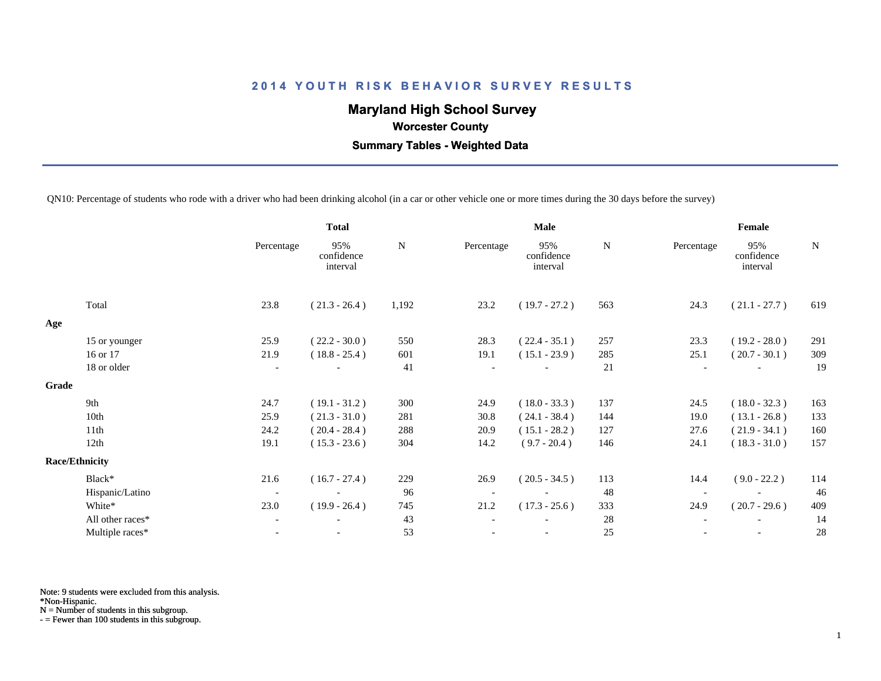# **Maryland High School Survey**

 **Worcester County**

 **Summary Tables - Weighted Data**

QN10: Percentage of students who rode with a driver who had been drinking alcohol (in a car or other vehicle one or more times during the 30 days before the survey)

|       |                       |                          | <b>Total</b>                  |       |            | <b>Male</b>                   |             | Female                   |                               |     |  |
|-------|-----------------------|--------------------------|-------------------------------|-------|------------|-------------------------------|-------------|--------------------------|-------------------------------|-----|--|
|       |                       | Percentage               | 95%<br>confidence<br>interval | N     | Percentage | 95%<br>confidence<br>interval | $\mathbf N$ | Percentage               | 95%<br>confidence<br>interval | N   |  |
|       | Total                 | 23.8                     | $(21.3 - 26.4)$               | 1,192 | 23.2       | $(19.7 - 27.2)$               | 563         | 24.3                     | $(21.1 - 27.7)$               | 619 |  |
| Age   |                       |                          |                               |       |            |                               |             |                          |                               |     |  |
|       | 15 or younger         | 25.9                     | $(22.2 - 30.0)$               | 550   | 28.3       | $(22.4 - 35.1)$               | 257         | 23.3                     | $(19.2 - 28.0)$               | 291 |  |
|       | 16 or 17              | 21.9                     | $(18.8 - 25.4)$               | 601   | 19.1       | $(15.1 - 23.9)$               | 285         | 25.1                     | $(20.7 - 30.1)$               | 309 |  |
|       | 18 or older           | $\overline{\phantom{a}}$ |                               | 41    |            |                               | 21          | $\overline{\phantom{a}}$ |                               | 19  |  |
| Grade |                       |                          |                               |       |            |                               |             |                          |                               |     |  |
|       | 9th                   | 24.7                     | $(19.1 - 31.2)$               | 300   | 24.9       | $(18.0 - 33.3)$               | 137         | 24.5                     | $(18.0 - 32.3)$               | 163 |  |
|       | 10th                  | 25.9                     | $(21.3 - 31.0)$               | 281   | 30.8       | $(24.1 - 38.4)$               | 144         | 19.0                     | $(13.1 - 26.8)$               | 133 |  |
|       | 11th                  | 24.2                     | $(20.4 - 28.4)$               | 288   | 20.9       | $(15.1 - 28.2)$               | 127         | 27.6                     | $(21.9 - 34.1)$               | 160 |  |
|       | 12th                  | 19.1                     | $(15.3 - 23.6)$               | 304   | 14.2       | $(9.7 - 20.4)$                | 146         | 24.1                     | $(18.3 - 31.0)$               | 157 |  |
|       | <b>Race/Ethnicity</b> |                          |                               |       |            |                               |             |                          |                               |     |  |
|       | Black*                | 21.6                     | $(16.7 - 27.4)$               | 229   | 26.9       | $(20.5 - 34.5)$               | 113         | 14.4                     | $(9.0 - 22.2)$                | 114 |  |
|       | Hispanic/Latino       | $\overline{\phantom{a}}$ |                               | 96    |            |                               | 48          | $\overline{\phantom{a}}$ |                               | 46  |  |
|       | White*                | 23.0                     | $(19.9 - 26.4)$               | 745   | 21.2       | $(17.3 - 25.6)$               | 333         | 24.9                     | $(20.7 - 29.6)$               | 409 |  |
|       | All other races*      | $\overline{\phantom{a}}$ |                               | 43    |            |                               | 28          |                          |                               | 14  |  |
|       | Multiple races*       | $\overline{\phantom{a}}$ |                               | 53    |            | $\overline{\phantom{a}}$      | 25          |                          | $\overline{\phantom{a}}$      | 28  |  |
|       |                       |                          |                               |       |            |                               |             |                          |                               |     |  |

Note: 9 students were excluded from this analysis.

\*Non-Hispanic.

N = Number of students in this subgroup.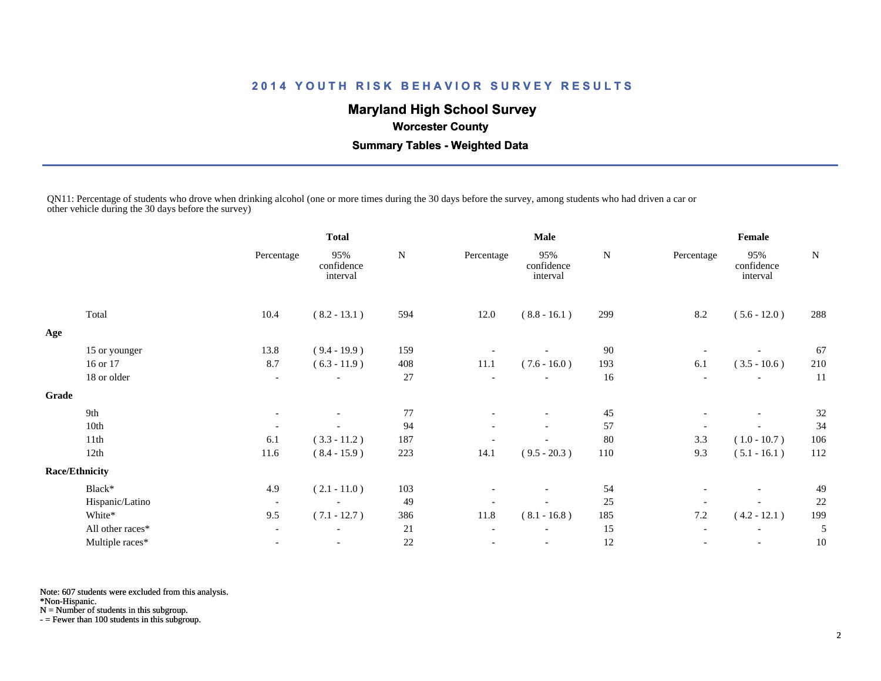# **Maryland High School Survey**

 **Worcester County**

 **Summary Tables - Weighted Data**

QN11: Percentage of students who drove when drinking alcohol (one or more times during the 30 days before the survey, among students who had driven a car or other vehicle during the 30 days before the survey)

|       |                       |                          | <b>Total</b>                  | <b>Male</b> |            |                               |     | Female                   |                               |     |  |
|-------|-----------------------|--------------------------|-------------------------------|-------------|------------|-------------------------------|-----|--------------------------|-------------------------------|-----|--|
|       |                       | Percentage               | 95%<br>confidence<br>interval | ${\bf N}$   | Percentage | 95%<br>confidence<br>interval | N   | Percentage               | 95%<br>confidence<br>interval | N   |  |
|       | Total                 | 10.4                     | $(8.2 - 13.1)$                | 594         | 12.0       | $(8.8 - 16.1)$                | 299 | 8.2                      | $(5.6 - 12.0)$                | 288 |  |
| Age   |                       |                          |                               |             |            |                               |     |                          |                               |     |  |
|       | 15 or younger         | 13.8                     | $(9.4 - 19.9)$                | 159         |            |                               | 90  |                          |                               | 67  |  |
|       | 16 or 17              | 8.7                      | $(6.3 - 11.9)$                | 408         | 11.1       | $(7.6 - 16.0)$                | 193 | 6.1                      | $(3.5 - 10.6)$                | 210 |  |
|       | 18 or older           | $\overline{\phantom{a}}$ | $\overline{\phantom{a}}$      | 27          |            | $\overline{\phantom{a}}$      | 16  | $\overline{\phantom{a}}$ |                               | 11  |  |
| Grade |                       |                          |                               |             |            |                               |     |                          |                               |     |  |
|       | 9th                   |                          |                               | 77          |            |                               | 45  | $\overline{\phantom{a}}$ | $\overline{\phantom{a}}$      | 32  |  |
|       | 10th                  |                          |                               | 94          |            |                               | 57  | $\overline{\phantom{a}}$ |                               | 34  |  |
|       | 11th                  | 6.1                      | $(3.3 - 11.2)$                | 187         |            |                               | 80  | 3.3                      | $(1.0 - 10.7)$                | 106 |  |
|       | 12th                  | 11.6                     | $(8.4 - 15.9)$                | 223         | 14.1       | $(9.5 - 20.3)$                | 110 | 9.3                      | $(5.1 - 16.1)$                | 112 |  |
|       | <b>Race/Ethnicity</b> |                          |                               |             |            |                               |     |                          |                               |     |  |
|       | Black*                | 4.9                      | $(2.1 - 11.0)$                | 103         |            |                               | 54  | $\overline{\phantom{a}}$ | $\overline{\phantom{a}}$      | 49  |  |
|       | Hispanic/Latino       | $\overline{\phantom{a}}$ | $\overline{\phantom{a}}$      | 49          |            |                               | 25  |                          |                               | 22  |  |
|       | White*                | 9.5                      | $(7.1 - 12.7)$                | 386         | 11.8       | $(8.1 - 16.8)$                | 185 | 7.2                      | $(4.2 - 12.1)$                | 199 |  |
|       | All other races*      |                          |                               | 21          |            |                               | 15  | $\overline{\phantom{a}}$ |                               | 5   |  |
|       | Multiple races*       |                          | $\overline{\phantom{a}}$      | $22\,$      |            | $\overline{\phantom{a}}$      | 12  |                          | $\overline{\phantom{a}}$      | 10  |  |

Note: 607 students were excluded from this analysis.

\*Non-Hispanic.

N = Number of students in this subgroup.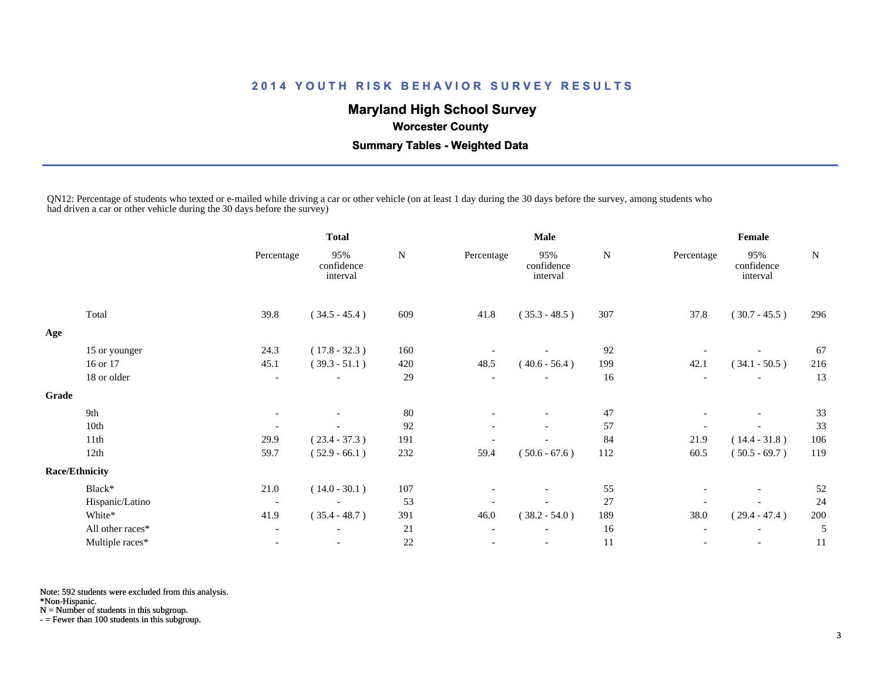# **Maryland High School Survey**

 **Worcester County**

 **Summary Tables - Weighted Data**

QN12: Percentage of students who texted or e-mailed while driving a car or other vehicle (on at least 1 day during the 30 days before the survey, among students who had driven a car or other vehicle during the 30 days before the survey)

|       |                       |                          | <b>Total</b>                  |        |            | Male                          |        | Female                   |                               |           |  |
|-------|-----------------------|--------------------------|-------------------------------|--------|------------|-------------------------------|--------|--------------------------|-------------------------------|-----------|--|
|       |                       | Percentage               | 95%<br>confidence<br>interval | N      | Percentage | 95%<br>confidence<br>interval | N      | Percentage               | 95%<br>confidence<br>interval | ${\bf N}$ |  |
|       | Total                 | 39.8                     | $(34.5 - 45.4)$               | 609    | 41.8       | $(35.3 - 48.5)$               | 307    | 37.8                     | $(30.7 - 45.5)$               | 296       |  |
| Age   |                       |                          |                               |        |            |                               |        |                          |                               |           |  |
|       | 15 or younger         | 24.3                     | $(17.8 - 32.3)$               | 160    |            |                               | 92     |                          |                               | 67        |  |
|       | 16 or 17              | 45.1                     | $(39.3 - 51.1)$               | 420    | 48.5       | $(40.6 - 56.4)$               | 199    | 42.1                     | $(34.1 - 50.5)$               | 216       |  |
|       | 18 or older           |                          |                               | 29     |            |                               | 16     | $\overline{\phantom{a}}$ |                               | 13        |  |
| Grade |                       |                          |                               |        |            |                               |        |                          |                               |           |  |
|       | 9th                   |                          |                               | 80     |            |                               | 47     | $\overline{\phantom{a}}$ | $\overline{\phantom{a}}$      | 33        |  |
|       | 10th                  |                          |                               | 92     |            |                               | 57     |                          |                               | 33        |  |
|       | 11th                  | 29.9                     | $(23.4 - 37.3)$               | 191    |            |                               | 84     | 21.9                     | $(14.4 - 31.8)$               | 106       |  |
|       | 12th                  | 59.7                     | $(52.9 - 66.1)$               | 232    | 59.4       | $(50.6 - 67.6)$               | 112    | 60.5                     | $(50.5 - 69.7)$               | 119       |  |
|       | <b>Race/Ethnicity</b> |                          |                               |        |            |                               |        |                          |                               |           |  |
|       | Black*                | 21.0                     | $(14.0 - 30.1)$               | 107    |            |                               | 55     |                          |                               | 52        |  |
|       | Hispanic/Latino       | $\overline{\phantom{a}}$ | $\overline{\phantom{a}}$      | 53     |            | $\overline{\phantom{a}}$      | $27\,$ |                          |                               | 24        |  |
|       | White*                | 41.9                     | $(35.4 - 48.7)$               | 391    | 46.0       | $(38.2 - 54.0)$               | 189    | 38.0                     | $(29.4 - 47.4)$               | 200       |  |
|       | All other races*      |                          |                               | 21     |            |                               | 16     |                          |                               | 5         |  |
|       | Multiple races*       |                          | $\blacksquare$                | $22\,$ |            | $\blacksquare$                | 11     |                          |                               | 11        |  |

Note: 592 students were excluded from this analysis.

\*Non-Hispanic.

N = Number of students in this subgroup.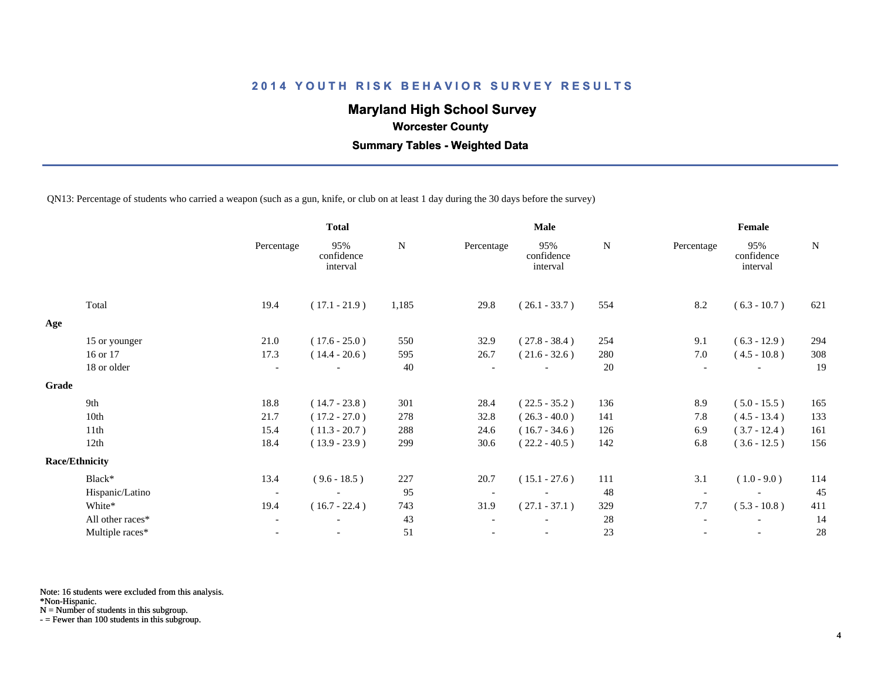# **Maryland High School Survey**

 **Worcester County**

 **Summary Tables - Weighted Data**

QN13: Percentage of students who carried a weapon (such as a gun, knife, or club on at least 1 day during the 30 days before the survey)

|       |                       |                          | <b>Total</b>                  | <b>Male</b> |            |                               |             | Female                   |                               |     |  |
|-------|-----------------------|--------------------------|-------------------------------|-------------|------------|-------------------------------|-------------|--------------------------|-------------------------------|-----|--|
|       |                       | Percentage               | 95%<br>confidence<br>interval | N           | Percentage | 95%<br>confidence<br>interval | $\mathbf N$ | Percentage               | 95%<br>confidence<br>interval | N   |  |
|       | Total                 | 19.4                     | $(17.1 - 21.9)$               | 1,185       | 29.8       | $(26.1 - 33.7)$               | 554         | 8.2                      | $(6.3 - 10.7)$                | 621 |  |
| Age   |                       |                          |                               |             |            |                               |             |                          |                               |     |  |
|       | 15 or younger         | 21.0                     | $(17.6 - 25.0)$               | 550         | 32.9       | $(27.8 - 38.4)$               | 254         | 9.1                      | $(6.3 - 12.9)$                | 294 |  |
|       | 16 or 17              | 17.3                     | $(14.4 - 20.6)$               | 595         | 26.7       | $(21.6 - 32.6)$               | 280         | 7.0                      | $(4.5 - 10.8)$                | 308 |  |
|       | 18 or older           | $\overline{\phantom{a}}$ |                               | 40          |            |                               | 20          | $\overline{\phantom{a}}$ |                               | 19  |  |
| Grade |                       |                          |                               |             |            |                               |             |                          |                               |     |  |
|       | 9th                   | 18.8                     | $(14.7 - 23.8)$               | 301         | 28.4       | $(22.5 - 35.2)$               | 136         | 8.9                      | $(5.0 - 15.5)$                | 165 |  |
|       | 10th                  | 21.7                     | $(17.2 - 27.0)$               | 278         | 32.8       | $(26.3 - 40.0)$               | 141         | 7.8                      | $(4.5 - 13.4)$                | 133 |  |
|       | 11th                  | 15.4                     | $(11.3 - 20.7)$               | 288         | 24.6       | $(16.7 - 34.6)$               | 126         | 6.9                      | $(3.7 - 12.4)$                | 161 |  |
|       | 12th                  | 18.4                     | $(13.9 - 23.9)$               | 299         | 30.6       | $(22.2 - 40.5)$               | 142         | 6.8                      | $(3.6 - 12.5)$                | 156 |  |
|       | <b>Race/Ethnicity</b> |                          |                               |             |            |                               |             |                          |                               |     |  |
|       | Black*                | 13.4                     | $(9.6 - 18.5)$                | 227         | 20.7       | $(15.1 - 27.6)$               | 111         | 3.1                      | $(1.0 - 9.0)$                 | 114 |  |
|       | Hispanic/Latino       | $\overline{\phantom{a}}$ |                               | 95          |            | $\overline{\phantom{a}}$      | 48          |                          |                               | 45  |  |
|       | White*                | 19.4                     | $(16.7 - 22.4)$               | 743         | 31.9       | $(27.1 - 37.1)$               | 329         | 7.7                      | $(5.3 - 10.8)$                | 411 |  |
|       | All other races*      | $\overline{\phantom{a}}$ | $\overline{\phantom{a}}$      | 43          |            |                               | 28          |                          | $\overline{\phantom{a}}$      | 14  |  |
|       | Multiple races*       |                          |                               | 51          |            |                               | 23          |                          |                               | 28  |  |

Note: 16 students were excluded from this analysis.

\*Non-Hispanic.

N = Number of students in this subgroup.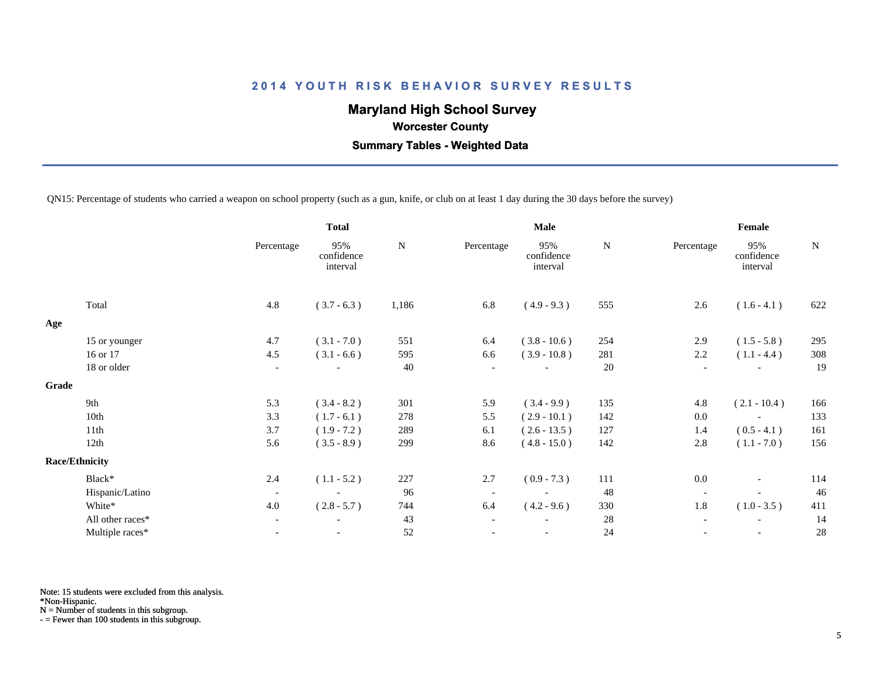# **Maryland High School Survey**

 **Worcester County**

 **Summary Tables - Weighted Data**

QN15: Percentage of students who carried a weapon on school property (such as a gun, knife, or club on at least 1 day during the 30 days before the survey)

|       |                       |                          | <b>Total</b>                  |           |                          | <b>Male</b>                   |             | Female                   |                               |           |
|-------|-----------------------|--------------------------|-------------------------------|-----------|--------------------------|-------------------------------|-------------|--------------------------|-------------------------------|-----------|
|       |                       | Percentage               | 95%<br>confidence<br>interval | ${\bf N}$ | Percentage               | 95%<br>confidence<br>interval | $\mathbf N$ | Percentage               | 95%<br>confidence<br>interval | ${\bf N}$ |
|       | Total                 | 4.8                      | $(3.7 - 6.3)$                 | 1,186     | 6.8                      | $(4.9 - 9.3)$                 | 555         | 2.6                      | $(1.6 - 4.1)$                 | 622       |
| Age   |                       |                          |                               |           |                          |                               |             |                          |                               |           |
|       | 15 or younger         | 4.7                      | $(3.1 - 7.0)$                 | 551       | 6.4                      | $(3.8 - 10.6)$                | 254         | 2.9                      | $(1.5 - 5.8)$                 | 295       |
|       | 16 or 17              | 4.5                      | $(3.1 - 6.6)$                 | 595       | 6.6                      | $(3.9 - 10.8)$                | 281         | 2.2                      | $(1.1 - 4.4)$                 | 308       |
|       | 18 or older           | $\overline{\phantom{a}}$ |                               | 40        | $\overline{\phantom{a}}$ |                               | 20          | $\overline{\phantom{a}}$ |                               | 19        |
| Grade |                       |                          |                               |           |                          |                               |             |                          |                               |           |
|       | 9th                   | 5.3                      | $(3.4 - 8.2)$                 | 301       | 5.9                      | $(3.4 - 9.9)$                 | 135         | 4.8                      | $(2.1 - 10.4)$                | 166       |
|       | 10th                  | 3.3                      | $(1.7 - 6.1)$                 | 278       | 5.5                      | $(2.9 - 10.1)$                | 142         | 0.0                      |                               | 133       |
|       | 11th                  | 3.7                      | $(1.9 - 7.2)$                 | 289       | 6.1                      | $(2.6 - 13.5)$                | 127         | 1.4                      | $(0.5 - 4.1)$                 | 161       |
|       | 12th                  | 5.6                      | $(3.5 - 8.9)$                 | 299       | 8.6                      | $(4.8 - 15.0)$                | 142         | 2.8                      | $(1.1 - 7.0)$                 | 156       |
|       | <b>Race/Ethnicity</b> |                          |                               |           |                          |                               |             |                          |                               |           |
|       | Black*                | 2.4                      | $(1.1 - 5.2)$                 | 227       | 2.7                      | $(0.9 - 7.3)$                 | 111         | 0.0                      | $\overline{\phantom{a}}$      | 114       |
|       | Hispanic/Latino       | $\overline{\phantom{a}}$ |                               | 96        | $\overline{\phantom{a}}$ |                               | 48          | $\overline{\phantom{a}}$ |                               | 46        |
|       | White*                | 4.0                      | $(2.8 - 5.7)$                 | 744       | 6.4                      | $(4.2 - 9.6)$                 | 330         | 1.8                      | $(1.0 - 3.5)$                 | 411       |
|       | All other races*      | $\blacksquare$           |                               | 43        | $\overline{\phantom{a}}$ |                               | 28          | $\overline{\phantom{a}}$ |                               | 14        |
|       | Multiple races*       | $\overline{\phantom{a}}$ | $\overline{\phantom{a}}$      | 52        | $\overline{\phantom{a}}$ | $\overline{\phantom{a}}$      | 24          | $\overline{\phantom{a}}$ |                               | 28        |
|       |                       |                          |                               |           |                          |                               |             |                          |                               |           |

Note: 15 students were excluded from this analysis.

\*Non-Hispanic.

N = Number of students in this subgroup.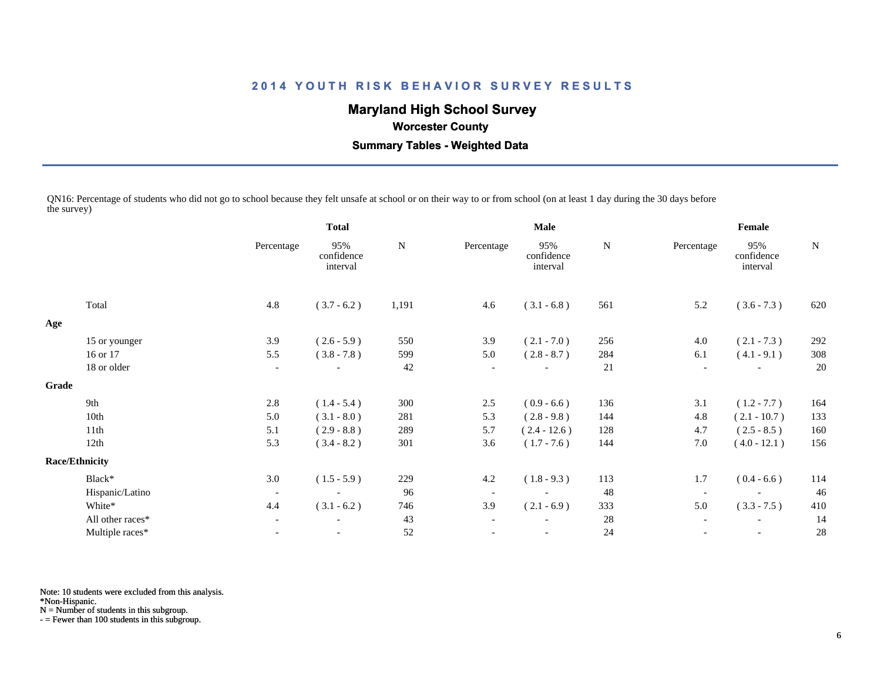# **Maryland High School Survey**

#### **Worcester County**

 **Summary Tables - Weighted Data**

QN16: Percentage of students who did not go to school because they felt unsafe at school or on their way to or from school (on at least 1 day during the 30 days before the survey)

|       |                       | <b>Total</b>             |                               |           |                          | Male                          |             | Female                   |                               |             |  |
|-------|-----------------------|--------------------------|-------------------------------|-----------|--------------------------|-------------------------------|-------------|--------------------------|-------------------------------|-------------|--|
|       |                       | Percentage               | 95%<br>confidence<br>interval | ${\bf N}$ | Percentage               | 95%<br>confidence<br>interval | $\mathbf N$ | Percentage               | 95%<br>confidence<br>interval | $\mathbf N$ |  |
|       | Total                 | 4.8                      | $(3.7 - 6.2)$                 | 1,191     | 4.6                      | $(3.1 - 6.8)$                 | 561         | 5.2                      | $(3.6 - 7.3)$                 | 620         |  |
| Age   |                       |                          |                               |           |                          |                               |             |                          |                               |             |  |
|       | 15 or younger         | 3.9                      | $(2.6 - 5.9)$                 | 550       | 3.9                      | $(2.1 - 7.0)$                 | 256         | 4.0                      | $(2.1 - 7.3)$                 | 292         |  |
|       | 16 or 17              | 5.5                      | $(3.8 - 7.8)$                 | 599       | 5.0                      | $(2.8 - 8.7)$                 | 284         | 6.1                      | $(4.1 - 9.1)$                 | 308         |  |
|       | 18 or older           | $\overline{\phantom{a}}$ |                               | 42        |                          |                               | 21          |                          |                               | 20          |  |
| Grade |                       |                          |                               |           |                          |                               |             |                          |                               |             |  |
|       | 9th                   | 2.8                      | $(1.4 - 5.4)$                 | 300       | 2.5                      | $(0.9 - 6.6)$                 | 136         | 3.1                      | $(1.2 - 7.7)$                 | 164         |  |
|       | 10th                  | 5.0                      | $(3.1 - 8.0)$                 | 281       | 5.3                      | $(2.8 - 9.8)$                 | 144         | 4.8                      | $(2.1 - 10.7)$                | 133         |  |
|       | 11th                  | 5.1                      | $(2.9 - 8.8)$                 | 289       | 5.7                      | $(2.4 - 12.6)$                | 128         | 4.7                      | $(2.5 - 8.5)$                 | 160         |  |
|       | 12th                  | 5.3                      | $(3.4 - 8.2)$                 | 301       | 3.6                      | $(1.7 - 7.6)$                 | 144         | 7.0                      | $(4.0 - 12.1)$                | 156         |  |
|       | <b>Race/Ethnicity</b> |                          |                               |           |                          |                               |             |                          |                               |             |  |
|       | Black*                | 3.0                      | $(1.5 - 5.9)$                 | 229       | 4.2                      | $(1.8 - 9.3)$                 | 113         | 1.7                      | $(0.4 - 6.6)$                 | 114         |  |
|       | Hispanic/Latino       | $\overline{\phantom{a}}$ | $\overline{\phantom{a}}$      | 96        | $\overline{\phantom{a}}$ | $\overline{\phantom{a}}$      | 48          | $\overline{\phantom{a}}$ |                               | 46          |  |
|       | White*                | 4.4                      | $(3.1 - 6.2)$                 | 746       | 3.9                      | $(2.1 - 6.9)$                 | 333         | 5.0                      | $(3.3 - 7.5)$                 | 410         |  |
|       | All other races*      | $\overline{\phantom{a}}$ |                               | 43        |                          |                               | 28          |                          | $\overline{\phantom{a}}$      | 14          |  |
|       | Multiple races*       | $\overline{\phantom{a}}$ | $\overline{\phantom{a}}$      | 52        |                          | $\overline{\phantom{a}}$      | 24          |                          | $\overline{\phantom{a}}$      | 28          |  |
|       |                       |                          |                               |           |                          |                               |             |                          |                               |             |  |

Note: 10 students were excluded from this analysis.

\*Non-Hispanic.

N = Number of students in this subgroup.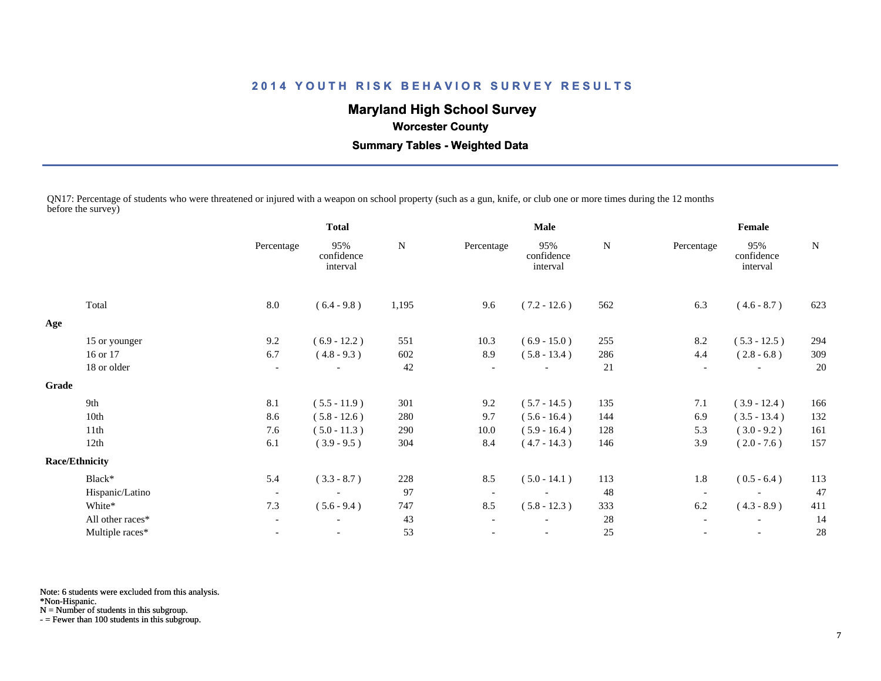# **Maryland High School Survey**

 **Worcester County**

 **Summary Tables - Weighted Data**

QN17: Percentage of students who were threatened or injured with a weapon on school property (such as a gun, knife, or club one or more times during the 12 months before the survey)

|                  |                                | <b>Total</b>                  |       |                          | <b>Male</b>                   |             |                          |                               |             |
|------------------|--------------------------------|-------------------------------|-------|--------------------------|-------------------------------|-------------|--------------------------|-------------------------------|-------------|
|                  | Percentage                     | 95%<br>confidence<br>interval | N     | Percentage               | 95%<br>confidence<br>interval | $\mathbf N$ | Percentage               | 95%<br>confidence<br>interval | $\mathbf N$ |
| Total            | 8.0                            | $(6.4 - 9.8)$                 | 1,195 | 9.6                      | $(7.2 - 12.6)$                | 562         | 6.3                      | $(4.6 - 8.7)$                 | 623         |
|                  |                                |                               |       |                          |                               |             |                          |                               |             |
| 15 or younger    | 9.2                            | $(6.9 - 12.2)$                | 551   | 10.3                     | $(6.9 - 15.0)$                | 255         | 8.2                      | $(5.3 - 12.5)$                | 294         |
| 16 or 17         | 6.7                            | $(4.8 - 9.3)$                 | 602   | 8.9                      | $(5.8 - 13.4)$                | 286         | 4.4                      | $(2.8 - 6.8)$                 | 309         |
| 18 or older      | $\overline{\phantom{a}}$       |                               | 42    | $\overline{\phantom{a}}$ |                               | 21          | $\overline{\phantom{a}}$ |                               | 20          |
|                  |                                |                               |       |                          |                               |             |                          |                               |             |
| 9th              | 8.1                            | $(5.5 - 11.9)$                | 301   | 9.2                      | $(5.7 - 14.5)$                | 135         | 7.1                      | $(3.9 - 12.4)$                | 166         |
| 10th             | 8.6                            | $(5.8 - 12.6)$                | 280   | 9.7                      | $(5.6 - 16.4)$                | 144         | 6.9                      | $(3.5 - 13.4)$                | 132         |
| 11th             | 7.6                            | $(5.0 - 11.3)$                | 290   | 10.0                     | $(5.9 - 16.4)$                | 128         | 5.3                      | $(3.0 - 9.2)$                 | 161         |
| 12th             | 6.1                            | $(3.9 - 9.5)$                 | 304   | 8.4                      | $(4.7 - 14.3)$                | 146         | 3.9                      | $(2.0 - 7.6)$                 | 157         |
|                  |                                |                               |       |                          |                               |             |                          |                               |             |
| Black*           | 5.4                            | $(3.3 - 8.7)$                 | 228   | 8.5                      | $(5.0 - 14.1)$                | 113         | 1.8                      | $(0.5 - 6.4)$                 | 113         |
| Hispanic/Latino  | $\overline{\phantom{a}}$       |                               | 97    | $\overline{\phantom{a}}$ | $\overline{\phantom{a}}$      | 48          | $\overline{\phantom{a}}$ |                               | 47          |
| White*           | 7.3                            | $(5.6 - 9.4)$                 | 747   | 8.5                      | $(5.8 - 12.3)$                | 333         | 6.2                      | $(4.3 - 8.9)$                 | 411         |
| All other races* | $\blacksquare$                 | $\overline{\phantom{a}}$      | 43    | $\overline{\phantom{a}}$ |                               | 28          | $\overline{\phantom{a}}$ | $\overline{\phantom{a}}$      | 14          |
| Multiple races*  |                                |                               | 53    |                          |                               | 25          |                          |                               | 28          |
|                  | Grade<br><b>Race/Ethnicity</b> |                               |       |                          |                               |             |                          |                               | Female      |

Note: 6 students were excluded from this analysis.

\*Non-Hispanic.

N = Number of students in this subgroup.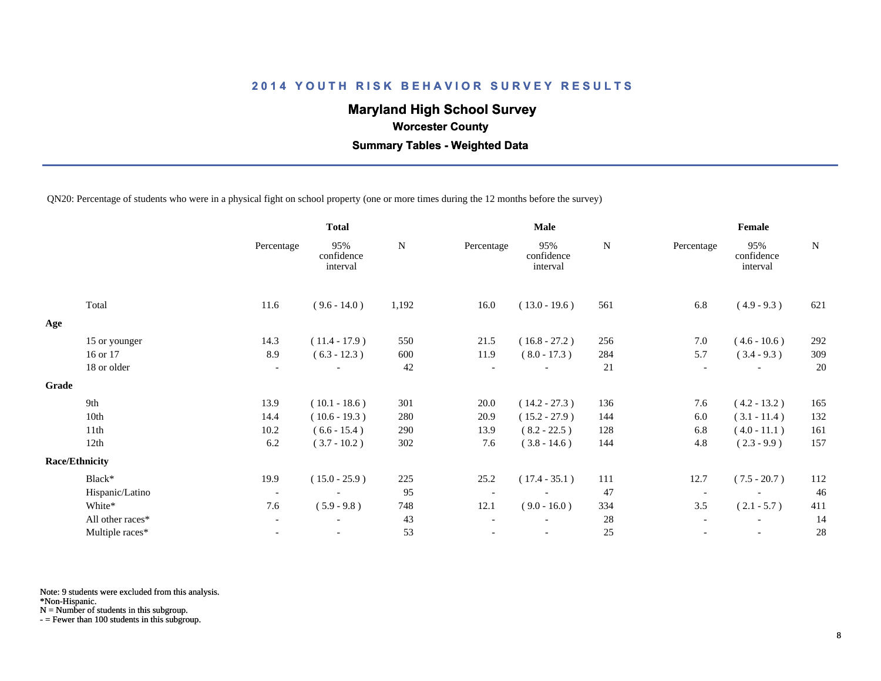# **Maryland High School Survey**

 **Worcester County**

 **Summary Tables - Weighted Data**

QN20: Percentage of students who were in a physical fight on school property (one or more times during the 12 months before the survey)

|       |                       |                          | <b>Total</b>                  |           |                          | <b>Male</b>                   |           | Female                   |                               |             |
|-------|-----------------------|--------------------------|-------------------------------|-----------|--------------------------|-------------------------------|-----------|--------------------------|-------------------------------|-------------|
|       |                       | Percentage               | 95%<br>confidence<br>interval | ${\bf N}$ | Percentage               | 95%<br>confidence<br>interval | ${\bf N}$ | Percentage               | 95%<br>confidence<br>interval | $\mathbf N$ |
|       | Total                 | 11.6                     | $(9.6 - 14.0)$                | 1,192     | 16.0                     | $(13.0 - 19.6)$               | 561       | 6.8                      | $(4.9 - 9.3)$                 | 621         |
| Age   |                       |                          |                               |           |                          |                               |           |                          |                               |             |
|       | 15 or younger         | 14.3                     | $(11.4 - 17.9)$               | 550       | 21.5                     | $(16.8 - 27.2)$               | 256       | 7.0                      | $(4.6 - 10.6)$                | 292         |
|       | 16 or 17              | 8.9                      | $(6.3 - 12.3)$                | 600       | 11.9                     | $(8.0 - 17.3)$                | 284       | 5.7                      | $(3.4 - 9.3)$                 | 309         |
|       | 18 or older           | $\overline{\phantom{a}}$ |                               | 42        | $\overline{\phantom{a}}$ |                               | 21        | $\overline{\phantom{a}}$ |                               | 20          |
| Grade |                       |                          |                               |           |                          |                               |           |                          |                               |             |
|       | 9th                   | 13.9                     | $(10.1 - 18.6)$               | 301       | 20.0                     | $(14.2 - 27.3)$               | 136       | 7.6                      | $(4.2 - 13.2)$                | 165         |
|       | 10th                  | 14.4                     | $(10.6 - 19.3)$               | 280       | 20.9                     | $(15.2 - 27.9)$               | 144       | 6.0                      | $(3.1 - 11.4)$                | 132         |
|       | 11th                  | 10.2                     | $(6.6 - 15.4)$                | 290       | 13.9                     | $(8.2 - 22.5)$                | 128       | 6.8                      | $(4.0 - 11.1)$                | 161         |
|       | 12th                  | 6.2                      | $(3.7 - 10.2)$                | 302       | 7.6                      | $(3.8 - 14.6)$                | 144       | 4.8                      | $(2.3 - 9.9)$                 | 157         |
|       | <b>Race/Ethnicity</b> |                          |                               |           |                          |                               |           |                          |                               |             |
|       | Black*                | 19.9                     | $(15.0 - 25.9)$               | 225       | 25.2                     | $(17.4 - 35.1)$               | 111       | 12.7                     | $(7.5 - 20.7)$                | 112         |
|       | Hispanic/Latino       | $\overline{\phantom{a}}$ |                               | 95        | $\overline{\phantom{a}}$ |                               | 47        | $\overline{\phantom{a}}$ |                               | 46          |
|       | White*                | 7.6                      | $(5.9 - 9.8)$                 | 748       | 12.1                     | $(9.0 - 16.0)$                | 334       | 3.5                      | $(2.1 - 5.7)$                 | 411         |
|       | All other races*      | $\overline{\phantom{a}}$ |                               | 43        |                          |                               | 28        |                          |                               | 14          |
|       | Multiple races*       | $\overline{\phantom{a}}$ | $\overline{\phantom{a}}$      | 53        |                          | $\overline{\phantom{a}}$      | 25        |                          | $\overline{\phantom{a}}$      | 28          |
|       |                       |                          |                               |           |                          |                               |           |                          |                               |             |

Note: 9 students were excluded from this analysis.

\*Non-Hispanic.

N = Number of students in this subgroup.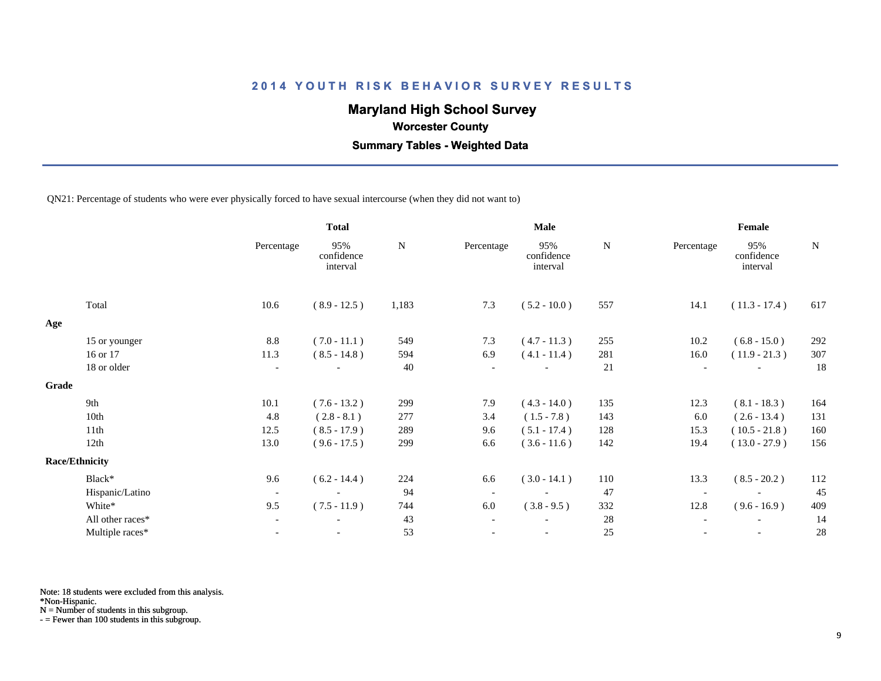# **Maryland High School Survey**

 **Worcester County**

 **Summary Tables - Weighted Data**

QN21: Percentage of students who were ever physically forced to have sexual intercourse (when they did not want to)

|       |                       |                          | <b>Total</b>                  |           |            | Male                          |     | Female                   |                               |     |  |
|-------|-----------------------|--------------------------|-------------------------------|-----------|------------|-------------------------------|-----|--------------------------|-------------------------------|-----|--|
|       |                       | Percentage               | 95%<br>confidence<br>interval | ${\bf N}$ | Percentage | 95%<br>confidence<br>interval | N   | Percentage               | 95%<br>confidence<br>interval | N   |  |
|       | Total                 | 10.6                     | $(8.9 - 12.5)$                | 1,183     | 7.3        | $(5.2 - 10.0)$                | 557 | 14.1                     | $(11.3 - 17.4)$               | 617 |  |
| Age   |                       |                          |                               |           |            |                               |     |                          |                               |     |  |
|       | 15 or younger         | 8.8                      | $(7.0 - 11.1)$                | 549       | 7.3        | $(4.7 - 11.3)$                | 255 | 10.2                     | $(6.8 - 15.0)$                | 292 |  |
|       | 16 or 17              | 11.3                     | $(8.5 - 14.8)$                | 594       | 6.9        | $(4.1 - 11.4)$                | 281 | 16.0                     | $(11.9 - 21.3)$               | 307 |  |
|       | 18 or older           | $\overline{\phantom{a}}$ |                               | 40        |            |                               | 21  | $\overline{\phantom{a}}$ |                               | 18  |  |
| Grade |                       |                          |                               |           |            |                               |     |                          |                               |     |  |
|       | 9th                   | 10.1                     | $(7.6 - 13.2)$                | 299       | 7.9        | $(4.3 - 14.0)$                | 135 | 12.3                     | $(8.1 - 18.3)$                | 164 |  |
|       | 10th                  | 4.8                      | $(2.8 - 8.1)$                 | 277       | 3.4        | $(1.5 - 7.8)$                 | 143 | 6.0                      | $(2.6 - 13.4)$                | 131 |  |
|       | 11th                  | 12.5                     | $(8.5 - 17.9)$                | 289       | 9.6        | $(5.1 - 17.4)$                | 128 | 15.3                     | $(10.5 - 21.8)$               | 160 |  |
|       | 12th                  | 13.0                     | $(9.6 - 17.5)$                | 299       | 6.6        | $(3.6 - 11.6)$                | 142 | 19.4                     | $(13.0 - 27.9)$               | 156 |  |
|       | <b>Race/Ethnicity</b> |                          |                               |           |            |                               |     |                          |                               |     |  |
|       | Black*                | 9.6                      | $(6.2 - 14.4)$                | 224       | 6.6        | $(3.0 - 14.1)$                | 110 | 13.3                     | $(8.5 - 20.2)$                | 112 |  |
|       | Hispanic/Latino       | $\overline{\phantom{a}}$ | $\overline{\phantom{a}}$      | 94        |            | $\overline{\phantom{a}}$      | 47  | $\overline{\phantom{a}}$ | $\overline{\phantom{a}}$      | 45  |  |
|       | White*                | 9.5                      | $(7.5 - 11.9)$                | 744       | 6.0        | $(3.8 - 9.5)$                 | 332 | 12.8                     | $(9.6 - 16.9)$                | 409 |  |
|       | All other races*      | $\overline{\phantom{a}}$ |                               | 43        |            |                               | 28  |                          |                               | 14  |  |
|       | Multiple races*       | $\overline{\phantom{a}}$ |                               | 53        |            | $\overline{\phantom{a}}$      | 25  |                          | $\overline{\phantom{a}}$      | 28  |  |

Note: 18 students were excluded from this analysis.

\*Non-Hispanic.

N = Number of students in this subgroup.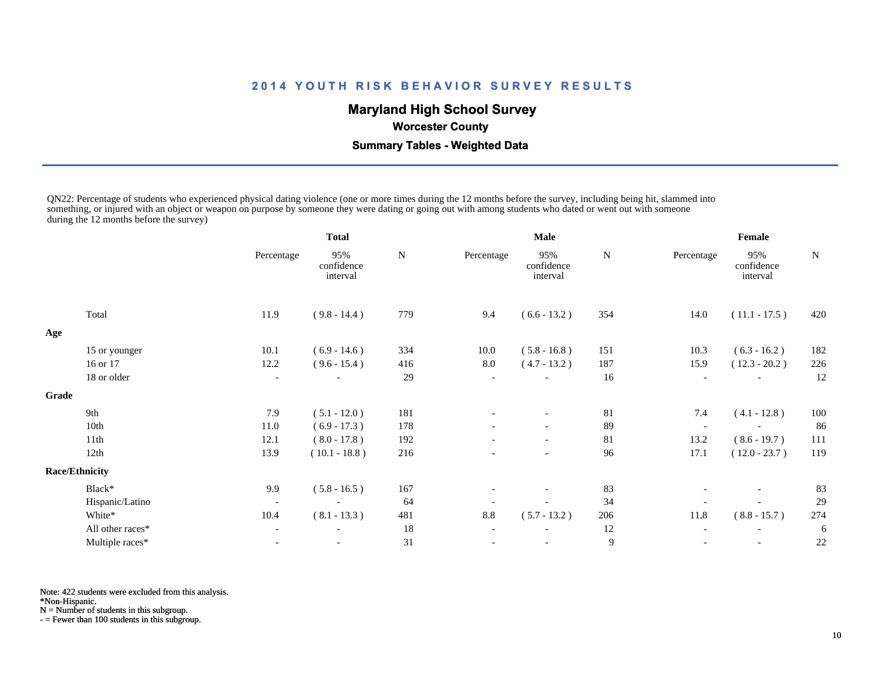# **Maryland High School Survey**

 **Worcester County**

 **Summary Tables - Weighted Data**

QN22: Percentage of students who experienced physical dating violence (one or more times during the 12 months before the survey, including being hit, slammed into something, or injured with an object or weapon on purpose by someone they were dating or going out with among students who dated or went out with someone during the 12 months before the survey)

|                  |                          | <b>Total</b>                  |     |                          | <b>Male</b>                   |     | Female                   |                               |     |  |
|------------------|--------------------------|-------------------------------|-----|--------------------------|-------------------------------|-----|--------------------------|-------------------------------|-----|--|
|                  | Percentage               | 95%<br>confidence<br>interval | N   | Percentage               | 95%<br>confidence<br>interval | N   | Percentage               | 95%<br>confidence<br>interval | N   |  |
| Total            | 11.9                     | $(9.8 - 14.4)$                | 779 | 9.4                      | $(6.6 - 13.2)$                | 354 | 14.0                     | $(11.1 - 17.5)$               | 420 |  |
|                  |                          |                               |     |                          |                               |     |                          |                               |     |  |
| 15 or younger    | 10.1                     | $(6.9 - 14.6)$                | 334 | 10.0                     | $(5.8 - 16.8)$                | 151 | 10.3                     | $(6.3 - 16.2)$                | 182 |  |
| 16 or 17         | 12.2                     | $(9.6 - 15.4)$                | 416 | $8.0\,$                  | $(4.7 - 13.2)$                | 187 | 15.9                     | $(12.3 - 20.2)$               | 226 |  |
| 18 or older      | $\overline{\phantom{a}}$ | $\overline{\phantom{a}}$      | 29  | $\overline{\phantom{a}}$ |                               | 16  | $\overline{\phantom{a}}$ | $\overline{\phantom{a}}$      | 12  |  |
|                  |                          |                               |     |                          |                               |     |                          |                               |     |  |
| 9th              | 7.9                      | $(5.1 - 12.0)$                | 181 |                          | $\overline{\phantom{0}}$      | 81  | 7.4                      | $(4.1 - 12.8)$                | 100 |  |
| 10th             | 11.0                     | $(6.9 - 17.3)$                | 178 |                          | $\overline{\phantom{0}}$      | 89  | $\overline{\phantom{0}}$ |                               | 86  |  |
| 11th             | 12.1                     | $(8.0 - 17.8)$                | 192 |                          | $\overline{\phantom{0}}$      | 81  | 13.2                     | $(8.6 - 19.7)$                | 111 |  |
| 12th             | 13.9                     | $(10.1 - 18.8)$               | 216 |                          |                               | 96  | 17.1                     | $(12.0 - 23.7)$               | 119 |  |
|                  |                          |                               |     |                          |                               |     |                          |                               |     |  |
| Black*           | 9.9                      | $(5.8 - 16.5)$                | 167 |                          | $\overline{\phantom{a}}$      | 83  |                          | $\overline{\phantom{a}}$      | 83  |  |
| Hispanic/Latino  | $\overline{\phantom{a}}$ | $\overline{\phantom{a}}$      | 64  |                          |                               | 34  |                          |                               | 29  |  |
| White*           | 10.4                     | $(8.1 - 13.3)$                | 481 | 8.8                      | $(5.7 - 13.2)$                | 206 | 11.8                     | $(8.8 - 15.7)$                | 274 |  |
| All other races* | $\overline{\phantom{a}}$ | $\overline{\phantom{a}}$      | 18  | $\overline{\phantom{a}}$ |                               | 12  | $\overline{\phantom{a}}$ |                               | 6   |  |
| Multiple races*  |                          |                               | 31  |                          |                               | 9   |                          |                               | 22  |  |
| Grade            | <b>Race/Ethnicity</b>    |                               |     |                          |                               |     |                          |                               |     |  |

Note: 422 students were excluded from this analysis.

\*Non-Hispanic.

 $N =$  Number of students in this subgroup.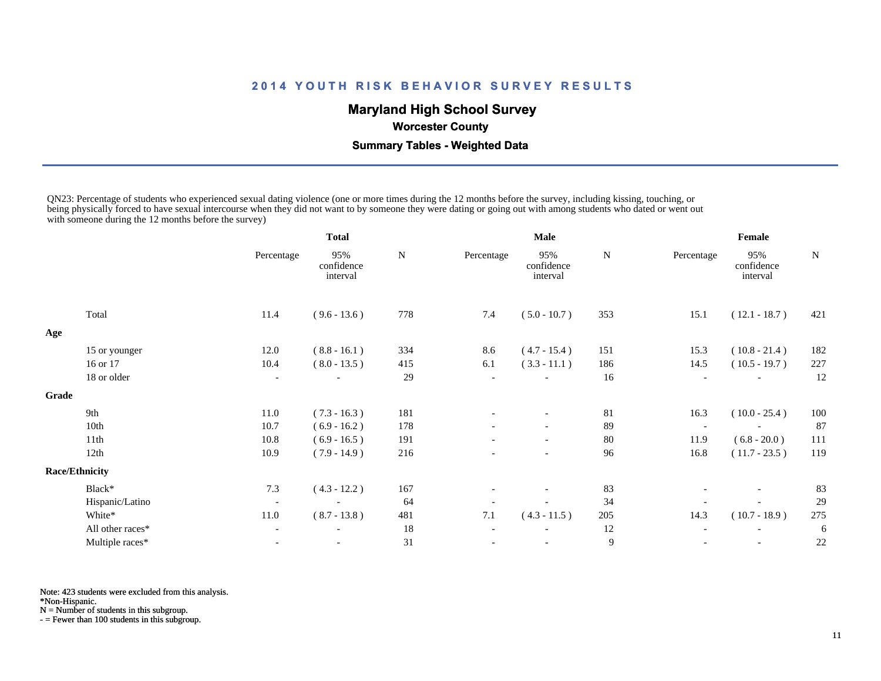# **Maryland High School Survey**

 **Worcester County**

 **Summary Tables - Weighted Data**

QN23: Percentage of students who experienced sexual dating violence (one or more times during the 12 months before the survey, including kissing, touching, or being physically forced to have sexual intercourse when they did not want to by someone they were dating or going out with among students who dated or went out with someone during the 12 months before the survey)

|                  |                                | <b>Total</b>                  |                |            |                               |                | Female                   |                               |                 |  |
|------------------|--------------------------------|-------------------------------|----------------|------------|-------------------------------|----------------|--------------------------|-------------------------------|-----------------|--|
|                  | Percentage                     | 95%<br>confidence<br>interval | ${\bf N}$      | Percentage | 95%<br>confidence<br>interval | N              | Percentage               | 95%<br>confidence<br>interval | N               |  |
| Total            | 11.4                           | $(9.6 - 13.6)$                | 778            | 7.4        | $(5.0 - 10.7)$                | 353            | 15.1                     | $(12.1 - 18.7)$               | 421             |  |
|                  |                                |                               |                |            |                               |                |                          |                               |                 |  |
| 15 or younger    | 12.0                           | $(8.8 - 16.1)$                | 334            | 8.6        | $(4.7 - 15.4)$                | 151            | 15.3                     | $(10.8 - 21.4)$               | 182             |  |
| 16 or 17         | 10.4                           | $(8.0 - 13.5)$                | 415            | 6.1        | $(3.3 - 11.1)$                | 186            | 14.5                     | $(10.5 - 19.7)$               | 227             |  |
| 18 or older      | $\overline{\phantom{a}}$       |                               | 29             |            |                               | 16             |                          |                               | 12              |  |
|                  |                                |                               |                |            |                               |                |                          |                               |                 |  |
| 9th              | 11.0                           |                               | 181            |            | $\overline{\phantom{a}}$      | 81             |                          |                               | 100             |  |
| 10th             | 10.7                           | $(6.9 - 16.2)$                | 178            |            |                               | 89             | $\overline{\phantom{a}}$ |                               | 87              |  |
| 11th             | 10.8                           | $(6.9 - 16.5)$                | 191            |            | $\overline{\phantom{a}}$      | 80             | 11.9                     | $(6.8 - 20.0)$                | 111             |  |
| 12th             | 10.9                           | $(7.9 - 14.9)$                | 216            |            | $\overline{\phantom{a}}$      | 96             | 16.8                     | $(11.7 - 23.5)$               | 119             |  |
|                  |                                |                               |                |            |                               |                |                          |                               |                 |  |
| Black*           | 7.3                            | $(4.3 - 12.2)$                | 167            |            | $\overline{\phantom{a}}$      | 83             |                          | $\overline{\phantom{a}}$      | 83              |  |
| Hispanic/Latino  | $\overline{\phantom{a}}$       | $\overline{\phantom{a}}$      | 64             |            |                               | 34             |                          |                               | 29              |  |
| White*           | 11.0                           | $(8.7 - 13.8)$                | 481            | $7.1\,$    | $(4.3 - 11.5)$                | 205            | 14.3                     | $(10.7 - 18.9)$               | 275             |  |
| All other races* |                                |                               | 18             |            |                               | 12             |                          |                               | 6               |  |
| Multiple races*  |                                |                               | 31             |            |                               | $\overline{9}$ |                          | $\overline{\phantom{a}}$      | 22              |  |
|                  | Grade<br><b>Race/Ethnicity</b> |                               | $(7.3 - 16.3)$ |            |                               | <b>Male</b>    |                          | 16.3                          | $(10.0 - 25.4)$ |  |

Note: 423 students were excluded from this analysis.

\*Non-Hispanic.

N = Number of students in this subgroup.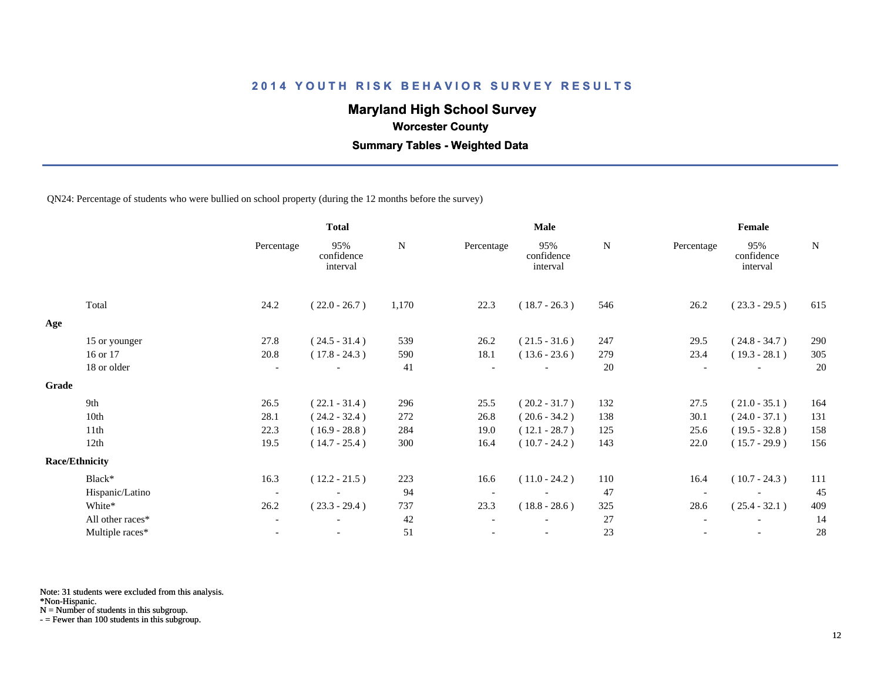# **Maryland High School Survey**

 **Worcester County**

 **Summary Tables - Weighted Data**

QN24: Percentage of students who were bullied on school property (during the 12 months before the survey)

|       |                  | <b>Total</b>             |                               |           |            | <b>Male</b>                   |           | Female     |                               |             |  |
|-------|------------------|--------------------------|-------------------------------|-----------|------------|-------------------------------|-----------|------------|-------------------------------|-------------|--|
|       |                  | Percentage               | 95%<br>confidence<br>interval | ${\bf N}$ | Percentage | 95%<br>confidence<br>interval | ${\bf N}$ | Percentage | 95%<br>confidence<br>interval | $\mathbf N$ |  |
|       | Total            | 24.2                     | $(22.0 - 26.7)$               | 1,170     | 22.3       | $(18.7 - 26.3)$               | 546       | 26.2       | $(23.3 - 29.5)$               | 615         |  |
| Age   |                  |                          |                               |           |            |                               |           |            |                               |             |  |
|       | 15 or younger    | 27.8                     | $(24.5 - 31.4)$               | 539       | 26.2       | $(21.5 - 31.6)$               | 247       | 29.5       | $(24.8 - 34.7)$               | 290         |  |
|       | 16 or 17         | 20.8                     | $(17.8 - 24.3)$               | 590       | 18.1       | $(13.6 - 23.6)$               | 279       | 23.4       | $(19.3 - 28.1)$               | 305         |  |
|       | 18 or older      | $\overline{\phantom{a}}$ |                               | 41        |            |                               | 20        |            |                               | 20          |  |
| Grade |                  |                          |                               |           |            |                               |           |            |                               |             |  |
|       | 9th              | 26.5                     | $(22.1 - 31.4)$               | 296       | 25.5       | $(20.2 - 31.7)$               | 132       | 27.5       | $(21.0 - 35.1)$               | 164         |  |
|       | 10th             | 28.1                     | $(24.2 - 32.4)$               | 272       | 26.8       | $(20.6 - 34.2)$               | 138       | 30.1       | $(24.0 - 37.1)$               | 131         |  |
|       | 11th             | 22.3                     | $(16.9 - 28.8)$               | 284       | 19.0       | $(12.1 - 28.7)$               | 125       | 25.6       | $(19.5 - 32.8)$               | 158         |  |
|       | 12th             | 19.5                     | $(14.7 - 25.4)$               | 300       | 16.4       | $(10.7 - 24.2)$               | 143       | 22.0       | $(15.7 - 29.9)$               | 156         |  |
|       | Race/Ethnicity   |                          |                               |           |            |                               |           |            |                               |             |  |
|       | Black*           | 16.3                     | $(12.2 - 21.5)$               | 223       | 16.6       | $(11.0 - 24.2)$               | 110       | 16.4       | $(10.7 - 24.3)$               | 111         |  |
|       | Hispanic/Latino  | $\overline{\phantom{a}}$ |                               | 94        |            |                               | 47        |            |                               | 45          |  |
|       | White*           | 26.2                     | $(23.3 - 29.4)$               | 737       | 23.3       | $(18.8 - 28.6)$               | 325       | 28.6       | $(25.4 - 32.1)$               | 409         |  |
|       | All other races* | $\overline{\phantom{a}}$ |                               | 42        |            |                               | 27        |            |                               | 14          |  |
|       | Multiple races*  | $\blacksquare$           | $\overline{\phantom{a}}$      | 51        |            | $\overline{\phantom{a}}$      | $23\,$    |            | $\overline{\phantom{a}}$      | $28\,$      |  |
|       |                  |                          |                               |           |            |                               |           |            |                               |             |  |

Note: 31 students were excluded from this analysis.

\*Non-Hispanic.

N = Number of students in this subgroup.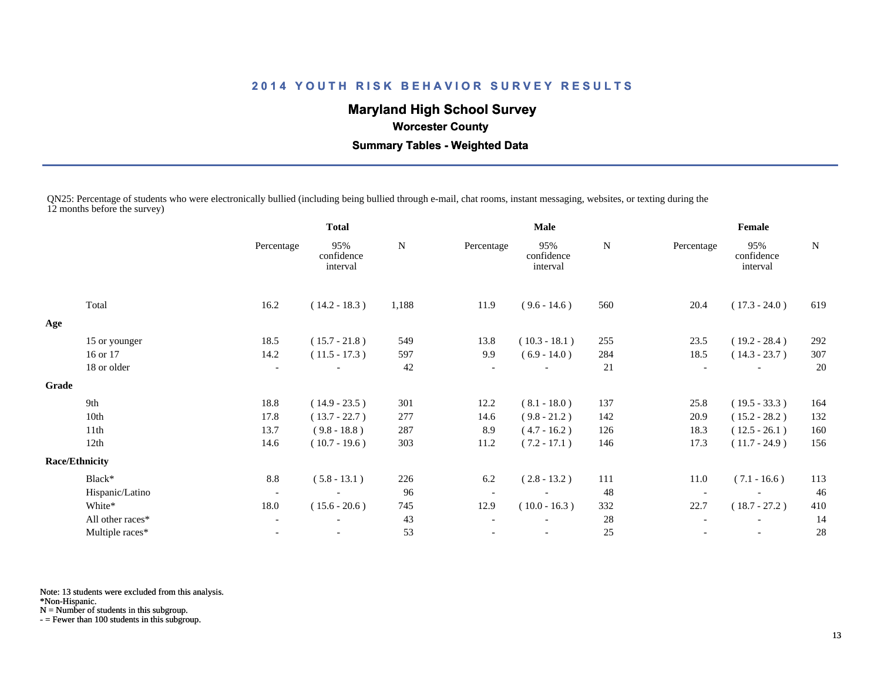# **Maryland High School Survey**

 **Worcester County**

 **Summary Tables - Weighted Data**

QN25: Percentage of students who were electronically bullied (including being bullied through e-mail, chat rooms, instant messaging, websites, or texting during the 12 months before the survey)

|                  |                                | <b>Total</b>                  |       |                          |                               |      | Female                   |                               |             |  |
|------------------|--------------------------------|-------------------------------|-------|--------------------------|-------------------------------|------|--------------------------|-------------------------------|-------------|--|
|                  | Percentage                     | 95%<br>confidence<br>interval | N     | Percentage               | 95%<br>confidence<br>interval | N    | Percentage               | 95%<br>confidence<br>interval | $\mathbf N$ |  |
| Total            | 16.2                           | $(14.2 - 18.3)$               | 1,188 | 11.9                     | $(9.6 - 14.6)$                | 560  | 20.4                     | $(17.3 - 24.0)$               | 619         |  |
|                  |                                |                               |       |                          |                               |      |                          |                               |             |  |
| 15 or younger    | 18.5                           | $(15.7 - 21.8)$               | 549   | 13.8                     | $(10.3 - 18.1)$               | 255  | 23.5                     | $(19.2 - 28.4)$               | 292         |  |
| 16 or 17         | 14.2                           | $(11.5 - 17.3)$               | 597   | 9.9                      | $(6.9 - 14.0)$                | 284  | 18.5                     | $(14.3 - 23.7)$               | 307         |  |
| 18 or older      | $\overline{\phantom{a}}$       |                               | 42    |                          |                               | 21   | $\overline{\phantom{a}}$ | $\overline{\phantom{a}}$      | 20          |  |
|                  |                                |                               |       |                          |                               |      |                          |                               |             |  |
| 9th              | 18.8                           | $(14.9 - 23.5)$               | 301   | 12.2                     | $(8.1 - 18.0)$                | 137  | 25.8                     | $(19.5 - 33.3)$               | 164         |  |
| 10th             | 17.8                           | $(13.7 - 22.7)$               | 277   | 14.6                     | $(9.8 - 21.2)$                | 142  | 20.9                     | $(15.2 - 28.2)$               | 132         |  |
| 11th             | 13.7                           | $(9.8 - 18.8)$                | 287   | 8.9                      | $(4.7 - 16.2)$                | 126  | 18.3                     | $(12.5 - 26.1)$               | 160         |  |
| 12th             | 14.6                           | $(10.7 - 19.6)$               | 303   | 11.2                     | $(7.2 - 17.1)$                | 146  | 17.3                     | $(11.7 - 24.9)$               | 156         |  |
|                  |                                |                               |       |                          |                               |      |                          |                               |             |  |
| Black*           | 8.8                            | $(5.8 - 13.1)$                | 226   | 6.2                      | $(2.8 - 13.2)$                | 111  | 11.0                     | $(7.1 - 16.6)$                | 113         |  |
| Hispanic/Latino  | $\sim$                         |                               | 96    | $\overline{\phantom{a}}$ |                               | 48   |                          |                               | 46          |  |
| White*           | 18.0                           | $(15.6 - 20.6)$               | 745   | 12.9                     | $(10.0 - 16.3)$               | 332  | 22.7                     | $(18.7 - 27.2)$               | 410         |  |
| All other races* | $\overline{\phantom{a}}$       | $\overline{\phantom{a}}$      | 43    |                          | $\qquad \qquad -$             | 28   |                          | $\overline{\phantom{a}}$      | 14          |  |
| Multiple races*  |                                |                               | 53    |                          |                               | 25   |                          |                               | 28          |  |
|                  | Grade<br><b>Race/Ethnicity</b> |                               |       |                          |                               | Male |                          |                               |             |  |

Note: 13 students were excluded from this analysis.

\*Non-Hispanic.

N = Number of students in this subgroup.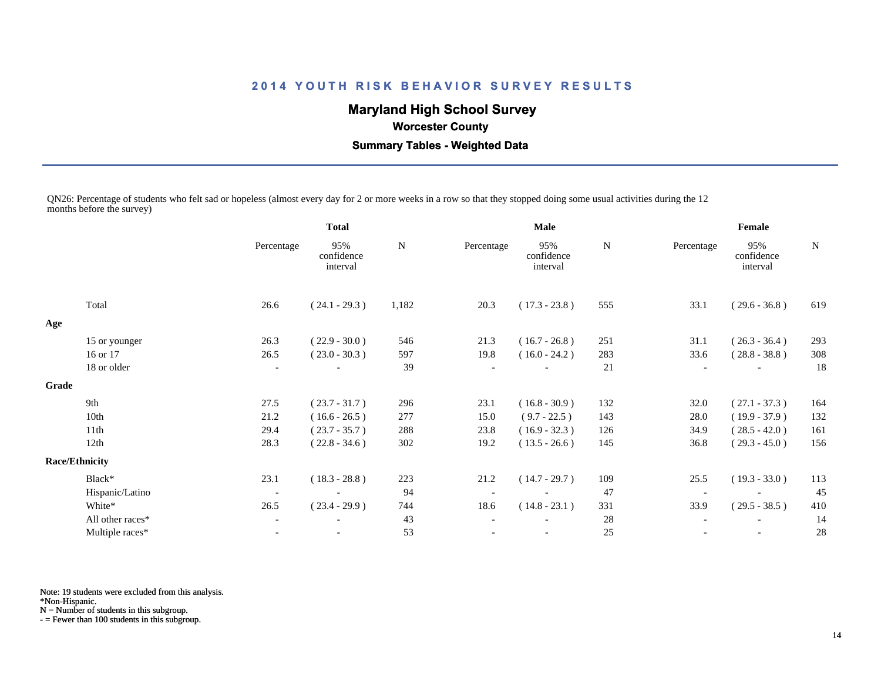# **Maryland High School Survey**

# **Worcester County**

 **Summary Tables - Weighted Data**

QN26: Percentage of students who felt sad or hopeless (almost every day for 2 or more weeks in a row so that they stopped doing some usual activities during the 12 months before the survey)

|       |                       | <b>Total</b>             |                               | <b>Male</b> |            |                               | Female |            |                               |             |
|-------|-----------------------|--------------------------|-------------------------------|-------------|------------|-------------------------------|--------|------------|-------------------------------|-------------|
|       |                       | Percentage               | 95%<br>confidence<br>interval | N           | Percentage | 95%<br>confidence<br>interval | N      | Percentage | 95%<br>confidence<br>interval | $\mathbf N$ |
|       | Total                 | 26.6                     | $(24.1 - 29.3)$               | 1,182       | 20.3       | $(17.3 - 23.8)$               | 555    | 33.1       | $(29.6 - 36.8)$               | 619         |
| Age   |                       |                          |                               |             |            |                               |        |            |                               |             |
|       | 15 or younger         | 26.3                     | $(22.9 - 30.0)$               | 546         | 21.3       | $(16.7 - 26.8)$               | 251    | 31.1       | $(26.3 - 36.4)$               | 293         |
|       | 16 or 17              | 26.5                     | $(23.0 - 30.3)$               | 597         | 19.8       | $(16.0 - 24.2)$               | 283    | 33.6       | $(28.8 - 38.8)$               | 308         |
|       | 18 or older           |                          |                               | 39          |            |                               | 21     |            |                               | 18          |
| Grade |                       |                          |                               |             |            |                               |        |            |                               |             |
|       | 9th                   | 27.5                     | $(23.7 - 31.7)$               | 296         | 23.1       | $(16.8 - 30.9)$               | 132    | 32.0       | $(27.1 - 37.3)$               | 164         |
|       | 10th                  | 21.2                     | $(16.6 - 26.5)$               | 277         | 15.0       | $(9.7 - 22.5)$                | 143    | 28.0       | $(19.9 - 37.9)$               | 132         |
|       | 11th                  | 29.4                     | $(23.7 - 35.7)$               | 288         | 23.8       | $(16.9 - 32.3)$               | 126    | 34.9       | $(28.5 - 42.0)$               | 161         |
|       | 12th                  | 28.3                     | $(22.8 - 34.6)$               | 302         | 19.2       | $(13.5 - 26.6)$               | 145    | 36.8       | $(29.3 - 45.0)$               | 156         |
|       | <b>Race/Ethnicity</b> |                          |                               |             |            |                               |        |            |                               |             |
|       | Black*                | 23.1                     | $(18.3 - 28.8)$               | 223         | 21.2       | $(14.7 - 29.7)$               | 109    | 25.5       | $(19.3 - 33.0)$               | 113         |
|       | Hispanic/Latino       | $\overline{\phantom{a}}$ |                               | 94          |            |                               | 47     |            |                               | 45          |
|       | White*                | 26.5                     | $(23.4 - 29.9)$               | 744         | 18.6       | $(14.8 - 23.1)$               | 331    | 33.9       | $(29.5 - 38.5)$               | 410         |
|       | All other races*      | $\overline{\phantom{a}}$ |                               | 43          |            |                               | 28     |            |                               | 14          |
|       | Multiple races*       |                          | $\overline{\phantom{a}}$      | 53          |            |                               | 25     |            | $\overline{\phantom{a}}$      | 28          |
|       |                       |                          |                               |             |            |                               |        |            |                               |             |

Note: 19 students were excluded from this analysis.

\*Non-Hispanic.

N = Number of students in this subgroup.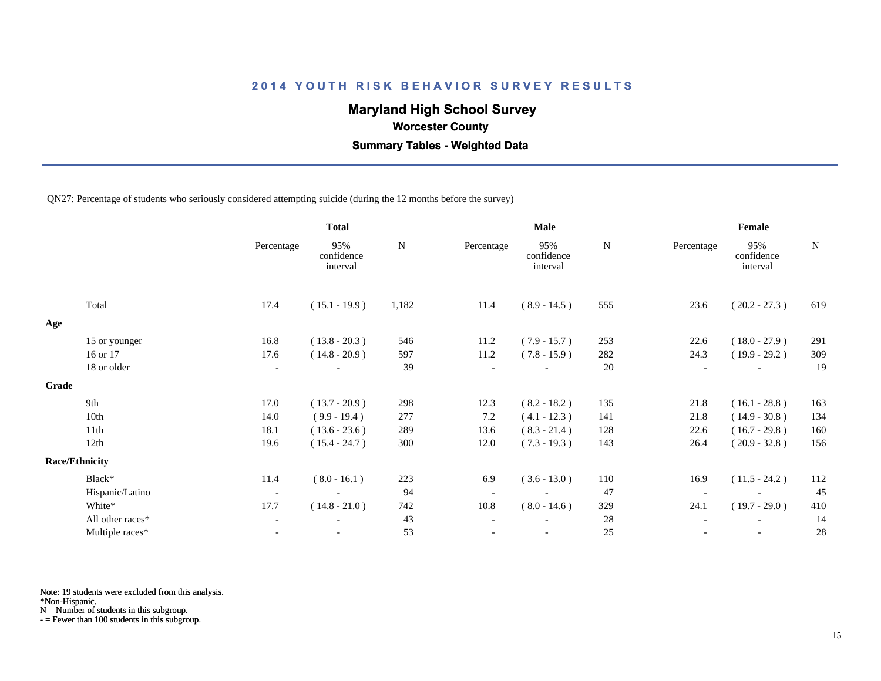# **Maryland High School Survey**

 **Worcester County**

 **Summary Tables - Weighted Data**

QN27: Percentage of students who seriously considered attempting suicide (during the 12 months before the survey)

|       |                       | <b>Total</b>             |                               | Male  |            |                               | Female |                          |                               |     |
|-------|-----------------------|--------------------------|-------------------------------|-------|------------|-------------------------------|--------|--------------------------|-------------------------------|-----|
|       |                       | Percentage               | 95%<br>confidence<br>interval | N     | Percentage | 95%<br>confidence<br>interval | N      | Percentage               | 95%<br>confidence<br>interval | N   |
|       | Total                 | 17.4                     | $(15.1 - 19.9)$               | 1,182 | 11.4       | $(8.9 - 14.5)$                | 555    | 23.6                     | $(20.2 - 27.3)$               | 619 |
| Age   |                       |                          |                               |       |            |                               |        |                          |                               |     |
|       | 15 or younger         | 16.8                     | $(13.8 - 20.3)$               | 546   | 11.2       | $(7.9 - 15.7)$                | 253    | 22.6                     | $(18.0 - 27.9)$               | 291 |
|       | 16 or 17              | 17.6                     | $(14.8 - 20.9)$               | 597   | 11.2       | $(7.8 - 15.9)$                | 282    | 24.3                     | $(19.9 - 29.2)$               | 309 |
|       | 18 or older           | $\overline{\phantom{a}}$ |                               | 39    |            |                               | 20     | $\overline{\phantom{a}}$ |                               | 19  |
| Grade |                       |                          |                               |       |            |                               |        |                          |                               |     |
|       | 9th                   | 17.0                     | $(13.7 - 20.9)$               | 298   | 12.3       | $(8.2 - 18.2)$                | 135    | 21.8                     | $(16.1 - 28.8)$               | 163 |
|       | 10th                  | 14.0                     | $(9.9 - 19.4)$                | 277   | 7.2        | $(4.1 - 12.3)$                | 141    | 21.8                     | $(14.9 - 30.8)$               | 134 |
|       | 11th                  | 18.1                     | $(13.6 - 23.6)$               | 289   | 13.6       | $(8.3 - 21.4)$                | 128    | 22.6                     | $(16.7 - 29.8)$               | 160 |
|       | 12th                  | 19.6                     | $(15.4 - 24.7)$               | 300   | 12.0       | $(7.3 - 19.3)$                | 143    | 26.4                     | $(20.9 - 32.8)$               | 156 |
|       | <b>Race/Ethnicity</b> |                          |                               |       |            |                               |        |                          |                               |     |
|       | Black*                | 11.4                     | $(8.0 - 16.1)$                | 223   | 6.9        | $(3.6 - 13.0)$                | 110    | 16.9                     | $(11.5 - 24.2)$               | 112 |
|       | Hispanic/Latino       | $\overline{\phantom{a}}$ | $\overline{\phantom{a}}$      | 94    |            | $\blacksquare$                | 47     |                          |                               | 45  |
|       | White*                | 17.7                     | $(14.8 - 21.0)$               | 742   | 10.8       | $(8.0 - 14.6)$                | 329    | 24.1                     | $(19.7 - 29.0)$               | 410 |
|       | All other races*      | $\overline{\phantom{a}}$ | $\overline{\phantom{a}}$      | 43    |            |                               | 28     |                          | $\overline{\phantom{a}}$      | 14  |
|       | Multiple races*       |                          |                               | 53    |            |                               | 25     |                          |                               | 28  |
|       |                       |                          |                               |       |            |                               |        |                          |                               |     |

Note: 19 students were excluded from this analysis.

\*Non-Hispanic.

N = Number of students in this subgroup.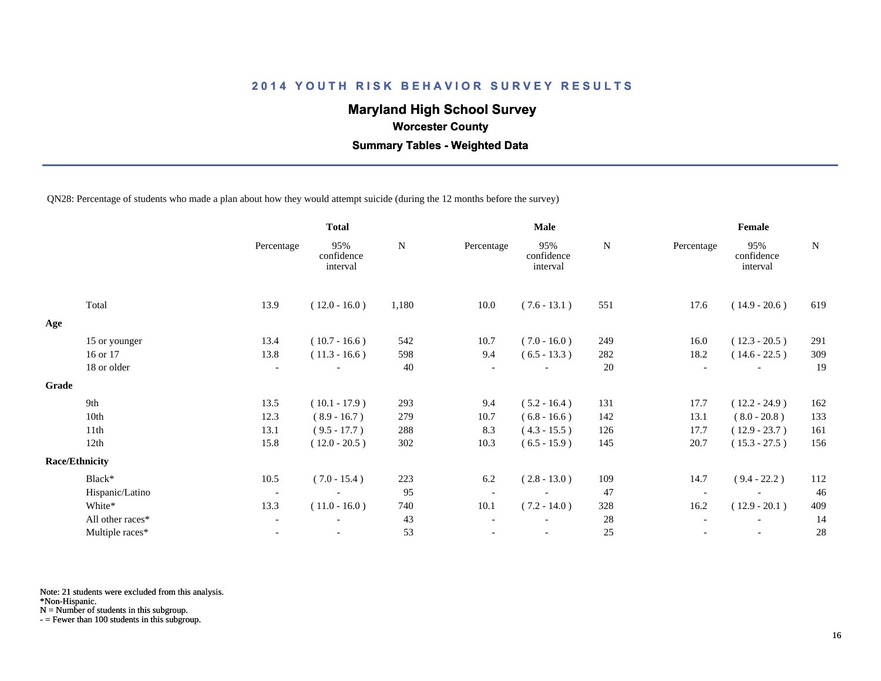# **Maryland High School Survey**

 **Worcester County**

 **Summary Tables - Weighted Data**

QN28: Percentage of students who made a plan about how they would attempt suicide (during the 12 months before the survey)

|       |                       |                          | <b>Total</b>                  |           | <b>Male</b>              |                               |           | Female                   |                               |             |  |
|-------|-----------------------|--------------------------|-------------------------------|-----------|--------------------------|-------------------------------|-----------|--------------------------|-------------------------------|-------------|--|
|       |                       | Percentage               | 95%<br>confidence<br>interval | ${\bf N}$ | Percentage               | 95%<br>confidence<br>interval | ${\bf N}$ | Percentage               | 95%<br>confidence<br>interval | $\mathbf N$ |  |
|       | Total                 | 13.9                     | $(12.0 - 16.0)$               | 1,180     | 10.0                     | $(7.6 - 13.1)$                | 551       | 17.6                     | $(14.9 - 20.6)$               | 619         |  |
| Age   |                       |                          |                               |           |                          |                               |           |                          |                               |             |  |
|       | 15 or younger         | 13.4                     | $(10.7 - 16.6)$               | 542       | 10.7                     | $(7.0 - 16.0)$                | 249       | 16.0                     | $(12.3 - 20.5)$               | 291         |  |
|       | 16 or 17              | 13.8                     | $(11.3 - 16.6)$               | 598       | 9.4                      | $(6.5 - 13.3)$                | 282       | 18.2                     | $(14.6 - 22.5)$               | 309         |  |
|       | 18 or older           | $\overline{\phantom{a}}$ |                               | 40        | $\overline{\phantom{a}}$ |                               | 20        | $\overline{\phantom{a}}$ |                               | 19          |  |
| Grade |                       |                          |                               |           |                          |                               |           |                          |                               |             |  |
|       | 9th                   | 13.5                     | $(10.1 - 17.9)$               | 293       | 9.4                      | $(5.2 - 16.4)$                | 131       | 17.7                     | $(12.2 - 24.9)$               | 162         |  |
|       | 10th                  | 12.3                     | $(8.9 - 16.7)$                | 279       | 10.7                     | $(6.8 - 16.6)$                | 142       | 13.1                     | $(8.0 - 20.8)$                | 133         |  |
|       | 11th                  | 13.1                     | $(9.5 - 17.7)$                | 288       | 8.3                      | $(4.3 - 15.5)$                | 126       | 17.7                     | $(12.9 - 23.7)$               | 161         |  |
|       | 12th                  | 15.8                     | $(12.0 - 20.5)$               | 302       | 10.3                     | $(6.5 - 15.9)$                | 145       | 20.7                     | $(15.3 - 27.5)$               | 156         |  |
|       | <b>Race/Ethnicity</b> |                          |                               |           |                          |                               |           |                          |                               |             |  |
|       | Black*                | 10.5                     | $(7.0 - 15.4)$                | 223       | 6.2                      | $(2.8 - 13.0)$                | 109       | 14.7                     | $(9.4 - 22.2)$                | 112         |  |
|       | Hispanic/Latino       | $\overline{\phantom{a}}$ | $\overline{\phantom{a}}$      | 95        |                          | $\overline{\phantom{a}}$      | 47        | $\overline{\phantom{0}}$ |                               | 46          |  |
|       | White*                | 13.3                     | $(11.0 - 16.0)$               | 740       | 10.1                     | $(7.2 - 14.0)$                | 328       | 16.2                     | $(12.9 - 20.1)$               | 409         |  |
|       | All other races*      | $\overline{\phantom{a}}$ |                               | 43        |                          |                               | 28        |                          |                               | 14          |  |
|       | Multiple races*       | $\blacksquare$           |                               | 53        |                          | $\overline{\phantom{a}}$      | 25        |                          | $\overline{\phantom{a}}$      | 28          |  |

Note: 21 students were excluded from this analysis.

\*Non-Hispanic.

N = Number of students in this subgroup.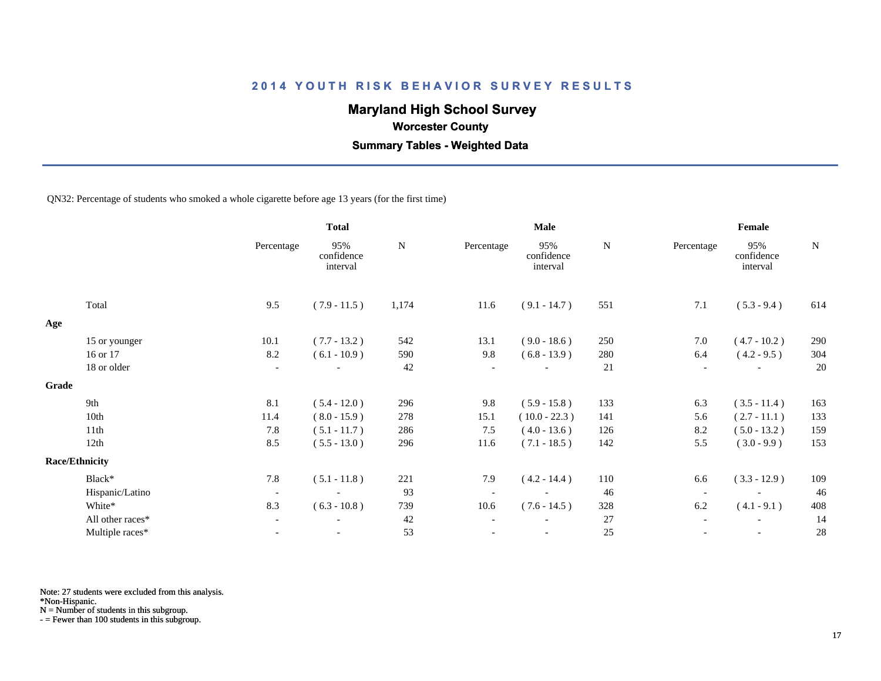# **Maryland High School Survey**

 **Worcester County**

 **Summary Tables - Weighted Data**

QN32: Percentage of students who smoked a whole cigarette before age 13 years (for the first time)

|                  |                                | <b>Total</b>                  |           | <b>Male</b>              |                               |           | Female                   |                               |             |
|------------------|--------------------------------|-------------------------------|-----------|--------------------------|-------------------------------|-----------|--------------------------|-------------------------------|-------------|
|                  | Percentage                     | 95%<br>confidence<br>interval | ${\bf N}$ | Percentage               | 95%<br>confidence<br>interval | ${\bf N}$ | Percentage               | 95%<br>confidence<br>interval | $\mathbf N$ |
| Total            | 9.5                            | $(7.9 - 11.5)$                | 1,174     | 11.6                     | $(9.1 - 14.7)$                | 551       | 7.1                      | $(5.3 - 9.4)$                 | 614         |
|                  |                                |                               |           |                          |                               |           |                          |                               |             |
| 15 or younger    | 10.1                           | $(7.7 - 13.2)$                | 542       | 13.1                     | $(9.0 - 18.6)$                | 250       | 7.0                      | $(4.7 - 10.2)$                | 290         |
| 16 or 17         | 8.2                            | $(6.1 - 10.9)$                | 590       | 9.8                      | $(6.8 - 13.9)$                | 280       | 6.4                      | $(4.2 - 9.5)$                 | 304         |
| 18 or older      | $\overline{\phantom{a}}$       |                               | 42        | $\overline{\phantom{a}}$ | $\overline{\phantom{a}}$      | 21        |                          |                               | 20          |
|                  |                                |                               |           |                          |                               |           |                          |                               |             |
| 9th              | 8.1                            | $(5.4 - 12.0)$                | 296       | 9.8                      | $(5.9 - 15.8)$                | 133       | 6.3                      | $(3.5 - 11.4)$                | 163         |
| 10th             | 11.4                           | $(8.0 - 15.9)$                | 278       | 15.1                     | $(10.0 - 22.3)$               | 141       | 5.6                      | $(2.7 - 11.1)$                | 133         |
| 11th             | 7.8                            | $(5.1 - 11.7)$                | 286       | 7.5                      | $(4.0 - 13.6)$                | 126       | 8.2                      | $(5.0 - 13.2)$                | 159         |
| 12th             | 8.5                            | $(5.5 - 13.0)$                | 296       | 11.6                     | $(7.1 - 18.5)$                | 142       | 5.5                      | $(3.0 - 9.9)$                 | 153         |
|                  |                                |                               |           |                          |                               |           |                          |                               |             |
| Black*           | 7.8                            | $(5.1 - 11.8)$                | 221       | 7.9                      | $(4.2 - 14.4)$                | 110       | 6.6                      | $(3.3 - 12.9)$                | 109         |
| Hispanic/Latino  | $\overline{\phantom{a}}$       | $\overline{\phantom{a}}$      | 93        | $\overline{\phantom{a}}$ | $\overline{\phantom{a}}$      | 46        | $\overline{\phantom{a}}$ | $\overline{\phantom{a}}$      | 46          |
| White*           | 8.3                            | $(6.3 - 10.8)$                | 739       | 10.6                     | $(7.6 - 14.5)$                | 328       | 6.2                      | $(4.1 - 9.1)$                 | 408         |
| All other races* | $\overline{\phantom{a}}$       |                               | 42        |                          |                               | 27        |                          |                               | 14          |
| Multiple races*  | $\overline{\phantom{a}}$       |                               | 53        |                          | $\overline{\phantom{a}}$      | 25        |                          | $\overline{\phantom{a}}$      | 28          |
|                  | Grade<br><b>Race/Ethnicity</b> |                               |           |                          |                               |           |                          |                               |             |

Note: 27 students were excluded from this analysis.

\*Non-Hispanic.

N = Number of students in this subgroup.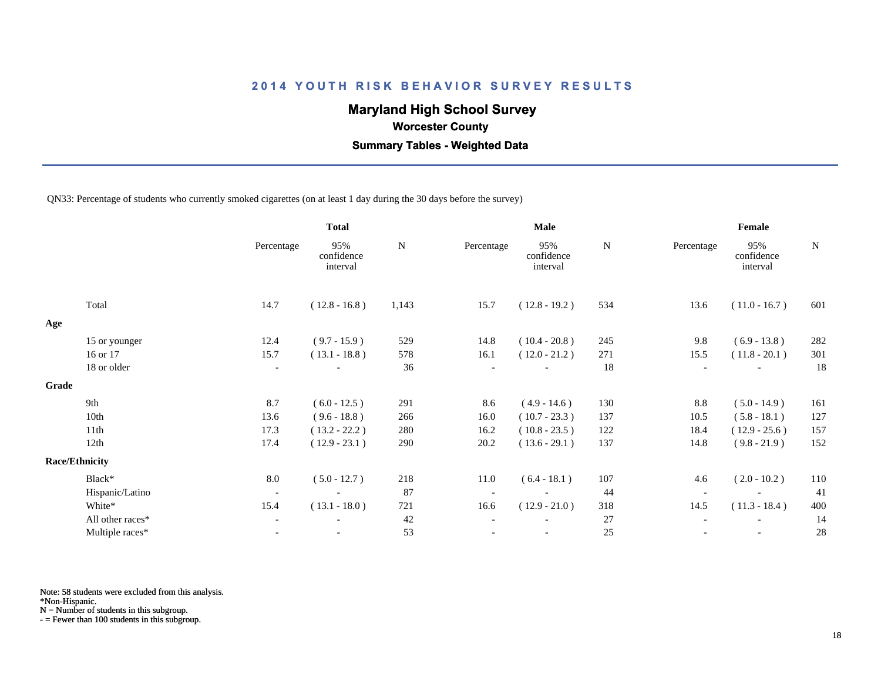# **Maryland High School Survey**

 **Worcester County**

 **Summary Tables - Weighted Data**

QN33: Percentage of students who currently smoked cigarettes (on at least 1 day during the 30 days before the survey)

|       |                       |                          | <b>Total</b>                  |           | Male       |                               |     | Female                   |                               |     |
|-------|-----------------------|--------------------------|-------------------------------|-----------|------------|-------------------------------|-----|--------------------------|-------------------------------|-----|
|       |                       | Percentage               | 95%<br>confidence<br>interval | ${\bf N}$ | Percentage | 95%<br>confidence<br>interval | N   | Percentage               | 95%<br>confidence<br>interval | N   |
|       | Total                 | 14.7                     | $(12.8 - 16.8)$               | 1,143     | 15.7       | $(12.8 - 19.2)$               | 534 | 13.6                     | $(11.0 - 16.7)$               | 601 |
| Age   |                       |                          |                               |           |            |                               |     |                          |                               |     |
|       | 15 or younger         | 12.4                     | $(9.7 - 15.9)$                | 529       | 14.8       | $(10.4 - 20.8)$               | 245 | 9.8                      | $(6.9 - 13.8)$                | 282 |
|       | 16 or 17              | 15.7                     | $(13.1 - 18.8)$               | 578       | 16.1       | $(12.0 - 21.2)$               | 271 | 15.5                     | $(11.8 - 20.1)$               | 301 |
|       | 18 or older           | $\overline{\phantom{a}}$ |                               | 36        |            |                               | 18  |                          |                               | 18  |
| Grade |                       |                          |                               |           |            |                               |     |                          |                               |     |
|       | 9th                   | 8.7                      | $(6.0 - 12.5)$                | 291       | 8.6        | $(4.9 - 14.6)$                | 130 | 8.8                      | $(5.0 - 14.9)$                | 161 |
|       | 10th                  | 13.6                     | $(9.6 - 18.8)$                | 266       | 16.0       | $(10.7 - 23.3)$               | 137 | 10.5                     | $(5.8 - 18.1)$                | 127 |
|       | 11th                  | 17.3                     | $(13.2 - 22.2)$               | 280       | 16.2       | $(10.8 - 23.5)$               | 122 | 18.4                     | $(12.9 - 25.6)$               | 157 |
|       | 12th                  | 17.4                     | $(12.9 - 23.1)$               | 290       | 20.2       | $(13.6 - 29.1)$               | 137 | 14.8                     | $(9.8 - 21.9)$                | 152 |
|       | <b>Race/Ethnicity</b> |                          |                               |           |            |                               |     |                          |                               |     |
|       | Black*                | 8.0                      | $(5.0 - 12.7)$                | 218       | 11.0       | $(6.4 - 18.1)$                | 107 | 4.6                      | $(2.0 - 10.2)$                | 110 |
|       | Hispanic/Latino       | $\overline{\phantom{a}}$ | $\overline{\phantom{a}}$      | 87        |            | $\overline{\phantom{a}}$      | 44  | $\overline{\phantom{a}}$ |                               | 41  |
|       | White*                | 15.4                     | $(13.1 - 18.0)$               | 721       | 16.6       | $(12.9 - 21.0)$               | 318 | 14.5                     | $(11.3 - 18.4)$               | 400 |
|       | All other races*      | $\overline{\phantom{a}}$ |                               | 42        |            |                               | 27  |                          |                               | 14  |
|       | Multiple races*       | $\overline{\phantom{a}}$ |                               | 53        |            | $\overline{\phantom{a}}$      | 25  |                          | $\overline{\phantom{a}}$      | 28  |

Note: 58 students were excluded from this analysis.

\*Non-Hispanic.

N = Number of students in this subgroup.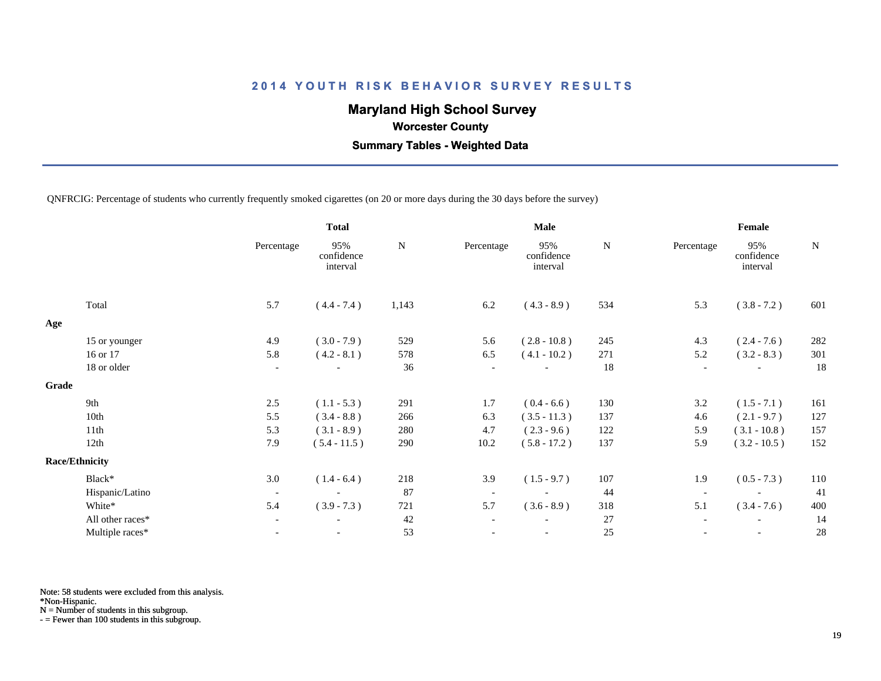# **Maryland High School Survey**

 **Worcester County**

 **Summary Tables - Weighted Data**

QNFRCIG: Percentage of students who currently frequently smoked cigarettes (on 20 or more days during the 30 days before the survey)

|       |                       | <b>Total</b>             |                               | <b>Male</b> |                          |                               | Female |                          |                               |           |
|-------|-----------------------|--------------------------|-------------------------------|-------------|--------------------------|-------------------------------|--------|--------------------------|-------------------------------|-----------|
|       |                       | Percentage               | 95%<br>confidence<br>interval | N           | Percentage               | 95%<br>confidence<br>interval | N      | Percentage               | 95%<br>confidence<br>interval | ${\bf N}$ |
|       | Total                 | 5.7                      | $(4.4 - 7.4)$                 | 1,143       | 6.2                      | $(4.3 - 8.9)$                 | 534    | 5.3                      | $(3.8 - 7.2)$                 | 601       |
| Age   |                       |                          |                               |             |                          |                               |        |                          |                               |           |
|       | 15 or younger         | 4.9                      | $(3.0 - 7.9)$                 | 529         | 5.6                      | $(2.8 - 10.8)$                | 245    | 4.3                      | $(2.4 - 7.6)$                 | 282       |
|       | 16 or 17              | 5.8                      | $(4.2 - 8.1)$                 | 578         | 6.5                      | $(4.1 - 10.2)$                | 271    | 5.2                      | $(3.2 - 8.3)$                 | 301       |
|       | 18 or older           | $\overline{\phantom{a}}$ | $\overline{\phantom{a}}$      | 36          | $\overline{\phantom{a}}$ |                               | 18     | $\overline{\phantom{a}}$ | $\overline{\phantom{a}}$      | 18        |
| Grade |                       |                          |                               |             |                          |                               |        |                          |                               |           |
|       | 9th                   | 2.5                      | $(1.1 - 5.3)$                 | 291         | 1.7                      | $(0.4 - 6.6)$                 | 130    | 3.2                      | $(1.5 - 7.1)$                 | 161       |
|       | 10th                  | 5.5                      | $(3.4 - 8.8)$                 | 266         | 6.3                      | $(3.5 - 11.3)$                | 137    | 4.6                      | $(2.1 - 9.7)$                 | 127       |
|       | 11th                  | 5.3                      | $(3.1 - 8.9)$                 | 280         | 4.7                      | $(2.3 - 9.6)$                 | 122    | 5.9                      | $(3.1 - 10.8)$                | 157       |
|       | 12th                  | 7.9                      | $(5.4 - 11.5)$                | 290         | 10.2                     | $(5.8 - 17.2)$                | 137    | 5.9                      | $(3.2 - 10.5)$                | 152       |
|       | <b>Race/Ethnicity</b> |                          |                               |             |                          |                               |        |                          |                               |           |
|       | Black*                | 3.0                      | $(1.4 - 6.4)$                 | 218         | 3.9                      | $(1.5 - 9.7)$                 | 107    | 1.9                      | $(0.5 - 7.3)$                 | 110       |
|       | Hispanic/Latino       | $\overline{\phantom{a}}$ |                               | 87          | $\overline{\phantom{a}}$ |                               | 44     | $\overline{\phantom{a}}$ |                               | 41        |
|       | White*                | 5.4                      | $(3.9 - 7.3)$                 | 721         | 5.7                      | $(3.6 - 8.9)$                 | 318    | 5.1                      | $(3.4 - 7.6)$                 | 400       |
|       | All other races*      | $\overline{\phantom{a}}$ |                               | 42          |                          |                               | 27     |                          |                               | 14        |
|       | Multiple races*       | $\overline{\phantom{a}}$ | $\overline{\phantom{a}}$      | 53          |                          | $\overline{\phantom{a}}$      | 25     |                          | $\overline{\phantom{a}}$      | 28        |
|       |                       |                          |                               |             |                          |                               |        |                          |                               |           |

Note: 58 students were excluded from this analysis.

\*Non-Hispanic.

N = Number of students in this subgroup.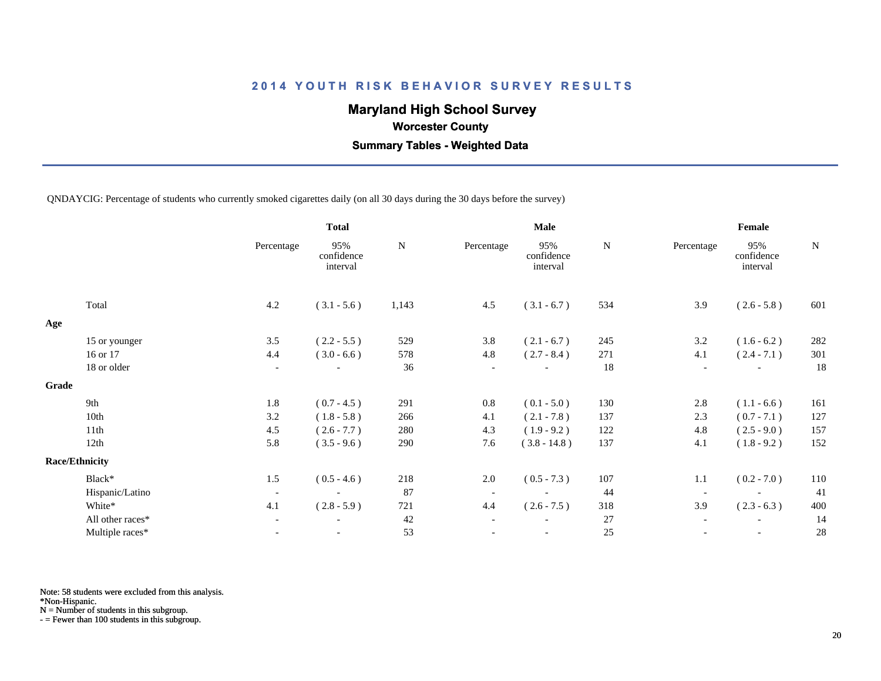# **Maryland High School Survey**

 **Worcester County**

 **Summary Tables - Weighted Data**

QNDAYCIG: Percentage of students who currently smoked cigarettes daily (on all 30 days during the 30 days before the survey)

|       |                       | <b>Total</b>             |                               |           | <b>Male</b>              |                               | Female    |                          |                               |           |
|-------|-----------------------|--------------------------|-------------------------------|-----------|--------------------------|-------------------------------|-----------|--------------------------|-------------------------------|-----------|
|       |                       | Percentage               | 95%<br>confidence<br>interval | ${\bf N}$ | Percentage               | 95%<br>confidence<br>interval | ${\bf N}$ | Percentage               | 95%<br>confidence<br>interval | ${\bf N}$ |
|       | Total                 | 4.2                      | $(3.1 - 5.6)$                 | 1,143     | 4.5                      | $(3.1 - 6.7)$                 | 534       | 3.9                      | $(2.6 - 5.8)$                 | 601       |
| Age   |                       |                          |                               |           |                          |                               |           |                          |                               |           |
|       | 15 or younger         | 3.5                      | $(2.2 - 5.5)$                 | 529       | 3.8                      | $(2.1 - 6.7)$                 | 245       | 3.2                      | $(1.6 - 6.2)$                 | 282       |
|       | 16 or 17              | 4.4                      | $(3.0 - 6.6)$                 | 578       | 4.8                      | $(2.7 - 8.4)$                 | 271       | 4.1                      | $(2.4 - 7.1)$                 | 301       |
|       | 18 or older           | $\overline{\phantom{a}}$ |                               | 36        | $\overline{\phantom{a}}$ |                               | 18        | $\overline{\phantom{a}}$ |                               | 18        |
| Grade |                       |                          |                               |           |                          |                               |           |                          |                               |           |
|       | 9th                   | 1.8                      | $(0.7 - 4.5)$                 | 291       | $0.8\,$                  | $(0.1 - 5.0)$                 | 130       | 2.8                      | $(1.1 - 6.6)$                 | 161       |
|       | 10th                  | 3.2                      | $(1.8 - 5.8)$                 | 266       | 4.1                      | $(2.1 - 7.8)$                 | 137       | 2.3                      | $(0.7 - 7.1)$                 | 127       |
|       | 11th                  | 4.5                      | $(2.6 - 7.7)$                 | 280       | 4.3                      | $(1.9 - 9.2)$                 | 122       | 4.8                      | $(2.5 - 9.0)$                 | 157       |
|       | 12th                  | 5.8                      | $(3.5 - 9.6)$                 | 290       | 7.6                      | $(3.8 - 14.8)$                | 137       | 4.1                      | $(1.8 - 9.2)$                 | 152       |
|       | <b>Race/Ethnicity</b> |                          |                               |           |                          |                               |           |                          |                               |           |
|       | Black*                | 1.5                      | $(0.5 - 4.6)$                 | 218       | 2.0                      | $(0.5 - 7.3)$                 | 107       | 1.1                      | $(0.2 - 7.0)$                 | 110       |
|       | Hispanic/Latino       | $\overline{\phantom{a}}$ |                               | 87        | $\overline{\phantom{a}}$ |                               | 44        | $\overline{\phantom{a}}$ |                               | 41        |
|       | White*                | 4.1                      | $(2.8 - 5.9)$                 | 721       | 4.4                      | $(2.6 - 7.5)$                 | 318       | 3.9                      | $(2.3 - 6.3)$                 | 400       |
|       | All other races*      | $\overline{\phantom{a}}$ |                               | 42        |                          |                               | 27        |                          |                               | 14        |
|       | Multiple races*       | $\overline{\phantom{a}}$ | $\overline{\phantom{a}}$      | 53        |                          | $\overline{\phantom{a}}$      | 25        |                          | $\overline{\phantom{a}}$      | 28        |
|       |                       |                          |                               |           |                          |                               |           |                          |                               |           |

Note: 58 students were excluded from this analysis.

\*Non-Hispanic.

N = Number of students in this subgroup.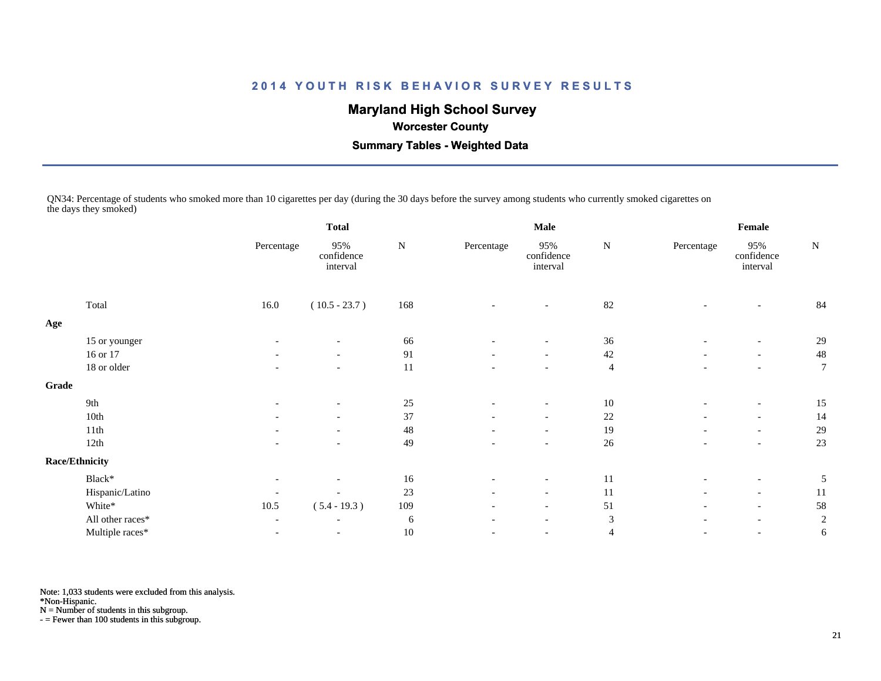# **Maryland High School Survey**

 **Worcester County**

 **Summary Tables - Weighted Data**

QN34: Percentage of students who smoked more than 10 cigarettes per day (during the 30 days before the survey among students who currently smoked cigarettes on the days they smoked)

|       |                       | <b>Total</b>             |                               |           |                          | <b>Male</b>                   |                | Female                   |                               |                |  |
|-------|-----------------------|--------------------------|-------------------------------|-----------|--------------------------|-------------------------------|----------------|--------------------------|-------------------------------|----------------|--|
|       |                       | Percentage               | 95%<br>confidence<br>interval | ${\bf N}$ | Percentage               | 95%<br>confidence<br>interval | ${\bf N}$      | Percentage               | 95%<br>confidence<br>interval | ${\bf N}$      |  |
|       | Total                 | 16.0                     | $(10.5 - 23.7)$               | 168       |                          | $\overline{\phantom{a}}$      | 82             |                          |                               | 84             |  |
| Age   |                       |                          |                               |           |                          |                               |                |                          |                               |                |  |
|       | 15 or younger         |                          | $\overline{\phantom{a}}$      | 66        |                          | $\overline{\phantom{a}}$      | 36             |                          | $\overline{a}$                | 29             |  |
|       | 16 or 17              | $\overline{\phantom{a}}$ | $\overline{\phantom{a}}$      | 91        | $\overline{\phantom{a}}$ | $-$                           | 42             |                          | $\overline{\phantom{a}}$      | 48             |  |
|       | 18 or older           | $\overline{\phantom{a}}$ | $\overline{\phantom{a}}$      | 11        | $\overline{\phantom{a}}$ | $\overline{\phantom{a}}$      | $\overline{4}$ | $\overline{\phantom{a}}$ | $-$                           | $\overline{7}$ |  |
| Grade |                       |                          |                               |           |                          |                               |                |                          |                               |                |  |
|       | 9th                   | $\overline{\phantom{a}}$ | $\overline{\phantom{a}}$      | 25        |                          | $\overline{\phantom{a}}$      | 10             |                          | $\overline{\phantom{a}}$      | 15             |  |
|       | $10th$                |                          | $\overline{\phantom{a}}$      | 37        | $\overline{\phantom{a}}$ | $\overline{\phantom{a}}$      | $22\,$         |                          | $\overline{\phantom{a}}$      | 14             |  |
|       | 11th                  | $\overline{\phantom{0}}$ | $\overline{\phantom{a}}$      | 48        | $\overline{\phantom{a}}$ | $\overline{\phantom{0}}$      | 19             |                          | $\overline{\phantom{a}}$      | 29             |  |
|       | 12th                  |                          |                               | 49        |                          | $\overline{\phantom{a}}$      | 26             |                          | $\overline{\phantom{a}}$      | 23             |  |
|       | <b>Race/Ethnicity</b> |                          |                               |           |                          |                               |                |                          |                               |                |  |
|       | Black*                | $\overline{\phantom{a}}$ | $\overline{\phantom{a}}$      | 16        |                          | $\overline{\phantom{a}}$      | 11             |                          | $\overline{\phantom{a}}$      | 5              |  |
|       | Hispanic/Latino       |                          | $\overline{\phantom{a}}$      | 23        | $\overline{\phantom{a}}$ | $ \,$                         | 11             |                          | $\overline{\phantom{a}}$      | 11             |  |
|       | White*                | 10.5                     | $(5.4 - 19.3)$                | 109       | $\overline{\phantom{a}}$ | $\overline{\phantom{a}}$      | 51             | $\overline{\phantom{a}}$ | $\overline{\phantom{a}}$      | 58             |  |
|       | All other races*      | $\overline{\phantom{a}}$ | $\overline{\phantom{a}}$      | 6         | $\overline{\phantom{a}}$ | $\overline{\phantom{a}}$      | 3              |                          | $\overline{\phantom{a}}$      | $\overline{c}$ |  |
|       | Multiple races*       | $\overline{\phantom{a}}$ | $\overline{\phantom{a}}$      | $10\,$    |                          | $\overline{\phantom{a}}$      | $\overline{4}$ |                          | $\overline{\phantom{a}}$      | 6              |  |
|       |                       |                          |                               |           |                          |                               |                |                          |                               |                |  |

Note: 1,033 students were excluded from this analysis.

\*Non-Hispanic.

N = Number of students in this subgroup.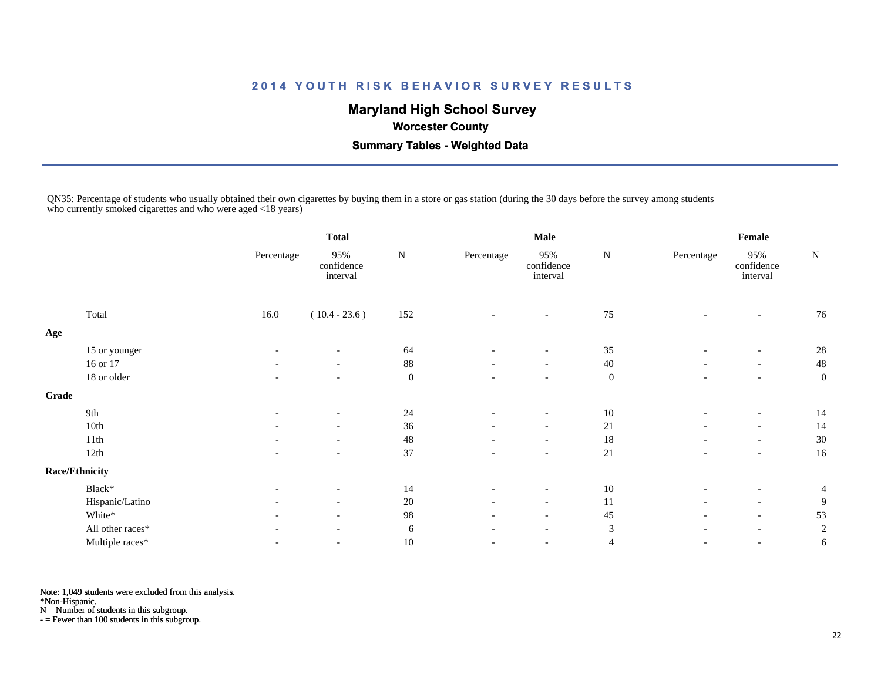# **Maryland High School Survey**

 **Worcester County**

 **Summary Tables - Weighted Data**

QN35: Percentage of students who usually obtained their own cigarettes by buying them in a store or gas station (during the 30 days before the survey among students who currently smoked cigarettes and who were aged <18 years)

|       |                       | <b>Total</b> |                               |                  | <b>Male</b>              |                               | Female           |                          |                               |                  |
|-------|-----------------------|--------------|-------------------------------|------------------|--------------------------|-------------------------------|------------------|--------------------------|-------------------------------|------------------|
|       |                       | Percentage   | 95%<br>confidence<br>interval | ${\bf N}$        | Percentage               | 95%<br>confidence<br>interval | ${\bf N}$        | Percentage               | 95%<br>confidence<br>interval | ${\bf N}$        |
|       | Total                 | 16.0         | $(10.4 - 23.6)$               | 152              |                          | $\overline{\phantom{a}}$      | 75               |                          |                               | 76               |
| Age   |                       |              |                               |                  |                          |                               |                  |                          |                               |                  |
|       | 15 or younger         |              |                               | 64               |                          |                               | 35               |                          |                               | 28               |
|       | 16 or 17              |              | $\overline{\phantom{a}}$      | 88               |                          | $\overline{\phantom{a}}$      | 40               |                          | $\overline{\phantom{a}}$      | 48               |
|       | 18 or older           |              | $\overline{\phantom{a}}$      | $\boldsymbol{0}$ |                          | $\overline{\phantom{a}}$      | $\boldsymbol{0}$ |                          | $\overline{\phantom{a}}$      | $\boldsymbol{0}$ |
| Grade |                       |              |                               |                  |                          |                               |                  |                          |                               |                  |
|       | 9th                   |              | $\overline{\phantom{a}}$      | 24               |                          | $\overline{\phantom{a}}$      | 10               |                          | $\overline{\phantom{a}}$      | 14               |
|       | 10th                  |              | $\overline{\phantom{a}}$      | 36               | $\overline{\phantom{a}}$ | $\overline{\phantom{a}}$      | 21               | $\overline{\phantom{a}}$ | $\overline{\phantom{a}}$      | 14               |
|       | 11th                  |              | $\overline{\phantom{a}}$      | 48               | $\overline{\phantom{a}}$ | $\overline{\phantom{a}}$      | 18               |                          | $\overline{\phantom{a}}$      | 30               |
|       | 12th                  |              | $\overline{\phantom{a}}$      | 37               |                          | $\overline{\phantom{a}}$      | 21               |                          | $\overline{\phantom{a}}$      | 16               |
|       | <b>Race/Ethnicity</b> |              |                               |                  |                          |                               |                  |                          |                               |                  |
|       | Black*                |              | $\overline{\phantom{a}}$      | 14               | $\overline{\phantom{a}}$ | $\overline{\phantom{a}}$      | 10               |                          | $\overline{\phantom{a}}$      | $\overline{4}$   |
|       | Hispanic/Latino       |              | $\overline{\phantom{a}}$      | 20               |                          | $\overline{\phantom{a}}$      | 11               |                          | $\overline{\phantom{a}}$      | 9                |
|       | White*                |              | $\overline{\phantom{a}}$      | 98               | $\overline{\phantom{a}}$ | $\overline{\phantom{a}}$      | 45               | $\overline{\phantom{a}}$ | $\overline{\phantom{a}}$      | 53               |
|       | All other races*      |              | $\overline{\phantom{a}}$      | 6                | $\overline{\phantom{a}}$ | $\overline{\phantom{a}}$      | 3                |                          | $\overline{\phantom{a}}$      | $\overline{c}$   |
|       | Multiple races*       |              | $\overline{\phantom{a}}$      | $10\,$           |                          | $\overline{\phantom{a}}$      | $\overline{4}$   |                          | $\overline{\phantom{a}}$      | 6                |
|       |                       |              |                               |                  |                          |                               |                  |                          |                               |                  |

Note: 1,049 students were excluded from this analysis.

\*Non-Hispanic.

N = Number of students in this subgroup.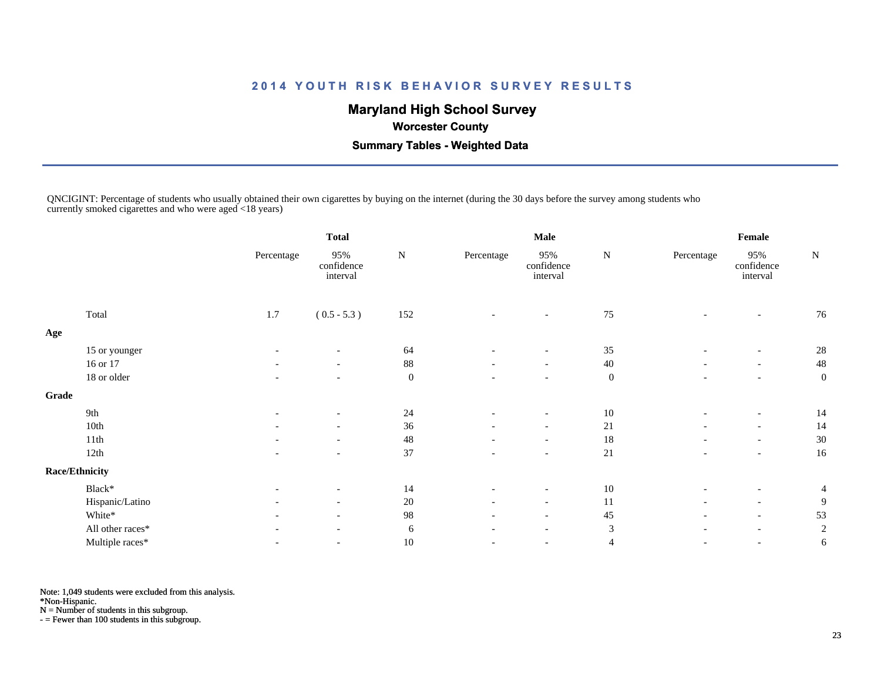# **Maryland High School Survey**

 **Worcester County**

 **Summary Tables - Weighted Data**

QNCIGINT: Percentage of students who usually obtained their own cigarettes by buying on the internet (during the 30 days before the survey among students who currently smoked cigarettes and who were aged <18 years)

|       |                       | <b>Total</b>             |                               | <b>Male</b>      |                          |                               | Female           |                          |                               |                  |
|-------|-----------------------|--------------------------|-------------------------------|------------------|--------------------------|-------------------------------|------------------|--------------------------|-------------------------------|------------------|
|       |                       | Percentage               | 95%<br>confidence<br>interval | ${\bf N}$        | Percentage               | 95%<br>confidence<br>interval | ${\bf N}$        | Percentage               | 95%<br>confidence<br>interval | ${\bf N}$        |
|       | Total                 | 1.7                      | $(0.5 - 5.3)$                 | 152              |                          | $\overline{\phantom{a}}$      | 75               |                          | $\overline{\phantom{a}}$      | 76               |
| Age   |                       |                          |                               |                  |                          |                               |                  |                          |                               |                  |
|       | 15 or younger         |                          | $\overline{\phantom{a}}$      | 64               |                          | $\overline{\phantom{a}}$      | 35               |                          |                               | 28               |
|       | 16 or 17              |                          | $\overline{\phantom{a}}$      | $88\,$           |                          | $\overline{\phantom{a}}$      | 40               |                          | $\overline{\phantom{a}}$      | 48               |
|       | 18 or older           | $\overline{\phantom{a}}$ | $\overline{\phantom{a}}$      | $\boldsymbol{0}$ | $\overline{\phantom{a}}$ | $\overline{\phantom{a}}$      | $\boldsymbol{0}$ | $\overline{\phantom{a}}$ | $\overline{\phantom{a}}$      | $\boldsymbol{0}$ |
| Grade |                       |                          |                               |                  |                          |                               |                  |                          |                               |                  |
|       | 9th                   |                          | $\overline{\phantom{a}}$      | 24               |                          | $\overline{\phantom{a}}$      | 10               |                          | $\overline{\phantom{a}}$      | 14               |
|       | 10th                  |                          | $\overline{\phantom{a}}$      | 36               | $\overline{\phantom{a}}$ | $\overline{\phantom{a}}$      | 21               | $\overline{\phantom{a}}$ | $\overline{\phantom{a}}$      | 14               |
|       | 11th                  |                          | $\overline{\phantom{a}}$      | 48               |                          | $\overline{\phantom{a}}$      | 18               |                          | $\overline{\phantom{a}}$      | 30               |
|       | 12th                  |                          | $\overline{\phantom{a}}$      | 37               |                          | $\overline{\phantom{a}}$      | 21               |                          | $\overline{\phantom{a}}$      | 16               |
|       | <b>Race/Ethnicity</b> |                          |                               |                  |                          |                               |                  |                          |                               |                  |
|       | Black*                | $\overline{\phantom{a}}$ | $\overline{\phantom{a}}$      | 14               |                          | $\overline{\phantom{a}}$      | $10\,$           |                          | $\overline{\phantom{a}}$      | $\overline{4}$   |
|       | Hispanic/Latino       |                          | $\overline{\phantom{a}}$      | $20\,$           |                          | $\overline{\phantom{a}}$      | 11               |                          | $\overline{\phantom{a}}$      | 9                |
|       | White*                |                          | $\overline{\phantom{a}}$      | 98               | $\overline{\phantom{a}}$ | $\overline{\phantom{a}}$      | 45               | $\overline{\phantom{a}}$ | $\overline{\phantom{a}}$      | 53               |
|       | All other races*      |                          | $\overline{\phantom{a}}$      | 6                | $\overline{\phantom{a}}$ | $\overline{\phantom{a}}$      | 3                |                          | $\overline{\phantom{a}}$      | $\overline{c}$   |
|       | Multiple races*       |                          | $\overline{\phantom{a}}$      | $10\,$           |                          | $\overline{\phantom{a}}$      | 4                | $\overline{\phantom{a}}$ | $\overline{\phantom{a}}$      | 6                |
|       |                       |                          |                               |                  |                          |                               |                  |                          |                               |                  |

Note: 1,049 students were excluded from this analysis.

\*Non-Hispanic.

N = Number of students in this subgroup.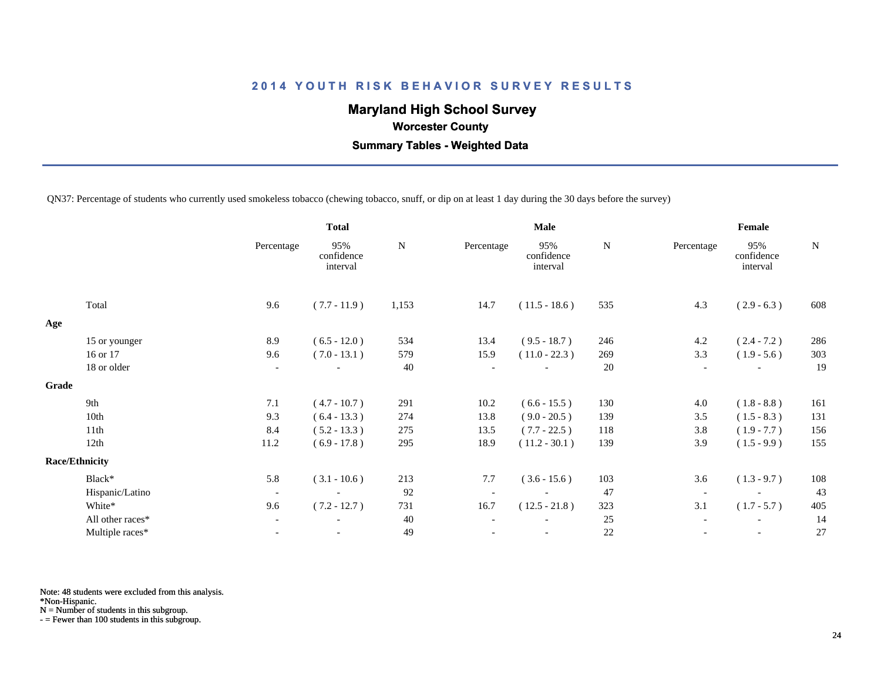# **Maryland High School Survey**

 **Worcester County**

 **Summary Tables - Weighted Data**

QN37: Percentage of students who currently used smokeless tobacco (chewing tobacco, snuff, or dip on at least 1 day during the 30 days before the survey)

|       |                       | <b>Total</b>             |                               | <b>Male</b> |                          |                               | Female      |                          |                               |             |
|-------|-----------------------|--------------------------|-------------------------------|-------------|--------------------------|-------------------------------|-------------|--------------------------|-------------------------------|-------------|
|       |                       | Percentage               | 95%<br>confidence<br>interval | N           | Percentage               | 95%<br>confidence<br>interval | $\mathbf N$ | Percentage               | 95%<br>confidence<br>interval | $\mathbf N$ |
|       | Total                 | 9.6                      | $(7.7 - 11.9)$                | 1,153       | 14.7                     | $(11.5 - 18.6)$               | 535         | 4.3                      | $(2.9 - 6.3)$                 | 608         |
| Age   |                       |                          |                               |             |                          |                               |             |                          |                               |             |
|       | 15 or younger         | 8.9                      | $(6.5 - 12.0)$                | 534         | 13.4                     | $(9.5 - 18.7)$                | 246         | 4.2                      | $(2.4 - 7.2)$                 | 286         |
|       | 16 or 17              | 9.6                      | $(7.0 - 13.1)$                | 579         | 15.9                     | $(11.0 - 22.3)$               | 269         | 3.3                      | $(1.9 - 5.6)$                 | 303         |
|       | 18 or older           | $\overline{\phantom{a}}$ |                               | 40          | $\overline{\phantom{a}}$ | $\overline{\phantom{0}}$      | 20          | $\overline{\phantom{a}}$ |                               | 19          |
| Grade |                       |                          |                               |             |                          |                               |             |                          |                               |             |
|       | 9th                   | 7.1                      | $(4.7 - 10.7)$                | 291         | 10.2                     | $(6.6 - 15.5)$                | 130         | 4.0                      | $(1.8 - 8.8)$                 | 161         |
|       | 10th                  | 9.3                      | $(6.4 - 13.3)$                | 274         | 13.8                     | $(9.0 - 20.5)$                | 139         | 3.5                      | $(1.5 - 8.3)$                 | 131         |
|       | 11th                  | 8.4                      | $(5.2 - 13.3)$                | 275         | 13.5                     | $(7.7 - 22.5)$                | 118         | 3.8                      | $(1.9 - 7.7)$                 | 156         |
|       | 12th                  | 11.2                     | $(6.9 - 17.8)$                | 295         | 18.9                     | $(11.2 - 30.1)$               | 139         | 3.9                      | $(1.5 - 9.9)$                 | 155         |
|       | <b>Race/Ethnicity</b> |                          |                               |             |                          |                               |             |                          |                               |             |
|       | Black*                | 5.8                      | $(3.1 - 10.6)$                | 213         | 7.7                      | $(3.6 - 15.6)$                | 103         | 3.6                      | $(1.3 - 9.7)$                 | 108         |
|       | Hispanic/Latino       | $\overline{\phantom{a}}$ | $\overline{\phantom{a}}$      | 92          |                          | $\overline{\phantom{a}}$      | 47          | $\overline{\phantom{a}}$ |                               | 43          |
|       | White*                | 9.6                      | $(7.2 - 12.7)$                | 731         | 16.7                     | $(12.5 - 21.8)$               | 323         | 3.1                      | $(1.7 - 5.7)$                 | 405         |
|       | All other races*      | $\overline{\phantom{a}}$ | $\overline{\phantom{a}}$      | 40          |                          | $\overline{\phantom{a}}$      | 25          |                          | $\overline{\phantom{a}}$      | 14          |
|       | Multiple races*       |                          |                               | 49          |                          |                               | 22          |                          |                               | 27          |
|       |                       |                          |                               |             |                          |                               |             |                          |                               |             |

Note: 48 students were excluded from this analysis.

\*Non-Hispanic.

N = Number of students in this subgroup.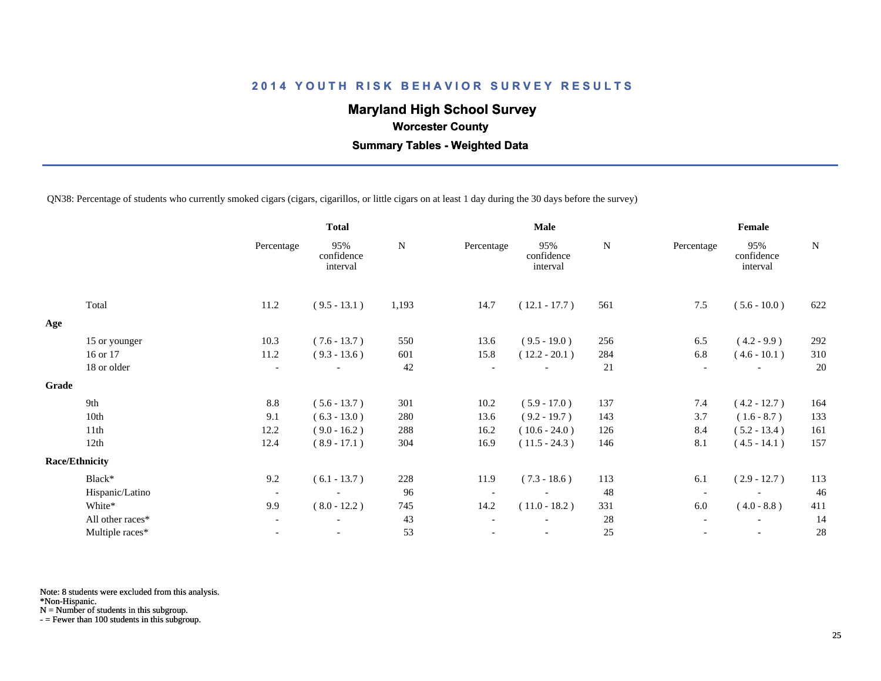# **Maryland High School Survey**

 **Worcester County**

 **Summary Tables - Weighted Data**

QN38: Percentage of students who currently smoked cigars (cigars, cigarillos, or little cigars on at least 1 day during the 30 days before the survey)

|                  |                                                   | <b>Total</b>                  |       |                          | <b>Male</b>                   | Female |                          |                               |             |
|------------------|---------------------------------------------------|-------------------------------|-------|--------------------------|-------------------------------|--------|--------------------------|-------------------------------|-------------|
|                  | Percentage                                        | 95%<br>confidence<br>interval | N     | Percentage               | 95%<br>confidence<br>interval | N      | Percentage               | 95%<br>confidence<br>interval | $\mathbf N$ |
| Total            | 11.2                                              | $(9.5 - 13.1)$                | 1,193 | 14.7                     | $(12.1 - 17.7)$               | 561    | 7.5                      | $(5.6 - 10.0)$                | 622         |
|                  |                                                   |                               |       |                          |                               |        |                          |                               |             |
| 15 or younger    | 10.3                                              | $(7.6 - 13.7)$                | 550   | 13.6                     | $(9.5 - 19.0)$                | 256    | 6.5                      | $(4.2 - 9.9)$                 | 292         |
| 16 or 17         | 11.2                                              | $(9.3 - 13.6)$                | 601   | 15.8                     | $(12.2 - 20.1)$               | 284    | 6.8                      | $(4.6 - 10.1)$                | 310         |
| 18 or older      | $\overline{\phantom{a}}$                          |                               | 42    | $\overline{\phantom{a}}$ |                               | 21     | $\overline{\phantom{a}}$ |                               | 20          |
|                  |                                                   |                               |       |                          |                               |        |                          |                               |             |
| 9th              | 8.8                                               | $(5.6 - 13.7)$                | 301   | 10.2                     | $(5.9 - 17.0)$                | 137    | 7.4                      | $(4.2 - 12.7)$                | 164         |
| 10th             | 9.1                                               | $(6.3 - 13.0)$                | 280   | 13.6                     | $(9.2 - 19.7)$                | 143    | 3.7                      | $(1.6 - 8.7)$                 | 133         |
| 11th             | 12.2                                              | $(9.0 - 16.2)$                | 288   | 16.2                     | $(10.6 - 24.0)$               | 126    | 8.4                      | $(5.2 - 13.4)$                | 161         |
| 12th             | 12.4                                              | $(8.9 - 17.1)$                | 304   | 16.9                     | $(11.5 - 24.3)$               | 146    | 8.1                      | $(4.5 - 14.1)$                | 157         |
|                  |                                                   |                               |       |                          |                               |        |                          |                               |             |
| Black*           | 9.2                                               | $(6.1 - 13.7)$                | 228   | 11.9                     | $(7.3 - 18.6)$                | 113    | 6.1                      | $(2.9 - 12.7)$                | 113         |
|                  | $\overline{\phantom{a}}$                          |                               | 96    | $\overline{\phantom{a}}$ |                               | 48     | $\overline{\phantom{a}}$ |                               | 46          |
| White*           | 9.9                                               | $(8.0 - 12.2)$                | 745   | 14.2                     | $(11.0 - 18.2)$               | 331    | 6.0                      | $(4.0 - 8.8)$                 | 411         |
| All other races* | $\overline{\phantom{a}}$                          | $\overline{\phantom{a}}$      | 43    | $\overline{\phantom{a}}$ |                               | 28     | $\overline{\phantom{a}}$ |                               | 14          |
| Multiple races*  |                                                   |                               | 53    |                          |                               | 25     |                          |                               | 28          |
|                  | Grade<br><b>Race/Ethnicity</b><br>Hispanic/Latino |                               |       |                          |                               |        |                          |                               |             |

Note: 8 students were excluded from this analysis.

\*Non-Hispanic.

N = Number of students in this subgroup.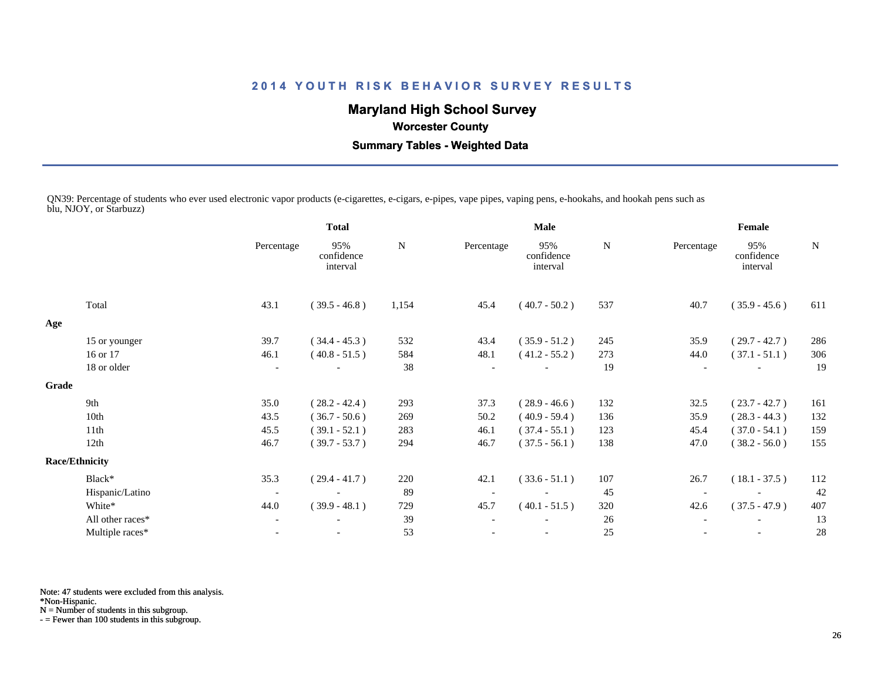# **Maryland High School Survey**

# **Worcester County**

 **Summary Tables - Weighted Data**

QN39: Percentage of students who ever used electronic vapor products (e-cigarettes, e-cigars, e-pipes, vape pipes, vaping pens, e-hookahs, and hookah pens such as blu, NJOY, or Starbuzz)

|       |                       | <b>Total</b>             |                               |       |            | Male                          |     | Female     |                               |             |  |
|-------|-----------------------|--------------------------|-------------------------------|-------|------------|-------------------------------|-----|------------|-------------------------------|-------------|--|
|       |                       | Percentage               | 95%<br>confidence<br>interval | N     | Percentage | 95%<br>confidence<br>interval | N   | Percentage | 95%<br>confidence<br>interval | $\mathbf N$ |  |
|       | Total                 | 43.1                     | $(39.5 - 46.8)$               | 1,154 | 45.4       | $(40.7 - 50.2)$               | 537 | 40.7       | $(35.9 - 45.6)$               | 611         |  |
| Age   |                       |                          |                               |       |            |                               |     |            |                               |             |  |
|       | 15 or younger         | 39.7                     | $(34.4 - 45.3)$               | 532   | 43.4       | $(35.9 - 51.2)$               | 245 | 35.9       | $(29.7 - 42.7)$               | 286         |  |
|       | 16 or 17              | 46.1                     | $(40.8 - 51.5)$               | 584   | 48.1       | $(41.2 - 55.2)$               | 273 | 44.0       | $(37.1 - 51.1)$               | 306         |  |
|       | 18 or older           |                          |                               | 38    |            |                               | 19  |            |                               | 19          |  |
| Grade |                       |                          |                               |       |            |                               |     |            |                               |             |  |
|       | 9th                   | 35.0                     | $(28.2 - 42.4)$               | 293   | 37.3       | $(28.9 - 46.6)$               | 132 | 32.5       | $(23.7 - 42.7)$               | 161         |  |
|       | 10th                  | 43.5                     | $(36.7 - 50.6)$               | 269   | 50.2       | $(40.9 - 59.4)$               | 136 | 35.9       | $(28.3 - 44.3)$               | 132         |  |
|       | 11th                  | 45.5                     | $(39.1 - 52.1)$               | 283   | 46.1       | $(37.4 - 55.1)$               | 123 | 45.4       | $(37.0 - 54.1)$               | 159         |  |
|       | 12th                  | 46.7                     | $(39.7 - 53.7)$               | 294   | 46.7       | $(37.5 - 56.1)$               | 138 | 47.0       | $(38.2 - 56.0)$               | 155         |  |
|       | <b>Race/Ethnicity</b> |                          |                               |       |            |                               |     |            |                               |             |  |
|       | Black*                | 35.3                     | $(29.4 - 41.7)$               | 220   | 42.1       | $(33.6 - 51.1)$               | 107 | 26.7       | $(18.1 - 37.5)$               | 112         |  |
|       | Hispanic/Latino       | $\overline{\phantom{a}}$ |                               | 89    |            |                               | 45  |            |                               | 42          |  |
|       | White*                | 44.0                     | $(39.9 - 48.1)$               | 729   | 45.7       | $(40.1 - 51.5)$               | 320 | 42.6       | $(37.5 - 47.9)$               | 407         |  |
|       | All other races*      | $\overline{\phantom{a}}$ |                               | 39    |            |                               | 26  |            |                               | 13          |  |
|       | Multiple races*       | $\overline{\phantom{a}}$ |                               | 53    |            |                               | 25  |            | $\overline{\phantom{a}}$      | 28          |  |
|       |                       |                          |                               |       |            |                               |     |            |                               |             |  |

Note: 47 students were excluded from this analysis.

\*Non-Hispanic.

N = Number of students in this subgroup.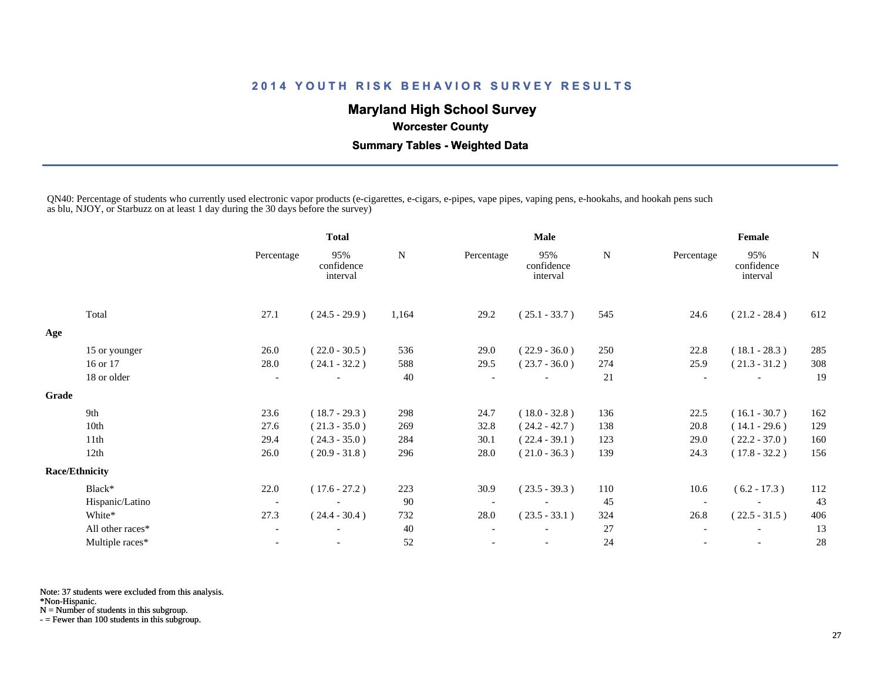# **Maryland High School Survey**

#### **Worcester County**

 **Summary Tables - Weighted Data**

QN40: Percentage of students who currently used electronic vapor products (e-cigarettes, e-cigars, e-pipes, vape pipes, vaping pens, e-hookahs, and hookah pens such as blu, NJOY, or Starbuzz on at least 1 day during the 30 days before the survey)

|                  |                                | <b>Total</b>                  |       |            | <b>Male</b>                   |     | Female                   |                               |     |  |
|------------------|--------------------------------|-------------------------------|-------|------------|-------------------------------|-----|--------------------------|-------------------------------|-----|--|
|                  | Percentage                     | 95%<br>confidence<br>interval | N     | Percentage | 95%<br>confidence<br>interval | N   | Percentage               | 95%<br>confidence<br>interval | N   |  |
| Total            | 27.1                           | $(24.5 - 29.9)$               | 1,164 | 29.2       | $(25.1 - 33.7)$               | 545 | 24.6                     | $(21.2 - 28.4)$               | 612 |  |
|                  |                                |                               |       |            |                               |     |                          |                               |     |  |
| 15 or younger    | 26.0                           | $(22.0 - 30.5)$               | 536   | 29.0       | $(22.9 - 36.0)$               | 250 | 22.8                     | $(18.1 - 28.3)$               | 285 |  |
| 16 or 17         | 28.0                           | $(24.1 - 32.2)$               | 588   | 29.5       | $(23.7 - 36.0)$               | 274 | 25.9                     | $(21.3 - 31.2)$               | 308 |  |
| 18 or older      | $\overline{\phantom{a}}$       |                               | 40    |            |                               | 21  | $\overline{\phantom{a}}$ |                               | 19  |  |
|                  |                                |                               |       |            |                               |     |                          |                               |     |  |
| 9th              | 23.6                           | $(18.7 - 29.3)$               | 298   | 24.7       | $(18.0 - 32.8)$               | 136 | 22.5                     | $(16.1 - 30.7)$               | 162 |  |
| 10th             | 27.6                           | $(21.3 - 35.0)$               | 269   | 32.8       | $(24.2 - 42.7)$               | 138 | 20.8                     | $(14.1 - 29.6)$               | 129 |  |
| 11th             | 29.4                           | $(24.3 - 35.0)$               | 284   | 30.1       | $(22.4 - 39.1)$               | 123 | 29.0                     | $(22.2 - 37.0)$               | 160 |  |
| 12th             | 26.0                           | $(20.9 - 31.8)$               | 296   | 28.0       | $(21.0 - 36.3)$               | 139 | 24.3                     | $(17.8 - 32.2)$               | 156 |  |
|                  |                                |                               |       |            |                               |     |                          |                               |     |  |
| Black*           | 22.0                           | $(17.6 - 27.2)$               | 223   | 30.9       | $(23.5 - 39.3)$               | 110 | 10.6                     | $(6.2 - 17.3)$                | 112 |  |
| Hispanic/Latino  | $\sim$                         |                               | 90    |            | $\overline{\phantom{a}}$      | 45  | $\overline{\phantom{a}}$ |                               | 43  |  |
| White*           | 27.3                           | $(24.4 - 30.4)$               | 732   | 28.0       | $(23.5 - 33.1)$               | 324 | 26.8                     | $(22.5 - 31.5)$               | 406 |  |
| All other races* |                                |                               | 40    |            |                               | 27  |                          |                               | 13  |  |
| Multiple races*  |                                | $\overline{\phantom{a}}$      | 52    |            |                               | 24  |                          | $\overline{\phantom{a}}$      | 28  |  |
|                  | Grade<br><b>Race/Ethnicity</b> |                               |       |            |                               |     |                          |                               |     |  |

Note: 37 students were excluded from this analysis.

\*Non-Hispanic.

N = Number of students in this subgroup.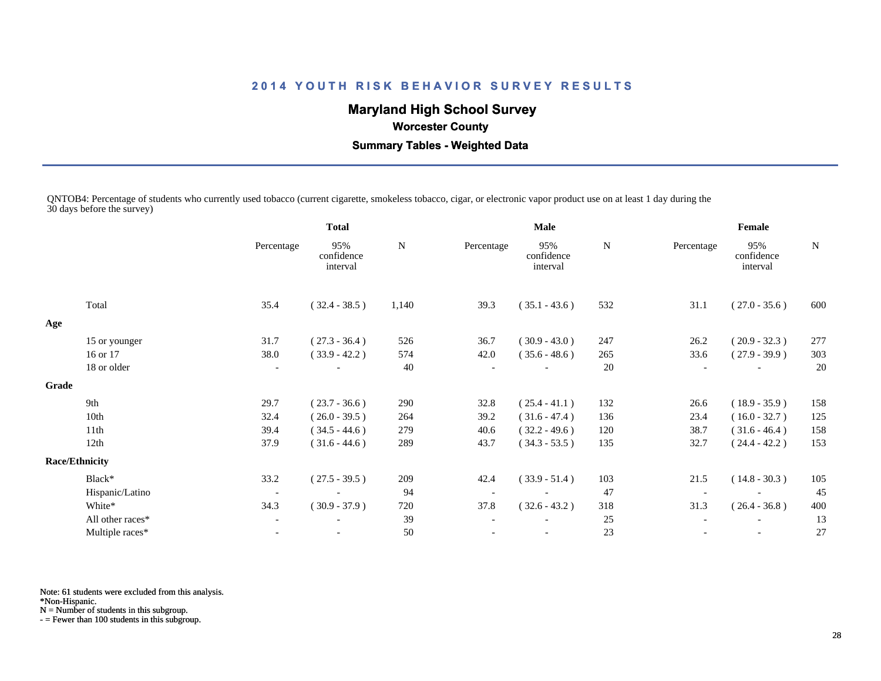# **Maryland High School Survey**

# **Worcester County**

 **Summary Tables - Weighted Data**

QNTOB4: Percentage of students who currently used tobacco (current cigarette, smokeless tobacco, cigar, or electronic vapor product use on at least 1 day during the 30 days before the survey)

|       |                       | <b>Total</b>             |                               |       |            | <b>Male</b>                   |     | Female     |                               |             |  |
|-------|-----------------------|--------------------------|-------------------------------|-------|------------|-------------------------------|-----|------------|-------------------------------|-------------|--|
|       |                       | Percentage               | 95%<br>confidence<br>interval | N     | Percentage | 95%<br>confidence<br>interval | N   | Percentage | 95%<br>confidence<br>interval | $\mathbf N$ |  |
|       | Total                 | 35.4                     | $(32.4 - 38.5)$               | 1,140 | 39.3       | $(35.1 - 43.6)$               | 532 | 31.1       | $(27.0 - 35.6)$               | 600         |  |
| Age   |                       |                          |                               |       |            |                               |     |            |                               |             |  |
|       | 15 or younger         | 31.7                     | $(27.3 - 36.4)$               | 526   | 36.7       | $(30.9 - 43.0)$               | 247 | 26.2       | $(20.9 - 32.3)$               | 277         |  |
|       | 16 or 17              | 38.0                     | $(33.9 - 42.2)$               | 574   | 42.0       | $(35.6 - 48.6)$               | 265 | 33.6       | $(27.9 - 39.9)$               | 303         |  |
|       | 18 or older           | $\overline{\phantom{a}}$ |                               | 40    |            |                               | 20  |            |                               | 20          |  |
| Grade |                       |                          |                               |       |            |                               |     |            |                               |             |  |
|       | 9th                   | 29.7                     | $(23.7 - 36.6)$               | 290   | 32.8       | $(25.4 - 41.1)$               | 132 | 26.6       | $(18.9 - 35.9)$               | 158         |  |
|       | 10th                  | 32.4                     | $(26.0 - 39.5)$               | 264   | 39.2       | $(31.6 - 47.4)$               | 136 | 23.4       | $(16.0 - 32.7)$               | 125         |  |
|       | 11th                  | 39.4                     | $(34.5 - 44.6)$               | 279   | 40.6       | $(32.2 - 49.6)$               | 120 | 38.7       | $(31.6 - 46.4)$               | 158         |  |
|       | 12th                  | 37.9                     | $(31.6 - 44.6)$               | 289   | 43.7       | $(34.3 - 53.5)$               | 135 | 32.7       | $(24.4 - 42.2)$               | 153         |  |
|       | <b>Race/Ethnicity</b> |                          |                               |       |            |                               |     |            |                               |             |  |
|       | Black*                | 33.2                     | $(27.5 - 39.5)$               | 209   | 42.4       | $(33.9 - 51.4)$               | 103 | 21.5       | $(14.8 - 30.3)$               | 105         |  |
|       | Hispanic/Latino       | $\overline{\phantom{a}}$ |                               | 94    |            |                               | 47  |            |                               | 45          |  |
|       | White*                | 34.3                     | $(30.9 - 37.9)$               | 720   | 37.8       | $(32.6 - 43.2)$               | 318 | 31.3       | $(26.4 - 36.8)$               | 400         |  |
|       | All other races*      | $\overline{\phantom{a}}$ |                               | 39    |            |                               | 25  |            |                               | 13          |  |
|       | Multiple races*       |                          | $\overline{\phantom{a}}$      | 50    |            | $\overline{\phantom{a}}$      | 23  |            | $\overline{\phantom{a}}$      | 27          |  |
|       |                       |                          |                               |       |            |                               |     |            |                               |             |  |

Note: 61 students were excluded from this analysis.

\*Non-Hispanic.

N = Number of students in this subgroup.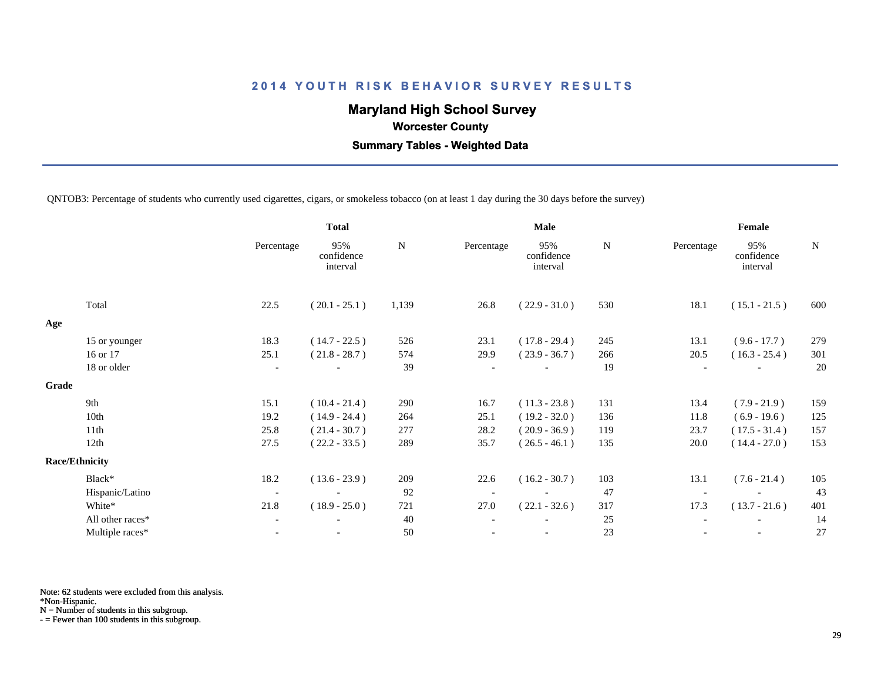# **Maryland High School Survey**

 **Worcester County**

 **Summary Tables - Weighted Data**

QNTOB3: Percentage of students who currently used cigarettes, cigars, or smokeless tobacco (on at least 1 day during the 30 days before the survey)

|       |                       | <b>Total</b>             |                               |       |            | Male                          |     | Female                   |                               |     |
|-------|-----------------------|--------------------------|-------------------------------|-------|------------|-------------------------------|-----|--------------------------|-------------------------------|-----|
|       |                       | Percentage               | 95%<br>confidence<br>interval | N     | Percentage | 95%<br>confidence<br>interval | N   | Percentage               | 95%<br>confidence<br>interval | N   |
|       | Total                 | 22.5                     | $(20.1 - 25.1)$               | 1,139 | 26.8       | $(22.9 - 31.0)$               | 530 | 18.1                     | $(15.1 - 21.5)$               | 600 |
| Age   |                       |                          |                               |       |            |                               |     |                          |                               |     |
|       | 15 or younger         | 18.3                     | $(14.7 - 22.5)$               | 526   | 23.1       | $(17.8 - 29.4)$               | 245 | 13.1                     | $(9.6 - 17.7)$                | 279 |
|       | 16 or 17              | 25.1                     | $(21.8 - 28.7)$               | 574   | 29.9       | $(23.9 - 36.7)$               | 266 | 20.5                     | $(16.3 - 25.4)$               | 301 |
|       | 18 or older           | $\overline{\phantom{a}}$ |                               | 39    |            | $\overline{\phantom{a}}$      | 19  | $\overline{\phantom{0}}$ |                               | 20  |
| Grade |                       |                          |                               |       |            |                               |     |                          |                               |     |
|       | 9th                   | 15.1                     | $(10.4 - 21.4)$               | 290   | 16.7       | $(11.3 - 23.8)$               | 131 | 13.4                     | $(7.9 - 21.9)$                | 159 |
|       | 10th                  | 19.2                     | $(14.9 - 24.4)$               | 264   | 25.1       | $(19.2 - 32.0)$               | 136 | 11.8                     | $(6.9 - 19.6)$                | 125 |
|       | 11th                  | 25.8                     | $(21.4 - 30.7)$               | 277   | 28.2       | $(20.9 - 36.9)$               | 119 | 23.7                     | $(17.5 - 31.4)$               | 157 |
|       | 12th                  | 27.5                     | $(22.2 - 33.5)$               | 289   | 35.7       | $(26.5 - 46.1)$               | 135 | 20.0                     | $(14.4 - 27.0)$               | 153 |
|       | <b>Race/Ethnicity</b> |                          |                               |       |            |                               |     |                          |                               |     |
|       | Black*                | 18.2                     | $(13.6 - 23.9)$               | 209   | 22.6       | $(16.2 - 30.7)$               | 103 | 13.1                     | $(7.6 - 21.4)$                | 105 |
|       | Hispanic/Latino       | $\overline{\phantom{a}}$ |                               | 92    |            | $\overline{\phantom{a}}$      | 47  |                          |                               | 43  |
|       | White*                | 21.8                     | $(18.9 - 25.0)$               | 721   | 27.0       | $(22.1 - 32.6)$               | 317 | 17.3                     | $(13.7 - 21.6)$               | 401 |
|       | All other races*      | $\overline{\phantom{a}}$ | $\overline{\phantom{0}}$      | 40    |            | $\qquad \qquad -$             | 25  |                          | $\overline{\phantom{a}}$      | 14  |
|       | Multiple races*       |                          |                               | 50    |            |                               | 23  |                          |                               | 27  |
|       |                       |                          |                               |       |            |                               |     |                          |                               |     |

Note: 62 students were excluded from this analysis.

\*Non-Hispanic.

N = Number of students in this subgroup.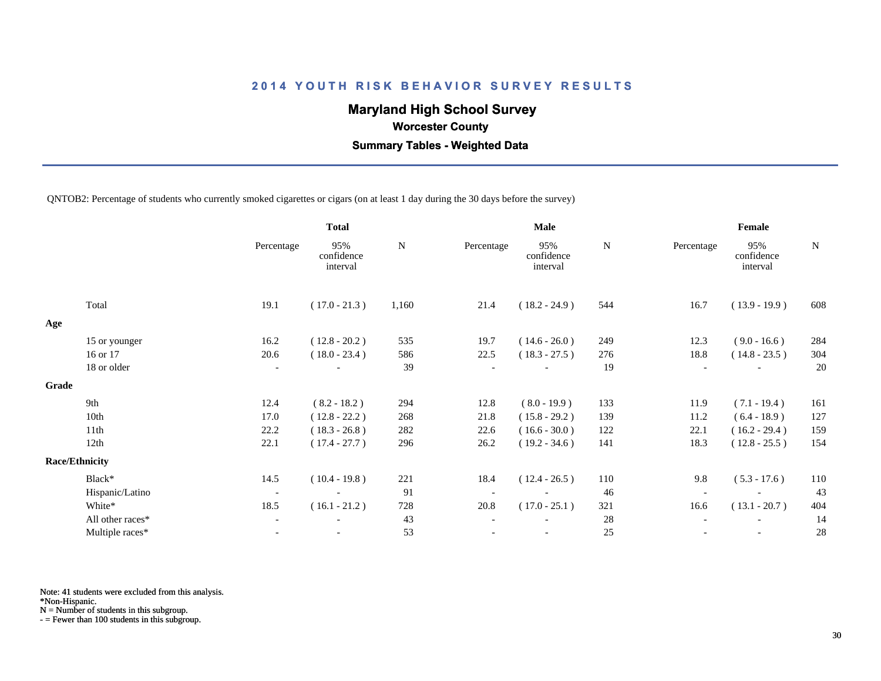# **Maryland High School Survey**

 **Worcester County**

 **Summary Tables - Weighted Data**

QNTOB2: Percentage of students who currently smoked cigarettes or cigars (on at least 1 day during the 30 days before the survey)

|       |                       |                          | <b>Total</b>                  |           |            | <b>Male</b>                   | Female    |                          |                               |             |
|-------|-----------------------|--------------------------|-------------------------------|-----------|------------|-------------------------------|-----------|--------------------------|-------------------------------|-------------|
|       |                       | Percentage               | 95%<br>confidence<br>interval | ${\bf N}$ | Percentage | 95%<br>confidence<br>interval | ${\bf N}$ | Percentage               | 95%<br>confidence<br>interval | $\mathbf N$ |
|       | Total                 | 19.1                     | $(17.0 - 21.3)$               | 1,160     | 21.4       | $(18.2 - 24.9)$               | 544       | 16.7                     | $(13.9 - 19.9)$               | 608         |
| Age   |                       |                          |                               |           |            |                               |           |                          |                               |             |
|       | 15 or younger         | 16.2                     | $(12.8 - 20.2)$               | 535       | 19.7       | $(14.6 - 26.0)$               | 249       | 12.3                     | $(9.0 - 16.6)$                | 284         |
|       | 16 or 17              | 20.6                     | $(18.0 - 23.4)$               | 586       | 22.5       | $(18.3 - 27.5)$               | 276       | 18.8                     | $(14.8 - 23.5)$               | 304         |
|       | 18 or older           | $\overline{\phantom{a}}$ |                               | 39        |            |                               | 19        |                          |                               | 20          |
| Grade |                       |                          |                               |           |            |                               |           |                          |                               |             |
|       | 9th                   | 12.4                     | $(8.2 - 18.2)$                | 294       | 12.8       | $(8.0 - 19.9)$                | 133       | 11.9                     | $(7.1 - 19.4)$                | 161         |
|       | 10th                  | 17.0                     | $(12.8 - 22.2)$               | 268       | 21.8       | $(15.8 - 29.2)$               | 139       | 11.2                     | $(6.4 - 18.9)$                | 127         |
|       | 11th                  | 22.2                     | $(18.3 - 26.8)$               | 282       | 22.6       | $(16.6 - 30.0)$               | 122       | 22.1                     | $(16.2 - 29.4)$               | 159         |
|       | 12th                  | 22.1                     | $(17.4 - 27.7)$               | 296       | 26.2       | $(19.2 - 34.6)$               | 141       | 18.3                     | $(12.8 - 25.5)$               | 154         |
|       | <b>Race/Ethnicity</b> |                          |                               |           |            |                               |           |                          |                               |             |
|       | Black*                | 14.5                     | $(10.4 - 19.8)$               | 221       | 18.4       | $(12.4 - 26.5)$               | 110       | 9.8                      | $(5.3 - 17.6)$                | 110         |
|       | Hispanic/Latino       | $\overline{\phantom{a}}$ | $\overline{\phantom{a}}$      | 91        |            | $\overline{\phantom{a}}$      | 46        | $\overline{\phantom{a}}$ |                               | 43          |
|       | White*                | 18.5                     | $(16.1 - 21.2)$               | 728       | 20.8       | $(17.0 - 25.1)$               | 321       | 16.6                     | $(13.1 - 20.7)$               | 404         |
|       | All other races*      | $\overline{\phantom{a}}$ |                               | 43        |            |                               | 28        |                          |                               | 14          |
|       | Multiple races*       | $\blacksquare$           |                               | 53        |            | $\overline{\phantom{a}}$      | 25        |                          | $\overline{\phantom{a}}$      | 28          |

Note: 41 students were excluded from this analysis.

\*Non-Hispanic.

N = Number of students in this subgroup.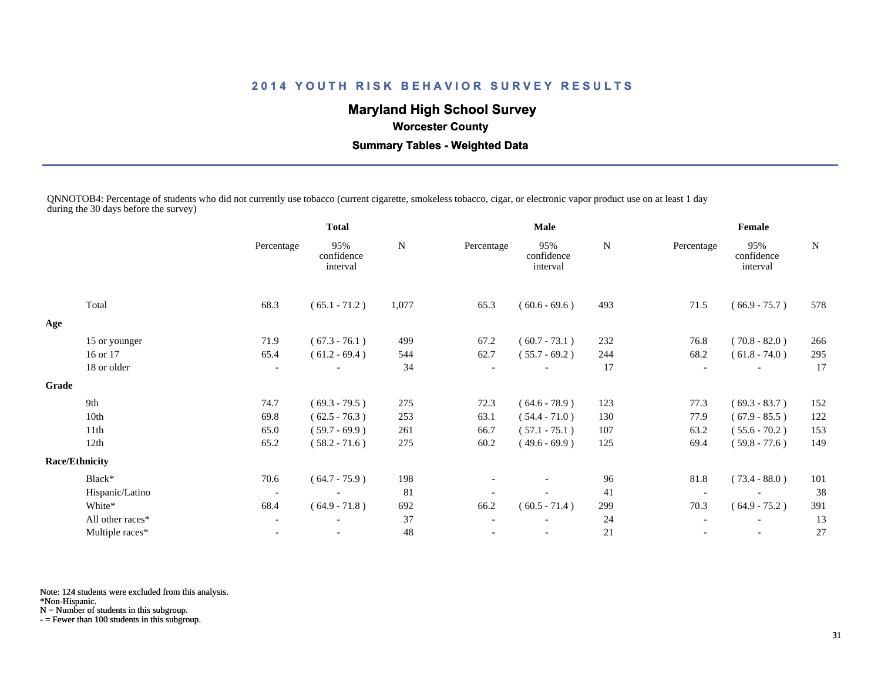# **Maryland High School Survey**

# **Worcester County**

 **Summary Tables - Weighted Data**

QNNOTOB4: Percentage of students who did not currently use tobacco (current cigarette, smokeless tobacco, cigar, or electronic vapor product use on at least 1 day during the 30 days before the survey)

|                  |                                        | <b>Total</b>                  |       |            |                               |             | Female                   |                               |             |  |
|------------------|----------------------------------------|-------------------------------|-------|------------|-------------------------------|-------------|--------------------------|-------------------------------|-------------|--|
|                  | Percentage                             | 95%<br>confidence<br>interval | N     | Percentage | 95%<br>confidence<br>interval | N           | Percentage               | 95%<br>confidence<br>interval | $\mathbf N$ |  |
| Total            | 68.3                                   | $(65.1 - 71.2)$               | 1,077 | 65.3       | $(60.6 - 69.6)$               | 493         | 71.5                     | $(66.9 - 75.7)$               | 578         |  |
|                  |                                        |                               |       |            |                               |             |                          |                               |             |  |
|                  | 71.9                                   | $(67.3 - 76.1)$               | 499   | 67.2       | $(60.7 - 73.1)$               | 232         | 76.8                     | $(70.8 - 82.0)$               | 266         |  |
| 16 or 17         | 65.4                                   | $(61.2 - 69.4)$               | 544   | 62.7       | $(55.7 - 69.2)$               | 244         | 68.2                     | $(61.8 - 74.0)$               | 295         |  |
| 18 or older      | $\blacksquare$                         |                               | 34    |            |                               | 17          |                          |                               | 17          |  |
|                  |                                        |                               |       |            |                               |             |                          |                               |             |  |
| 9th              | 74.7                                   | $(69.3 - 79.5)$               | 275   | 72.3       | $(64.6 - 78.9)$               | 123         | 77.3                     | $(69.3 - 83.7)$               | 152         |  |
| 10th             | 69.8                                   | $(62.5 - 76.3)$               | 253   | 63.1       | $(54.4 - 71.0)$               | 130         | 77.9                     | $(67.9 - 85.5)$               | 122         |  |
| 11th             | 65.0                                   | $(59.7 - 69.9)$               | 261   | 66.7       | $(57.1 - 75.1)$               | 107         | 63.2                     | $(55.6 - 70.2)$               | 153         |  |
| 12th             | 65.2                                   | $(58.2 - 71.6)$               | 275   | 60.2       | $(49.6 - 69.9)$               | 125         | 69.4                     | $(59.8 - 77.6)$               | 149         |  |
|                  |                                        |                               |       |            |                               |             |                          |                               |             |  |
| Black*           | 70.6                                   | $(64.7 - 75.9)$               | 198   |            |                               | 96          | 81.8                     | $(73.4 - 88.0)$               | 101         |  |
| Hispanic/Latino  | $\overline{\phantom{a}}$               |                               | 81    |            |                               | 41          |                          |                               | 38          |  |
| White*           | 68.4                                   | $(64.9 - 71.8)$               | 692   | 66.2       | $(60.5 - 71.4)$               | 299         | 70.3                     | $(64.9 - 75.2)$               | 391         |  |
| All other races* | $\overline{\phantom{a}}$               |                               | 37    |            |                               | 24          | $\overline{\phantom{a}}$ |                               | 13          |  |
| Multiple races*  |                                        |                               | 48    |            |                               | 21          |                          |                               | 27          |  |
| Grade            | 15 or younger<br><b>Race/Ethnicity</b> |                               |       |            |                               | <b>Male</b> |                          |                               |             |  |

Note: 124 students were excluded from this analysis.

\*Non-Hispanic.

N = Number of students in this subgroup.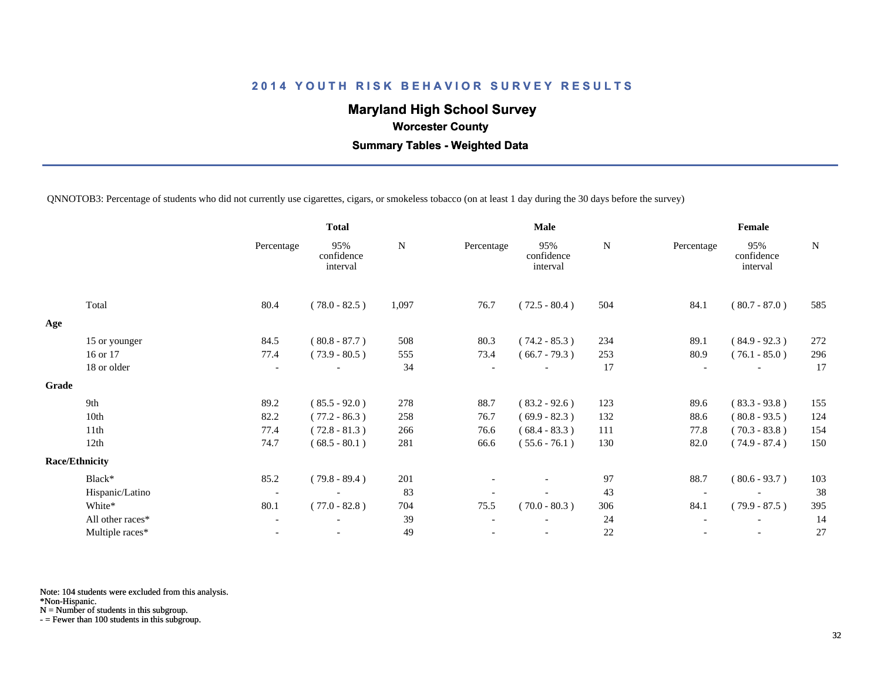# **Maryland High School Survey**

 **Worcester County**

 **Summary Tables - Weighted Data**

QNNOTOB3: Percentage of students who did not currently use cigarettes, cigars, or smokeless tobacco (on at least 1 day during the 30 days before the survey)

|       |                       | <b>Total</b>             |                               |           |            | <b>Male</b>                   |           | Female     |                               |             |  |
|-------|-----------------------|--------------------------|-------------------------------|-----------|------------|-------------------------------|-----------|------------|-------------------------------|-------------|--|
|       |                       | Percentage               | 95%<br>confidence<br>interval | ${\bf N}$ | Percentage | 95%<br>confidence<br>interval | ${\bf N}$ | Percentage | 95%<br>confidence<br>interval | $\mathbf N$ |  |
|       | Total                 | 80.4                     | $(78.0 - 82.5)$               | 1,097     | 76.7       | $(72.5 - 80.4)$               | 504       | 84.1       | $(80.7 - 87.0)$               | 585         |  |
| Age   |                       |                          |                               |           |            |                               |           |            |                               |             |  |
|       | 15 or younger         | 84.5                     | $(80.8 - 87.7)$               | 508       | 80.3       | $(74.2 - 85.3)$               | 234       | 89.1       | $(84.9 - 92.3)$               | 272         |  |
|       | 16 or 17              | 77.4                     | $(73.9 - 80.5)$               | 555       | 73.4       | $(66.7 - 79.3)$               | 253       | 80.9       | $(76.1 - 85.0)$               | 296         |  |
|       | 18 or older           | $\overline{\phantom{a}}$ |                               | 34        |            |                               | 17        |            |                               | 17          |  |
| Grade |                       |                          |                               |           |            |                               |           |            |                               |             |  |
|       | 9th                   | 89.2                     | $(85.5 - 92.0)$               | 278       | 88.7       | $(83.2 - 92.6)$               | 123       | 89.6       | $(83.3 - 93.8)$               | 155         |  |
|       | 10th                  | 82.2                     | $(77.2 - 86.3)$               | 258       | 76.7       | $(69.9 - 82.3)$               | 132       | 88.6       | $(80.8 - 93.5)$               | 124         |  |
|       | 11th                  | 77.4                     | $(72.8 - 81.3)$               | 266       | 76.6       | $(68.4 - 83.3)$               | 111       | 77.8       | $(70.3 - 83.8)$               | 154         |  |
|       | 12th                  | 74.7                     | $(68.5 - 80.1)$               | 281       | 66.6       | $(55.6 - 76.1)$               | 130       | 82.0       | $(74.9 - 87.4)$               | 150         |  |
|       | <b>Race/Ethnicity</b> |                          |                               |           |            |                               |           |            |                               |             |  |
|       | Black*                | 85.2                     | $(79.8 - 89.4)$               | 201       |            | $\overline{\phantom{a}}$      | 97        | 88.7       | $(80.6 - 93.7)$               | 103         |  |
|       | Hispanic/Latino       | $\overline{\phantom{a}}$ |                               | 83        |            |                               | 43        |            |                               | 38          |  |
|       | White*                | 80.1                     | $(77.0 - 82.8)$               | 704       | 75.5       | $(70.0 - 80.3)$               | 306       | 84.1       | $(79.9 - 87.5)$               | 395         |  |
|       | All other races*      | $\overline{\phantom{a}}$ |                               | 39        |            |                               | 24        |            |                               | 14          |  |
|       | Multiple races*       | $\overline{\phantom{a}}$ |                               | 49        |            |                               | 22        |            | $\overline{\phantom{a}}$      | 27          |  |
|       |                       |                          |                               |           |            |                               |           |            |                               |             |  |

Note: 104 students were excluded from this analysis.

\*Non-Hispanic.

N = Number of students in this subgroup.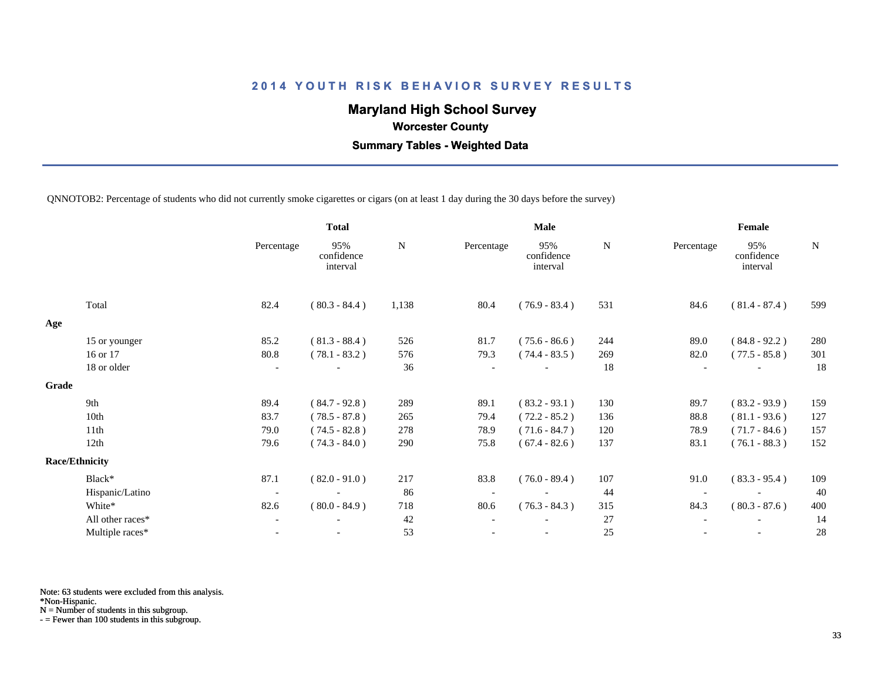# **Maryland High School Survey**

 **Worcester County**

 **Summary Tables - Weighted Data**

QNNOTOB2: Percentage of students who did not currently smoke cigarettes or cigars (on at least 1 day during the 30 days before the survey)

|       |                       |                          | <b>Total</b>                  | <b>Male</b> |            |                               |             | Female     |                               |     |  |
|-------|-----------------------|--------------------------|-------------------------------|-------------|------------|-------------------------------|-------------|------------|-------------------------------|-----|--|
|       |                       | Percentage               | 95%<br>confidence<br>interval | N           | Percentage | 95%<br>confidence<br>interval | $\mathbf N$ | Percentage | 95%<br>confidence<br>interval | N   |  |
|       | Total                 | 82.4                     | $(80.3 - 84.4)$               | 1,138       | 80.4       | $(76.9 - 83.4)$               | 531         | 84.6       | $(81.4 - 87.4)$               | 599 |  |
| Age   |                       |                          |                               |             |            |                               |             |            |                               |     |  |
|       | 15 or younger         | 85.2                     | $(81.3 - 88.4)$               | 526         | 81.7       | $(75.6 - 86.6)$               | 244         | 89.0       | $(84.8 - 92.2)$               | 280 |  |
|       | 16 or 17              | 80.8                     | $(78.1 - 83.2)$               | 576         | 79.3       | $(74.4 - 83.5)$               | 269         | 82.0       | $(77.5 - 85.8)$               | 301 |  |
|       | 18 or older           | $\overline{\phantom{a}}$ |                               | 36          |            |                               | 18          |            |                               | 18  |  |
| Grade |                       |                          |                               |             |            |                               |             |            |                               |     |  |
|       | 9th                   | 89.4                     | $(84.7 - 92.8)$               | 289         | 89.1       | $(83.2 - 93.1)$               | 130         | 89.7       | $(83.2 - 93.9)$               | 159 |  |
|       | 10th                  | 83.7                     | $(78.5 - 87.8)$               | 265         | 79.4       | $(72.2 - 85.2)$               | 136         | 88.8       | $(81.1 - 93.6)$               | 127 |  |
|       | 11th                  | 79.0                     | $(74.5 - 82.8)$               | 278         | 78.9       | $(71.6 - 84.7)$               | 120         | 78.9       | $(71.7 - 84.6)$               | 157 |  |
|       | 12th                  | 79.6                     | $(74.3 - 84.0)$               | 290         | 75.8       | $(67.4 - 82.6)$               | 137         | 83.1       | $(76.1 - 88.3)$               | 152 |  |
|       | <b>Race/Ethnicity</b> |                          |                               |             |            |                               |             |            |                               |     |  |
|       | Black*                | 87.1                     | $(82.0 - 91.0)$               | 217         | 83.8       | $(76.0 - 89.4)$               | 107         | 91.0       | $(83.3 - 95.4)$               | 109 |  |
|       | Hispanic/Latino       | $\overline{\phantom{a}}$ |                               | 86          |            |                               | 44          |            |                               | 40  |  |
|       | White*                | 82.6                     | $(80.0 - 84.9)$               | 718         | 80.6       | $(76.3 - 84.3)$               | 315         | 84.3       | $(80.3 - 87.6)$               | 400 |  |
|       | All other races*      | $\overline{\phantom{a}}$ |                               | 42          |            |                               | 27          |            |                               | 14  |  |
|       | Multiple races*       | $\overline{\phantom{a}}$ |                               | 53          |            | $\overline{\phantom{a}}$      | 25          |            | $\overline{\phantom{a}}$      | 28  |  |
|       |                       |                          |                               |             |            |                               |             |            |                               |     |  |

Note: 63 students were excluded from this analysis.

\*Non-Hispanic.

N = Number of students in this subgroup.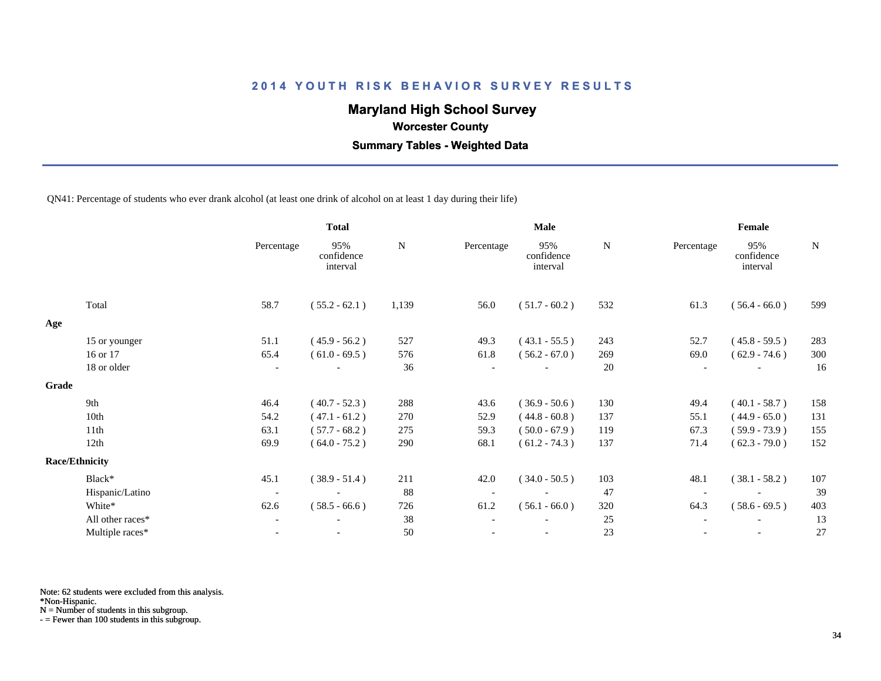# **Maryland High School Survey**

 **Worcester County**

 **Summary Tables - Weighted Data**

QN41: Percentage of students who ever drank alcohol (at least one drink of alcohol on at least 1 day during their life)

|                  |                                | <b>Total</b>                  |       | Male       |                               |     |            | Female                        |     |  |  |
|------------------|--------------------------------|-------------------------------|-------|------------|-------------------------------|-----|------------|-------------------------------|-----|--|--|
|                  | Percentage                     | 95%<br>confidence<br>interval | N     | Percentage | 95%<br>confidence<br>interval | N   | Percentage | 95%<br>confidence<br>interval | N   |  |  |
| Total            | 58.7                           | $(55.2 - 62.1)$               | 1,139 | 56.0       | $(51.7 - 60.2)$               | 532 | 61.3       | $(56.4 - 66.0)$               | 599 |  |  |
|                  |                                |                               |       |            |                               |     |            |                               |     |  |  |
| 15 or younger    | 51.1                           | $(45.9 - 56.2)$               | 527   | 49.3       | $(43.1 - 55.5)$               | 243 | 52.7       | $(45.8 - 59.5)$               | 283 |  |  |
| 16 or 17         | 65.4                           | $(61.0 - 69.5)$               | 576   | 61.8       | $(56.2 - 67.0)$               | 269 | 69.0       | $(62.9 - 74.6)$               | 300 |  |  |
| 18 or older      | $\overline{\phantom{a}}$       |                               | 36    |            |                               | 20  |            |                               | 16  |  |  |
|                  |                                |                               |       |            |                               |     |            |                               |     |  |  |
| 9th              | 46.4                           | $(40.7 - 52.3)$               | 288   | 43.6       | $(36.9 - 50.6)$               | 130 | 49.4       | $(40.1 - 58.7)$               | 158 |  |  |
| 10th             | 54.2                           | $(47.1 - 61.2)$               | 270   | 52.9       | $(44.8 - 60.8)$               | 137 | 55.1       | $(44.9 - 65.0)$               | 131 |  |  |
| 11th             | 63.1                           | $(57.7 - 68.2)$               | 275   | 59.3       | $(50.0 - 67.9)$               | 119 | 67.3       | $(59.9 - 73.9)$               | 155 |  |  |
| 12th             | 69.9                           | $(64.0 - 75.2)$               | 290   | 68.1       | $(61.2 - 74.3)$               | 137 | 71.4       | $(62.3 - 79.0)$               | 152 |  |  |
|                  |                                |                               |       |            |                               |     |            |                               |     |  |  |
| Black*           | 45.1                           | $(38.9 - 51.4)$               | 211   | 42.0       | $(34.0 - 50.5)$               | 103 | 48.1       | $(38.1 - 58.2)$               | 107 |  |  |
| Hispanic/Latino  | $\overline{\phantom{a}}$       |                               | 88    |            |                               | 47  |            |                               | 39  |  |  |
| White*           | 62.6                           | $(58.5 - 66.6)$               | 726   | 61.2       | $(56.1 - 66.0)$               | 320 | 64.3       | $(58.6 - 69.5)$               | 403 |  |  |
| All other races* | $\overline{\phantom{a}}$       | $\overline{\phantom{a}}$      | 38    |            |                               | 25  |            | $\overline{\phantom{a}}$      | 13  |  |  |
| Multiple races*  |                                |                               | 50    |            |                               | 23  |            |                               | 27  |  |  |
|                  | Grade<br><b>Race/Ethnicity</b> |                               |       |            |                               |     |            |                               |     |  |  |

Note: 62 students were excluded from this analysis.

\*Non-Hispanic.

N = Number of students in this subgroup.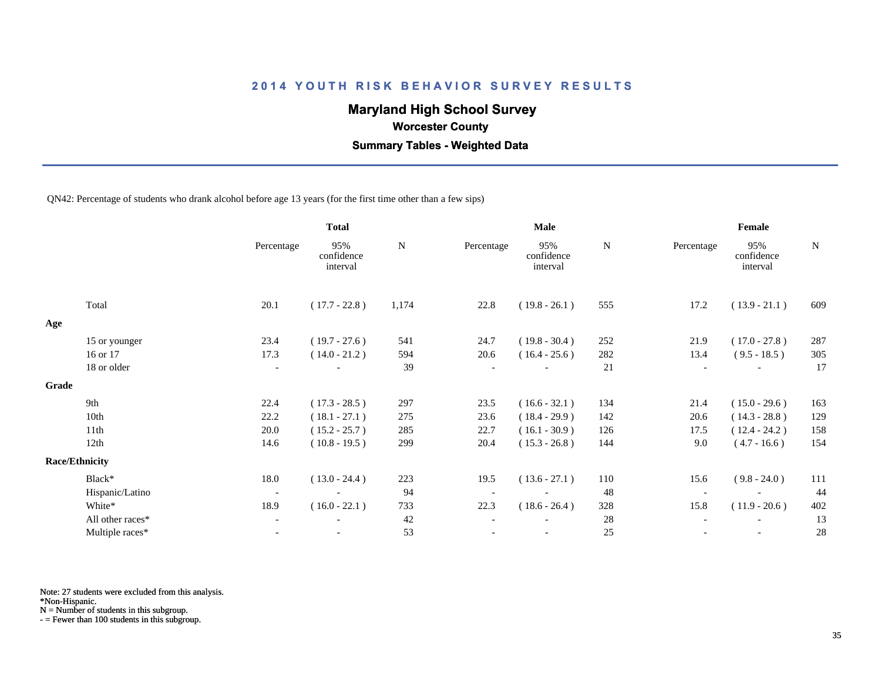# **Maryland High School Survey**

 **Worcester County**

 **Summary Tables - Weighted Data**

QN42: Percentage of students who drank alcohol before age 13 years (for the first time other than a few sips)

|       |                       |                          | <b>Total</b>                  |           |                          | <b>Male</b>                   | Female    |            |                               |             |
|-------|-----------------------|--------------------------|-------------------------------|-----------|--------------------------|-------------------------------|-----------|------------|-------------------------------|-------------|
|       |                       | Percentage               | 95%<br>confidence<br>interval | ${\bf N}$ | Percentage               | 95%<br>confidence<br>interval | ${\bf N}$ | Percentage | 95%<br>confidence<br>interval | $\mathbf N$ |
|       | Total                 | 20.1                     | $(17.7 - 22.8)$               | 1,174     | 22.8                     | $(19.8 - 26.1)$               | 555       | 17.2       | $(13.9 - 21.1)$               | 609         |
| Age   |                       |                          |                               |           |                          |                               |           |            |                               |             |
|       | 15 or younger         | 23.4                     | $(19.7 - 27.6)$               | 541       | 24.7                     | $(19.8 - 30.4)$               | 252       | 21.9       | $(17.0 - 27.8)$               | 287         |
|       | 16 or 17              | 17.3                     | $(14.0 - 21.2)$               | 594       | 20.6                     | $(16.4 - 25.6)$               | 282       | 13.4       | $(9.5 - 18.5)$                | 305         |
|       | 18 or older           | $\overline{\phantom{a}}$ |                               | 39        |                          |                               | 21        |            |                               | 17          |
| Grade |                       |                          |                               |           |                          |                               |           |            |                               |             |
|       | 9th                   | 22.4                     | $(17.3 - 28.5)$               | 297       | 23.5                     | $(16.6 - 32.1)$               | 134       | 21.4       | $(15.0 - 29.6)$               | 163         |
|       | 10th                  | 22.2                     | $(18.1 - 27.1)$               | 275       | 23.6                     | $(18.4 - 29.9)$               | 142       | 20.6       | $(14.3 - 28.8)$               | 129         |
|       | 11th                  | 20.0                     | $(15.2 - 25.7)$               | 285       | 22.7                     | $(16.1 - 30.9)$               | 126       | 17.5       | $(12.4 - 24.2)$               | 158         |
|       | 12th                  | 14.6                     | $(10.8 - 19.5)$               | 299       | 20.4                     | $(15.3 - 26.8)$               | 144       | 9.0        | $(4.7 - 16.6)$                | 154         |
|       | <b>Race/Ethnicity</b> |                          |                               |           |                          |                               |           |            |                               |             |
|       | Black*                | 18.0                     | $(13.0 - 24.4)$               | 223       | 19.5                     | $(13.6 - 27.1)$               | 110       | 15.6       | $(9.8 - 24.0)$                | 111         |
|       | Hispanic/Latino       | $\overline{\phantom{a}}$ | $\overline{\phantom{a}}$      | 94        | $\overline{\phantom{a}}$ | $\overline{\phantom{a}}$      | 48        |            |                               | 44          |
|       | White*                | 18.9                     | $(16.0 - 22.1)$               | 733       | 22.3                     | $(18.6 - 26.4)$               | 328       | 15.8       | $(11.9 - 20.6)$               | 402         |
|       | All other races*      | $\overline{\phantom{a}}$ |                               | 42        |                          |                               | 28        |            |                               | 13          |
|       | Multiple races*       | $\blacksquare$           |                               | 53        |                          | $\overline{\phantom{a}}$      | 25        |            | $\overline{\phantom{a}}$      | 28          |

Note: 27 students were excluded from this analysis.

\*Non-Hispanic.

N = Number of students in this subgroup.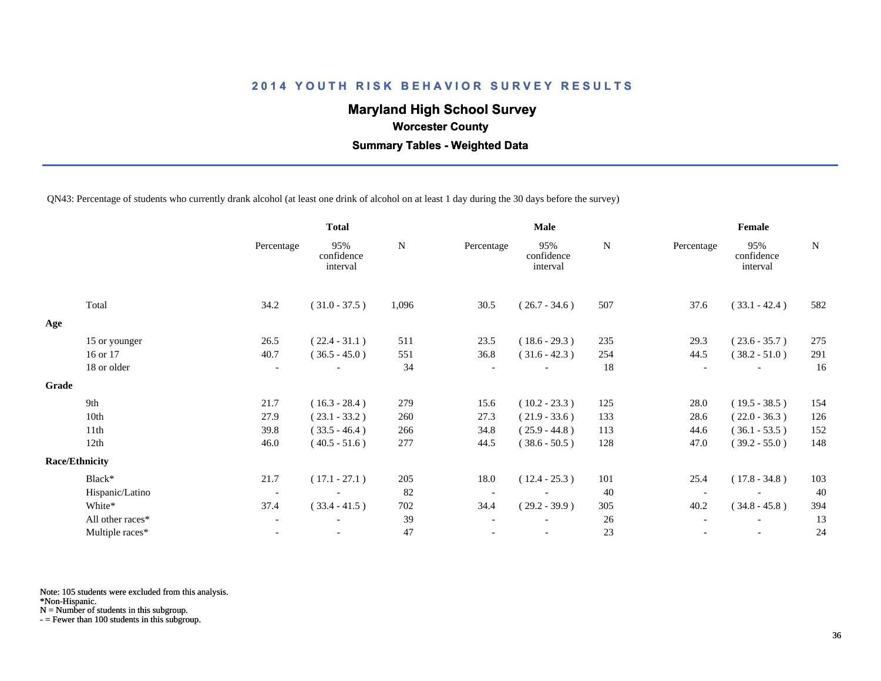# **Maryland High School Survey**

 **Worcester County**

 **Summary Tables - Weighted Data**

QN43: Percentage of students who currently drank alcohol (at least one drink of alcohol on at least 1 day during the 30 days before the survey)

|       |                       |                          | <b>Total</b>                  |       |                          | Male                          |     | Female     |                               |             |
|-------|-----------------------|--------------------------|-------------------------------|-------|--------------------------|-------------------------------|-----|------------|-------------------------------|-------------|
|       |                       | Percentage               | 95%<br>confidence<br>interval | N     | Percentage               | 95%<br>confidence<br>interval | N   | Percentage | 95%<br>confidence<br>interval | $\mathbf N$ |
|       | Total                 | 34.2                     | $(31.0 - 37.5)$               | 1,096 | 30.5                     | $(26.7 - 34.6)$               | 507 | 37.6       | $(33.1 - 42.4)$               | 582         |
| Age   |                       |                          |                               |       |                          |                               |     |            |                               |             |
|       | 15 or younger         | 26.5                     | $(22.4 - 31.1)$               | 511   | 23.5                     | $(18.6 - 29.3)$               | 235 | 29.3       | $(23.6 - 35.7)$               | 275         |
|       | 16 or 17              | 40.7                     | $(36.5 - 45.0)$               | 551   | 36.8                     | $(31.6 - 42.3)$               | 254 | 44.5       | $(38.2 - 51.0)$               | 291         |
|       | 18 or older           | $\overline{\phantom{a}}$ |                               | 34    |                          |                               | 18  |            |                               | 16          |
| Grade |                       |                          |                               |       |                          |                               |     |            |                               |             |
|       | 9th                   | 21.7                     | $(16.3 - 28.4)$               | 279   | 15.6                     | $(10.2 - 23.3)$               | 125 | 28.0       | $(19.5 - 38.5)$               | 154         |
|       | 10th                  | 27.9                     | $(23.1 - 33.2)$               | 260   | 27.3                     | $(21.9 - 33.6)$               | 133 | 28.6       | $(22.0 - 36.3)$               | 126         |
|       | 11th                  | 39.8                     | $(33.5 - 46.4)$               | 266   | 34.8                     | $(25.9 - 44.8)$               | 113 | 44.6       | $(36.1 - 53.5)$               | 152         |
|       | 12th                  | 46.0                     | $(40.5 - 51.6)$               | 277   | 44.5                     | $(38.6 - 50.5)$               | 128 | 47.0       | $(39.2 - 55.0)$               | 148         |
|       | <b>Race/Ethnicity</b> |                          |                               |       |                          |                               |     |            |                               |             |
|       | Black*                | 21.7                     | $(17.1 - 27.1)$               | 205   | 18.0                     | $(12.4 - 25.3)$               | 101 | 25.4       | $(17.8 - 34.8)$               | 103         |
|       | Hispanic/Latino       | $\overline{\phantom{a}}$ |                               | 82    | $\overline{\phantom{a}}$ |                               | 40  |            |                               | 40          |
|       | White*                | 37.4                     | $(33.4 - 41.5)$               | 702   | 34.4                     | $(29.2 - 39.9)$               | 305 | 40.2       | $(34.8 - 45.8)$               | 394         |
|       | All other races*      | $\overline{\phantom{a}}$ | $\overline{\phantom{a}}$      | 39    | $\overline{\phantom{a}}$ |                               | 26  |            | $\overline{\phantom{a}}$      | 13          |
|       | Multiple races*       |                          |                               | 47    |                          |                               | 23  |            |                               | 24          |

Note: 105 students were excluded from this analysis.

\*Non-Hispanic.

N = Number of students in this subgroup.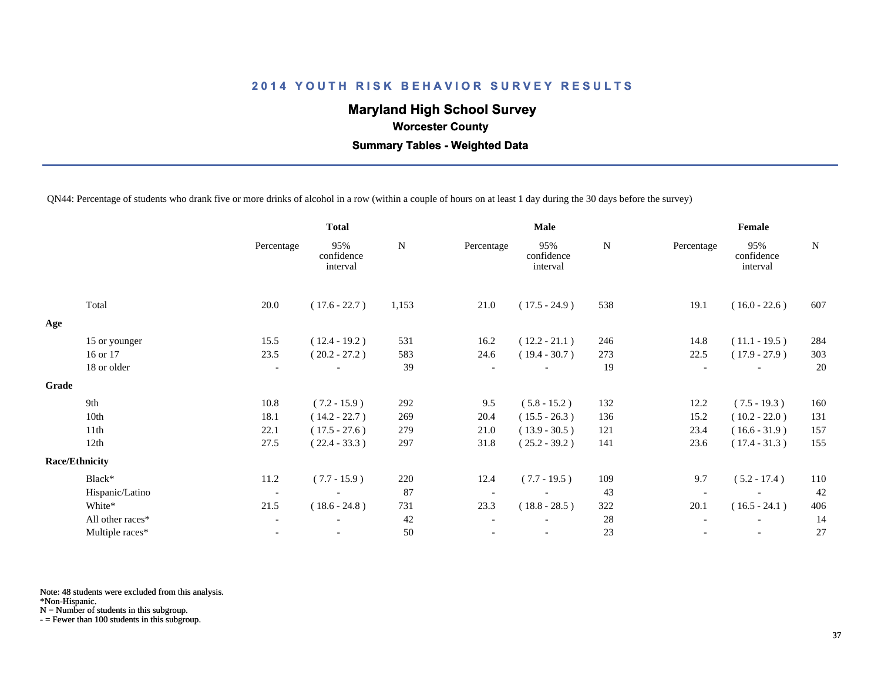## **Maryland High School Survey**

 **Worcester County**

 **Summary Tables - Weighted Data**

QN44: Percentage of students who drank five or more drinks of alcohol in a row (within a couple of hours on at least 1 day during the 30 days before the survey)

|       |                       | <b>Total</b>             |                               | <b>Male</b> |            |                               |           | Female     |                               |             |
|-------|-----------------------|--------------------------|-------------------------------|-------------|------------|-------------------------------|-----------|------------|-------------------------------|-------------|
|       |                       | Percentage               | 95%<br>confidence<br>interval | ${\bf N}$   | Percentage | 95%<br>confidence<br>interval | ${\bf N}$ | Percentage | 95%<br>confidence<br>interval | $\mathbf N$ |
|       | Total                 | 20.0                     | $(17.6 - 22.7)$               | 1,153       | 21.0       | $(17.5 - 24.9)$               | 538       | 19.1       | $(16.0 - 22.6)$               | 607         |
| Age   |                       |                          |                               |             |            |                               |           |            |                               |             |
|       | 15 or younger         | 15.5                     | $(12.4 - 19.2)$               | 531         | 16.2       | $(12.2 - 21.1)$               | 246       | 14.8       | $(11.1 - 19.5)$               | 284         |
|       | 16 or 17              | 23.5                     | $(20.2 - 27.2)$               | 583         | 24.6       | $(19.4 - 30.7)$               | 273       | 22.5       | $(17.9 - 27.9)$               | 303         |
|       | 18 or older           | $\overline{\phantom{a}}$ |                               | 39          |            |                               | 19        |            |                               | 20          |
| Grade |                       |                          |                               |             |            |                               |           |            |                               |             |
|       | 9th                   | 10.8                     | $(7.2 - 15.9)$                | 292         | 9.5        | $(5.8 - 15.2)$                | 132       | 12.2       | $(7.5 - 19.3)$                | 160         |
|       | 10th                  | 18.1                     | $(14.2 - 22.7)$               | 269         | 20.4       | $(15.5 - 26.3)$               | 136       | 15.2       | $(10.2 - 22.0)$               | 131         |
|       | 11th                  | 22.1                     | $(17.5 - 27.6)$               | 279         | 21.0       | $(13.9 - 30.5)$               | 121       | 23.4       | $(16.6 - 31.9)$               | 157         |
|       | 12th                  | 27.5                     | $(22.4 - 33.3)$               | 297         | 31.8       | $(25.2 - 39.2)$               | 141       | 23.6       | $(17.4 - 31.3)$               | 155         |
|       | <b>Race/Ethnicity</b> |                          |                               |             |            |                               |           |            |                               |             |
|       | Black*                | 11.2                     | $(7.7 - 15.9)$                | 220         | 12.4       | $(7.7 - 19.5)$                | 109       | 9.7        | $(5.2 - 17.4)$                | 110         |
|       | Hispanic/Latino       | $\overline{\phantom{a}}$ |                               | 87          |            |                               | 43        |            |                               | 42          |
|       | White*                | 21.5                     | $(18.6 - 24.8)$               | 731         | 23.3       | $(18.8 - 28.5)$               | 322       | 20.1       | $(16.5 - 24.1)$               | 406         |
|       | All other races*      | $\overline{\phantom{a}}$ |                               | 42          |            |                               | 28        |            |                               | 14          |
|       | Multiple races*       | $\overline{\phantom{a}}$ |                               | 50          |            | $\overline{\phantom{a}}$      | 23        |            | $\overline{\phantom{a}}$      | 27          |
|       |                       |                          |                               |             |            |                               |           |            |                               |             |

Note: 48 students were excluded from this analysis.

\*Non-Hispanic.

N = Number of students in this subgroup.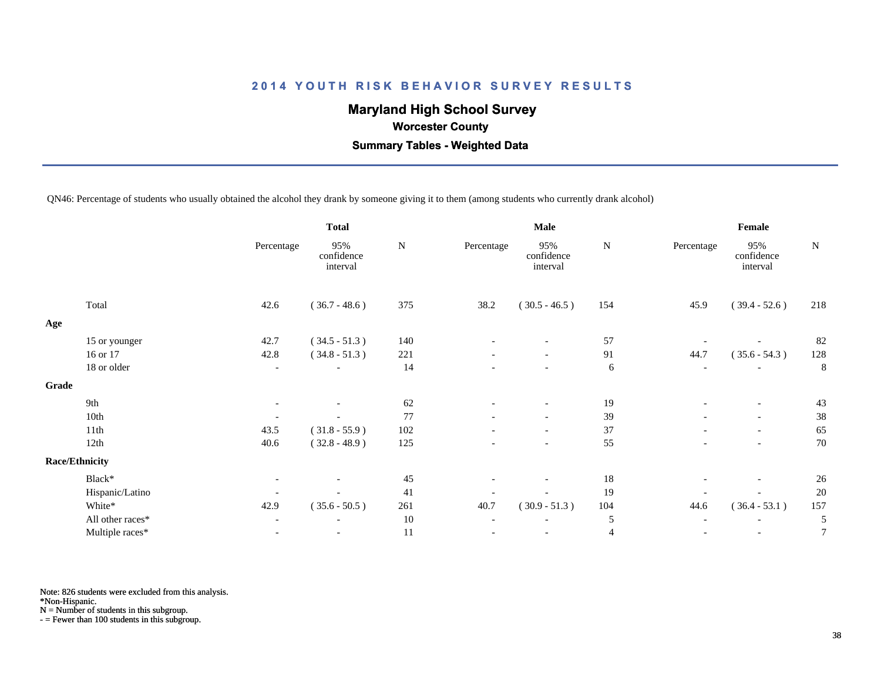## **Maryland High School Survey**

 **Worcester County**

 **Summary Tables - Weighted Data**

QN46: Percentage of students who usually obtained the alcohol they drank by someone giving it to them (among students who currently drank alcohol)

|       |                       | <b>Total</b>             |                               | <b>Male</b> |                          |                               |                | Female                   |                               |                  |
|-------|-----------------------|--------------------------|-------------------------------|-------------|--------------------------|-------------------------------|----------------|--------------------------|-------------------------------|------------------|
|       |                       | Percentage               | 95%<br>confidence<br>interval | ${\bf N}$   | Percentage               | 95%<br>confidence<br>interval | ${\bf N}$      | Percentage               | 95%<br>confidence<br>interval | ${\bf N}$        |
|       | Total                 | 42.6                     | $(36.7 - 48.6)$               | 375         | 38.2                     | $(30.5 - 46.5)$               | 154            | 45.9                     | $(39.4 - 52.6)$               | 218              |
| Age   |                       |                          |                               |             |                          |                               |                |                          |                               |                  |
|       | 15 or younger         | 42.7                     | $(34.5 - 51.3)$               | 140         |                          |                               | 57             |                          |                               | 82               |
|       | 16 or 17              | 42.8                     | $(34.8 - 51.3)$               | 221         | $\overline{\phantom{a}}$ | $\overline{\phantom{a}}$      | 91             | 44.7                     | $(35.6 - 54.3)$               | 128              |
|       | 18 or older           | $\overline{\phantom{a}}$ |                               | 14          |                          | $\overline{\phantom{a}}$      | 6              | $\overline{\phantom{a}}$ |                               | 8                |
| Grade |                       |                          |                               |             |                          |                               |                |                          |                               |                  |
|       | 9th                   | $\overline{\phantom{a}}$ |                               | 62          | $\overline{\phantom{a}}$ | $-$                           | 19             | $\overline{\phantom{a}}$ | $\overline{\phantom{a}}$      | 43               |
|       | 10th                  | $\overline{\phantom{a}}$ |                               | 77          | $\overline{\phantom{0}}$ | $\overline{\phantom{0}}$      | 39             | $\overline{\phantom{0}}$ | $\overline{\phantom{0}}$      | 38               |
|       | 11th                  | 43.5                     | $(31.8 - 55.9)$               | 102         |                          | $\overline{\phantom{a}}$      | 37             |                          | $\overline{\phantom{a}}$      | 65               |
|       | 12th                  | 40.6                     | $(32.8 - 48.9)$               | 125         |                          | $\overline{\phantom{a}}$      | 55             |                          | $\overline{\phantom{a}}$      | 70               |
|       | <b>Race/Ethnicity</b> |                          |                               |             |                          |                               |                |                          |                               |                  |
|       | Black*                | $\overline{\phantom{a}}$ |                               | 45          |                          | $\overline{\phantom{a}}$      | 18             |                          | $\overline{\phantom{a}}$      | 26               |
|       | Hispanic/Latino       | $\overline{\phantom{a}}$ |                               | 41          |                          |                               | 19             |                          |                               | 20               |
|       | White*                | 42.9                     | $(35.6 - 50.5)$               | 261         | 40.7                     | $(30.9 - 51.3)$               | 104            | 44.6                     | $(36.4 - 53.1)$               | 157              |
|       | All other races*      | $\blacksquare$           | $\overline{\phantom{a}}$      | $10\,$      | $\overline{\phantom{a}}$ | $\overline{\phantom{a}}$      | 5              | $\overline{\phantom{a}}$ | $\overline{\phantom{a}}$      | 5                |
|       | Multiple races*       | $\overline{\phantom{a}}$ |                               | 11          |                          | $\overline{\phantom{a}}$      | $\overline{4}$ |                          | $\overline{\phantom{a}}$      | $\boldsymbol{7}$ |
|       |                       |                          |                               |             |                          |                               |                |                          |                               |                  |

Note: 826 students were excluded from this analysis.

\*Non-Hispanic.

N = Number of students in this subgroup.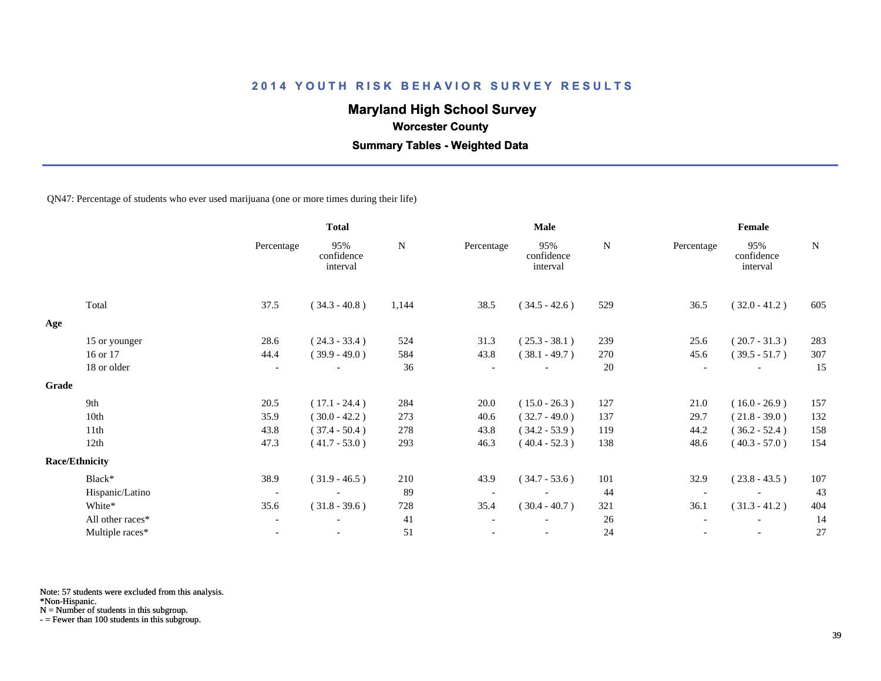## **Maryland High School Survey**

 **Worcester County**

 **Summary Tables - Weighted Data**

QN47: Percentage of students who ever used marijuana (one or more times during their life)

|       |                       |                          | <b>Total</b>                  |           |                          | <b>Male</b>                   |           | Female     |                               |             |
|-------|-----------------------|--------------------------|-------------------------------|-----------|--------------------------|-------------------------------|-----------|------------|-------------------------------|-------------|
|       |                       | Percentage               | 95%<br>confidence<br>interval | ${\bf N}$ | Percentage               | 95%<br>confidence<br>interval | ${\bf N}$ | Percentage | 95%<br>confidence<br>interval | $\mathbf N$ |
|       | Total                 | 37.5                     | $(34.3 - 40.8)$               | 1,144     | 38.5                     | $(34.5 - 42.6)$               | 529       | 36.5       | $(32.0 - 41.2)$               | 605         |
| Age   |                       |                          |                               |           |                          |                               |           |            |                               |             |
|       | 15 or younger         | 28.6                     | $(24.3 - 33.4)$               | 524       | 31.3                     | $(25.3 - 38.1)$               | 239       | 25.6       | $(20.7 - 31.3)$               | 283         |
|       | 16 or 17              | 44.4                     | $(39.9 - 49.0)$               | 584       | 43.8                     | $(38.1 - 49.7)$               | 270       | 45.6       | $(39.5 - 51.7)$               | 307         |
|       | 18 or older           | $\overline{\phantom{a}}$ |                               | 36        |                          |                               | 20        |            | $\overline{\phantom{a}}$      | 15          |
| Grade |                       |                          |                               |           |                          |                               |           |            |                               |             |
|       | 9th                   | 20.5                     | $(17.1 - 24.4)$               | 284       | 20.0                     | $(15.0 - 26.3)$               | 127       | 21.0       | $(16.0 - 26.9)$               | 157         |
|       | 10th                  | 35.9                     | $(30.0 - 42.2)$               | 273       | 40.6                     | $(32.7 - 49.0)$               | 137       | 29.7       | $(21.8 - 39.0)$               | 132         |
|       | 11th                  | 43.8                     | $(37.4 - 50.4)$               | 278       | 43.8                     | $(34.2 - 53.9)$               | 119       | 44.2       | $(36.2 - 52.4)$               | 158         |
|       | 12th                  | 47.3                     | $(41.7 - 53.0)$               | 293       | 46.3                     | $(40.4 - 52.3)$               | 138       | 48.6       | $(40.3 - 57.0)$               | 154         |
|       | <b>Race/Ethnicity</b> |                          |                               |           |                          |                               |           |            |                               |             |
|       | Black*                | 38.9                     | $(31.9 - 46.5)$               | 210       | 43.9                     | $(34.7 - 53.6)$               | 101       | 32.9       | $(23.8 - 43.5)$               | 107         |
|       | Hispanic/Latino       | $\overline{\phantom{a}}$ | $\overline{\phantom{a}}$      | 89        | $\overline{\phantom{a}}$ | $\overline{\phantom{a}}$      | 44        |            | $\overline{\phantom{a}}$      | 43          |
|       | White*                | 35.6                     | $(31.8 - 39.6)$               | 728       | 35.4                     | $(30.4 - 40.7)$               | 321       | 36.1       | $(31.3 - 41.2)$               | 404         |
|       | All other races*      | $\overline{\phantom{a}}$ |                               | 41        |                          |                               | 26        |            |                               | 14          |
|       | Multiple races*       | $\blacksquare$           |                               | 51        |                          | $\overline{\phantom{a}}$      | 24        |            | $\overline{\phantom{a}}$      | 27          |

Note: 57 students were excluded from this analysis.

\*Non-Hispanic.

N = Number of students in this subgroup.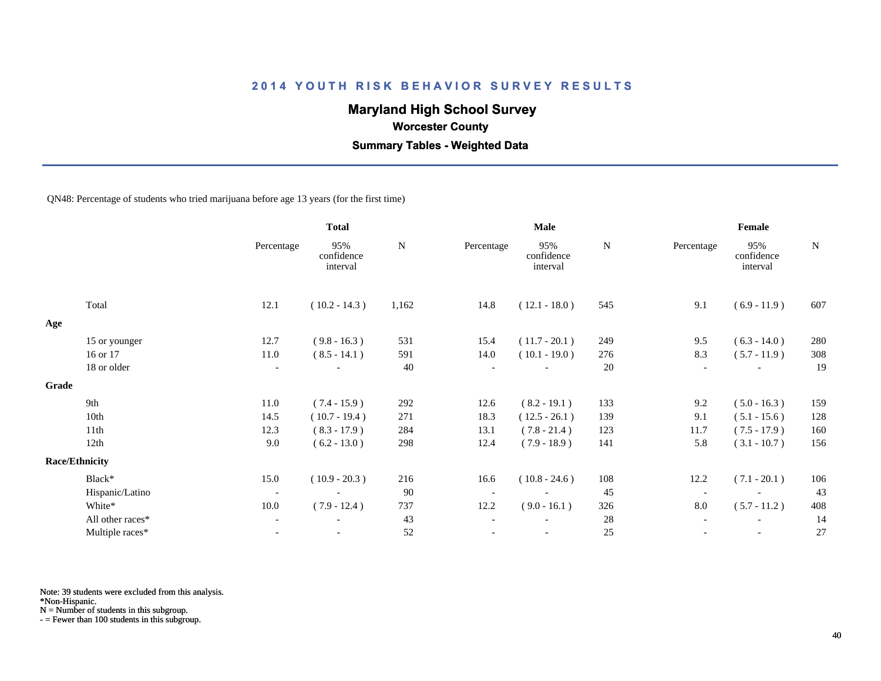## **Maryland High School Survey**

 **Worcester County**

 **Summary Tables - Weighted Data**

QN48: Percentage of students who tried marijuana before age 13 years (for the first time)

|       |                       |                          | <b>Total</b>                  |             |                          | Male                          |     | Female     |                               |             |  |
|-------|-----------------------|--------------------------|-------------------------------|-------------|--------------------------|-------------------------------|-----|------------|-------------------------------|-------------|--|
|       |                       | Percentage               | 95%<br>confidence<br>interval | $\mathbf N$ | Percentage               | 95%<br>confidence<br>interval | N   | Percentage | 95%<br>confidence<br>interval | $\mathbf N$ |  |
|       | Total                 | 12.1                     | $(10.2 - 14.3)$               | 1,162       | 14.8                     | $(12.1 - 18.0)$               | 545 | 9.1        | $(6.9 - 11.9)$                | 607         |  |
| Age   |                       |                          |                               |             |                          |                               |     |            |                               |             |  |
|       | 15 or younger         | 12.7                     | $(9.8 - 16.3)$                | 531         | 15.4                     | $(11.7 - 20.1)$               | 249 | 9.5        | $(6.3 - 14.0)$                | 280         |  |
|       | 16 or 17              | 11.0                     | $(8.5 - 14.1)$                | 591         | 14.0                     | $(10.1 - 19.0)$               | 276 | 8.3        | $(5.7 - 11.9)$                | 308         |  |
|       | 18 or older           | $\overline{\phantom{a}}$ | $\overline{\phantom{a}}$      | 40          |                          | $\overline{\phantom{a}}$      | 20  |            | $\overline{\phantom{a}}$      | 19          |  |
| Grade |                       |                          |                               |             |                          |                               |     |            |                               |             |  |
|       | 9th                   | 11.0                     | $(7.4 - 15.9)$                | 292         | 12.6                     | $(8.2 - 19.1)$                | 133 | 9.2        | $(5.0 - 16.3)$                | 159         |  |
|       | 10th                  | 14.5                     | $(10.7 - 19.4)$               | 271         | 18.3                     | $(12.5 - 26.1)$               | 139 | 9.1        | $(5.1 - 15.6)$                | 128         |  |
|       | 11th                  | 12.3                     | $(8.3 - 17.9)$                | 284         | 13.1                     | $(7.8 - 21.4)$                | 123 | 11.7       | $(7.5 - 17.9)$                | 160         |  |
|       | 12th                  | 9.0                      | $(6.2 - 13.0)$                | 298         | 12.4                     | $(7.9 - 18.9)$                | 141 | 5.8        | $(3.1 - 10.7)$                | 156         |  |
|       | <b>Race/Ethnicity</b> |                          |                               |             |                          |                               |     |            |                               |             |  |
|       | Black*                | 15.0                     | $(10.9 - 20.3)$               | 216         | 16.6                     | $(10.8 - 24.6)$               | 108 | 12.2       | $(7.1 - 20.1)$                | 106         |  |
|       | Hispanic/Latino       | $\overline{\phantom{a}}$ | $\overline{\phantom{a}}$      | 90          | $\overline{\phantom{a}}$ |                               | 45  |            |                               | 43          |  |
|       | White*                | 10.0                     | $(7.9 - 12.4)$                | 737         | 12.2                     | $(9.0 - 16.1)$                | 326 | $8.0\,$    | $(5.7 - 11.2)$                | 408         |  |
|       | All other races*      | $\overline{\phantom{a}}$ |                               | 43          |                          |                               | 28  |            |                               | 14          |  |
|       | Multiple races*       | $\overline{\phantom{a}}$ | $\overline{\phantom{a}}$      | $52\,$      |                          | $\overline{\phantom{a}}$      | 25  |            | $\overline{\phantom{a}}$      | $27\,$      |  |
|       |                       |                          |                               |             |                          |                               |     |            |                               |             |  |

Note: 39 students were excluded from this analysis.

\*Non-Hispanic.

N = Number of students in this subgroup.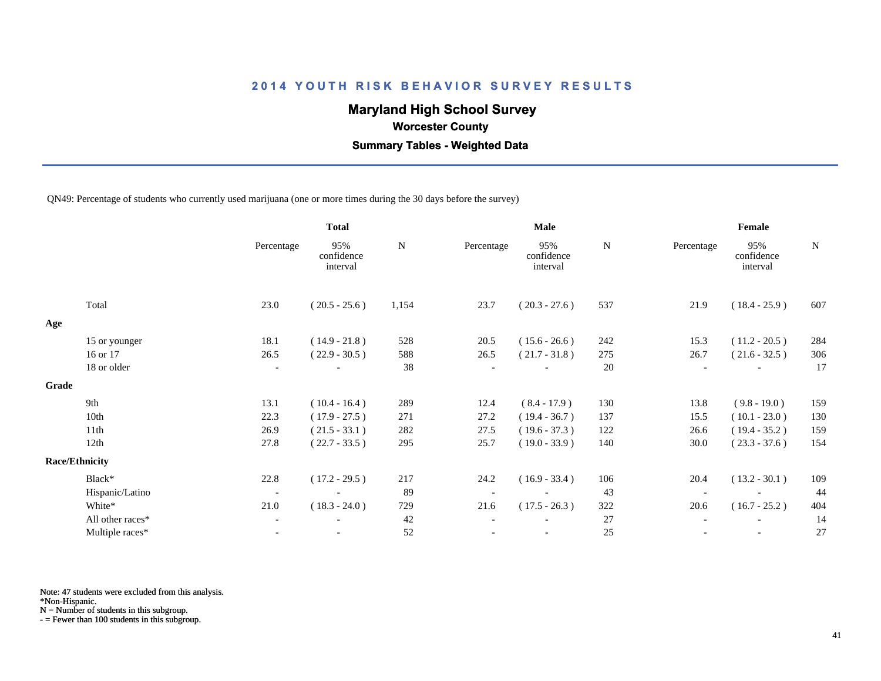## **Maryland High School Survey**

 **Worcester County**

 **Summary Tables - Weighted Data**

QN49: Percentage of students who currently used marijuana (one or more times during the 30 days before the survey)

|       |                       | <b>Total</b>             |                               | Male  |            |                               |     | Female                   |                               |             |
|-------|-----------------------|--------------------------|-------------------------------|-------|------------|-------------------------------|-----|--------------------------|-------------------------------|-------------|
|       |                       | Percentage               | 95%<br>confidence<br>interval | N     | Percentage | 95%<br>confidence<br>interval | N   | Percentage               | 95%<br>confidence<br>interval | $\mathbf N$ |
|       | Total                 | 23.0                     | $(20.5 - 25.6)$               | 1,154 | 23.7       | $(20.3 - 27.6)$               | 537 | 21.9                     | $(18.4 - 25.9)$               | 607         |
| Age   |                       |                          |                               |       |            |                               |     |                          |                               |             |
|       | 15 or younger         | 18.1                     | $(14.9 - 21.8)$               | 528   | 20.5       | $(15.6 - 26.6)$               | 242 | 15.3                     | $(11.2 - 20.5)$               | 284         |
|       | 16 or 17              | 26.5                     | $(22.9 - 30.5)$               | 588   | 26.5       | $(21.7 - 31.8)$               | 275 | 26.7                     | $(21.6 - 32.5)$               | 306         |
|       | 18 or older           | $\overline{\phantom{a}}$ |                               | 38    |            |                               | 20  | $\overline{\phantom{a}}$ |                               | 17          |
| Grade |                       |                          |                               |       |            |                               |     |                          |                               |             |
|       | 9th                   | 13.1                     | $(10.4 - 16.4)$               | 289   | 12.4       | $(8.4 - 17.9)$                | 130 | 13.8                     | $(9.8 - 19.0)$                | 159         |
|       | 10th                  | 22.3                     | $(17.9 - 27.5)$               | 271   | 27.2       | $(19.4 - 36.7)$               | 137 | 15.5                     | $(10.1 - 23.0)$               | 130         |
|       | 11th                  | 26.9                     | $(21.5 - 33.1)$               | 282   | 27.5       | $(19.6 - 37.3)$               | 122 | 26.6                     | $(19.4 - 35.2)$               | 159         |
|       | 12th                  | 27.8                     | $(22.7 - 33.5)$               | 295   | 25.7       | $(19.0 - 33.9)$               | 140 | 30.0                     | $(23.3 - 37.6)$               | 154         |
|       | <b>Race/Ethnicity</b> |                          |                               |       |            |                               |     |                          |                               |             |
|       | Black*                | 22.8                     | $(17.2 - 29.5)$               | 217   | 24.2       | $(16.9 - 33.4)$               | 106 | 20.4                     | $(13.2 - 30.1)$               | 109         |
|       | Hispanic/Latino       | $\overline{\phantom{a}}$ |                               | 89    |            | $\blacksquare$                | 43  |                          |                               | 44          |
|       | White*                | 21.0                     | $(18.3 - 24.0)$               | 729   | 21.6       | $(17.5 - 26.3)$               | 322 | 20.6                     | $(16.7 - 25.2)$               | 404         |
|       | All other races*      | $\overline{\phantom{a}}$ |                               | 42    |            |                               | 27  |                          |                               | 14          |
|       | Multiple races*       |                          |                               | 52    |            |                               | 25  |                          |                               | 27          |
|       |                       |                          |                               |       |            |                               |     |                          |                               |             |

Note: 47 students were excluded from this analysis.

\*Non-Hispanic.

N = Number of students in this subgroup.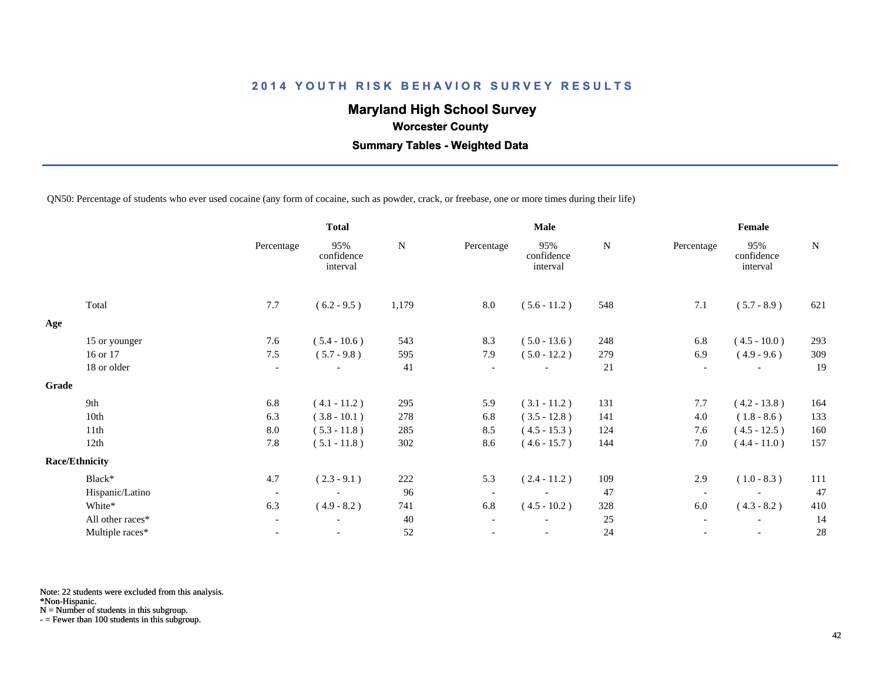## **Maryland High School Survey**

 **Worcester County**

 **Summary Tables - Weighted Data**

QN50: Percentage of students who ever used cocaine (any form of cocaine, such as powder, crack, or freebase, one or more times during their life)

|                  |                                | <b>Total</b>                  |       | <b>Male</b>              |                               |           | Female                   |                               |     |
|------------------|--------------------------------|-------------------------------|-------|--------------------------|-------------------------------|-----------|--------------------------|-------------------------------|-----|
|                  | Percentage                     | 95%<br>confidence<br>interval | N     | Percentage               | 95%<br>confidence<br>interval | ${\bf N}$ | Percentage               | 95%<br>confidence<br>interval | N   |
| Total            | 7.7                            | $(6.2 - 9.5)$                 | 1,179 | 8.0                      | $(5.6 - 11.2)$                | 548       | 7.1                      | $(5.7 - 8.9)$                 | 621 |
|                  |                                |                               |       |                          |                               |           |                          |                               |     |
| 15 or younger    | 7.6                            | $(5.4 - 10.6)$                | 543   | 8.3                      | $(5.0 - 13.6)$                | 248       | 6.8                      | $(4.5 - 10.0)$                | 293 |
| 16 or 17         | 7.5                            | $(5.7 - 9.8)$                 | 595   | 7.9                      | $(5.0 - 12.2)$                | 279       | 6.9                      | $(4.9 - 9.6)$                 | 309 |
| 18 or older      | $\overline{\phantom{a}}$       |                               | 41    | $\overline{\phantom{a}}$ |                               | 21        | $\overline{\phantom{a}}$ |                               | 19  |
|                  |                                |                               |       |                          |                               |           |                          |                               |     |
| 9th              | 6.8                            | $(4.1 - 11.2)$                | 295   | 5.9                      | $(3.1 - 11.2)$                | 131       | 7.7                      | $(4.2 - 13.8)$                | 164 |
| 10th             | 6.3                            | $(3.8 - 10.1)$                | 278   | 6.8                      | $(3.5 - 12.8)$                | 141       | 4.0                      | $(1.8 - 8.6)$                 | 133 |
| 11th             | 8.0                            | $(5.3 - 11.8)$                | 285   | 8.5                      | $(4.5 - 15.3)$                | 124       | 7.6                      | $(4.5 - 12.5)$                | 160 |
| 12th             | 7.8                            | $(5.1 - 11.8)$                | 302   | 8.6                      | $(4.6 - 15.7)$                | 144       | 7.0                      | $(4.4 - 11.0)$                | 157 |
|                  |                                |                               |       |                          |                               |           |                          |                               |     |
| Black*           | 4.7                            | $(2.3 - 9.1)$                 | 222   | 5.3                      | $(2.4 - 11.2)$                | 109       | 2.9                      | $(1.0 - 8.3)$                 | 111 |
| Hispanic/Latino  | $\overline{\phantom{a}}$       |                               | 96    | $\overline{\phantom{a}}$ |                               | 47        | $\overline{\phantom{a}}$ |                               | 47  |
| White*           | 6.3                            | $(4.9 - 8.2)$                 | 741   | 6.8                      | $(4.5 - 10.2)$                | 328       | 6.0                      | $(4.3 - 8.2)$                 | 410 |
| All other races* | $\overline{\phantom{a}}$       | $\blacksquare$                | 40    | $\overline{\phantom{a}}$ |                               | 25        | $\overline{\phantom{a}}$ | $\overline{\phantom{a}}$      | 14  |
| Multiple races*  |                                |                               | 52    |                          |                               | 24        |                          |                               | 28  |
|                  | Grade<br><b>Race/Ethnicity</b> |                               |       |                          |                               |           |                          |                               |     |

Note: 22 students were excluded from this analysis.

\*Non-Hispanic.

N = Number of students in this subgroup.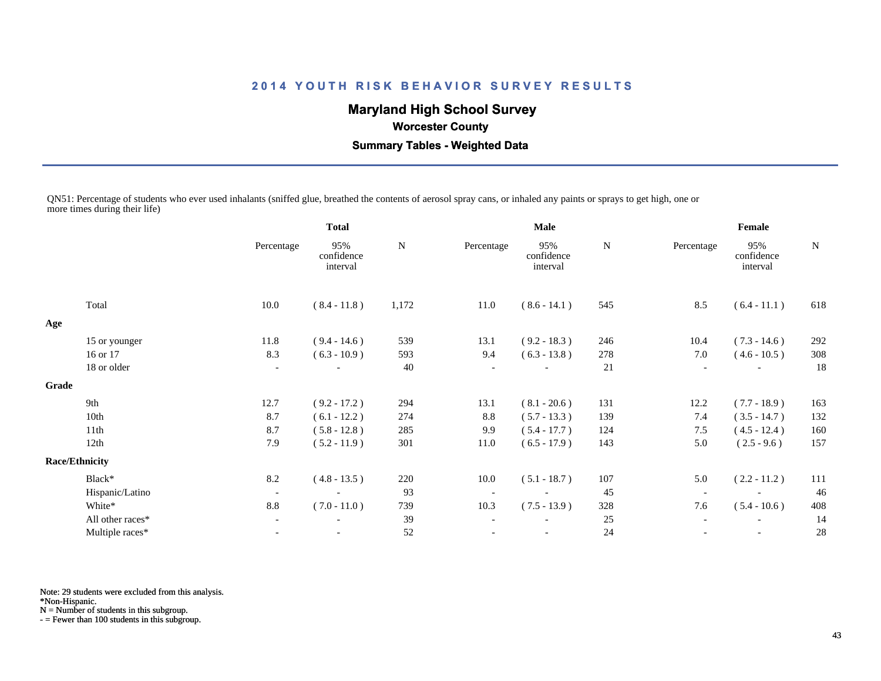## **Maryland High School Survey**

 **Worcester County**

 **Summary Tables - Weighted Data**

QN51: Percentage of students who ever used inhalants (sniffed glue, breathed the contents of aerosol spray cans, or inhaled any paints or sprays to get high, one or more times during their life)

|       |                       |                          | <b>Total</b>                  |       | Male                     |                               |     | Female                   |                               |             |
|-------|-----------------------|--------------------------|-------------------------------|-------|--------------------------|-------------------------------|-----|--------------------------|-------------------------------|-------------|
|       |                       | Percentage               | 95%<br>confidence<br>interval | N     | Percentage               | 95%<br>confidence<br>interval | N   | Percentage               | 95%<br>confidence<br>interval | $\mathbf N$ |
|       | Total                 | 10.0                     | $(8.4 - 11.8)$                | 1,172 | 11.0                     | $(8.6 - 14.1)$                | 545 | 8.5                      | $(6.4 - 11.1)$                | 618         |
| Age   |                       |                          |                               |       |                          |                               |     |                          |                               |             |
|       | 15 or younger         | 11.8                     | $(9.4 - 14.6)$                | 539   | 13.1                     | $(9.2 - 18.3)$                | 246 | 10.4                     | $(7.3 - 14.6)$                | 292         |
|       | 16 or 17              | 8.3                      | $(6.3 - 10.9)$                | 593   | 9.4                      | $(6.3 - 13.8)$                | 278 | 7.0                      | $(4.6 - 10.5)$                | 308         |
|       | 18 or older           | $\overline{\phantom{a}}$ | $\overline{\phantom{a}}$      | 40    |                          |                               | 21  | $\overline{\phantom{a}}$ |                               | 18          |
| Grade |                       |                          |                               |       |                          |                               |     |                          |                               |             |
|       | 9th                   | 12.7                     | $(9.2 - 17.2)$                | 294   | 13.1                     | $(8.1 - 20.6)$                | 131 | 12.2                     | $(7.7 - 18.9)$                | 163         |
|       | 10th                  | 8.7                      | $(6.1 - 12.2)$                | 274   | 8.8                      | $(5.7 - 13.3)$                | 139 | 7.4                      | $(3.5 - 14.7)$                | 132         |
|       | 11th                  | 8.7                      | $(5.8 - 12.8)$                | 285   | 9.9                      | $(5.4 - 17.7)$                | 124 | 7.5                      | $(4.5 - 12.4)$                | 160         |
|       | 12th                  | 7.9                      | $(5.2 - 11.9)$                | 301   | 11.0                     | $(6.5 - 17.9)$                | 143 | 5.0                      | $(2.5 - 9.6)$                 | 157         |
|       | <b>Race/Ethnicity</b> |                          |                               |       |                          |                               |     |                          |                               |             |
|       | Black*                | 8.2                      | $(4.8 - 13.5)$                | 220   | 10.0                     | $(5.1 - 18.7)$                | 107 | 5.0                      | $(2.2 - 11.2)$                | 111         |
|       | Hispanic/Latino       | $\overline{\phantom{a}}$ | $\sim$                        | 93    | $\overline{\phantom{a}}$ | $\overline{\phantom{a}}$      | 45  |                          |                               | 46          |
|       | White*                | 8.8                      | $(7.0 - 11.0)$                | 739   | 10.3                     | $(7.5 - 13.9)$                | 328 | 7.6                      | $(5.4 - 10.6)$                | 408         |
|       | All other races*      | $\blacksquare$           | $\overline{\phantom{a}}$      | 39    |                          |                               | 25  | $\overline{\phantom{a}}$ | $\overline{\phantom{a}}$      | 14          |
|       | Multiple races*       |                          |                               | 52    |                          |                               | 24  |                          |                               | 28          |
|       |                       |                          |                               |       |                          |                               |     |                          |                               |             |

Note: 29 students were excluded from this analysis.

\*Non-Hispanic.

N = Number of students in this subgroup.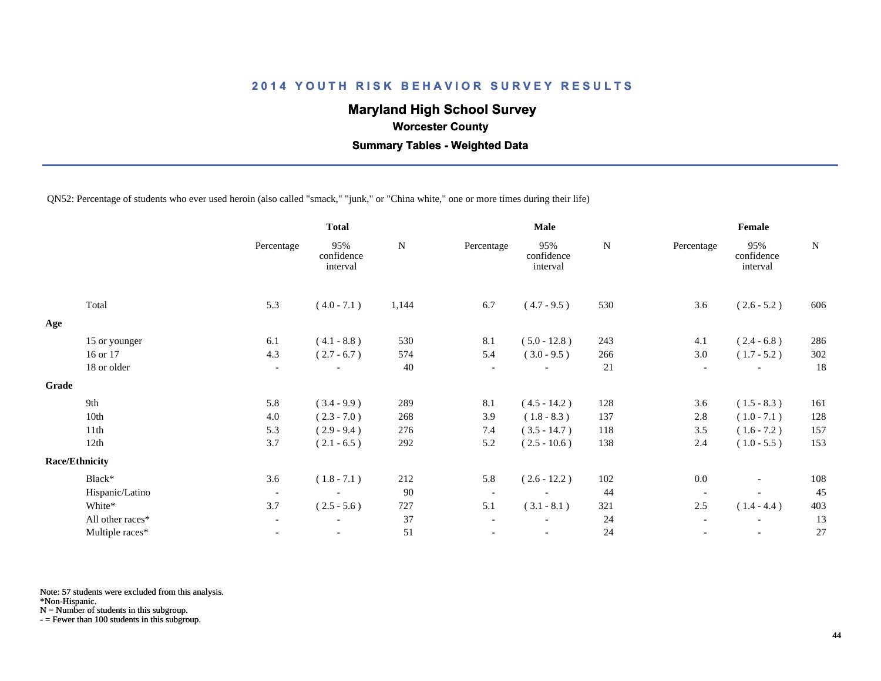## **Maryland High School Survey**

 **Worcester County**

 **Summary Tables - Weighted Data**

QN52: Percentage of students who ever used heroin (also called "smack," "junk," or "China white," one or more times during their life)

|                  |                          | <b>Total</b>                  |           |                          | <b>Male</b>                   |           | Female                   |                               |             |
|------------------|--------------------------|-------------------------------|-----------|--------------------------|-------------------------------|-----------|--------------------------|-------------------------------|-------------|
|                  | Percentage               | 95%<br>confidence<br>interval | ${\bf N}$ | Percentage               | 95%<br>confidence<br>interval | ${\bf N}$ | Percentage               | 95%<br>confidence<br>interval | $\mathbf N$ |
| Total            | 5.3                      | $(4.0 - 7.1)$                 | 1,144     | 6.7                      | $(4.7 - 9.5)$                 | 530       | 3.6                      | $(2.6 - 5.2)$                 | 606         |
|                  |                          |                               |           |                          |                               |           |                          |                               |             |
| 15 or younger    | 6.1                      | $(4.1 - 8.8)$                 | 530       | 8.1                      | $(5.0 - 12.8)$                | 243       | 4.1                      | $(2.4 - 6.8)$                 | 286         |
| 16 or 17         | 4.3                      | $(2.7 - 6.7)$                 | 574       | 5.4                      | $(3.0 - 9.5)$                 | 266       | 3.0                      | $(1.7 - 5.2)$                 | 302         |
| 18 or older      | $\overline{\phantom{a}}$ |                               | 40        | $\overline{\phantom{a}}$ | $\overline{\phantom{0}}$      | 21        | $\overline{\phantom{a}}$ |                               | 18          |
|                  |                          |                               |           |                          |                               |           |                          |                               |             |
| 9th              | 5.8                      | $(3.4 - 9.9)$                 | 289       | 8.1                      | $(4.5 - 14.2)$                | 128       | 3.6                      | $(1.5 - 8.3)$                 | 161         |
| 10th             | 4.0                      | $(2.3 - 7.0)$                 | 268       | 3.9                      | $(1.8 - 8.3)$                 | 137       | 2.8                      | $(1.0 - 7.1)$                 | 128         |
| 11th             | 5.3                      | $(2.9 - 9.4)$                 | 276       | 7.4                      | $(3.5 - 14.7)$                | 118       | 3.5                      | $(1.6 - 7.2)$                 | 157         |
| 12th             | 3.7                      | $(2.1 - 6.5)$                 | 292       | 5.2                      | $(2.5 - 10.6)$                | 138       | 2.4                      | $(1.0 - 5.5)$                 | 153         |
|                  |                          |                               |           |                          |                               |           |                          |                               |             |
| Black*           | 3.6                      | $(1.8 - 7.1)$                 | 212       | 5.8                      | $(2.6 - 12.2)$                | 102       | 0.0                      | $\overline{\phantom{a}}$      | 108         |
| Hispanic/Latino  | $\overline{\phantom{a}}$ | $\overline{\phantom{a}}$      | 90        | $\overline{\phantom{a}}$ | $\overline{\phantom{a}}$      | 44        | $\overline{\phantom{a}}$ |                               | 45          |
| White*           | 3.7                      | $(2.5 - 5.6)$                 | 727       | 5.1                      | $(3.1 - 8.1)$                 | 321       | 2.5                      | $(1.4 - 4.4)$                 | 403         |
| All other races* | $\overline{\phantom{a}}$ | $\overline{\phantom{a}}$      | 37        | $\overline{\phantom{a}}$ |                               | 24        | $\overline{\phantom{a}}$ | $\overline{\phantom{a}}$      | 13          |
| Multiple races*  |                          |                               | 51        |                          |                               | 24        |                          |                               | 27          |
|                  | <b>Race/Ethnicity</b>    |                               |           |                          |                               |           |                          |                               |             |

Note: 57 students were excluded from this analysis.

\*Non-Hispanic.

N = Number of students in this subgroup.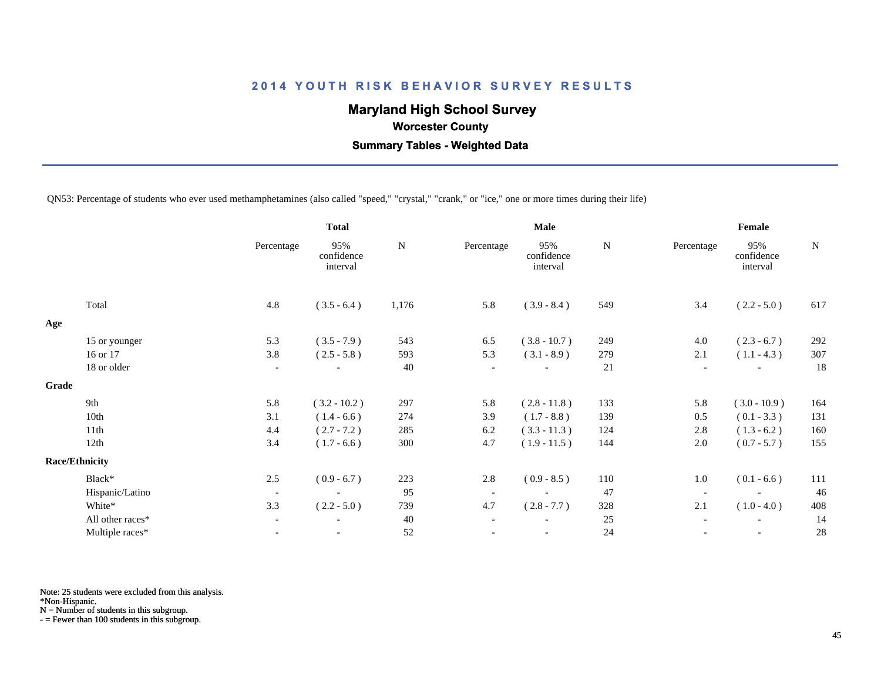## **Maryland High School Survey**

 **Worcester County**

 **Summary Tables - Weighted Data**

QN53: Percentage of students who ever used methamphetamines (also called "speed," "crystal," "crank," or "ice," one or more times during their life)

|       |                       | <b>Total</b>             |                               |           |                          | Male                          |           | Female                   |                               |             |
|-------|-----------------------|--------------------------|-------------------------------|-----------|--------------------------|-------------------------------|-----------|--------------------------|-------------------------------|-------------|
|       |                       | Percentage               | 95%<br>confidence<br>interval | ${\bf N}$ | Percentage               | 95%<br>confidence<br>interval | ${\bf N}$ | Percentage               | 95%<br>confidence<br>interval | $\mathbf N$ |
|       | Total                 | 4.8                      | $(3.5 - 6.4)$                 | 1,176     | 5.8                      | $(3.9 - 8.4)$                 | 549       | 3.4                      | $(2.2 - 5.0)$                 | 617         |
| Age   |                       |                          |                               |           |                          |                               |           |                          |                               |             |
|       | 15 or younger         | 5.3                      | $(3.5 - 7.9)$                 | 543       | 6.5                      | $(3.8 - 10.7)$                | 249       | 4.0                      | $(2.3 - 6.7)$                 | 292         |
|       | 16 or 17              | 3.8                      | $(2.5 - 5.8)$                 | 593       | 5.3                      | $(3.1 - 8.9)$                 | 279       | 2.1                      | $(1.1 - 4.3)$                 | 307         |
|       | 18 or older           | $\overline{\phantom{a}}$ |                               | 40        | $\overline{\phantom{a}}$ |                               | 21        | $\overline{\phantom{a}}$ |                               | 18          |
| Grade |                       |                          |                               |           |                          |                               |           |                          |                               |             |
|       | 9th                   | 5.8                      | $(3.2 - 10.2)$                | 297       | 5.8                      | $(2.8 - 11.8)$                | 133       | 5.8                      | $(3.0 - 10.9)$                | 164         |
|       | 10th                  | 3.1                      | $(1.4 - 6.6)$                 | 274       | 3.9                      | $(1.7 - 8.8)$                 | 139       | 0.5                      | $(0.1 - 3.3)$                 | 131         |
|       | 11th                  | 4.4                      | $(2.7 - 7.2)$                 | 285       | 6.2                      | $(3.3 - 11.3)$                | 124       | 2.8                      | $(1.3 - 6.2)$                 | 160         |
|       | 12th                  | 3.4                      | $(1.7 - 6.6)$                 | 300       | 4.7                      | $(1.9 - 11.5)$                | 144       | $2.0\,$                  | $(0.7 - 5.7)$                 | 155         |
|       | <b>Race/Ethnicity</b> |                          |                               |           |                          |                               |           |                          |                               |             |
|       | Black*                | 2.5                      | $(0.9 - 6.7)$                 | 223       | 2.8                      | $(0.9 - 8.5)$                 | 110       | 1.0                      | $(0.1 - 6.6)$                 | 111         |
|       | Hispanic/Latino       | $\overline{\phantom{a}}$ |                               | 95        | $\overline{\phantom{a}}$ |                               | 47        | $\overline{\phantom{a}}$ |                               | 46          |
|       | White*                | 3.3                      | $(2.2 - 5.0)$                 | 739       | 4.7                      | $(2.8 - 7.7)$                 | 328       | 2.1                      | $(1.0 - 4.0)$                 | 408         |
|       | All other races*      | $\overline{\phantom{a}}$ |                               | 40        |                          |                               | 25        |                          |                               | 14          |
|       | Multiple races*       | $\overline{\phantom{a}}$ | $\overline{\phantom{a}}$      | 52        |                          | $\overline{\phantom{a}}$      | 24        |                          | $\overline{\phantom{a}}$      | 28          |
|       |                       |                          |                               |           |                          |                               |           |                          |                               |             |

Note: 25 students were excluded from this analysis.

\*Non-Hispanic.

N = Number of students in this subgroup.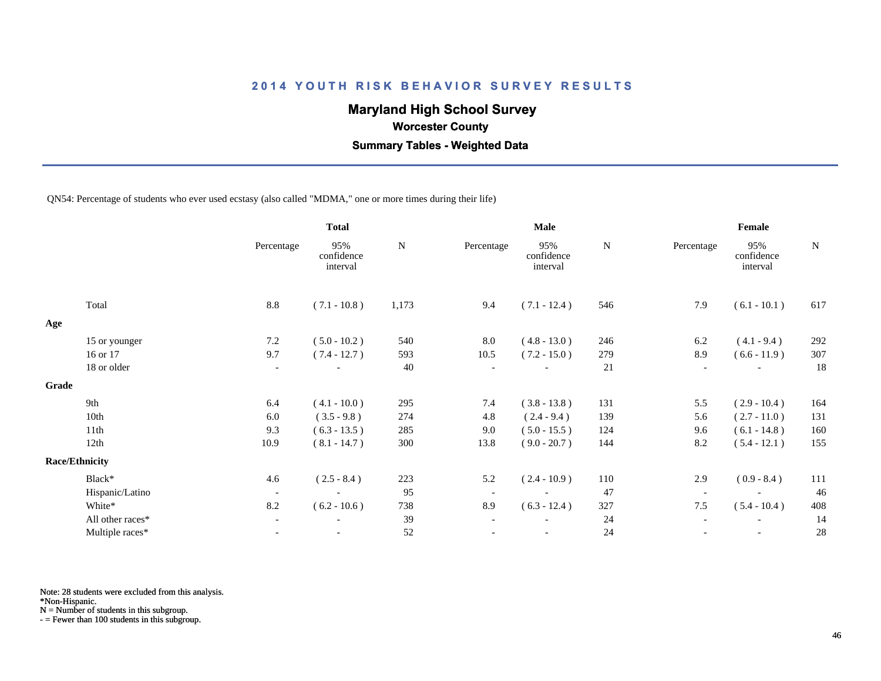## **Maryland High School Survey**

 **Worcester County**

 **Summary Tables - Weighted Data**

QN54: Percentage of students who ever used ecstasy (also called "MDMA," one or more times during their life)

|       |                       | <b>Total</b>             |                               |       | <b>Male</b>              |                               |             | Female                   |                               |             |
|-------|-----------------------|--------------------------|-------------------------------|-------|--------------------------|-------------------------------|-------------|--------------------------|-------------------------------|-------------|
|       |                       | Percentage               | 95%<br>confidence<br>interval | N     | Percentage               | 95%<br>confidence<br>interval | $\mathbf N$ | Percentage               | 95%<br>confidence<br>interval | $\mathbf N$ |
|       | Total                 | 8.8                      | $(7.1 - 10.8)$                | 1,173 | 9.4                      | $(7.1 - 12.4)$                | 546         | 7.9                      | $(6.1 - 10.1)$                | 617         |
| Age   |                       |                          |                               |       |                          |                               |             |                          |                               |             |
|       | 15 or younger         | 7.2                      | $(5.0 - 10.2)$                | 540   | 8.0                      | $(4.8 - 13.0)$                | 246         | 6.2                      | $(4.1 - 9.4)$                 | 292         |
|       | 16 or 17              | 9.7                      | $(7.4 - 12.7)$                | 593   | 10.5                     | $(7.2 - 15.0)$                | 279         | 8.9                      | $(6.6 - 11.9)$                | 307         |
|       | 18 or older           | $\overline{\phantom{a}}$ | $\overline{\phantom{a}}$      | 40    | $\overline{\phantom{a}}$ | $\overline{\phantom{a}}$      | 21          | $\overline{a}$           | $\overline{\phantom{a}}$      | 18          |
| Grade |                       |                          |                               |       |                          |                               |             |                          |                               |             |
|       | 9th                   | 6.4                      | $(4.1 - 10.0)$                | 295   | 7.4                      | $(3.8 - 13.8)$                | 131         | 5.5                      | $(2.9 - 10.4)$                | 164         |
|       | 10th                  | 6.0                      | $(3.5 - 9.8)$                 | 274   | 4.8                      | $(2.4 - 9.4)$                 | 139         | 5.6                      | $(2.7 - 11.0)$                | 131         |
|       | 11th                  | 9.3                      | $(6.3 - 13.5)$                | 285   | 9.0                      | $(5.0 - 15.5)$                | 124         | 9.6                      | $(6.1 - 14.8)$                | 160         |
|       | 12th                  | 10.9                     | $(8.1 - 14.7)$                | 300   | 13.8                     | $(9.0 - 20.7)$                | 144         | 8.2                      | $(5.4 - 12.1)$                | 155         |
|       | <b>Race/Ethnicity</b> |                          |                               |       |                          |                               |             |                          |                               |             |
|       | Black*                | 4.6                      | $(2.5 - 8.4)$                 | 223   | 5.2                      | $(2.4 - 10.9)$                | 110         | 2.9                      | $(0.9 - 8.4)$                 | 111         |
|       | Hispanic/Latino       | $\overline{\phantom{a}}$ | $\overline{\phantom{a}}$      | 95    | $\overline{\phantom{a}}$ | $\overline{\phantom{a}}$      | 47          |                          |                               | 46          |
|       | White*                | 8.2                      | $(6.2 - 10.6)$                | 738   | 8.9                      | $(6.3 - 12.4)$                | 327         | 7.5                      | $(5.4 - 10.4)$                | 408         |
|       | All other races*      | $\overline{\phantom{a}}$ | $\overline{\phantom{a}}$      | 39    | $\overline{\phantom{a}}$ |                               | 24          | $\overline{\phantom{a}}$ | $\overline{\phantom{a}}$      | 14          |
|       | Multiple races*       |                          |                               | 52    |                          |                               | 24          |                          |                               | 28          |
|       |                       |                          |                               |       |                          |                               |             |                          |                               |             |

Note: 28 students were excluded from this analysis.

\*Non-Hispanic.

N = Number of students in this subgroup.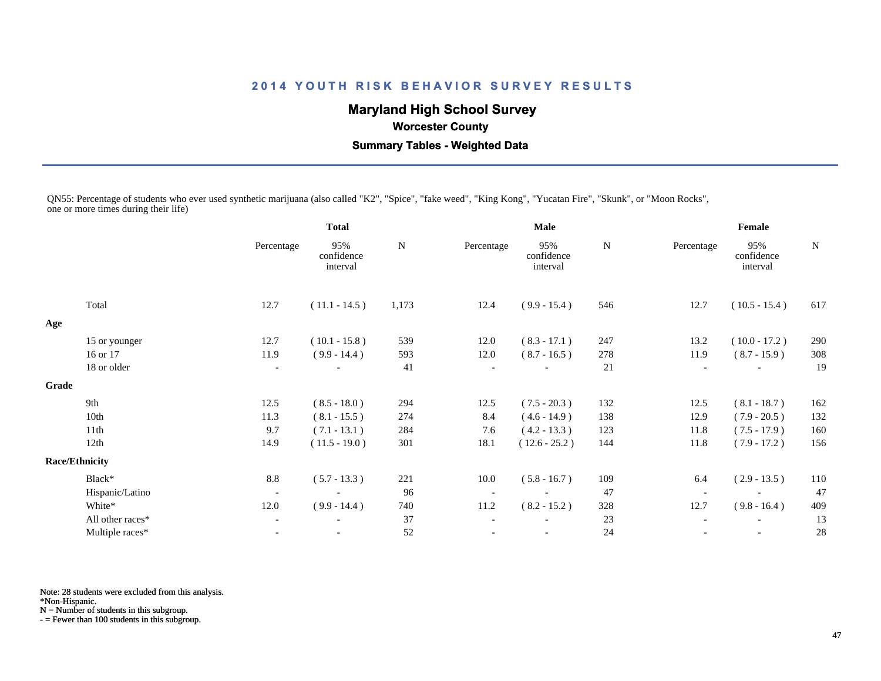## **Maryland High School Survey**

## **Worcester County**

 **Summary Tables - Weighted Data**

QN55: Percentage of students who ever used synthetic marijuana (also called "K2", "Spice", "fake weed", "King Kong", "Yucatan Fire", "Skunk", or "Moon Rocks", one or more times during their life)

|       |                       | <b>Total</b>             |                               | <b>Male</b> |                          |                               |     | Female                   |                               |     |
|-------|-----------------------|--------------------------|-------------------------------|-------------|--------------------------|-------------------------------|-----|--------------------------|-------------------------------|-----|
|       |                       | Percentage               | 95%<br>confidence<br>interval | N           | Percentage               | 95%<br>confidence<br>interval | N   | Percentage               | 95%<br>confidence<br>interval | N   |
|       | Total                 | 12.7                     | $(11.1 - 14.5)$               | 1,173       | 12.4                     | $(9.9 - 15.4)$                | 546 | 12.7                     | $(10.5 - 15.4)$               | 617 |
| Age   |                       |                          |                               |             |                          |                               |     |                          |                               |     |
|       | 15 or younger         | 12.7                     | $(10.1 - 15.8)$               | 539         | 12.0                     | $(8.3 - 17.1)$                | 247 | 13.2                     | $(10.0 - 17.2)$               | 290 |
|       | 16 or 17              | 11.9                     | $(9.9 - 14.4)$                | 593         | 12.0                     | $(8.7 - 16.5)$                | 278 | 11.9                     | $(8.7 - 15.9)$                | 308 |
|       | 18 or older           | $\overline{\phantom{a}}$ |                               | 41          | $\overline{\phantom{a}}$ |                               | 21  | $\overline{\phantom{a}}$ |                               | 19  |
| Grade |                       |                          |                               |             |                          |                               |     |                          |                               |     |
|       | 9th                   | 12.5                     | $(8.5 - 18.0)$                | 294         | 12.5                     | $(7.5 - 20.3)$                | 132 | 12.5                     | $(8.1 - 18.7)$                | 162 |
|       | 10th                  | 11.3                     | $(8.1 - 15.5)$                | 274         | 8.4                      | $(4.6 - 14.9)$                | 138 | 12.9                     | $(7.9 - 20.5)$                | 132 |
|       | 11th                  | 9.7                      | $(7.1 - 13.1)$                | 284         | 7.6                      | $(4.2 - 13.3)$                | 123 | 11.8                     | $(7.5 - 17.9)$                | 160 |
|       | 12th                  | 14.9                     | $(11.5 - 19.0)$               | 301         | 18.1                     | $(12.6 - 25.2)$               | 144 | 11.8                     | $(7.9 - 17.2)$                | 156 |
|       | <b>Race/Ethnicity</b> |                          |                               |             |                          |                               |     |                          |                               |     |
|       | Black*                | 8.8                      | $(5.7 - 13.3)$                | 221         | 10.0                     | $(5.8 - 16.7)$                | 109 | 6.4                      | $(2.9 - 13.5)$                | 110 |
|       | Hispanic/Latino       | $\overline{\phantom{a}}$ |                               | 96          | $\overline{\phantom{a}}$ |                               | 47  | $\overline{\phantom{a}}$ |                               | 47  |
|       | White*                | 12.0                     | $(9.9 - 14.4)$                | 740         | 11.2                     | $(8.2 - 15.2)$                | 328 | 12.7                     | $(9.8 - 16.4)$                | 409 |
|       | All other races*      | $\overline{\phantom{a}}$ |                               | 37          |                          |                               | 23  |                          |                               | 13  |
|       | Multiple races*       | $\overline{\phantom{a}}$ |                               | 52          |                          | $\overline{\phantom{a}}$      | 24  |                          | $\overline{\phantom{a}}$      | 28  |
|       |                       |                          |                               |             |                          |                               |     |                          |                               |     |

Note: 28 students were excluded from this analysis.

\*Non-Hispanic.

N = Number of students in this subgroup.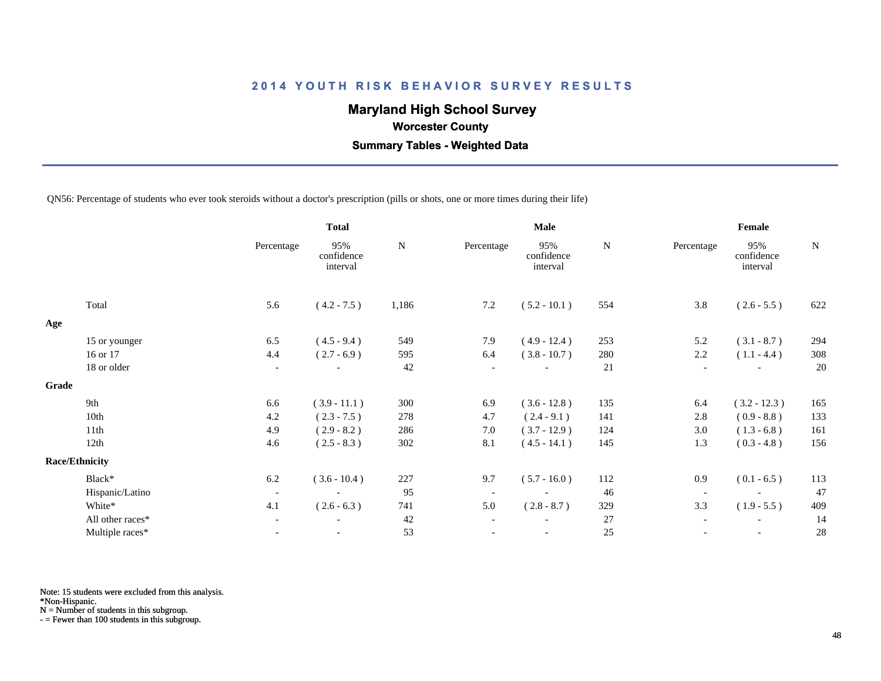## **Maryland High School Survey**

 **Worcester County**

 **Summary Tables - Weighted Data**

QN56: Percentage of students who ever took steroids without a doctor's prescription (pills or shots, one or more times during their life)

|                  |                                | <b>Total</b>                  |       | <b>Male</b>              |                               |     | Female                   |                               |                |
|------------------|--------------------------------|-------------------------------|-------|--------------------------|-------------------------------|-----|--------------------------|-------------------------------|----------------|
|                  | Percentage                     | 95%<br>confidence<br>interval | N     | Percentage               | 95%<br>confidence<br>interval | N   | Percentage               | 95%<br>confidence<br>interval | N              |
| Total            | 5.6                            | $(4.2 - 7.5)$                 | 1,186 | 7.2                      | $(5.2 - 10.1)$                | 554 | 3.8                      | $(2.6 - 5.5)$                 | 622            |
|                  |                                |                               |       |                          |                               |     |                          |                               |                |
| 15 or younger    | 6.5                            | $(4.5 - 9.4)$                 | 549   | 7.9                      | $(4.9 - 12.4)$                | 253 | 5.2                      | $(3.1 - 8.7)$                 | 294            |
| 16 or 17         | 4.4                            | $(2.7 - 6.9)$                 | 595   | 6.4                      | $(3.8 - 10.7)$                | 280 | 2.2                      | $(1.1 - 4.4)$                 | 308            |
| 18 or older      | $\overline{\phantom{a}}$       |                               | 42    | $\overline{\phantom{a}}$ |                               | 21  | $\overline{\phantom{a}}$ |                               | 20             |
|                  |                                |                               |       |                          |                               |     |                          |                               |                |
| 9th              | 6.6                            | $(3.9 - 11.1)$                | 300   | 6.9                      | $(3.6 - 12.8)$                |     | 6.4                      |                               | 165            |
| 10th             | 4.2                            | $(2.3 - 7.5)$                 | 278   | 4.7                      | $(2.4 - 9.1)$                 | 141 | 2.8                      | $(0.9 - 8.8)$                 | 133            |
| 11th             | 4.9                            | $(2.9 - 8.2)$                 | 286   | 7.0                      | $(3.7 - 12.9)$                | 124 | 3.0                      | $(1.3 - 6.8)$                 | 161            |
| 12th             | 4.6                            | $(2.5 - 8.3)$                 | 302   | 8.1                      | $(4.5 - 14.1)$                | 145 | 1.3                      | $(0.3 - 4.8)$                 | 156            |
|                  |                                |                               |       |                          |                               |     |                          |                               |                |
| Black*           | 6.2                            | $(3.6 - 10.4)$                | 227   | 9.7                      | $(5.7 - 16.0)$                | 112 | 0.9                      | $(0.1 - 6.5)$                 | 113            |
| Hispanic/Latino  | $\overline{\phantom{a}}$       |                               | 95    | $\overline{\phantom{a}}$ | $\overline{\phantom{a}}$      | 46  | $\overline{\phantom{a}}$ |                               | 47             |
| White*           | 4.1                            | $(2.6 - 6.3)$                 | 741   | 5.0                      | $(2.8 - 8.7)$                 | 329 | 3.3                      | $(1.9 - 5.5)$                 | 409            |
| All other races* | $\overline{\phantom{a}}$       | $\overline{\phantom{a}}$      | 42    | $\overline{\phantom{a}}$ |                               | 27  | $\overline{\phantom{a}}$ | $\overline{\phantom{a}}$      | 14             |
| Multiple races*  |                                |                               | 53    |                          |                               | 25  |                          |                               | 28             |
|                  | Grade<br><b>Race/Ethnicity</b> |                               |       |                          |                               |     | 135                      |                               | $(3.2 - 12.3)$ |

Note: 15 students were excluded from this analysis.

\*Non-Hispanic.

N = Number of students in this subgroup.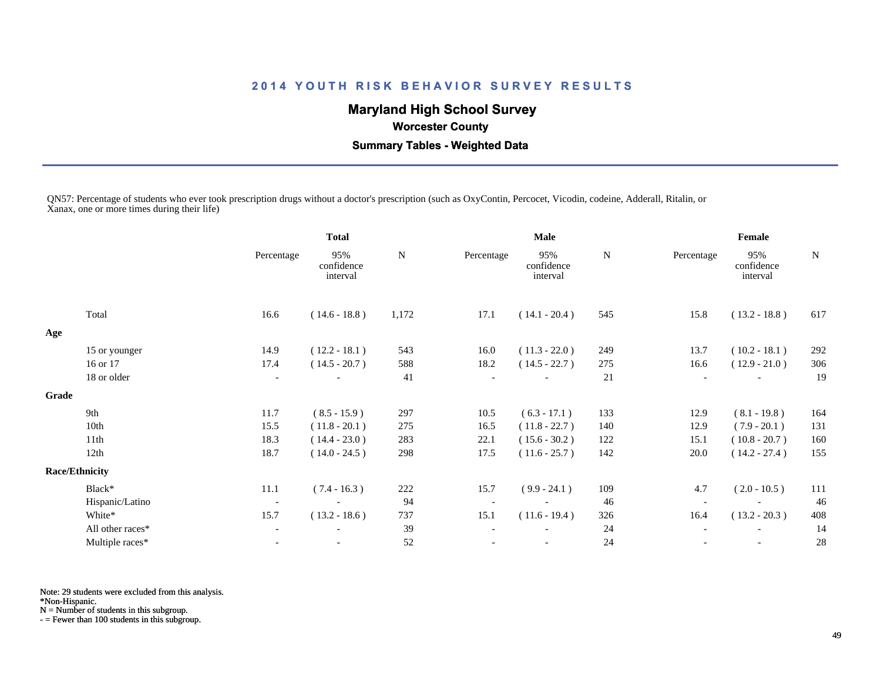## **Maryland High School Survey**

 **Worcester County**

 **Summary Tables - Weighted Data**

QN57: Percentage of students who ever took prescription drugs without a doctor's prescription (such as OxyContin, Percocet, Vicodin, codeine, Adderall, Ritalin, or Xanax, one or more times during their life)

|       |                       |                          | <b>Total</b>                  | <b>Male</b> |            |                               | Female |                          |                               |     |
|-------|-----------------------|--------------------------|-------------------------------|-------------|------------|-------------------------------|--------|--------------------------|-------------------------------|-----|
|       |                       | Percentage               | 95%<br>confidence<br>interval | ${\bf N}$   | Percentage | 95%<br>confidence<br>interval | N      | Percentage               | 95%<br>confidence<br>interval | N   |
|       | Total                 | 16.6                     | $(14.6 - 18.8)$               | 1,172       | 17.1       | $(14.1 - 20.4)$               | 545    | 15.8                     | $(13.2 - 18.8)$               | 617 |
| Age   |                       |                          |                               |             |            |                               |        |                          |                               |     |
|       | 15 or younger         | 14.9                     | $(12.2 - 18.1)$               | 543         | 16.0       | $(11.3 - 22.0)$               | 249    | 13.7                     | $(10.2 - 18.1)$               | 292 |
|       | 16 or 17              | 17.4                     | $(14.5 - 20.7)$               | 588         | 18.2       | $(14.5 - 22.7)$               | 275    | 16.6                     | $(12.9 - 21.0)$               | 306 |
|       | 18 or older           | $\overline{\phantom{a}}$ |                               | 41          |            |                               | 21     | $\overline{\phantom{a}}$ |                               | 19  |
| Grade |                       |                          |                               |             |            |                               |        |                          |                               |     |
|       | 9th                   | 11.7                     | $(8.5 - 15.9)$                | 297         | 10.5       | $(6.3 - 17.1)$                | 133    | 12.9                     | $(8.1 - 19.8)$                | 164 |
|       | 10th                  | 15.5                     | $(11.8 - 20.1)$               | 275         | 16.5       | $(11.8 - 22.7)$               | 140    | 12.9                     | $(7.9 - 20.1)$                | 131 |
|       | 11th                  | 18.3                     | $(14.4 - 23.0)$               | 283         | 22.1       | $(15.6 - 30.2)$               | 122    | 15.1                     | $(10.8 - 20.7)$               | 160 |
|       | 12th                  | 18.7                     | $(14.0 - 24.5)$               | 298         | 17.5       | $(11.6 - 25.7)$               | 142    | 20.0                     | $(14.2 - 27.4)$               | 155 |
|       | <b>Race/Ethnicity</b> |                          |                               |             |            |                               |        |                          |                               |     |
|       | Black*                | 11.1                     | $(7.4 - 16.3)$                | 222         | 15.7       | $(9.9 - 24.1)$                | 109    | 4.7                      | $(2.0 - 10.5)$                | 111 |
|       | Hispanic/Latino       | $\overline{\phantom{a}}$ |                               | 94          |            |                               | 46     | $\overline{\phantom{a}}$ |                               | 46  |
|       | White*                | 15.7                     | $(13.2 - 18.6)$               | 737         | 15.1       | $(11.6 - 19.4)$               | 326    | 16.4                     | $(13.2 - 20.3)$               | 408 |
|       | All other races*      |                          |                               | 39          |            |                               | 24     |                          |                               | 14  |
|       | Multiple races*       |                          |                               | 52          |            | $\overline{\phantom{a}}$      | 24     |                          | $\overline{\phantom{a}}$      | 28  |

Note: 29 students were excluded from this analysis.

\*Non-Hispanic.

N = Number of students in this subgroup.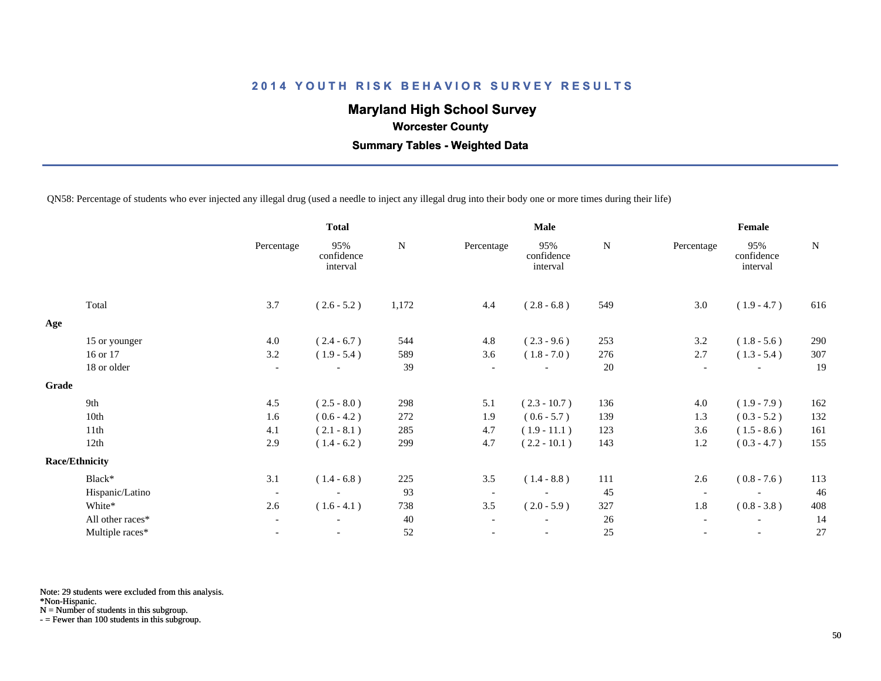## **Maryland High School Survey**

 **Worcester County**

 **Summary Tables - Weighted Data**

QN58: Percentage of students who ever injected any illegal drug (used a needle to inject any illegal drug into their body one or more times during their life)

|                  |                                          | <b>Total</b>                  |           |                          | <b>Male</b>                   |             |                          | Female                        |           |  |
|------------------|------------------------------------------|-------------------------------|-----------|--------------------------|-------------------------------|-------------|--------------------------|-------------------------------|-----------|--|
|                  | Percentage                               | 95%<br>confidence<br>interval | ${\bf N}$ | Percentage               | 95%<br>confidence<br>interval | $\mathbf N$ | Percentage               | 95%<br>confidence<br>interval | ${\bf N}$ |  |
| Total            | 3.7                                      | $(2.6 - 5.2)$                 | 1,172     | 4.4                      | $(2.8 - 6.8)$                 | 549         | 3.0                      | $(1.9 - 4.7)$                 | 616       |  |
|                  |                                          |                               |           |                          |                               |             |                          |                               |           |  |
| 15 or younger    | 4.0                                      | $(2.4 - 6.7)$                 | 544       | 4.8                      | $(2.3 - 9.6)$                 | 253         | 3.2                      | $(1.8 - 5.6)$                 | 290       |  |
| 16 or 17         | 3.2                                      | $(1.9 - 5.4)$                 | 589       | 3.6                      | $(1.8 - 7.0)$                 | 276         | 2.7                      | $(1.3 - 5.4)$                 | 307       |  |
| 18 or older      | $\overline{\phantom{a}}$                 |                               | 39        | $\overline{\phantom{a}}$ |                               | 20          | $\overline{\phantom{a}}$ |                               | 19        |  |
|                  |                                          |                               |           |                          |                               |             |                          |                               |           |  |
| 9th              | 4.5                                      | $(2.5 - 8.0)$                 | 298       | 5.1                      | $(2.3 - 10.7)$                | 136         | 4.0                      | $(1.9 - 7.9)$                 | 162       |  |
| 10th             | 1.6                                      | $(0.6 - 4.2)$                 | 272       | 1.9                      | $(0.6 - 5.7)$                 | 139         | 1.3                      | $(0.3 - 5.2)$                 | 132       |  |
| 11th             | 4.1                                      | $(2.1 - 8.1)$                 | 285       | 4.7                      | $(1.9 - 11.1)$                | 123         | 3.6                      | $(1.5 - 8.6)$                 | 161       |  |
| 12th             | 2.9                                      | $(1.4 - 6.2)$                 | 299       | 4.7                      | $(2.2 - 10.1)$                | 143         | 1.2                      | $(0.3 - 4.7)$                 | 155       |  |
|                  |                                          |                               |           |                          |                               |             |                          |                               |           |  |
| Black*           | 3.1                                      | $(1.4 - 6.8)$                 | 225       | 3.5                      | $(1.4 - 8.8)$                 | 111         | 2.6                      | $(0.8 - 7.6)$                 | 113       |  |
|                  | $\overline{\phantom{a}}$                 | $\overline{\phantom{a}}$      | 93        | $\overline{\phantom{a}}$ |                               | 45          | $\overline{\phantom{a}}$ |                               | 46        |  |
| White*           | 2.6                                      | $(1.6 - 4.1)$                 | 738       | 3.5                      | $(2.0 - 5.9)$                 | 327         | 1.8                      | $(0.8 - 3.8)$                 | 408       |  |
| All other races* | $\blacksquare$                           |                               | 40        | $\overline{\phantom{a}}$ |                               | 26          | $\overline{\phantom{a}}$ |                               | 14        |  |
| Multiple races*  | $\overline{\phantom{a}}$                 | $\overline{\phantom{a}}$      | 52        | $\overline{\phantom{a}}$ | $\overline{\phantom{a}}$      | 25          | $\overline{\phantom{a}}$ | $\overline{\phantom{a}}$      | 27        |  |
|                  | <b>Race/Ethnicity</b><br>Hispanic/Latino |                               |           |                          |                               |             |                          |                               |           |  |

Note: 29 students were excluded from this analysis.

\*Non-Hispanic.

N = Number of students in this subgroup.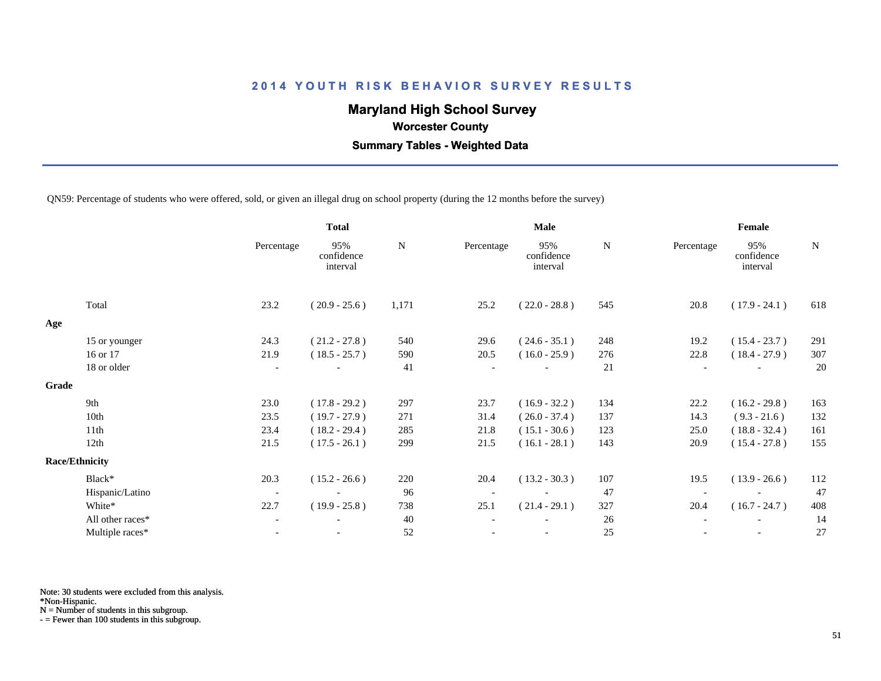## **Maryland High School Survey**

 **Worcester County**

 **Summary Tables - Weighted Data**

QN59: Percentage of students who were offered, sold, or given an illegal drug on school property (during the 12 months before the survey)

|       |                       |                          | <b>Total</b>                  |       |            | <b>Male</b>                   |             | Female     |                               |     |  |
|-------|-----------------------|--------------------------|-------------------------------|-------|------------|-------------------------------|-------------|------------|-------------------------------|-----|--|
|       |                       | Percentage               | 95%<br>confidence<br>interval | N     | Percentage | 95%<br>confidence<br>interval | $\mathbf N$ | Percentage | 95%<br>confidence<br>interval | N   |  |
|       | Total                 | 23.2                     | $(20.9 - 25.6)$               | 1,171 | 25.2       | $(22.0 - 28.8)$               | 545         | 20.8       | $(17.9 - 24.1)$               | 618 |  |
| Age   |                       |                          |                               |       |            |                               |             |            |                               |     |  |
|       | 15 or younger         | 24.3                     | $(21.2 - 27.8)$               | 540   | 29.6       | $(24.6 - 35.1)$               | 248         | 19.2       | $(15.4 - 23.7)$               | 291 |  |
|       | 16 or 17              | 21.9                     | $(18.5 - 25.7)$               | 590   | 20.5       | $(16.0 - 25.9)$               | 276         | 22.8       | $(18.4 - 27.9)$               | 307 |  |
|       | 18 or older           | $\overline{\phantom{a}}$ |                               | 41    |            |                               | 21          |            |                               | 20  |  |
| Grade |                       |                          |                               |       |            |                               |             |            |                               |     |  |
|       | 9th                   | 23.0                     | $(17.8 - 29.2)$               | 297   | 23.7       | $(16.9 - 32.2)$               | 134         | 22.2       | $(16.2 - 29.8)$               | 163 |  |
|       | 10th                  | 23.5                     | $(19.7 - 27.9)$               | 271   | 31.4       | $(26.0 - 37.4)$               | 137         | 14.3       | $(9.3 - 21.6)$                | 132 |  |
|       | 11th                  | 23.4                     | $(18.2 - 29.4)$               | 285   | 21.8       | $(15.1 - 30.6)$               | 123         | 25.0       | $(18.8 - 32.4)$               | 161 |  |
|       | 12th                  | 21.5                     | $(17.5 - 26.1)$               | 299   | 21.5       | $(16.1 - 28.1)$               | 143         | 20.9       | $(15.4 - 27.8)$               | 155 |  |
|       | <b>Race/Ethnicity</b> |                          |                               |       |            |                               |             |            |                               |     |  |
|       | Black*                | 20.3                     | $(15.2 - 26.6)$               | 220   | 20.4       | $(13.2 - 30.3)$               | 107         | 19.5       | $(13.9 - 26.6)$               | 112 |  |
|       | Hispanic/Latino       | $\overline{\phantom{a}}$ |                               | 96    |            |                               | 47          |            |                               | 47  |  |
|       | White*                | 22.7                     | $(19.9 - 25.8)$               | 738   | 25.1       | $(21.4 - 29.1)$               | 327         | 20.4       | $(16.7 - 24.7)$               | 408 |  |
|       | All other races*      | $\overline{\phantom{a}}$ | $\overline{\phantom{a}}$      | 40    |            |                               | 26          |            | $\overline{\phantom{a}}$      | 14  |  |
|       | Multiple races*       |                          |                               | 52    |            |                               | 25          |            |                               | 27  |  |
|       |                       |                          |                               |       |            |                               |             |            |                               |     |  |

Note: 30 students were excluded from this analysis.

\*Non-Hispanic.

N = Number of students in this subgroup.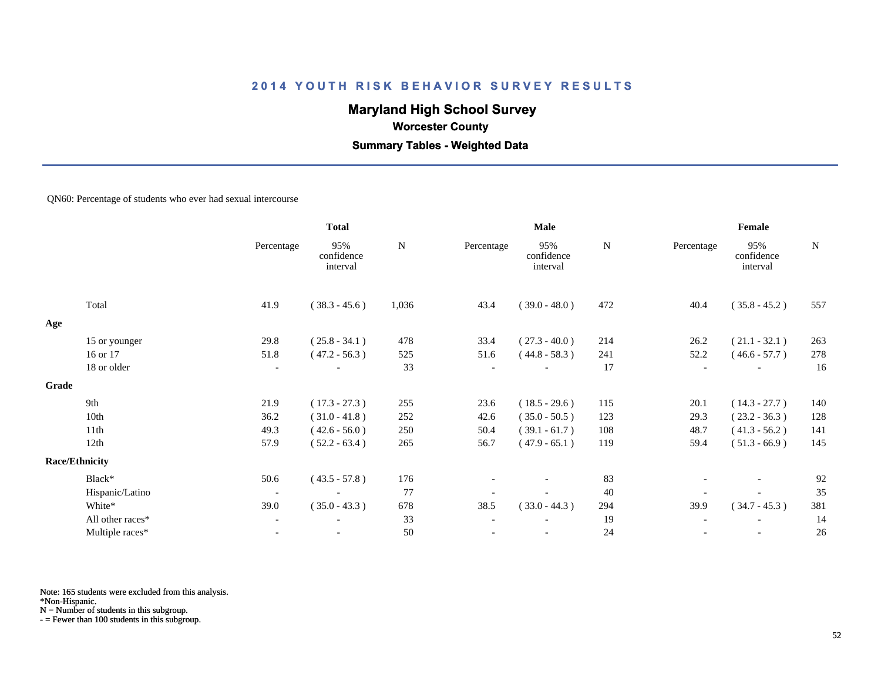## **Maryland High School Survey**

#### **Worcester County**

### **Summary Tables - Weighted Data**

#### QN60: Percentage of students who ever had sexual intercourse

|       |                       |                          | <b>Total</b>                  | <b>Male</b> |                          |                               | Female      |                          |                               |             |
|-------|-----------------------|--------------------------|-------------------------------|-------------|--------------------------|-------------------------------|-------------|--------------------------|-------------------------------|-------------|
|       |                       | Percentage               | 95%<br>confidence<br>interval | N           | Percentage               | 95%<br>confidence<br>interval | $\mathbf N$ | Percentage               | 95%<br>confidence<br>interval | $\mathbf N$ |
|       | Total                 | 41.9                     | $(38.3 - 45.6)$               | 1,036       | 43.4                     | $(39.0 - 48.0)$               | 472         | 40.4                     | $(35.8 - 45.2)$               | 557         |
| Age   |                       |                          |                               |             |                          |                               |             |                          |                               |             |
|       | 15 or younger         | 29.8                     | $(25.8 - 34.1)$               | 478         | 33.4                     | $(27.3 - 40.0)$               | 214         | 26.2                     | $(21.1 - 32.1)$               | 263         |
|       | 16 or 17              | 51.8                     | $(47.2 - 56.3)$               | 525         | 51.6                     | $(44.8 - 58.3)$               | 241         | 52.2                     | $(46.6 - 57.7)$               | 278         |
|       | 18 or older           | $\overline{\phantom{a}}$ |                               | 33          | $\overline{\phantom{a}}$ | $\overline{\phantom{0}}$      | 17          | $\overline{\phantom{0}}$ | $\overline{\phantom{a}}$      | 16          |
| Grade |                       |                          |                               |             |                          |                               |             |                          |                               |             |
|       | 9th                   | 21.9                     | $(17.3 - 27.3)$               | 255         | 23.6                     | $(18.5 - 29.6)$               | 115         | 20.1                     | $(14.3 - 27.7)$               | 140         |
|       | 10th                  | 36.2                     | $(31.0 - 41.8)$               | 252         | 42.6                     | $(35.0 - 50.5)$               | 123         | 29.3                     | $(23.2 - 36.3)$               | 128         |
|       | 11th                  | 49.3                     | $(42.6 - 56.0)$               | 250         | 50.4                     | $(39.1 - 61.7)$               | 108         | 48.7                     | $(41.3 - 56.2)$               | 141         |
|       | 12th                  | 57.9                     | $(52.2 - 63.4)$               | 265         | 56.7                     | $(47.9 - 65.1)$               | 119         | 59.4                     | $(51.3 - 66.9)$               | 145         |
|       | <b>Race/Ethnicity</b> |                          |                               |             |                          |                               |             |                          |                               |             |
|       | Black*                | 50.6                     | $(43.5 - 57.8)$               | 176         |                          | $\overline{\phantom{0}}$      | 83          |                          | $\overline{\phantom{a}}$      | 92          |
|       | Hispanic/Latino       | $\overline{\phantom{a}}$ |                               | 77          |                          |                               | 40          |                          |                               | 35          |
|       | White*                | 39.0                     | $(35.0 - 43.3)$               | 678         | 38.5                     | $(33.0 - 44.3)$               | 294         | 39.9                     | $(34.7 - 45.3)$               | 381         |
|       | All other races*      | $\overline{\phantom{a}}$ |                               | 33          |                          |                               | 19          |                          |                               | 14          |
|       | Multiple races*       | $\overline{\phantom{a}}$ |                               | 50          |                          | $\overline{\phantom{a}}$      | 24          |                          | $\overline{\phantom{a}}$      | 26          |
|       |                       |                          |                               |             |                          |                               |             |                          |                               |             |

Note: 165 students were excluded from this analysis.

\*Non-Hispanic.

N = Number of students in this subgroup.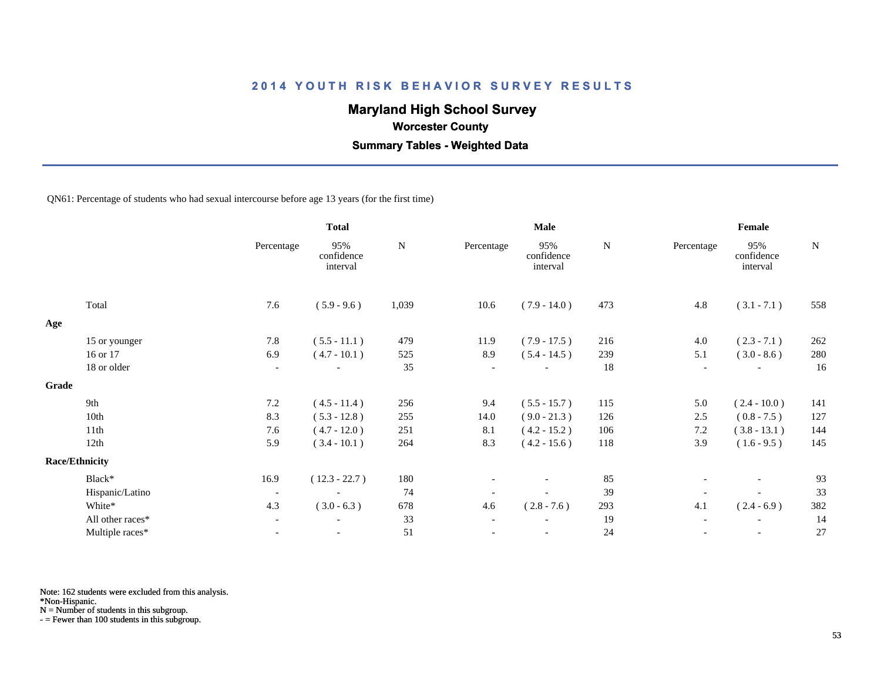## **Maryland High School Survey**

 **Worcester County**

 **Summary Tables - Weighted Data**

QN61: Percentage of students who had sexual intercourse before age 13 years (for the first time)

|       |                       |                          | <b>Total</b>                  |       |                          | Male                          |     | Female                   |                               |             |
|-------|-----------------------|--------------------------|-------------------------------|-------|--------------------------|-------------------------------|-----|--------------------------|-------------------------------|-------------|
|       |                       | Percentage               | 95%<br>confidence<br>interval | N     | Percentage               | 95%<br>confidence<br>interval | N   | Percentage               | 95%<br>confidence<br>interval | $\mathbf N$ |
|       | Total                 | 7.6                      | $(5.9 - 9.6)$                 | 1,039 | 10.6                     | $(7.9 - 14.0)$                | 473 | 4.8                      | $(3.1 - 7.1)$                 | 558         |
| Age   |                       |                          |                               |       |                          |                               |     |                          |                               |             |
|       | 15 or younger         | 7.8                      | $(5.5 - 11.1)$                | 479   | 11.9                     | $(7.9 - 17.5)$                | 216 | 4.0                      | $(2.3 - 7.1)$                 | 262         |
|       | 16 or 17              | 6.9                      | $(4.7 - 10.1)$                | 525   | 8.9                      | $(5.4 - 14.5)$                | 239 | 5.1                      | $(3.0 - 8.6)$                 | 280         |
|       | 18 or older           | $\overline{\phantom{a}}$ |                               | 35    | $\sim$                   |                               | 18  | $\overline{\phantom{a}}$ |                               | 16          |
| Grade |                       |                          |                               |       |                          |                               |     |                          |                               |             |
|       | 9th                   | 7.2                      | $(4.5 - 11.4)$                | 256   | 9.4                      | $(5.5 - 15.7)$                | 115 | 5.0                      | $(2.4 - 10.0)$                | 141         |
|       | 10th                  | 8.3                      | $(5.3 - 12.8)$                | 255   | 14.0                     | $(9.0 - 21.3)$                | 126 | 2.5                      | $(0.8 - 7.5)$                 | 127         |
|       | 11th                  | 7.6                      | $(4.7 - 12.0)$                | 251   | 8.1                      | $(4.2 - 15.2)$                | 106 | 7.2                      | $(3.8 - 13.1)$                | 144         |
|       | 12th                  | 5.9                      | $(3.4 - 10.1)$                | 264   | 8.3                      | $(4.2 - 15.6)$                | 118 | 3.9                      | $(1.6 - 9.5)$                 | 145         |
|       | <b>Race/Ethnicity</b> |                          |                               |       |                          |                               |     |                          |                               |             |
|       | Black*                | 16.9                     | $(12.3 - 22.7)$               | 180   |                          |                               | 85  |                          |                               | 93          |
|       | Hispanic/Latino       | $\overline{\phantom{a}}$ | $\overline{\phantom{a}}$      | 74    |                          | $\overline{\phantom{a}}$      | 39  |                          |                               | 33          |
|       | White*                | 4.3                      | $(3.0 - 6.3)$                 | 678   | 4.6                      | $(2.8 - 7.6)$                 | 293 | 4.1                      | $(2.4 - 6.9)$                 | 382         |
|       | All other races*      | $\overline{\phantom{a}}$ |                               | 33    | $\overline{\phantom{a}}$ |                               | 19  | $\overline{\phantom{a}}$ |                               | 14          |
|       | Multiple races*       | $\blacksquare$           | $\overline{\phantom{a}}$      | 51    |                          | $\overline{\phantom{a}}$      | 24  |                          | $\overline{\phantom{a}}$      | 27          |

Note: 162 students were excluded from this analysis.

\*Non-Hispanic.

N = Number of students in this subgroup.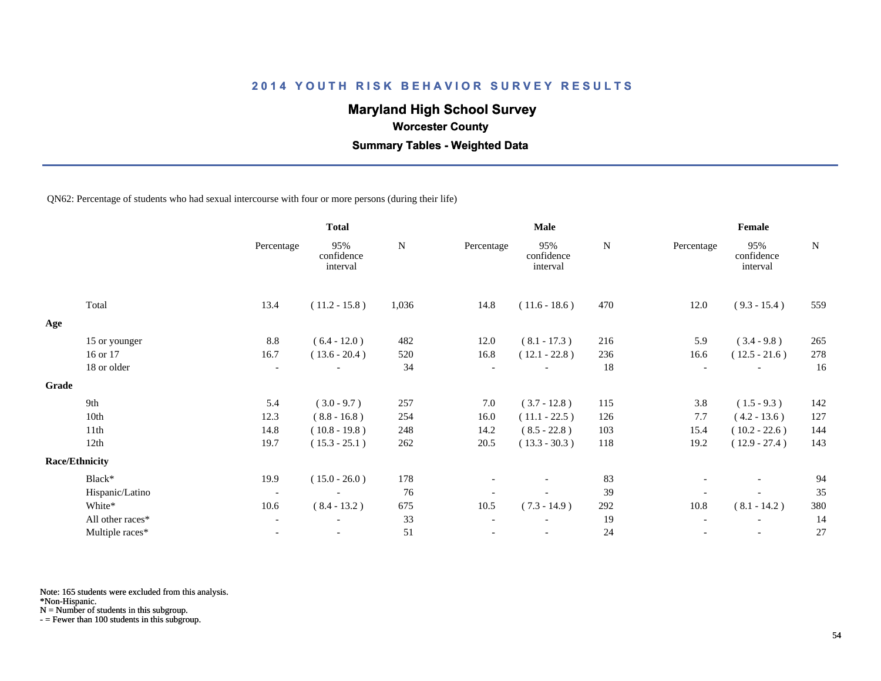## **Maryland High School Survey**

 **Worcester County**

 **Summary Tables - Weighted Data**

#### QN62: Percentage of students who had sexual intercourse with four or more persons (during their life)

|       |                       |                          | <b>Total</b>                  | <b>Male</b> |                          |                               |           | Female                   |                               |           |
|-------|-----------------------|--------------------------|-------------------------------|-------------|--------------------------|-------------------------------|-----------|--------------------------|-------------------------------|-----------|
|       |                       | Percentage               | 95%<br>confidence<br>interval | ${\bf N}$   | Percentage               | 95%<br>confidence<br>interval | ${\bf N}$ | Percentage               | 95%<br>confidence<br>interval | ${\bf N}$ |
|       | Total                 | 13.4                     | $(11.2 - 15.8)$               | 1,036       | 14.8                     | $(11.6 - 18.6)$               | 470       | 12.0                     | $(9.3 - 15.4)$                | 559       |
| Age   |                       |                          |                               |             |                          |                               |           |                          |                               |           |
|       | 15 or younger         | 8.8                      | $(6.4 - 12.0)$                | 482         | 12.0                     | $(8.1 - 17.3)$                | 216       | 5.9                      | $(3.4 - 9.8)$                 | 265       |
|       | 16 or 17              | 16.7                     | $(13.6 - 20.4)$               | 520         | 16.8                     | $(12.1 - 22.8)$               | 236       | 16.6                     | $(12.5 - 21.6)$               | 278       |
|       | 18 or older           | $\overline{\phantom{a}}$ |                               | 34          | $\overline{\phantom{a}}$ |                               | 18        | $\overline{\phantom{a}}$ |                               | 16        |
| Grade |                       |                          |                               |             |                          |                               |           |                          |                               |           |
|       | 9th                   | 5.4                      | $(3.0 - 9.7)$                 | 257         | 7.0                      | $(3.7 - 12.8)$                | 115       | 3.8                      | $(1.5 - 9.3)$                 | 142       |
|       | 10th                  | 12.3                     | $(8.8 - 16.8)$                | 254         | 16.0                     | $(11.1 - 22.5)$               | 126       | 7.7                      | $(4.2 - 13.6)$                | 127       |
|       | 11th                  | 14.8                     | $(10.8 - 19.8)$               | 248         | 14.2                     | $(8.5 - 22.8)$                | 103       | 15.4                     | $(10.2 - 22.6)$               | 144       |
|       | 12th                  | 19.7                     | $(15.3 - 25.1)$               | 262         | 20.5                     | $(13.3 - 30.3)$               | 118       | 19.2                     | $(12.9 - 27.4)$               | 143       |
|       | <b>Race/Ethnicity</b> |                          |                               |             |                          |                               |           |                          |                               |           |
|       | Black*                | 19.9                     | $(15.0 - 26.0)$               | 178         |                          |                               | 83        |                          |                               | 94        |
|       | Hispanic/Latino       | $\overline{\phantom{a}}$ | $\overline{\phantom{a}}$      | 76          |                          |                               | 39        |                          |                               | 35        |
|       | White*                | 10.6                     | $(8.4 - 13.2)$                | 675         | 10.5                     | $(7.3 - 14.9)$                | 292       | 10.8                     | $(8.1 - 14.2)$                | 380       |
|       | All other races*      | $\overline{\phantom{a}}$ |                               | 33          | $\overline{\phantom{a}}$ |                               | 19        | $\overline{\phantom{a}}$ |                               | 14        |
|       | Multiple races*       | $\overline{\phantom{a}}$ | $\blacksquare$                | 51          |                          | $\blacksquare$                | 24        |                          | $\overline{\phantom{a}}$      | 27        |

Note: 165 students were excluded from this analysis.

\*Non-Hispanic.

N = Number of students in this subgroup.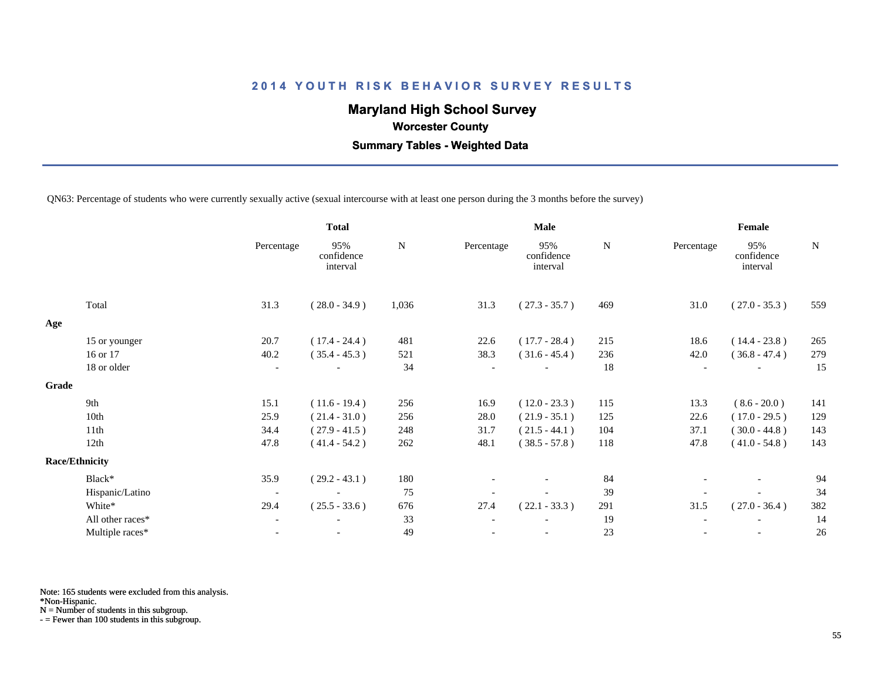## **Maryland High School Survey**

 **Worcester County**

 **Summary Tables - Weighted Data**

QN63: Percentage of students who were currently sexually active (sexual intercourse with at least one person during the 3 months before the survey)

|       |                       |                          | <b>Total</b>                  |           |            | <b>Male</b>                   |             | Female                   |                               |     |  |
|-------|-----------------------|--------------------------|-------------------------------|-----------|------------|-------------------------------|-------------|--------------------------|-------------------------------|-----|--|
|       |                       | Percentage               | 95%<br>confidence<br>interval | ${\bf N}$ | Percentage | 95%<br>confidence<br>interval | $\mathbf N$ | Percentage               | 95%<br>confidence<br>interval | N   |  |
|       | Total                 | 31.3                     | $(28.0 - 34.9)$               | 1,036     | 31.3       | $(27.3 - 35.7)$               | 469         | 31.0                     | $(27.0 - 35.3)$               | 559 |  |
| Age   |                       |                          |                               |           |            |                               |             |                          |                               |     |  |
|       | 15 or younger         | 20.7                     | $(17.4 - 24.4)$               | 481       | 22.6       | $(17.7 - 28.4)$               | 215         | 18.6                     | $(14.4 - 23.8)$               | 265 |  |
|       | 16 or 17              | 40.2                     | $(35.4 - 45.3)$               | 521       | 38.3       | $(31.6 - 45.4)$               | 236         | 42.0                     | $(36.8 - 47.4)$               | 279 |  |
|       | 18 or older           | $\overline{\phantom{a}}$ |                               | 34        |            |                               | 18          | $\overline{\phantom{a}}$ |                               | 15  |  |
| Grade |                       |                          |                               |           |            |                               |             |                          |                               |     |  |
|       | 9th                   | 15.1                     | $(11.6 - 19.4)$               | 256       | 16.9       | $(12.0 - 23.3)$               | 115         | 13.3                     | $(8.6 - 20.0)$                | 141 |  |
|       | 10th                  | 25.9                     | $(21.4 - 31.0)$               | 256       | 28.0       | $(21.9 - 35.1)$               | 125         | 22.6                     | $(17.0 - 29.5)$               | 129 |  |
|       | 11th                  | 34.4                     | $(27.9 - 41.5)$               | 248       | 31.7       | $(21.5 - 44.1)$               | 104         | 37.1                     | $(30.0 - 44.8)$               | 143 |  |
|       | 12th                  | 47.8                     | $(41.4 - 54.2)$               | 262       | 48.1       | $(38.5 - 57.8)$               | 118         | 47.8                     | $(41.0 - 54.8)$               | 143 |  |
|       | <b>Race/Ethnicity</b> |                          |                               |           |            |                               |             |                          |                               |     |  |
|       | Black*                | 35.9                     | $(29.2 - 43.1)$               | 180       |            | $\overline{\phantom{a}}$      | 84          |                          | $\overline{\phantom{a}}$      | 94  |  |
|       | Hispanic/Latino       | $\overline{\phantom{a}}$ |                               | 75        |            |                               | 39          |                          |                               | 34  |  |
|       | White*                | 29.4                     | $(25.5 - 33.6)$               | 676       | 27.4       | $(22.1 - 33.3)$               | 291         | 31.5                     | $(27.0 - 36.4)$               | 382 |  |
|       | All other races*      | $\overline{\phantom{a}}$ |                               | 33        |            |                               | 19          |                          |                               | 14  |  |
|       | Multiple races*       | $\overline{\phantom{a}}$ |                               | 49        |            |                               | 23          |                          | $\overline{\phantom{a}}$      | 26  |  |
|       |                       |                          |                               |           |            |                               |             |                          |                               |     |  |

Note: 165 students were excluded from this analysis.

\*Non-Hispanic.

N = Number of students in this subgroup.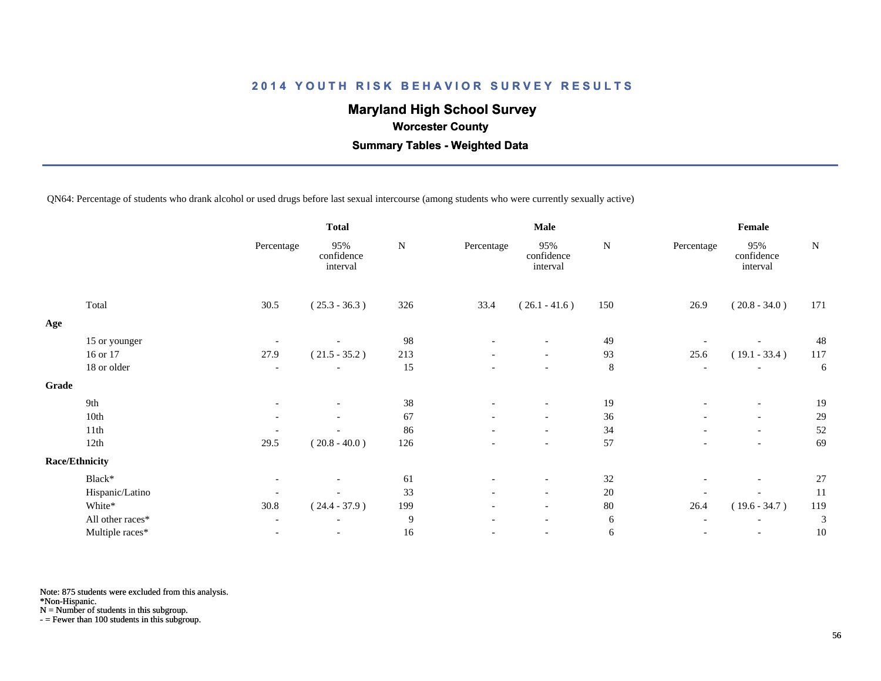## **Maryland High School Survey**

 **Worcester County**

 **Summary Tables - Weighted Data**

QN64: Percentage of students who drank alcohol or used drugs before last sexual intercourse (among students who were currently sexually active)

|       |                       |                          | <b>Total</b>                  |     |                          | <b>Male</b>                   |         | Female                   |                               |           |  |
|-------|-----------------------|--------------------------|-------------------------------|-----|--------------------------|-------------------------------|---------|--------------------------|-------------------------------|-----------|--|
|       |                       | Percentage               | 95%<br>confidence<br>interval | N   | Percentage               | 95%<br>confidence<br>interval | N       | Percentage               | 95%<br>confidence<br>interval | ${\bf N}$ |  |
|       | Total                 | 30.5                     | $(25.3 - 36.3)$               | 326 | 33.4                     | $(26.1 - 41.6)$               | 150     | 26.9                     | $(20.8 - 34.0)$               | 171       |  |
| Age   |                       |                          |                               |     |                          |                               |         |                          |                               |           |  |
|       | 15 or younger         |                          |                               | 98  |                          |                               | 49      |                          |                               | 48        |  |
|       | 16 or 17              | 27.9                     | $(21.5 - 35.2)$               | 213 | $\overline{\phantom{a}}$ | $\overline{\phantom{a}}$      | 93      | 25.6                     | $(19.1 - 33.4)$               | 117       |  |
|       | 18 or older           | $\overline{\phantom{a}}$ | $\overline{\phantom{a}}$      | 15  | $\overline{\phantom{a}}$ | $\overline{\phantom{a}}$      | $\,8\,$ | $\overline{\phantom{a}}$ |                               | 6         |  |
| Grade |                       |                          |                               |     |                          |                               |         |                          |                               |           |  |
|       | 9th                   | $\overline{\phantom{a}}$ |                               | 38  | $\overline{\phantom{a}}$ | $\overline{\phantom{a}}$      | 19      | $\overline{a}$           | $\overline{\phantom{a}}$      | 19        |  |
|       | 10th                  | $\overline{\phantom{0}}$ |                               | 67  |                          | $\overline{\phantom{a}}$      | $36\,$  |                          | $\overline{\phantom{a}}$      | 29        |  |
|       | 11th                  |                          |                               | 86  | $\overline{\phantom{a}}$ | $\overline{\phantom{0}}$      | 34      | $\overline{a}$           | $\overline{\phantom{a}}$      | 52        |  |
|       | 12th                  | 29.5                     | $(20.8 - 40.0)$               | 126 |                          | $\overline{\phantom{a}}$      | 57      |                          |                               | 69        |  |
|       | <b>Race/Ethnicity</b> |                          |                               |     |                          |                               |         |                          |                               |           |  |
|       | Black*                | $\overline{\phantom{a}}$ |                               | 61  | $\overline{\phantom{a}}$ | $\overline{\phantom{a}}$      | 32      |                          |                               | 27        |  |
|       | Hispanic/Latino       | $\overline{\phantom{a}}$ |                               | 33  | $\overline{\phantom{a}}$ | $\overline{\phantom{a}}$      | $20\,$  |                          |                               | 11        |  |
|       | White*                | 30.8                     | $(24.4 - 37.9)$               | 199 | $\overline{\phantom{0}}$ | $\overline{\phantom{0}}$      | $80\,$  | 26.4                     | $(19.6 - 34.7)$               | 119       |  |
|       | All other races*      | $\overline{\phantom{a}}$ | $\overline{\phantom{a}}$      | 9   |                          | $\overline{\phantom{a}}$      | 6       | $\overline{\phantom{a}}$ |                               | 3         |  |
|       | Multiple races*       | $\overline{\phantom{a}}$ | $\overline{\phantom{a}}$      | 16  | -                        | $\overline{\phantom{a}}$      | 6       | $\overline{a}$           | $\overline{\phantom{a}}$      | 10        |  |

Note: 875 students were excluded from this analysis.

\*Non-Hispanic.

N = Number of students in this subgroup.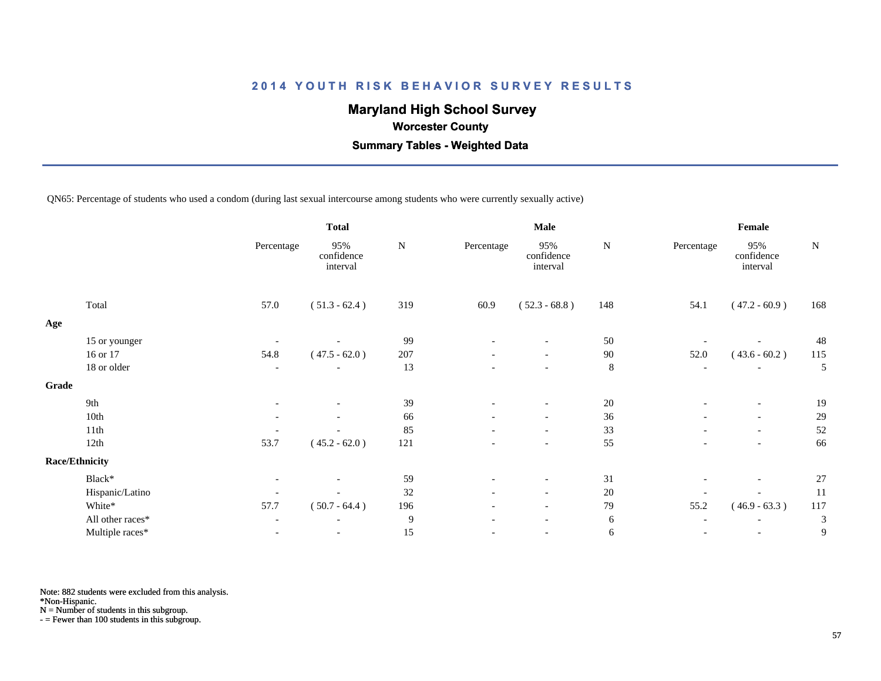## **Maryland High School Survey**

 **Worcester County**

 **Summary Tables - Weighted Data**

QN65: Percentage of students who used a condom (during last sexual intercourse among students who were currently sexually active)

|                  |                                                             | <b>Total</b>                  |           |                          | <b>Male</b>                   |           | Female                       |                               |           |
|------------------|-------------------------------------------------------------|-------------------------------|-----------|--------------------------|-------------------------------|-----------|------------------------------|-------------------------------|-----------|
|                  | Percentage                                                  | 95%<br>confidence<br>interval | ${\bf N}$ | Percentage               | 95%<br>confidence<br>interval | ${\bf N}$ | Percentage                   | 95%<br>confidence<br>interval | ${\bf N}$ |
| Total            | 57.0                                                        | $(51.3 - 62.4)$               | 319       | 60.9                     | $(52.3 - 68.8)$               | 148       | 54.1                         | $(47.2 - 60.9)$               | 168       |
|                  |                                                             |                               |           |                          |                               |           |                              |                               |           |
|                  |                                                             |                               | 99        |                          |                               | 50        |                              |                               | 48        |
| 16 or 17         | 54.8                                                        | $(47.5 - 62.0)$               | 207       | $\overline{\phantom{a}}$ | $\overline{\phantom{a}}$      | 90        | 52.0                         | $(43.6 - 60.2)$               | 115       |
| 18 or older      | $\overline{\phantom{a}}$                                    | $\overline{\phantom{a}}$      | 13        | $\overline{\phantom{0}}$ | $\overline{\phantom{a}}$      | $\,8\,$   | $\overline{\phantom{a}}$     | $\overline{\phantom{a}}$      | 5         |
|                  |                                                             |                               |           |                          |                               |           |                              |                               |           |
| 9th              | $\overline{\phantom{a}}$                                    | $\overline{\phantom{a}}$      | 39        | $\overline{\phantom{a}}$ | $\overline{\phantom{a}}$      | 20        | $\qquad \qquad \blacksquare$ | $\overline{\phantom{a}}$      | 19        |
| 10th             | $\overline{\phantom{a}}$                                    |                               | 66        |                          | $\overline{\phantom{a}}$      | 36        |                              | $\overline{\phantom{a}}$      | 29        |
| 11th             |                                                             |                               | 85        | $\overline{\phantom{0}}$ | $\overline{\phantom{a}}$      | 33        | $\overline{\phantom{a}}$     | $\overline{\phantom{0}}$      | 52        |
| 12th             | 53.7                                                        | $(45.2 - 62.0)$               | 121       |                          | $\overline{\phantom{a}}$      | 55        |                              |                               | 66        |
|                  |                                                             |                               |           |                          |                               |           |                              |                               |           |
| Black*           | $\overline{\phantom{a}}$                                    |                               | 59        | $\overline{\phantom{a}}$ | $\overline{\phantom{a}}$      | 31        |                              | $\overline{\phantom{a}}$      | 27        |
|                  |                                                             |                               | 32        | $\overline{\phantom{0}}$ | $\overline{\phantom{a}}$      | $20\,$    |                              |                               | 11        |
| White*           | 57.7                                                        | $(50.7 - 64.4)$               | 196       | $\overline{\phantom{0}}$ | $\overline{\phantom{a}}$      | 79        | 55.2                         | $(46.9 - 63.3)$               | 117       |
| All other races* | $\overline{\phantom{a}}$                                    | $\overline{\phantom{a}}$      | 9         | $\overline{\phantom{a}}$ | $\overline{\phantom{a}}$      | 6         | $\overline{\phantom{a}}$     |                               | 3         |
| Multiple races*  |                                                             | $\overline{\phantom{a}}$      | 15        |                          | $\overline{\phantom{a}}$      | 6         | $\qquad \qquad \blacksquare$ |                               | 9         |
|                  | 15 or younger<br>Grade<br>Race/Ethnicity<br>Hispanic/Latino |                               |           |                          |                               |           |                              |                               |           |

Note: 882 students were excluded from this analysis.

\*Non-Hispanic.

N = Number of students in this subgroup.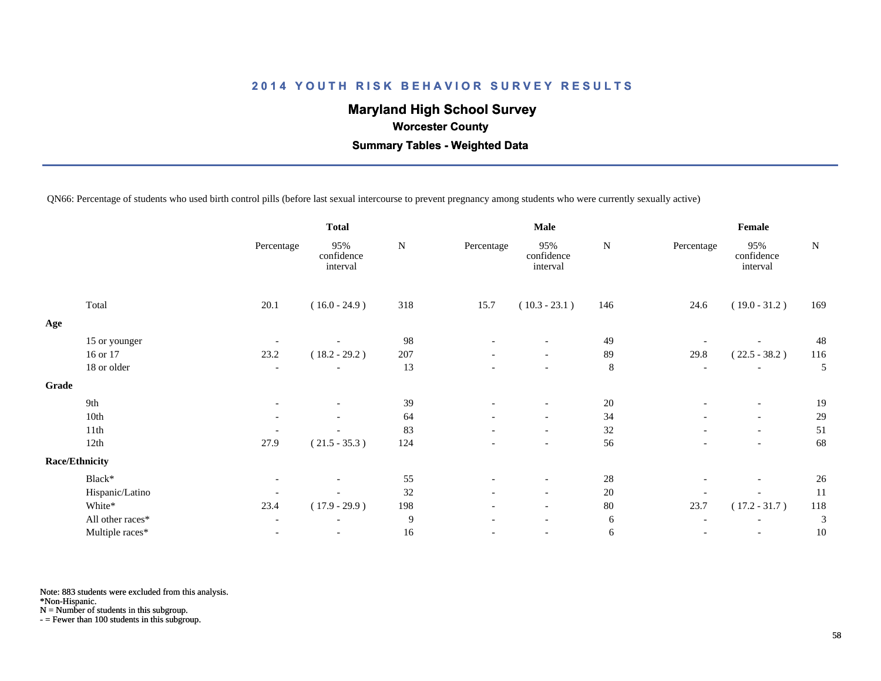## **Maryland High School Survey**

 **Worcester County**

 **Summary Tables - Weighted Data**

QN66: Percentage of students who used birth control pills (before last sexual intercourse to prevent pregnancy among students who were currently sexually active)

|       |                       |                          | <b>Total</b>                  |           |                          | <b>Male</b>                   |             | Female                   |                               |           |  |
|-------|-----------------------|--------------------------|-------------------------------|-----------|--------------------------|-------------------------------|-------------|--------------------------|-------------------------------|-----------|--|
|       |                       | Percentage               | 95%<br>confidence<br>interval | ${\bf N}$ | Percentage               | 95%<br>confidence<br>interval | N           | Percentage               | 95%<br>confidence<br>interval | ${\bf N}$ |  |
|       | Total                 | 20.1                     | $(16.0 - 24.9)$               | 318       | 15.7                     | $(10.3 - 23.1)$               | 146         | 24.6                     | $(19.0 - 31.2)$               | 169       |  |
| Age   |                       |                          |                               |           |                          |                               |             |                          |                               |           |  |
|       | 15 or younger         |                          |                               | 98        |                          | $\overline{\phantom{a}}$      | 49          |                          |                               | 48        |  |
|       | 16 or 17              | 23.2                     | $(18.2 - 29.2)$               | 207       | $\overline{\phantom{a}}$ | $\overline{\phantom{a}}$      | 89          | 29.8                     | $(22.5 - 38.2)$               | 116       |  |
|       | 18 or older           | $\overline{\phantom{a}}$ | $\overline{\phantom{a}}$      | 13        | $\overline{\phantom{a}}$ | $\overline{\phantom{a}}$      | $\,$ 8 $\,$ | $\overline{\phantom{a}}$ | $\overline{\phantom{a}}$      | 5         |  |
| Grade |                       |                          |                               |           |                          |                               |             |                          |                               |           |  |
|       | 9th                   | $\overline{\phantom{a}}$ | $\overline{\phantom{a}}$      | 39        | $\overline{\phantom{a}}$ | $\overline{\phantom{a}}$      | 20          | $\overline{\phantom{a}}$ | $\overline{\phantom{a}}$      | 19        |  |
|       | 10th                  |                          |                               | 64        |                          | $\overline{\phantom{a}}$      | 34          |                          | $\overline{\phantom{a}}$      | 29        |  |
|       | 11th                  |                          |                               | 83        | $\overline{\phantom{a}}$ | $\overline{\phantom{0}}$      | 32          | $\overline{\phantom{a}}$ | $\overline{\phantom{a}}$      | 51        |  |
|       | 12th                  | 27.9                     | $(21.5 - 35.3)$               | 124       |                          | $\overline{\phantom{a}}$      | 56          |                          |                               | 68        |  |
|       | <b>Race/Ethnicity</b> |                          |                               |           |                          |                               |             |                          |                               |           |  |
|       | Black*                | $\overline{\phantom{a}}$ |                               | 55        | $\overline{\phantom{a}}$ | $\overline{\phantom{a}}$      | 28          |                          | $\overline{\phantom{a}}$      | 26        |  |
|       | Hispanic/Latino       | $\overline{\phantom{a}}$ |                               | 32        | $\overline{\phantom{a}}$ | $\overline{\phantom{a}}$      | $20\,$      |                          |                               | 11        |  |
|       | White*                | 23.4                     | $(17.9 - 29.9)$               | 198       | $\sim$                   | $\overline{\phantom{a}}$      | 80          | 23.7                     | $(17.2 - 31.7)$               | 118       |  |
|       | All other races*      | $\overline{\phantom{a}}$ |                               | 9         | $\overline{\phantom{a}}$ | $\overline{\phantom{a}}$      | $\sqrt{6}$  | $\overline{\phantom{0}}$ |                               | 3         |  |
|       | Multiple races*       |                          | $\overline{\phantom{a}}$      | 16        |                          | $\overline{\phantom{a}}$      | 6           |                          | $\overline{\phantom{a}}$      | 10        |  |
|       |                       |                          |                               |           |                          |                               |             |                          |                               |           |  |

Note: 883 students were excluded from this analysis.

\*Non-Hispanic.

N = Number of students in this subgroup.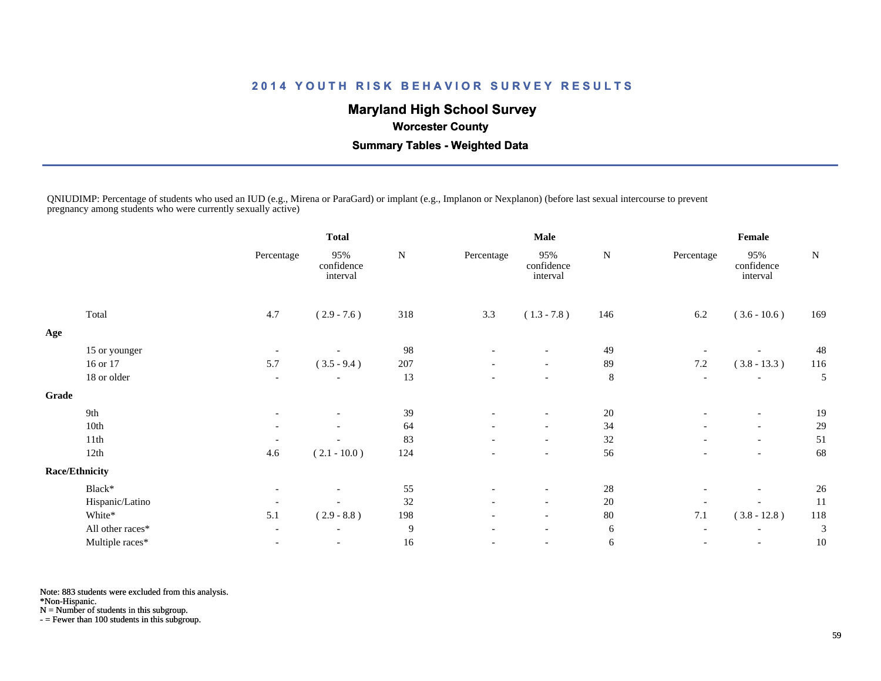## **Maryland High School Survey**

 **Worcester County**

 **Summary Tables - Weighted Data**

QNIUDIMP: Percentage of students who used an IUD (e.g., Mirena or ParaGard) or implant (e.g., Implanon or Nexplanon) (before last sexual intercourse to prevent pregnancy among students who were currently sexually active)

|                  |                                                                    | <b>Total</b>                  |           |                          |                               |             |                          |                               |           |
|------------------|--------------------------------------------------------------------|-------------------------------|-----------|--------------------------|-------------------------------|-------------|--------------------------|-------------------------------|-----------|
|                  | Percentage                                                         | 95%<br>confidence<br>interval | ${\bf N}$ | Percentage               | 95%<br>confidence<br>interval | ${\bf N}$   | Percentage               | 95%<br>confidence<br>interval | ${\bf N}$ |
| Total            | 4.7                                                                | $(2.9 - 7.6)$                 | 318       | 3.3                      | $(1.3 - 7.8)$                 | 146         | 6.2                      | $(3.6 - 10.6)$                | 169       |
|                  |                                                                    |                               |           |                          |                               |             |                          |                               |           |
|                  | $\overline{\phantom{a}}$                                           |                               | 98        |                          |                               | 49          |                          |                               | 48        |
| 16 or 17         | 5.7                                                                | $(3.5 - 9.4)$                 | 207       |                          | $\overline{\phantom{a}}$      | 89          | $7.2\,$                  | $(3.8 - 13.3)$                | 116       |
| 18 or older      | $\overline{\phantom{a}}$                                           | $\overline{\phantom{a}}$      | 13        |                          | $\overline{\phantom{a}}$      | $\,8\,$     | $\overline{\phantom{a}}$ | $\overline{\phantom{a}}$      | 5         |
|                  |                                                                    |                               |           |                          |                               |             |                          |                               |           |
| 9th              | $\overline{\phantom{a}}$                                           | $\overline{\phantom{a}}$      | 39        | $\overline{\phantom{a}}$ | $\overline{\phantom{a}}$      | 20          | $\overline{\phantom{a}}$ | $\overline{\phantom{a}}$      | 19        |
| 10th             | $\overline{\phantom{a}}$                                           |                               | 64        |                          | $\overline{\phantom{a}}$      | 34          | $\overline{\phantom{a}}$ | $\overline{\phantom{a}}$      | 29        |
| 11th             |                                                                    |                               | 83        | $\overline{\phantom{a}}$ | $\overline{\phantom{a}}$      | 32          | $\overline{\phantom{a}}$ | $\overline{\phantom{a}}$      | 51        |
| 12th             | 4.6                                                                | $(2.1 - 10.0)$                | 124       |                          | $\overline{\phantom{a}}$      | 56          |                          |                               | 68        |
|                  |                                                                    |                               |           |                          |                               |             |                          |                               |           |
| Black*           | $\overline{\phantom{a}}$                                           |                               | 55        |                          | $\overline{\phantom{a}}$      | 28          | $\overline{\phantom{a}}$ | $\overline{\phantom{a}}$      | 26        |
|                  | $\overline{\phantom{a}}$                                           |                               | 32        | $\overline{\phantom{a}}$ | $\overline{\phantom{a}}$      | $20\,$      |                          |                               | 11        |
| White*           | 5.1                                                                | $(2.9 - 8.8)$                 | 198       | $\overline{\phantom{a}}$ | $\overline{\phantom{a}}$      | 80          | 7.1                      | $(3.8 - 12.8)$                | 118       |
| All other races* | $\overline{\phantom{a}}$                                           | $\overline{\phantom{a}}$      | 9         | $\overline{\phantom{a}}$ | $\overline{\phantom{0}}$      | $\sqrt{6}$  | $\overline{\phantom{a}}$ | $\overline{\phantom{a}}$      | 3         |
| Multiple races*  |                                                                    | $\overline{\phantom{a}}$      | 16        |                          |                               | 6           | $\overline{\phantom{a}}$ |                               | 10        |
|                  | 15 or younger<br>Grade<br><b>Race/Ethnicity</b><br>Hispanic/Latino |                               |           |                          |                               | <b>Male</b> |                          |                               | Female    |

Note: 883 students were excluded from this analysis.

\*Non-Hispanic.

N = Number of students in this subgroup.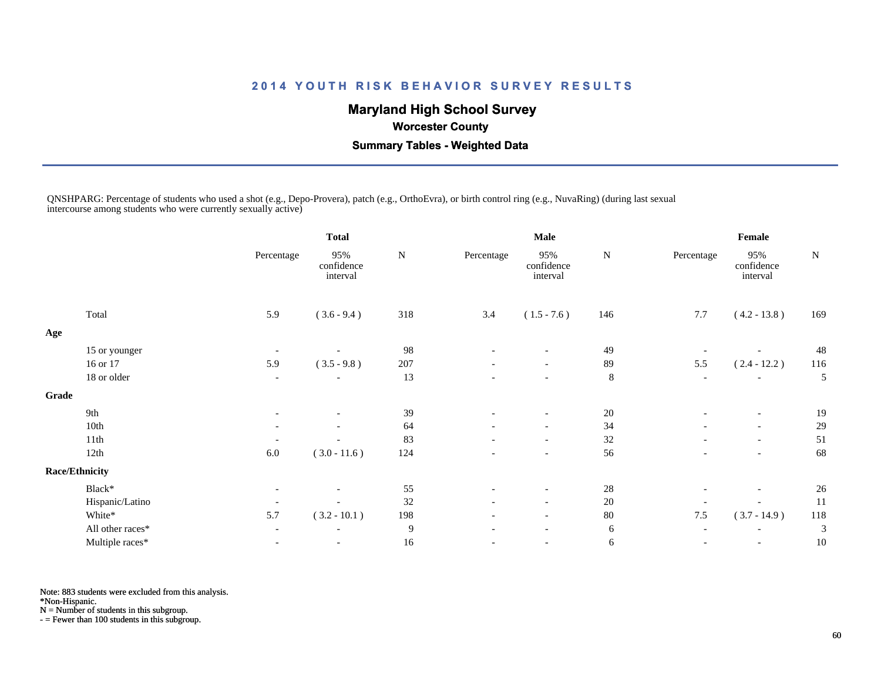## **Maryland High School Survey**

 **Worcester County**

 **Summary Tables - Weighted Data**

QNSHPARG: Percentage of students who used a shot (e.g., Depo-Provera), patch (e.g., OrthoEvra), or birth control ring (e.g., NuvaRing) (during last sexual intercourse among students who were currently sexually active)

|                  |                                                                    | <b>Total</b>                  |           |                          |                               |             |                          |                               |        |
|------------------|--------------------------------------------------------------------|-------------------------------|-----------|--------------------------|-------------------------------|-------------|--------------------------|-------------------------------|--------|
|                  | Percentage                                                         | 95%<br>confidence<br>interval | ${\bf N}$ | Percentage               | 95%<br>confidence<br>interval | N           | Percentage               | 95%<br>confidence<br>interval | N      |
| Total            | 5.9                                                                | $(3.6 - 9.4)$                 | 318       | 3.4                      | $(1.5 - 7.6)$                 | 146         | 7.7                      | $(4.2 - 13.8)$                | 169    |
|                  |                                                                    |                               |           |                          |                               |             |                          |                               |        |
|                  | $\overline{\phantom{a}}$                                           |                               | 98        |                          |                               | 49          |                          |                               | 48     |
| 16 or 17         | 5.9                                                                | $(3.5 - 9.8)$                 | 207       | $\overline{\phantom{a}}$ | $\overline{\phantom{a}}$      | 89          | 5.5                      | $(2.4 - 12.2)$                | 116    |
| 18 or older      | $\overline{\phantom{a}}$                                           |                               | 13        |                          | $\overline{\phantom{a}}$      | $8\,$       | $\overline{\phantom{a}}$ | $\overline{\phantom{a}}$      | 5      |
|                  |                                                                    |                               |           |                          |                               |             |                          |                               |        |
| 9th              | $\overline{\phantom{a}}$                                           | $\overline{\phantom{a}}$      |           | $\overline{\phantom{a}}$ | $\overline{\phantom{a}}$      |             | $\overline{\phantom{a}}$ | $\overline{\phantom{a}}$      | 19     |
| 10th             | $\overline{\phantom{a}}$                                           |                               | 64        |                          | $\overline{\phantom{a}}$      | 34          | $\overline{a}$           | $\overline{\phantom{a}}$      | 29     |
| 11th             |                                                                    |                               | 83        |                          | $\overline{\phantom{0}}$      | 32          | $\overline{\phantom{a}}$ | $\overline{\phantom{a}}$      | 51     |
| 12th             | 6.0                                                                | $(3.0 - 11.6)$                | 124       |                          | $\overline{\phantom{a}}$      | 56          |                          | $\overline{\phantom{a}}$      | 68     |
|                  |                                                                    |                               |           |                          |                               |             |                          |                               |        |
| Black*           | $\overline{\phantom{a}}$                                           |                               | 55        | $\overline{\phantom{a}}$ | $\overline{\phantom{a}}$      | $28\,$      | $\overline{\phantom{0}}$ | $\overline{\phantom{a}}$      | 26     |
|                  | $\overline{\phantom{a}}$                                           |                               | 32        | $\overline{\phantom{a}}$ | $\overline{\phantom{a}}$      | $20\,$      |                          |                               | 11     |
| White*           | 5.7                                                                | $(3.2 - 10.1)$                | 198       | $\overline{\phantom{a}}$ | $\overline{\phantom{0}}$      | 80          | $7.5\,$                  | $(3.7 - 14.9)$                | 118    |
| All other races* | $\overline{\phantom{a}}$                                           | $\overline{\phantom{a}}$      | 9         |                          |                               | 6           | $\overline{\phantom{a}}$ |                               | 3      |
| Multiple races*  | $\overline{\phantom{a}}$                                           | $\overline{\phantom{a}}$      | 16        | -                        | $\overline{\phantom{a}}$      | $\sqrt{6}$  | $\overline{\phantom{a}}$ | $\overline{\phantom{a}}$      | 10     |
|                  | 15 or younger<br>Grade<br><b>Race/Ethnicity</b><br>Hispanic/Latino |                               |           | 39                       |                               | <b>Male</b> | 20                       |                               | Female |

Note: 883 students were excluded from this analysis.

\*Non-Hispanic.

N = Number of students in this subgroup.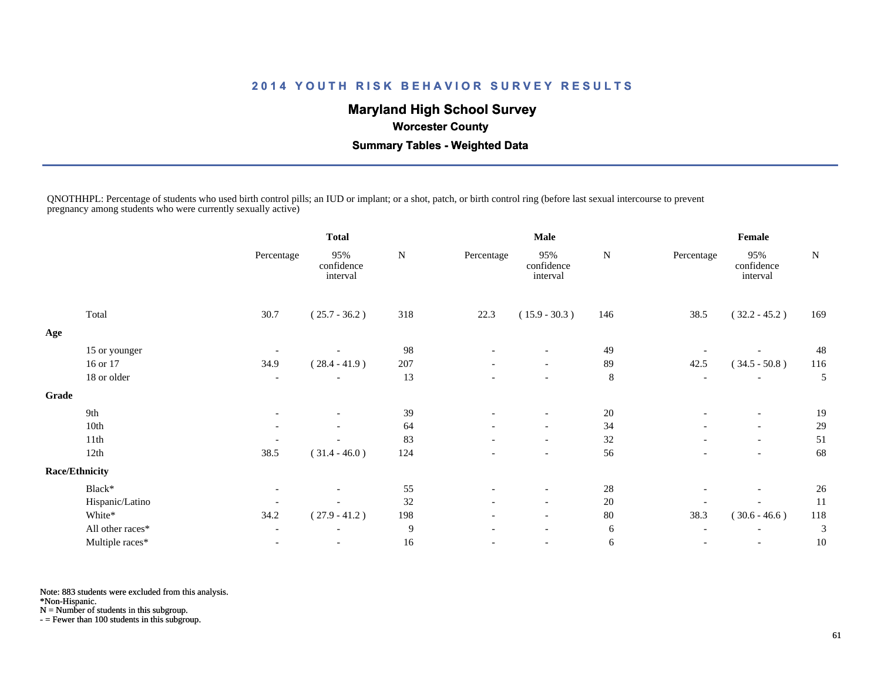## **Maryland High School Survey**

 **Worcester County**

 **Summary Tables - Weighted Data**

QNOTHHPL: Percentage of students who used birth control pills; an IUD or implant; or a shot, patch, or birth control ring (before last sexual intercourse to prevent pregnancy among students who were currently sexually active)

|       |                       |                          | <b>Total</b>                  |        | <b>Male</b>              |                               |             | Female                   |                               |           |
|-------|-----------------------|--------------------------|-------------------------------|--------|--------------------------|-------------------------------|-------------|--------------------------|-------------------------------|-----------|
|       |                       | Percentage               | 95%<br>confidence<br>interval | N      | Percentage               | 95%<br>confidence<br>interval | N           | Percentage               | 95%<br>confidence<br>interval | ${\bf N}$ |
|       | Total                 | 30.7                     | $(25.7 - 36.2)$               | 318    | 22.3                     | $(15.9 - 30.3)$               | 146         | 38.5                     | $(32.2 - 45.2)$               | 169       |
| Age   |                       |                          |                               |        |                          |                               |             |                          |                               |           |
|       | 15 or younger         |                          |                               | 98     |                          |                               | 49          |                          |                               | 48        |
|       | 16 or 17              | 34.9                     | $(28.4 - 41.9)$               | 207    | $\overline{\phantom{a}}$ | $\overline{\phantom{a}}$      | 89          | 42.5                     | $(34.5 - 50.8)$               | 116       |
|       | 18 or older           | $\overline{\phantom{a}}$ |                               | 13     |                          | $\overline{\phantom{a}}$      | $\,$ 8 $\,$ | $\overline{\phantom{a}}$ |                               | 5         |
| Grade |                       |                          |                               |        |                          |                               |             |                          |                               |           |
|       | 9th                   | $\overline{\phantom{0}}$ | $\overline{\phantom{a}}$      | 39     | $\overline{\phantom{0}}$ | $\overline{\phantom{a}}$      | 20          | $\overline{\phantom{a}}$ | $\overline{\phantom{a}}$      | 19        |
|       | 10th                  |                          |                               | 64     |                          | $\overline{\phantom{a}}$      | 34          |                          | $\overline{\phantom{a}}$      | 29        |
|       | 11th                  |                          |                               | 83     |                          | $\overline{\phantom{a}}$      | 32          | $\overline{\phantom{0}}$ | $\overline{\phantom{a}}$      | 51        |
|       | 12th                  | 38.5                     | $(31.4 - 46.0)$               | 124    |                          | $\overline{\phantom{a}}$      | 56          |                          |                               | 68        |
|       | <b>Race/Ethnicity</b> |                          |                               |        |                          |                               |             |                          |                               |           |
|       | Black*                | $\overline{\phantom{a}}$ |                               | 55     | $\overline{\phantom{0}}$ | $\overline{\phantom{a}}$      | 28          |                          |                               | 26        |
|       | Hispanic/Latino       |                          |                               | 32     |                          | $\overline{\phantom{a}}$      | 20          |                          |                               | 11        |
|       | White*                | 34.2                     | $(27.9 - 41.2)$               | 198    | $\overline{\phantom{0}}$ | $\overline{\phantom{a}}$      | 80          | 38.3                     | $(30.6 - 46.6)$               | 118       |
|       | All other races*      |                          | $\overline{\phantom{a}}$      | 9      |                          | $\overline{\phantom{a}}$      | 6           | $\overline{\phantom{a}}$ |                               | 3         |
|       | Multiple races*       |                          | $\overline{\phantom{a}}$      | $16\,$ |                          | $\overline{\phantom{a}}$      | $\sqrt{6}$  | $\overline{a}$           | $\overline{\phantom{a}}$      | 10        |

Note: 883 students were excluded from this analysis.

\*Non-Hispanic.

N = Number of students in this subgroup.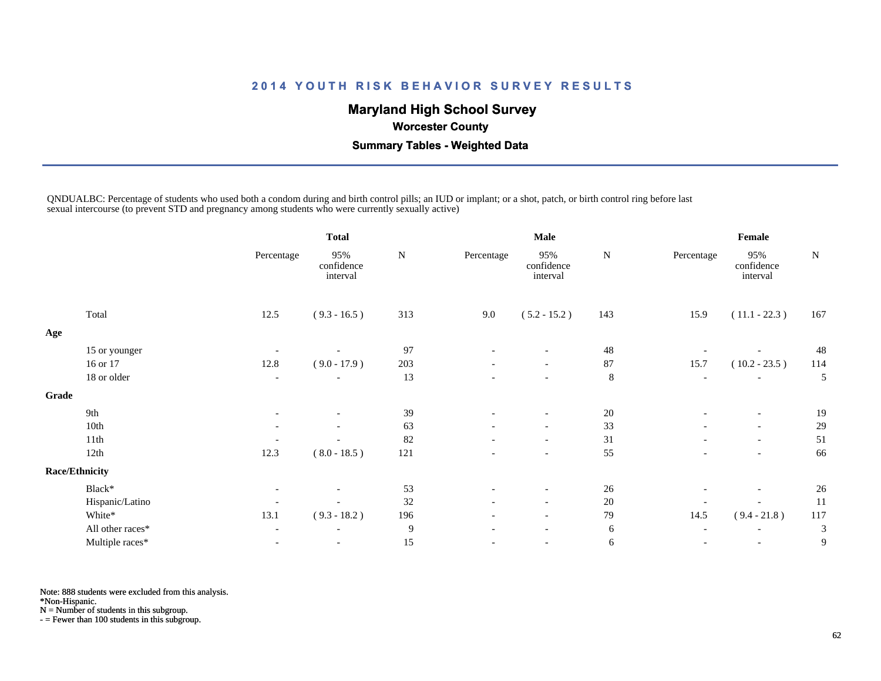## **Maryland High School Survey**

 **Worcester County**

 **Summary Tables - Weighted Data**

QNDUALBC: Percentage of students who used both a condom during and birth control pills; an IUD or implant; or a shot, patch, or birth control ring before last sexual intercourse (to prevent STD and pregnancy among students who were currently sexually active)

|       |                       |                          | <b>Total</b>                  |           |                          | <b>Male</b>                   |           |                          | Female                        |           |
|-------|-----------------------|--------------------------|-------------------------------|-----------|--------------------------|-------------------------------|-----------|--------------------------|-------------------------------|-----------|
|       |                       | Percentage               | 95%<br>confidence<br>interval | ${\bf N}$ | Percentage               | 95%<br>confidence<br>interval | ${\bf N}$ | Percentage               | 95%<br>confidence<br>interval | ${\bf N}$ |
|       | Total                 | 12.5                     | $(9.3 - 16.5)$                | 313       | 9.0                      | $(5.2 - 15.2)$                | 143       | 15.9                     | $(11.1 - 22.3)$               | 167       |
| Age   |                       |                          |                               |           |                          |                               |           |                          |                               |           |
|       | 15 or younger         |                          |                               | 97        |                          |                               | 48        |                          |                               | 48        |
|       | 16 or 17              | 12.8                     | $(9.0 - 17.9)$                | 203       | $\overline{\phantom{a}}$ | $\overline{\phantom{a}}$      | 87        | 15.7                     | $(10.2 - 23.5)$               | 114       |
|       | 18 or older           | $\overline{\phantom{a}}$ | $\overline{\phantom{a}}$      | 13        |                          | $\overline{\phantom{a}}$      | $\,8\,$   | $\overline{\phantom{a}}$ |                               | 5         |
| Grade |                       |                          |                               |           |                          |                               |           |                          |                               |           |
|       | 9th                   | $\overline{\phantom{a}}$ | $\overline{\phantom{a}}$      | 39        | $\overline{\phantom{a}}$ | $\overline{\phantom{a}}$      | 20        | $\overline{\phantom{a}}$ | $\overline{\phantom{a}}$      | 19        |
|       | 10th                  |                          |                               | 63        |                          | $\overline{\phantom{a}}$      | 33        |                          | $\overline{\phantom{a}}$      | 29        |
|       | 11th                  |                          |                               | 82        | $\overline{\phantom{a}}$ | $\overline{\phantom{a}}$      | 31        | $\overline{\phantom{a}}$ | $\overline{\phantom{a}}$      | 51        |
|       | 12th                  | 12.3                     | $(8.0 - 18.5)$                | 121       |                          | $\overline{\phantom{a}}$      | 55        |                          | $\overline{\phantom{a}}$      | 66        |
|       | <b>Race/Ethnicity</b> |                          |                               |           |                          |                               |           |                          |                               |           |
|       | Black*                | $\overline{\phantom{a}}$ |                               | 53        | $\overline{\phantom{a}}$ | $\overline{\phantom{0}}$      | 26        | $\overline{\phantom{a}}$ | $\overline{\phantom{a}}$      | 26        |
|       | Hispanic/Latino       | $\overline{\phantom{a}}$ |                               | 32        | $\overline{\phantom{a}}$ | $\overline{\phantom{a}}$      | $20\,$    | $\overline{\phantom{a}}$ |                               | 11        |
|       | White*                | 13.1                     | $(9.3 - 18.2)$                | 196       | $\overline{\phantom{0}}$ | $\overline{\phantom{0}}$      | 79        | 14.5                     | $(9.4 - 21.8)$                | 117       |
|       | All other races*      | $\overline{\phantom{a}}$ | $\overline{\phantom{a}}$      | 9         |                          |                               | 6         | $\overline{\phantom{a}}$ |                               | 3         |
|       | Multiple races*       | $\overline{\phantom{a}}$ | $\overline{\phantom{a}}$      | 15        |                          | $\overline{\phantom{a}}$      | 6         | $\overline{\phantom{a}}$ | $\overline{\phantom{a}}$      | 9         |

Note: 888 students were excluded from this analysis.

\*Non-Hispanic.

N = Number of students in this subgroup.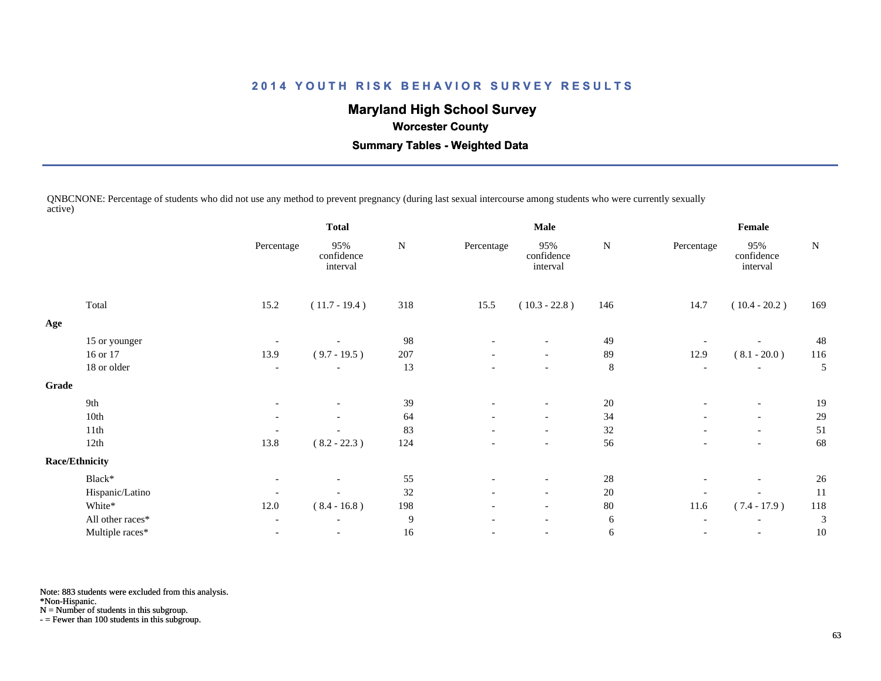## **Maryland High School Survey**

 **Worcester County**

 **Summary Tables - Weighted Data**

QNBCNONE: Percentage of students who did not use any method to prevent pregnancy (during last sexual intercourse among students who were currently sexually active)

|                  |                                          | <b>Total</b>                  |           |                          |                               |             | Female                   |                               |     |
|------------------|------------------------------------------|-------------------------------|-----------|--------------------------|-------------------------------|-------------|--------------------------|-------------------------------|-----|
|                  | Percentage                               | 95%<br>confidence<br>interval | ${\bf N}$ | Percentage               | 95%<br>confidence<br>interval | ${\bf N}$   | Percentage               | 95%<br>confidence<br>interval | N   |
| Total            | 15.2                                     | $(11.7 - 19.4)$               | 318       | 15.5                     | $(10.3 - 22.8)$               | 146         | 14.7                     | $(10.4 - 20.2)$               | 169 |
|                  |                                          |                               |           |                          |                               |             |                          |                               |     |
| 15 or younger    |                                          |                               | 98        |                          |                               | 49          |                          |                               | 48  |
| 16 or 17         | 13.9                                     | $(9.7 - 19.5)$                | 207       | $\overline{\phantom{a}}$ | $\overline{\phantom{a}}$      | 89          | 12.9                     | $(8.1 - 20.0)$                | 116 |
| 18 or older      | $\overline{\phantom{a}}$                 |                               | 13        |                          | $\overline{\phantom{a}}$      | $\,8\,$     | $\overline{\phantom{a}}$ | $\overline{\phantom{a}}$      | 5   |
|                  |                                          |                               |           |                          |                               |             |                          |                               |     |
| 9th              | $\overline{\phantom{0}}$                 | $\overline{\phantom{a}}$      | 39        | $\overline{\phantom{a}}$ | $\overline{\phantom{a}}$      |             | $\overline{\phantom{a}}$ | $\overline{\phantom{a}}$      | 19  |
| 10th             | $\overline{\phantom{a}}$                 | $\overline{\phantom{a}}$      | 64        | $\overline{\phantom{0}}$ | $\overline{\phantom{a}}$      | 34          | $\overline{\phantom{a}}$ | $\overline{\phantom{a}}$      | 29  |
| 11th             |                                          |                               | 83        | $\overline{\phantom{a}}$ | $\overline{\phantom{a}}$      | 32          | $\overline{\phantom{a}}$ | $\overline{\phantom{a}}$      | 51  |
| 12th             | 13.8                                     | $(8.2 - 22.3)$                | 124       |                          | $\overline{\phantom{a}}$      | 56          |                          | $\overline{\phantom{a}}$      | 68  |
|                  |                                          |                               |           |                          |                               |             |                          |                               |     |
| Black*           | $\overline{\phantom{a}}$                 |                               | 55        | $\overline{\phantom{a}}$ | $\overline{\phantom{a}}$      | $28\,$      | $\qquad \qquad$          | $\overline{\phantom{a}}$      | 26  |
|                  | ٠                                        |                               | 32        |                          | $\overline{\phantom{a}}$      | 20          |                          |                               | 11  |
| White*           | 12.0                                     | $(8.4 - 16.8)$                | 198       | $\overline{\phantom{a}}$ | $\overline{\phantom{a}}$      | $80\,$      | 11.6                     | $(7.4 - 17.9)$                | 118 |
| All other races* | $\overline{\phantom{a}}$                 | $\overline{\phantom{a}}$      | 9         | $\overline{\phantom{a}}$ | $\overline{\phantom{a}}$      | 6           | $\overline{\phantom{a}}$ |                               | 3   |
| Multiple races*  |                                          |                               | 16        |                          | $\overline{\phantom{a}}$      | 6           | $\overline{\phantom{a}}$ | $\overline{\phantom{a}}$      | 10  |
|                  | <b>Race/Ethnicity</b><br>Hispanic/Latino |                               |           |                          |                               | <b>Male</b> | 20                       |                               |     |

Note: 883 students were excluded from this analysis.

\*Non-Hispanic.

N = Number of students in this subgroup.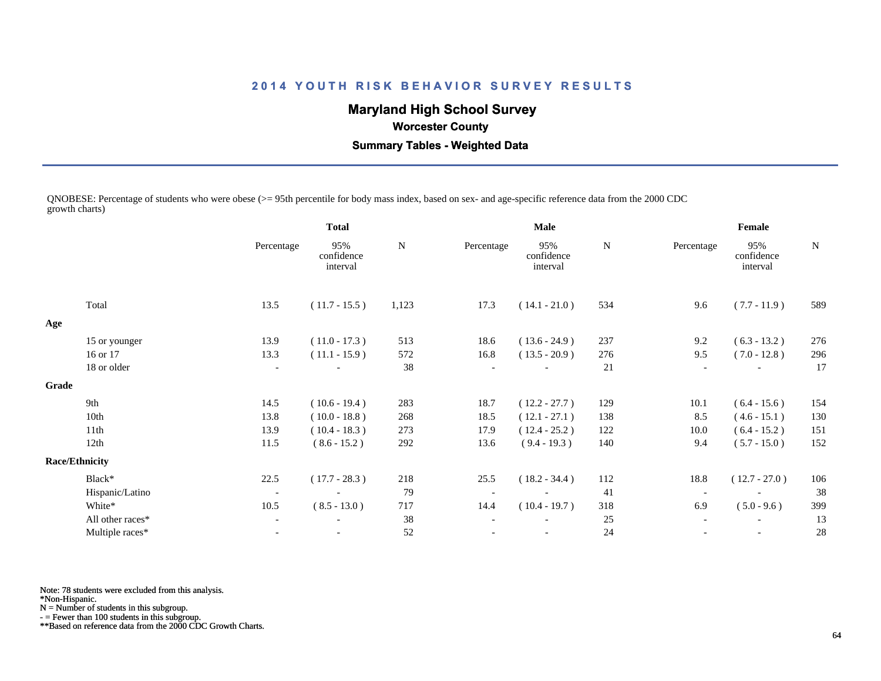# **Maryland High School Survey**

## **Worcester County**

 **Summary Tables - Weighted Data**

QNOBESE: Percentage of students who were obese (>= 95th percentile for body mass index, based on sex- and age-specific reference data from the 2000 CDC growth charts)

|       |                       | <b>Total</b>             |                               |       | <b>Male</b> |                               |     | Female                   |                               |             |  |
|-------|-----------------------|--------------------------|-------------------------------|-------|-------------|-------------------------------|-----|--------------------------|-------------------------------|-------------|--|
|       |                       | Percentage               | 95%<br>confidence<br>interval | N     | Percentage  | 95%<br>confidence<br>interval | N   | Percentage               | 95%<br>confidence<br>interval | $\mathbf N$ |  |
|       | Total                 | 13.5                     | $(11.7 - 15.5)$               | 1,123 | 17.3        | $(14.1 - 21.0)$               | 534 | 9.6                      | $(7.7 - 11.9)$                | 589         |  |
| Age   |                       |                          |                               |       |             |                               |     |                          |                               |             |  |
|       | 15 or younger         | 13.9                     | $(11.0 - 17.3)$               | 513   | 18.6        | $(13.6 - 24.9)$               | 237 | 9.2                      | $(6.3 - 13.2)$                | 276         |  |
|       | 16 or 17              | 13.3                     | $(11.1 - 15.9)$               | 572   | 16.8        | $(13.5 - 20.9)$               | 276 | 9.5                      | $(7.0 - 12.8)$                | 296         |  |
|       | 18 or older           | $\overline{\phantom{a}}$ |                               | 38    |             |                               | 21  | $\overline{\phantom{a}}$ |                               | 17          |  |
| Grade |                       |                          |                               |       |             |                               |     |                          |                               |             |  |
|       | 9th                   | 14.5                     | $(10.6 - 19.4)$               | 283   | 18.7        | $(12.2 - 27.7)$               | 129 | 10.1                     | $(6.4 - 15.6)$                | 154         |  |
|       | 10th                  | 13.8                     | $(10.0 - 18.8)$               | 268   | 18.5        | $(12.1 - 27.1)$               | 138 | 8.5                      | $(4.6 - 15.1)$                | 130         |  |
|       | 11th                  | 13.9                     | $(10.4 - 18.3)$               | 273   | 17.9        | $(12.4 - 25.2)$               | 122 | 10.0                     | $(6.4 - 15.2)$                | 151         |  |
|       | 12th                  | 11.5                     | $(8.6 - 15.2)$                | 292   | 13.6        | $(9.4 - 19.3)$                | 140 | 9.4                      | $(5.7 - 15.0)$                | 152         |  |
|       | <b>Race/Ethnicity</b> |                          |                               |       |             |                               |     |                          |                               |             |  |
|       | Black*                | 22.5                     | $(17.7 - 28.3)$               | 218   | 25.5        | $(18.2 - 34.4)$               | 112 | 18.8                     | $(12.7 - 27.0)$               | 106         |  |
|       | Hispanic/Latino       | $\overline{\phantom{a}}$ |                               | 79    |             |                               | 41  | $\overline{\phantom{a}}$ |                               | 38          |  |
|       | White*                | 10.5                     | $(8.5 - 13.0)$                | 717   | 14.4        | $(10.4 - 19.7)$               | 318 | 6.9                      | $(5.0 - 9.6)$                 | 399         |  |
|       | All other races*      | $\overline{\phantom{a}}$ |                               | 38    |             |                               | 25  | $\overline{\phantom{a}}$ |                               | 13          |  |
|       | Multiple races*       |                          |                               | 52    |             |                               | 24  |                          |                               | 28          |  |
|       |                       |                          |                               |       |             |                               |     |                          |                               |             |  |

Note: 78 students were excluded from this analysis.

\*Non-Hispanic.

N = Number of students in this subgroup.

- = Fewer than 100 students in this subgroup.

\*\*Based on reference data from the 2000 CDC Growth Charts.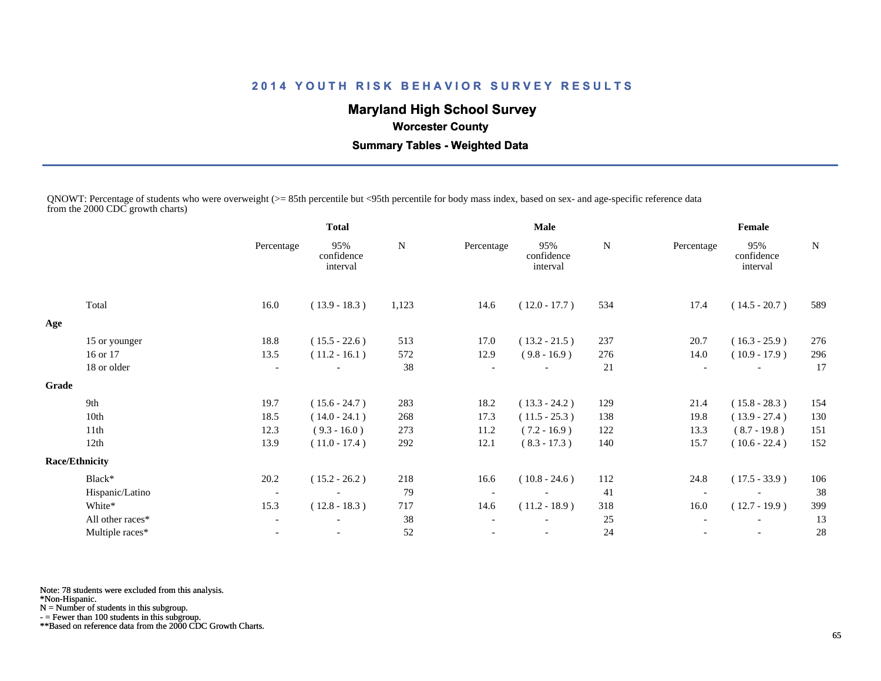# **Maryland High School Survey**

## **Worcester County**

 **Summary Tables - Weighted Data**

QNOWT: Percentage of students who were overweight (>= 85th percentile but <95th percentile for body mass index, based on sex- and age-specific reference data from the 2000 CDC growth charts)

|       |                       | <b>Total</b>             |                               | Male   |            |                               |     | Female     |                               |             |  |
|-------|-----------------------|--------------------------|-------------------------------|--------|------------|-------------------------------|-----|------------|-------------------------------|-------------|--|
|       |                       | Percentage               | 95%<br>confidence<br>interval | N      | Percentage | 95%<br>confidence<br>interval | N   | Percentage | 95%<br>confidence<br>interval | $\mathbf N$ |  |
|       | Total                 | 16.0                     | $(13.9 - 18.3)$               | 1,123  | 14.6       | $(12.0 - 17.7)$               | 534 | 17.4       | $(14.5 - 20.7)$               | 589         |  |
| Age   |                       |                          |                               |        |            |                               |     |            |                               |             |  |
|       | 15 or younger         | 18.8                     | $(15.5 - 22.6)$               | 513    | 17.0       | $(13.2 - 21.5)$               | 237 | 20.7       | $(16.3 - 25.9)$               | 276         |  |
|       | 16 or 17              | 13.5                     | $(11.2 - 16.1)$               | 572    | 12.9       | $(9.8 - 16.9)$                | 276 | 14.0       | $(10.9 - 17.9)$               | 296         |  |
|       | 18 or older           | $\overline{\phantom{a}}$ |                               | 38     |            |                               | 21  |            |                               | 17          |  |
| Grade |                       |                          |                               |        |            |                               |     |            |                               |             |  |
|       | 9th                   | 19.7                     | $(15.6 - 24.7)$               | 283    | 18.2       | $(13.3 - 24.2)$               | 129 | 21.4       | $(15.8 - 28.3)$               | 154         |  |
|       | 10th                  | 18.5                     | $(14.0 - 24.1)$               | 268    | 17.3       | $(11.5 - 25.3)$               | 138 | 19.8       | $(13.9 - 27.4)$               | 130         |  |
|       | 11th                  | 12.3                     | $(9.3 - 16.0)$                | 273    | 11.2       | $(7.2 - 16.9)$                | 122 | 13.3       | $(8.7 - 19.8)$                | 151         |  |
|       | 12th                  | 13.9                     | $(11.0 - 17.4)$               | 292    | 12.1       | $(8.3 - 17.3)$                | 140 | 15.7       | $(10.6 - 22.4)$               | 152         |  |
|       | <b>Race/Ethnicity</b> |                          |                               |        |            |                               |     |            |                               |             |  |
|       | Black*                | 20.2                     | $(15.2 - 26.2)$               | 218    | 16.6       | $(10.8 - 24.6)$               | 112 | 24.8       | $(17.5 - 33.9)$               | 106         |  |
|       | Hispanic/Latino       | $\overline{\phantom{a}}$ |                               | 79     |            |                               | 41  |            |                               | 38          |  |
|       | White*                | 15.3                     | $(12.8 - 18.3)$               | 717    | 14.6       | $(11.2 - 18.9)$               | 318 | 16.0       | $(12.7 - 19.9)$               | 399         |  |
|       | All other races*      | $\overline{\phantom{a}}$ |                               | $38\,$ |            |                               | 25  |            |                               | 13          |  |
|       | Multiple races*       |                          | $\overline{\phantom{a}}$      | 52     |            |                               | 24  |            | $\overline{\phantom{a}}$      | 28          |  |
|       |                       |                          |                               |        |            |                               |     |            |                               |             |  |

Note: 78 students were excluded from this analysis.

\*Non-Hispanic.

N = Number of students in this subgroup.

- = Fewer than 100 students in this subgroup.

\*\*Based on reference data from the 2000 CDC Growth Charts.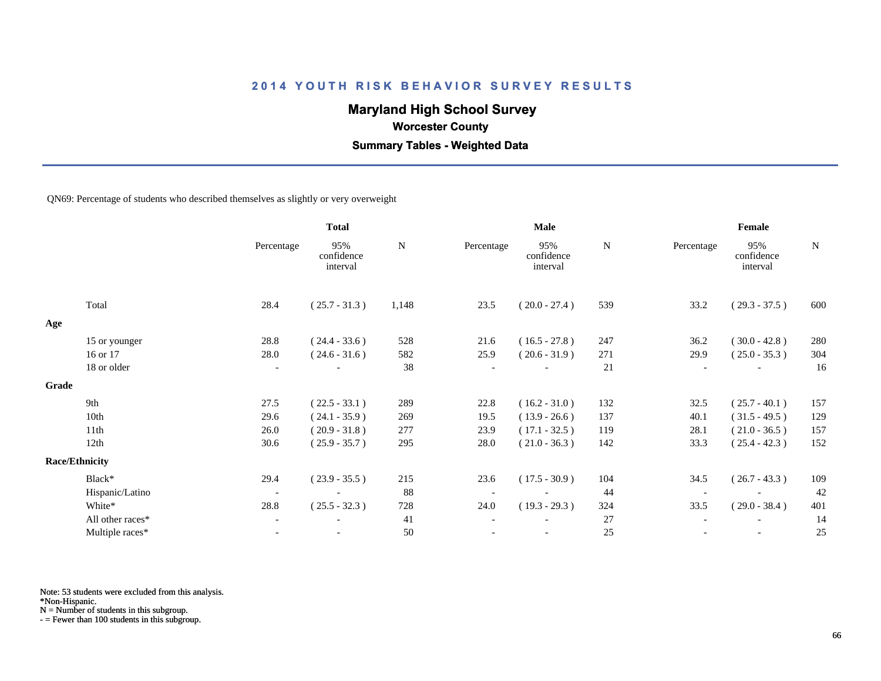## **Maryland High School Survey**

 **Worcester County**

 **Summary Tables - Weighted Data**

QN69: Percentage of students who described themselves as slightly or very overweight

|       |                       |                          | <b>Total</b>                  |       | Male                     |                               |        | Female     |                               |             |  |
|-------|-----------------------|--------------------------|-------------------------------|-------|--------------------------|-------------------------------|--------|------------|-------------------------------|-------------|--|
|       |                       | Percentage               | 95%<br>confidence<br>interval | N     | Percentage               | 95%<br>confidence<br>interval | N      | Percentage | 95%<br>confidence<br>interval | $\mathbf N$ |  |
|       | Total                 | 28.4                     | $(25.7 - 31.3)$               | 1,148 | 23.5                     | $(20.0 - 27.4)$               | 539    | 33.2       | $(29.3 - 37.5)$               | 600         |  |
| Age   |                       |                          |                               |       |                          |                               |        |            |                               |             |  |
|       | 15 or younger         | 28.8                     | $(24.4 - 33.6)$               | 528   | 21.6                     | $(16.5 - 27.8)$               | 247    | 36.2       | $(30.0 - 42.8)$               | 280         |  |
|       | 16 or 17              | 28.0                     | $(24.6 - 31.6)$               | 582   | 25.9                     | $(20.6 - 31.9)$               | 271    | 29.9       | $(25.0 - 35.3)$               | 304         |  |
|       | 18 or older           | $\overline{\phantom{a}}$ |                               | 38    |                          |                               | 21     |            |                               | 16          |  |
| Grade |                       |                          |                               |       |                          |                               |        |            |                               |             |  |
|       | 9th                   | 27.5                     | $(22.5 - 33.1)$               | 289   | 22.8                     | $(16.2 - 31.0)$               | 132    | 32.5       | $(25.7 - 40.1)$               | 157         |  |
|       | 10th                  | 29.6                     | $(24.1 - 35.9)$               | 269   | 19.5                     | $(13.9 - 26.6)$               | 137    | 40.1       | $(31.5 - 49.5)$               | 129         |  |
|       | 11th                  | 26.0                     | $(20.9 - 31.8)$               | 277   | 23.9                     | $(17.1 - 32.5)$               | 119    | 28.1       | $(21.0 - 36.5)$               | 157         |  |
|       | 12th                  | 30.6                     | $(25.9 - 35.7)$               | 295   | 28.0                     | $(21.0 - 36.3)$               | 142    | 33.3       | $(25.4 - 42.3)$               | 152         |  |
|       | <b>Race/Ethnicity</b> |                          |                               |       |                          |                               |        |            |                               |             |  |
|       | Black*                | 29.4                     | $(23.9 - 35.5)$               | 215   | 23.6                     | $(17.5 - 30.9)$               | 104    | 34.5       | $(26.7 - 43.3)$               | 109         |  |
|       | Hispanic/Latino       | $\overline{\phantom{a}}$ |                               | 88    | $\overline{\phantom{a}}$ |                               | 44     |            |                               | 42          |  |
|       | White*                | 28.8                     | $(25.5 - 32.3)$               | 728   | 24.0                     | $(19.3 - 29.3)$               | 324    | 33.5       | $(29.0 - 38.4)$               | 401         |  |
|       | All other races*      | $\overline{\phantom{a}}$ |                               | 41    |                          |                               | 27     |            |                               | 14          |  |
|       | Multiple races*       | $\overline{\phantom{a}}$ | $\overline{\phantom{a}}$      | 50    |                          | $\overline{\phantom{a}}$      | $25\,$ |            | $\overline{\phantom{a}}$      | 25          |  |

Note: 53 students were excluded from this analysis.

\*Non-Hispanic.

N = Number of students in this subgroup.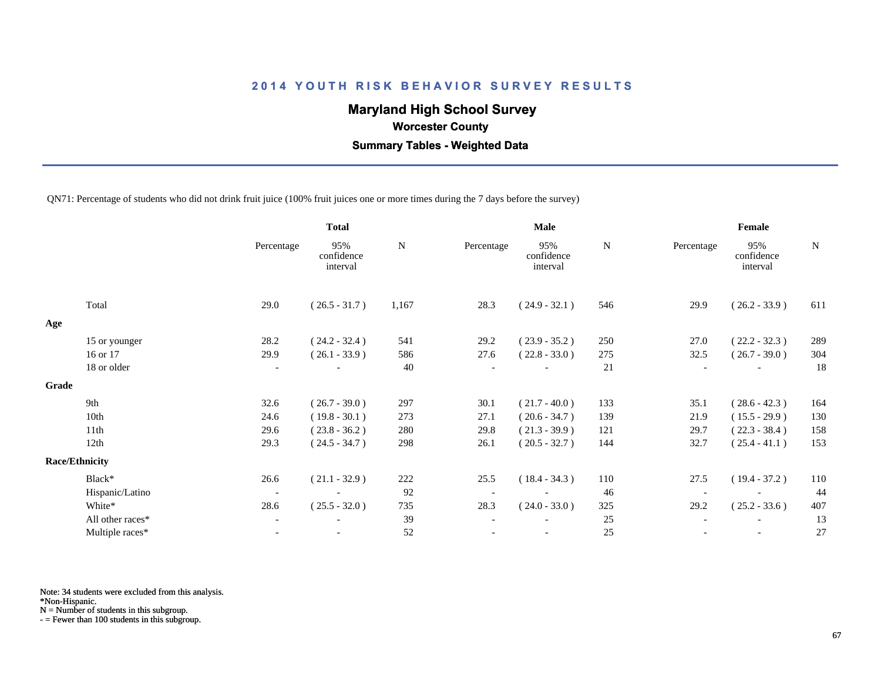## **Maryland High School Survey**

 **Worcester County**

 **Summary Tables - Weighted Data**

QN71: Percentage of students who did not drink fruit juice (100% fruit juices one or more times during the 7 days before the survey)

|       |                       |                          | <b>Total</b>                  |       | Male       |                               |     | Female                   |                               |             |  |
|-------|-----------------------|--------------------------|-------------------------------|-------|------------|-------------------------------|-----|--------------------------|-------------------------------|-------------|--|
|       |                       | Percentage               | 95%<br>confidence<br>interval | N     | Percentage | 95%<br>confidence<br>interval | N   | Percentage               | 95%<br>confidence<br>interval | $\mathbf N$ |  |
|       | Total                 | 29.0                     | $(26.5 - 31.7)$               | 1,167 | 28.3       | $(24.9 - 32.1)$               | 546 | 29.9                     | $(26.2 - 33.9)$               | 611         |  |
| Age   |                       |                          |                               |       |            |                               |     |                          |                               |             |  |
|       | 15 or younger         | 28.2                     | $(24.2 - 32.4)$               | 541   | 29.2       | $(23.9 - 35.2)$               | 250 | 27.0                     | $(22.2 - 32.3)$               | 289         |  |
|       | 16 or 17              | 29.9                     | $(26.1 - 33.9)$               | 586   | 27.6       | $(22.8 - 33.0)$               | 275 | 32.5                     | $(26.7 - 39.0)$               | 304         |  |
|       | 18 or older           | $\overline{\phantom{a}}$ |                               | 40    |            |                               | 21  | $\overline{\phantom{0}}$ | $\overline{\phantom{a}}$      | 18          |  |
| Grade |                       |                          |                               |       |            |                               |     |                          |                               |             |  |
|       | 9th                   | 32.6                     | $(26.7 - 39.0)$               | 297   | 30.1       | $(21.7 - 40.0)$               | 133 | 35.1                     | $(28.6 - 42.3)$               | 164         |  |
|       | 10th                  | 24.6                     | $(19.8 - 30.1)$               | 273   | 27.1       | $(20.6 - 34.7)$               | 139 | 21.9                     | $(15.5 - 29.9)$               | 130         |  |
|       | 11th                  | 29.6                     | $(23.8 - 36.2)$               | 280   | 29.8       | $(21.3 - 39.9)$               | 121 | 29.7                     | $(22.3 - 38.4)$               | 158         |  |
|       | 12th                  | 29.3                     | $(24.5 - 34.7)$               | 298   | 26.1       | $(20.5 - 32.7)$               | 144 | 32.7                     | $(25.4 - 41.1)$               | 153         |  |
|       | <b>Race/Ethnicity</b> |                          |                               |       |            |                               |     |                          |                               |             |  |
|       | Black*                | 26.6                     | $(21.1 - 32.9)$               | 222   | 25.5       | $(18.4 - 34.3)$               | 110 | 27.5                     | $(19.4 - 37.2)$               | 110         |  |
|       | Hispanic/Latino       | $\overline{\phantom{a}}$ |                               | 92    |            |                               | 46  |                          |                               | 44          |  |
|       | White*                | 28.6                     | $(25.5 - 32.0)$               | 735   | 28.3       | $(24.0 - 33.0)$               | 325 | 29.2                     | $(25.2 - 33.6)$               | 407         |  |
|       | All other races*      | $\overline{\phantom{a}}$ | $\overline{\phantom{a}}$      | 39    |            |                               | 25  |                          | $\overline{\phantom{a}}$      | 13          |  |
|       | Multiple races*       |                          |                               | 52    |            |                               | 25  |                          |                               | 27          |  |
|       |                       |                          |                               |       |            |                               |     |                          |                               |             |  |

Note: 34 students were excluded from this analysis.

\*Non-Hispanic.

N = Number of students in this subgroup.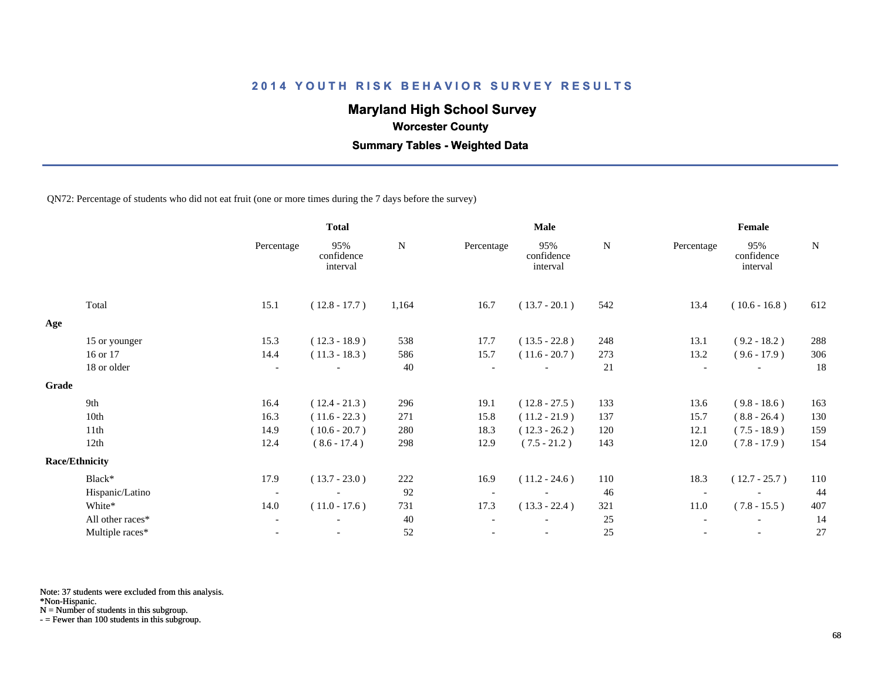## **Maryland High School Survey**

 **Worcester County**

 **Summary Tables - Weighted Data**

QN72: Percentage of students who did not eat fruit (one or more times during the 7 days before the survey)

|       |                       | <b>Total</b>             |                               |       | Male                     |                               |     | Female                   |                               |           |  |
|-------|-----------------------|--------------------------|-------------------------------|-------|--------------------------|-------------------------------|-----|--------------------------|-------------------------------|-----------|--|
|       |                       | Percentage               | 95%<br>confidence<br>interval | N     | Percentage               | 95%<br>confidence<br>interval | N   | Percentage               | 95%<br>confidence<br>interval | ${\bf N}$ |  |
|       | Total                 | 15.1                     | $(12.8 - 17.7)$               | 1,164 | 16.7                     | $(13.7 - 20.1)$               | 542 | 13.4                     | $(10.6 - 16.8)$               | 612       |  |
| Age   |                       |                          |                               |       |                          |                               |     |                          |                               |           |  |
|       | 15 or younger         | 15.3                     | $(12.3 - 18.9)$               | 538   | 17.7                     | $(13.5 - 22.8)$               | 248 | 13.1                     | $(9.2 - 18.2)$                | $288\,$   |  |
|       | 16 or 17              | 14.4                     | $(11.3 - 18.3)$               | 586   | 15.7                     | $(11.6 - 20.7)$               | 273 | 13.2                     | $(9.6 - 17.9)$                | 306       |  |
|       | 18 or older           | $\overline{\phantom{a}}$ |                               | 40    |                          |                               | 21  |                          | $\overline{\phantom{a}}$      | 18        |  |
| Grade |                       |                          |                               |       |                          |                               |     |                          |                               |           |  |
|       | 9th                   | 16.4                     | $(12.4 - 21.3)$               | 296   | 19.1                     | $(12.8 - 27.5)$               | 133 | 13.6                     | $(9.8 - 18.6)$                | 163       |  |
|       | 10th                  | 16.3                     | $(11.6 - 22.3)$               | 271   | 15.8                     | $(11.2 - 21.9)$               | 137 | 15.7                     | $(8.8 - 26.4)$                | 130       |  |
|       | 11th                  | 14.9                     | $(10.6 - 20.7)$               | 280   | 18.3                     | $(12.3 - 26.2)$               | 120 | 12.1                     | $(7.5 - 18.9)$                | 159       |  |
|       | 12th                  | 12.4                     | $(8.6 - 17.4)$                | 298   | 12.9                     | $(7.5 - 21.2)$                | 143 | 12.0                     | $(7.8 - 17.9)$                | 154       |  |
|       | <b>Race/Ethnicity</b> |                          |                               |       |                          |                               |     |                          |                               |           |  |
|       | Black*                | 17.9                     | $(13.7 - 23.0)$               | 222   | 16.9                     | $(11.2 - 24.6)$               | 110 | 18.3                     | $(12.7 - 25.7)$               | 110       |  |
|       | Hispanic/Latino       | $\overline{\phantom{a}}$ |                               | 92    | $\overline{\phantom{a}}$ |                               | 46  | $\overline{\phantom{a}}$ |                               | 44        |  |
|       | White*                | 14.0                     | $(11.0 - 17.6)$               | 731   | 17.3                     | $(13.3 - 22.4)$               | 321 | 11.0                     | $(7.8 - 15.5)$                | 407       |  |
|       | All other races*      | $\overline{\phantom{a}}$ | $\overline{\phantom{a}}$      | 40    | $\overline{\phantom{a}}$ |                               | 25  |                          | $\overline{\phantom{a}}$      | 14        |  |
|       | Multiple races*       |                          |                               | 52    |                          |                               | 25  |                          |                               | 27        |  |
|       |                       |                          |                               |       |                          |                               |     |                          |                               |           |  |

Note: 37 students were excluded from this analysis.

\*Non-Hispanic.

N = Number of students in this subgroup.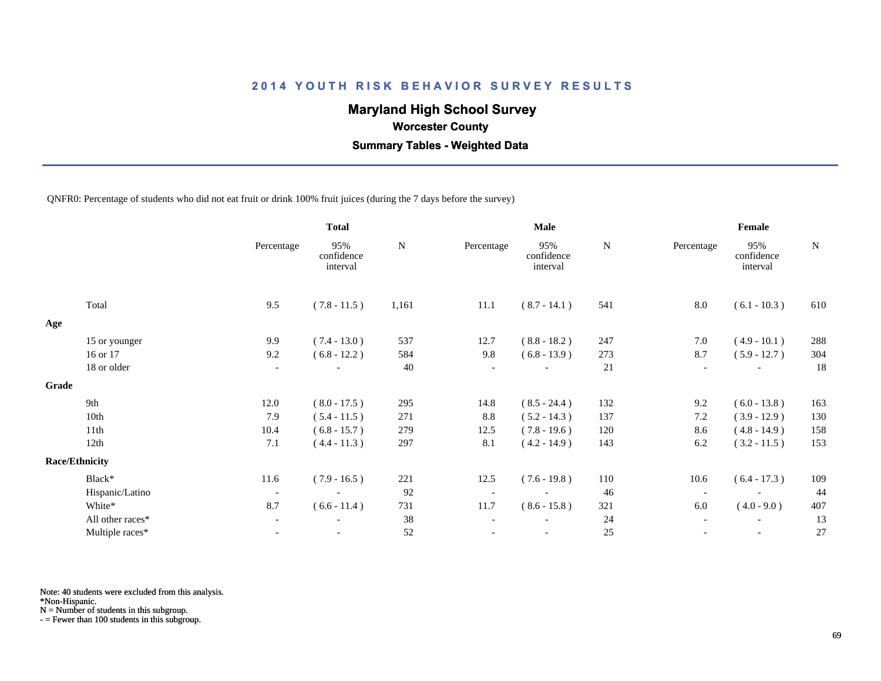## **Maryland High School Survey**

 **Worcester County**

 **Summary Tables - Weighted Data**

QNFR0: Percentage of students who did not eat fruit or drink 100% fruit juices (during the 7 days before the survey)

|       |                       |                          | <b>Total</b>                  |           | <b>Male</b> |                               |           | Female                   |                               |             |  |
|-------|-----------------------|--------------------------|-------------------------------|-----------|-------------|-------------------------------|-----------|--------------------------|-------------------------------|-------------|--|
|       |                       | Percentage               | 95%<br>confidence<br>interval | ${\bf N}$ | Percentage  | 95%<br>confidence<br>interval | ${\bf N}$ | Percentage               | 95%<br>confidence<br>interval | $\mathbf N$ |  |
|       | Total                 | 9.5                      | $(7.8 - 11.5)$                | 1,161     | $11.1\,$    | $(8.7 - 14.1)$                | 541       | 8.0                      | $(6.1 - 10.3)$                | 610         |  |
| Age   |                       |                          |                               |           |             |                               |           |                          |                               |             |  |
|       | 15 or younger         | 9.9                      | $(7.4 - 13.0)$                | 537       | 12.7        | $(8.8 - 18.2)$                | 247       | 7.0                      | $(4.9 - 10.1)$                | 288         |  |
|       | 16 or 17              | 9.2                      | $(6.8 - 12.2)$                | 584       | 9.8         | $(6.8 - 13.9)$                | 273       | 8.7                      | $(5.9 - 12.7)$                | 304         |  |
|       | 18 or older           | $\overline{\phantom{a}}$ |                               | 40        |             |                               | 21        | $\overline{\phantom{a}}$ |                               | 18          |  |
| Grade |                       |                          |                               |           |             |                               |           |                          |                               |             |  |
|       | 9th                   | 12.0                     | $(8.0 - 17.5)$                | 295       | 14.8        | $(8.5 - 24.4)$                | 132       | 9.2                      | $(6.0 - 13.8)$                | 163         |  |
|       | 10th                  | 7.9                      | $(5.4 - 11.5)$                | 271       | $8.8\,$     | $(5.2 - 14.3)$                | 137       | 7.2                      | $(3.9 - 12.9)$                | 130         |  |
|       | 11th                  | 10.4                     | $(6.8 - 15.7)$                | 279       | 12.5        | $(7.8 - 19.6)$                | 120       | 8.6                      | $(4.8 - 14.9)$                | 158         |  |
|       | 12th                  | 7.1                      | $(4.4 - 11.3)$                | 297       | 8.1         | $(4.2 - 14.9)$                | 143       | 6.2                      | $(3.2 - 11.5)$                | 153         |  |
|       | <b>Race/Ethnicity</b> |                          |                               |           |             |                               |           |                          |                               |             |  |
|       | Black*                | 11.6                     | $(7.9 - 16.5)$                | 221       | 12.5        | $(7.6 - 19.8)$                | 110       | 10.6                     | $(6.4 - 17.3)$                | 109         |  |
|       | Hispanic/Latino       | $\overline{\phantom{a}}$ | $\overline{\phantom{a}}$      | 92        |             | $\overline{\phantom{a}}$      | 46        | $\overline{\phantom{a}}$ |                               | 44          |  |
|       | White*                | 8.7                      | $(6.6 - 11.4)$                | 731       | 11.7        | $(8.6 - 15.8)$                | 321       | 6.0                      | $(4.0 - 9.0)$                 | 407         |  |
|       | All other races*      | $\overline{\phantom{a}}$ | $\overline{\phantom{a}}$      | 38        |             |                               | 24        | $\overline{\phantom{0}}$ | $\overline{\phantom{a}}$      | 13          |  |
|       | Multiple races*       |                          |                               | 52        |             |                               | 25        |                          |                               | 27          |  |

Note: 40 students were excluded from this analysis.

\*Non-Hispanic.

N = Number of students in this subgroup.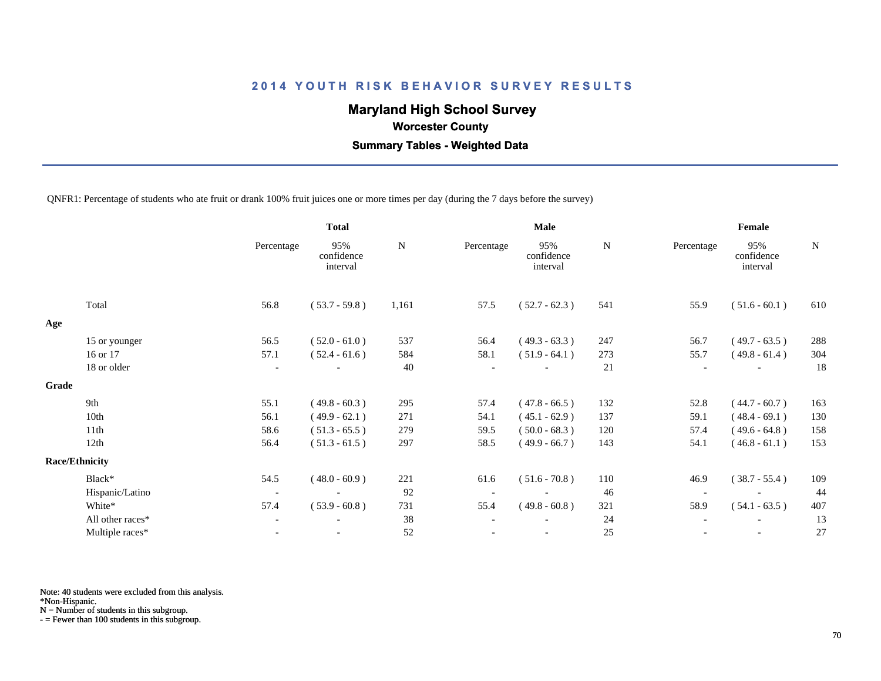## **Maryland High School Survey**

 **Worcester County**

 **Summary Tables - Weighted Data**

QNFR1: Percentage of students who ate fruit or drank 100% fruit juices one or more times per day (during the 7 days before the survey)

|       |                       |                          | <b>Total</b>                  |       | Male       |                               |     | Female                   |                               |     |  |
|-------|-----------------------|--------------------------|-------------------------------|-------|------------|-------------------------------|-----|--------------------------|-------------------------------|-----|--|
|       |                       | Percentage               | 95%<br>confidence<br>interval | N     | Percentage | 95%<br>confidence<br>interval | N   | Percentage               | 95%<br>confidence<br>interval | N   |  |
|       | Total                 | 56.8                     | $(53.7 - 59.8)$               | 1,161 | 57.5       | $(52.7 - 62.3)$               | 541 | 55.9                     | $(51.6 - 60.1)$               | 610 |  |
| Age   |                       |                          |                               |       |            |                               |     |                          |                               |     |  |
|       | 15 or younger         | 56.5                     | $(52.0 - 61.0)$               | 537   | 56.4       | $(49.3 - 63.3)$               | 247 | 56.7                     | $(49.7 - 63.5)$               | 288 |  |
|       | 16 or 17              | 57.1                     | $(52.4 - 61.6)$               | 584   | 58.1       | $(51.9 - 64.1)$               | 273 | 55.7                     | $(49.8 - 61.4)$               | 304 |  |
|       | 18 or older           | $\overline{\phantom{a}}$ |                               | 40    |            |                               | 21  |                          |                               | 18  |  |
| Grade |                       |                          |                               |       |            |                               |     |                          |                               |     |  |
|       | 9th                   | 55.1                     | $(49.8 - 60.3)$               | 295   | 57.4       | $(47.8 - 66.5)$               | 132 | 52.8                     | $(44.7 - 60.7)$               | 163 |  |
|       | 10th                  | 56.1                     | $(49.9 - 62.1)$               | 271   | 54.1       | $(45.1 - 62.9)$               | 137 | 59.1                     | $(48.4 - 69.1)$               | 130 |  |
|       | 11th                  | 58.6                     | $(51.3 - 65.5)$               | 279   | 59.5       | $(50.0 - 68.3)$               | 120 | 57.4                     | $(49.6 - 64.8)$               | 158 |  |
|       | 12th                  | 56.4                     | $(51.3 - 61.5)$               | 297   | 58.5       | $(49.9 - 66.7)$               | 143 | 54.1                     | $(46.8 - 61.1)$               | 153 |  |
|       | <b>Race/Ethnicity</b> |                          |                               |       |            |                               |     |                          |                               |     |  |
|       | Black*                | 54.5                     | $(48.0 - 60.9)$               | 221   | 61.6       | $(51.6 - 70.8)$               | 110 | 46.9                     | $(38.7 - 55.4)$               | 109 |  |
|       | Hispanic/Latino       | $\overline{\phantom{a}}$ |                               | 92    |            | $\overline{\phantom{a}}$      | 46  | $\overline{\phantom{a}}$ |                               | 44  |  |
|       | White*                | 57.4                     | $(53.9 - 60.8)$               | 731   | 55.4       | $(49.8 - 60.8)$               | 321 | 58.9                     | $(54.1 - 63.5)$               | 407 |  |
|       | All other races*      | $\overline{\phantom{a}}$ |                               | 38    |            |                               | 24  |                          |                               | 13  |  |
|       | Multiple races*       | $\blacksquare$           |                               | 52    |            | $\overline{\phantom{a}}$      | 25  |                          |                               | 27  |  |

Note: 40 students were excluded from this analysis.

\*Non-Hispanic.

N = Number of students in this subgroup.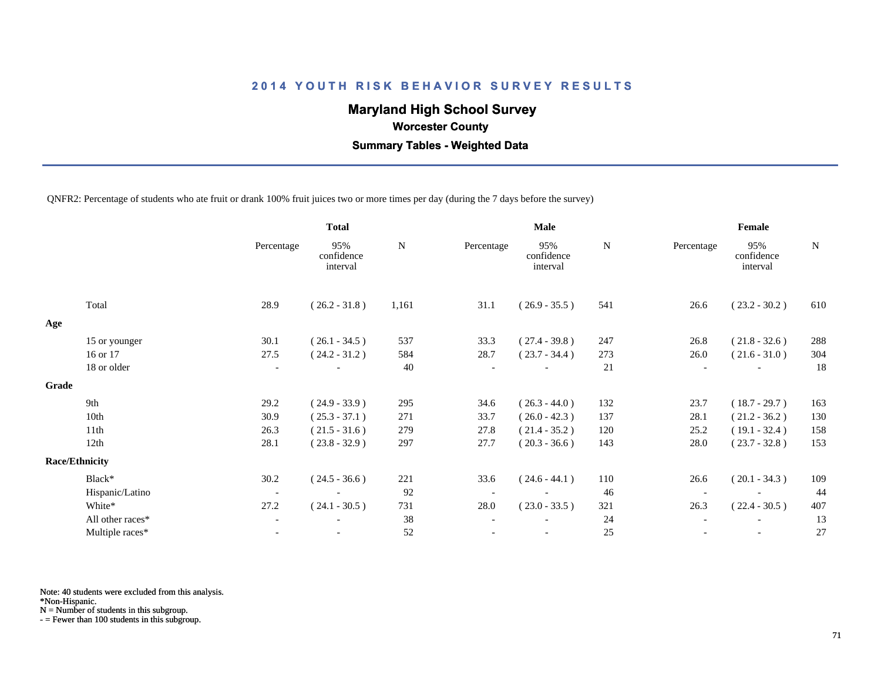## **Maryland High School Survey**

 **Worcester County**

 **Summary Tables - Weighted Data**

QNFR2: Percentage of students who ate fruit or drank 100% fruit juices two or more times per day (during the 7 days before the survey)

|       |                       | <b>Total</b>             |                               | <b>Male</b> |            |                               |             | Female                   |                               |     |  |
|-------|-----------------------|--------------------------|-------------------------------|-------------|------------|-------------------------------|-------------|--------------------------|-------------------------------|-----|--|
|       |                       | Percentage               | 95%<br>confidence<br>interval | N           | Percentage | 95%<br>confidence<br>interval | $\mathbf N$ | Percentage               | 95%<br>confidence<br>interval | N   |  |
|       | Total                 | 28.9                     | $(26.2 - 31.8)$               | 1,161       | 31.1       | $(26.9 - 35.5)$               | 541         | 26.6                     | $(23.2 - 30.2)$               | 610 |  |
| Age   |                       |                          |                               |             |            |                               |             |                          |                               |     |  |
|       | 15 or younger         | 30.1                     | $(26.1 - 34.5)$               | 537         | 33.3       | $(27.4 - 39.8)$               | 247         | 26.8                     | $(21.8 - 32.6)$               | 288 |  |
|       | 16 or 17              | 27.5                     | $(24.2 - 31.2)$               | 584         | 28.7       | $(23.7 - 34.4)$               | 273         | $26.0\,$                 | $(21.6 - 31.0)$               | 304 |  |
|       | 18 or older           | $\overline{\phantom{a}}$ |                               | 40          |            |                               | 21          |                          |                               | 18  |  |
| Grade |                       |                          |                               |             |            |                               |             |                          |                               |     |  |
|       | 9th                   | 29.2                     | $(24.9 - 33.9)$               | 295         | 34.6       | $(26.3 - 44.0)$               | 132         | 23.7                     | $(18.7 - 29.7)$               | 163 |  |
|       | 10th                  | 30.9                     | $(25.3 - 37.1)$               | 271         | 33.7       | $(26.0 - 42.3)$               | 137         | 28.1                     | $(21.2 - 36.2)$               | 130 |  |
|       | 11th                  | 26.3                     | $(21.5 - 31.6)$               | 279         | 27.8       | $(21.4 - 35.2)$               | 120         | 25.2                     | $(19.1 - 32.4)$               | 158 |  |
|       | 12th                  | 28.1                     | $(23.8 - 32.9)$               | 297         | 27.7       | $(20.3 - 36.6)$               | 143         | 28.0                     | $(23.7 - 32.8)$               | 153 |  |
|       | <b>Race/Ethnicity</b> |                          |                               |             |            |                               |             |                          |                               |     |  |
|       | Black*                | 30.2                     | $(24.5 - 36.6)$               | 221         | 33.6       | $(24.6 - 44.1)$               | 110         | 26.6                     | $(20.1 - 34.3)$               | 109 |  |
|       | Hispanic/Latino       | $\overline{\phantom{a}}$ |                               | 92          |            |                               | 46          | $\overline{\phantom{a}}$ |                               | 44  |  |
|       | White*                | 27.2                     | $(24.1 - 30.5)$               | 731         | 28.0       | $(23.0 - 33.5)$               | 321         | 26.3                     | $(22.4 - 30.5)$               | 407 |  |
|       | All other races*      | $\overline{\phantom{a}}$ |                               | 38          |            |                               | 24          |                          |                               | 13  |  |
|       | Multiple races*       | $\overline{\phantom{a}}$ |                               | 52          |            | $\overline{\phantom{a}}$      | 25          |                          | $\overline{\phantom{a}}$      | 27  |  |
|       |                       |                          |                               |             |            |                               |             |                          |                               |     |  |

Note: 40 students were excluded from this analysis.

\*Non-Hispanic.

N = Number of students in this subgroup.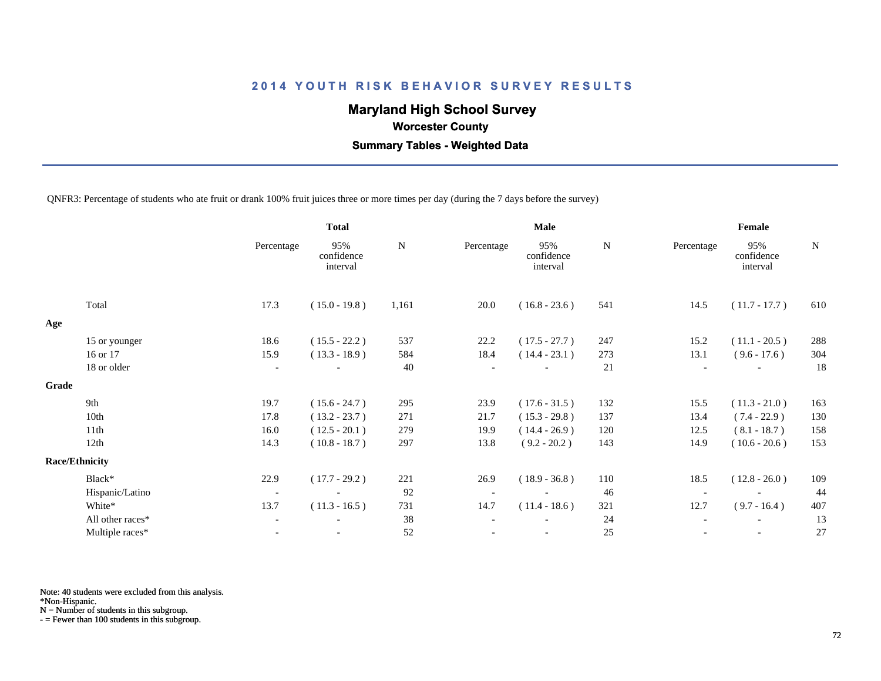## **Maryland High School Survey**

 **Worcester County**

 **Summary Tables - Weighted Data**

QNFR3: Percentage of students who ate fruit or drank 100% fruit juices three or more times per day (during the 7 days before the survey)

|       |                       |                          | <b>Total</b>                  |       | <b>Male</b> |                               |     | Female                   |                               |             |  |
|-------|-----------------------|--------------------------|-------------------------------|-------|-------------|-------------------------------|-----|--------------------------|-------------------------------|-------------|--|
|       |                       | Percentage               | 95%<br>confidence<br>interval | N     | Percentage  | 95%<br>confidence<br>interval | N   | Percentage               | 95%<br>confidence<br>interval | $\mathbf N$ |  |
|       | Total                 | 17.3                     | $(15.0 - 19.8)$               | 1,161 | 20.0        | $(16.8 - 23.6)$               | 541 | 14.5                     | $(11.7 - 17.7)$               | 610         |  |
| Age   |                       |                          |                               |       |             |                               |     |                          |                               |             |  |
|       | 15 or younger         | 18.6                     | $(15.5 - 22.2)$               | 537   | 22.2        | $(17.5 - 27.7)$               | 247 | 15.2                     | $(11.1 - 20.5)$               | 288         |  |
|       | 16 or 17              | 15.9                     | $(13.3 - 18.9)$               | 584   | 18.4        | $(14.4 - 23.1)$               | 273 | 13.1                     | $(9.6 - 17.6)$                | 304         |  |
|       | 18 or older           | $\overline{\phantom{a}}$ |                               | 40    |             |                               | 21  | $\overline{\phantom{a}}$ |                               | 18          |  |
| Grade |                       |                          |                               |       |             |                               |     |                          |                               |             |  |
|       | 9th                   | 19.7                     | $(15.6 - 24.7)$               | 295   | 23.9        | $(17.6 - 31.5)$               | 132 | 15.5                     | $(11.3 - 21.0)$               | 163         |  |
|       | 10th                  | 17.8                     | $(13.2 - 23.7)$               | 271   | 21.7        | $(15.3 - 29.8)$               | 137 | 13.4                     | $(7.4 - 22.9)$                | 130         |  |
|       | 11th                  | 16.0                     | $(12.5 - 20.1)$               | 279   | 19.9        | $(14.4 - 26.9)$               | 120 | 12.5                     | $(8.1 - 18.7)$                | 158         |  |
|       | 12th                  | 14.3                     | $(10.8 - 18.7)$               | 297   | 13.8        | $(9.2 - 20.2)$                | 143 | 14.9                     | $(10.6 - 20.6)$               | 153         |  |
|       | <b>Race/Ethnicity</b> |                          |                               |       |             |                               |     |                          |                               |             |  |
|       | Black*                | 22.9                     | $(17.7 - 29.2)$               | 221   | 26.9        | $(18.9 - 36.8)$               | 110 | 18.5                     | $(12.8 - 26.0)$               | 109         |  |
|       | Hispanic/Latino       | $\overline{\phantom{a}}$ |                               | 92    |             |                               | 46  | $\overline{\phantom{a}}$ |                               | 44          |  |
|       | White*                | 13.7                     | $(11.3 - 16.5)$               | 731   | 14.7        | $(11.4 - 18.6)$               | 321 | 12.7                     | $(9.7 - 16.4)$                | 407         |  |
|       | All other races*      | $\overline{\phantom{a}}$ |                               | 38    |             |                               | 24  |                          |                               | 13          |  |
|       | Multiple races*       |                          |                               | 52    |             |                               | 25  |                          |                               | 27          |  |
|       |                       |                          |                               |       |             |                               |     |                          |                               |             |  |

Note: 40 students were excluded from this analysis.

\*Non-Hispanic.

N = Number of students in this subgroup.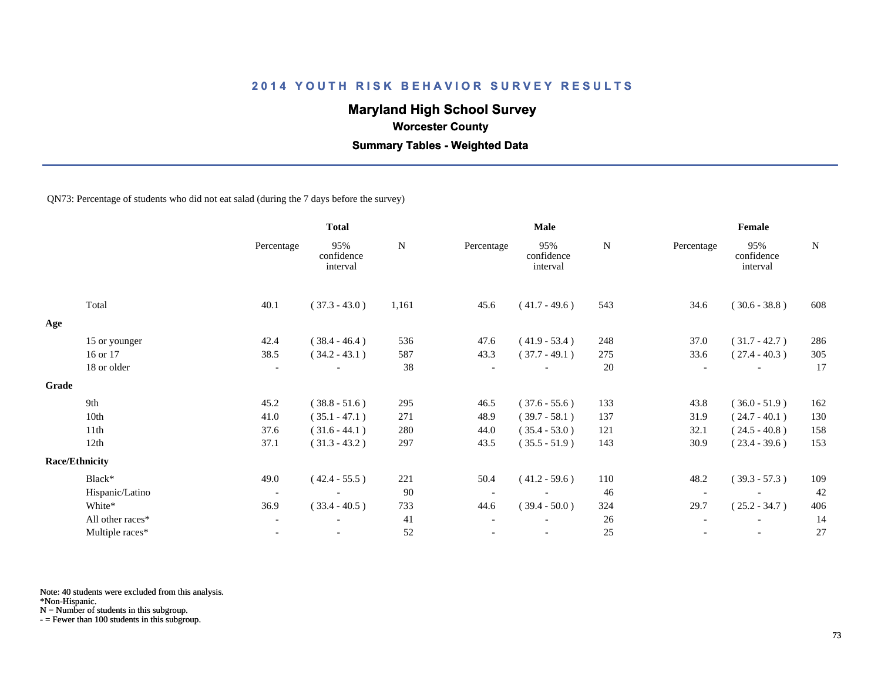# **Maryland High School Survey**

 **Worcester County**

 **Summary Tables - Weighted Data**

#### QN73: Percentage of students who did not eat salad (during the 7 days before the survey)

|       |                       |                          | <b>Total</b>                  |             |            | <b>Male</b>                   |        | Female     |                               |             |  |
|-------|-----------------------|--------------------------|-------------------------------|-------------|------------|-------------------------------|--------|------------|-------------------------------|-------------|--|
|       |                       | Percentage               | 95%<br>confidence<br>interval | $\mathbf N$ | Percentage | 95%<br>confidence<br>interval | N      | Percentage | 95%<br>confidence<br>interval | $\mathbf N$ |  |
|       | Total                 | 40.1                     | $(37.3 - 43.0)$               | 1,161       | 45.6       | $(41.7 - 49.6)$               | 543    | 34.6       | $(30.6 - 38.8)$               | 608         |  |
| Age   |                       |                          |                               |             |            |                               |        |            |                               |             |  |
|       | 15 or younger         | 42.4                     | $(38.4 - 46.4)$               | 536         | 47.6       | $(41.9 - 53.4)$               | 248    | 37.0       | $(31.7 - 42.7)$               | 286         |  |
|       | 16 or 17              | 38.5                     | $(34.2 - 43.1)$               | 587         | 43.3       | $(37.7 - 49.1)$               | 275    | 33.6       | $(27.4 - 40.3)$               | 305         |  |
|       | 18 or older           | $\overline{\phantom{a}}$ |                               | 38          |            |                               | 20     |            | $\overline{\phantom{a}}$      | 17          |  |
| Grade |                       |                          |                               |             |            |                               |        |            |                               |             |  |
|       | 9th                   | 45.2                     | $(38.8 - 51.6)$               | 295         | 46.5       | $(37.6 - 55.6)$               | 133    | 43.8       | $(36.0 - 51.9)$               | 162         |  |
|       | 10th                  | 41.0                     | $(35.1 - 47.1)$               | 271         | 48.9       | $(39.7 - 58.1)$               | 137    | 31.9       | $(24.7 - 40.1)$               | 130         |  |
|       | 11th                  | 37.6                     | $(31.6 - 44.1)$               | 280         | 44.0       | $(35.4 - 53.0)$               | 121    | 32.1       | $(24.5 - 40.8)$               | 158         |  |
|       | 12th                  | 37.1                     | $(31.3 - 43.2)$               | 297         | 43.5       | $(35.5 - 51.9)$               | 143    | 30.9       | $(23.4 - 39.6)$               | 153         |  |
|       | <b>Race/Ethnicity</b> |                          |                               |             |            |                               |        |            |                               |             |  |
|       | Black*                | 49.0                     | $(42.4 - 55.5)$               | 221         | 50.4       | $(41.2 - 59.6)$               | 110    | 48.2       | $(39.3 - 57.3)$               | 109         |  |
|       | Hispanic/Latino       | $\overline{\phantom{a}}$ |                               | 90          |            | $\overline{\phantom{a}}$      | 46     |            |                               | 42          |  |
|       | White*                | 36.9                     | $(33.4 - 40.5)$               | 733         | 44.6       | $(39.4 - 50.0)$               | 324    | 29.7       | $(25.2 - 34.7)$               | 406         |  |
|       | All other races*      | $\overline{\phantom{a}}$ |                               | 41          |            |                               | 26     |            |                               | 14          |  |
|       | Multiple races*       | $\blacksquare$           | $\overline{\phantom{a}}$      | 52          |            | $\overline{\phantom{a}}$      | $25\,$ |            | $\overline{\phantom{a}}$      | 27          |  |
|       |                       |                          |                               |             |            |                               |        |            |                               |             |  |

Note: 40 students were excluded from this analysis.

\*Non-Hispanic.

N = Number of students in this subgroup.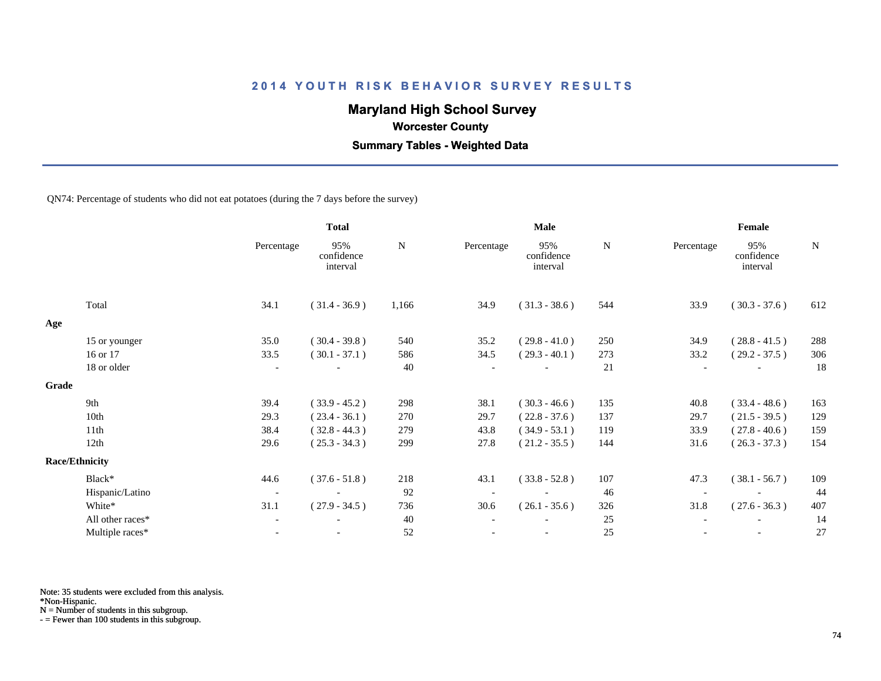# **Maryland High School Survey**

 **Worcester County**

 **Summary Tables - Weighted Data**

QN74: Percentage of students who did not eat potatoes (during the 7 days before the survey)

|       |                       |                          | <b>Total</b>                  |       |            | Male                          |     | Female     |                               |             |  |
|-------|-----------------------|--------------------------|-------------------------------|-------|------------|-------------------------------|-----|------------|-------------------------------|-------------|--|
|       |                       | Percentage               | 95%<br>confidence<br>interval | N     | Percentage | 95%<br>confidence<br>interval | N   | Percentage | 95%<br>confidence<br>interval | $\mathbf N$ |  |
|       | Total                 | 34.1                     | $(31.4 - 36.9)$               | 1,166 | 34.9       | $(31.3 - 38.6)$               | 544 | 33.9       | $(30.3 - 37.6)$               | 612         |  |
| Age   |                       |                          |                               |       |            |                               |     |            |                               |             |  |
|       | 15 or younger         | 35.0                     | $(30.4 - 39.8)$               | 540   | 35.2       | $(29.8 - 41.0)$               | 250 | 34.9       | $(28.8 - 41.5)$               | 288         |  |
|       | 16 or 17              | 33.5                     | $(30.1 - 37.1)$               | 586   | 34.5       | $(29.3 - 40.1)$               | 273 | 33.2       | $(29.2 - 37.5)$               | 306         |  |
|       | 18 or older           | $\overline{\phantom{a}}$ |                               | 40    |            |                               | 21  |            |                               | 18          |  |
| Grade |                       |                          |                               |       |            |                               |     |            |                               |             |  |
|       | 9th                   | 39.4                     | $(33.9 - 45.2)$               | 298   | 38.1       | $(30.3 - 46.6)$               | 135 | 40.8       | $(33.4 - 48.6)$               | 163         |  |
|       | 10th                  | 29.3                     | $(23.4 - 36.1)$               | 270   | 29.7       | $(22.8 - 37.6)$               | 137 | 29.7       | $(21.5 - 39.5)$               | 129         |  |
|       | 11th                  | 38.4                     | $(32.8 - 44.3)$               | 279   | 43.8       | $(34.9 - 53.1)$               | 119 | 33.9       | $(27.8 - 40.6)$               | 159         |  |
|       | 12th                  | 29.6                     | $(25.3 - 34.3)$               | 299   | 27.8       | $(21.2 - 35.5)$               | 144 | 31.6       | $(26.3 - 37.3)$               | 154         |  |
|       | <b>Race/Ethnicity</b> |                          |                               |       |            |                               |     |            |                               |             |  |
|       | Black*                | 44.6                     | $(37.6 - 51.8)$               | 218   | 43.1       | $(33.8 - 52.8)$               | 107 | 47.3       | $(38.1 - 56.7)$               | 109         |  |
|       | Hispanic/Latino       | $\overline{\phantom{a}}$ |                               | 92    |            |                               | 46  |            |                               | 44          |  |
|       | White*                | 31.1                     | $(27.9 - 34.5)$               | 736   | 30.6       | $(26.1 - 35.6)$               | 326 | 31.8       | $(27.6 - 36.3)$               | 407         |  |
|       | All other races*      | $\overline{\phantom{a}}$ |                               | 40    |            |                               | 25  |            |                               | 14          |  |
|       | Multiple races*       | $\overline{\phantom{a}}$ |                               | 52    |            | $\overline{\phantom{a}}$      | 25  |            | $\overline{\phantom{a}}$      | 27          |  |

Note: 35 students were excluded from this analysis.

\*Non-Hispanic.

N = Number of students in this subgroup.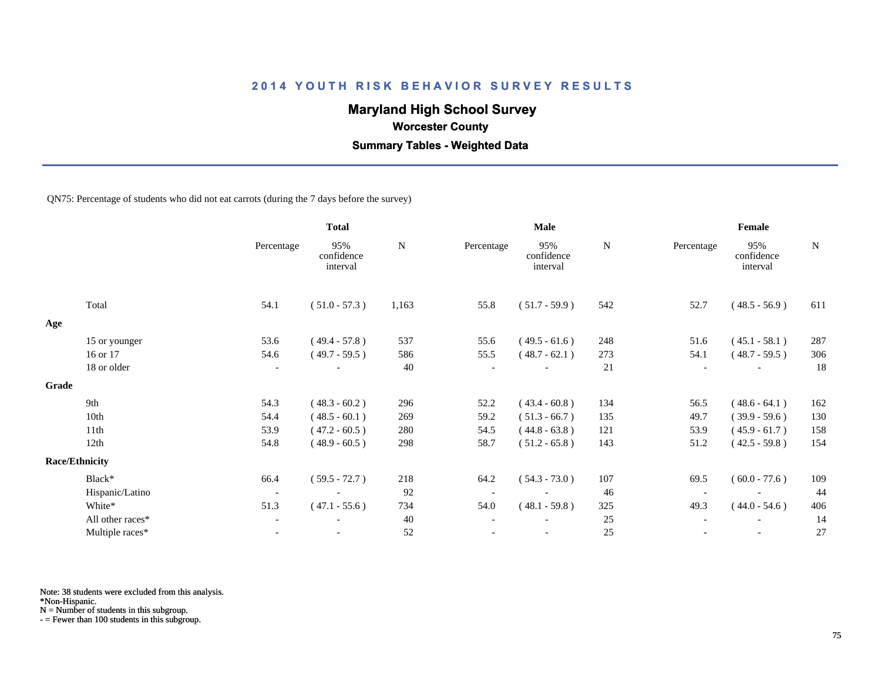# **Maryland High School Survey**

 **Worcester County**

 **Summary Tables - Weighted Data**

QN75: Percentage of students who did not eat carrots (during the 7 days before the survey)

|                  |                                | <b>Total</b>                  |           |            | <b>Male</b>                   |           | Female                   |                               |             |  |
|------------------|--------------------------------|-------------------------------|-----------|------------|-------------------------------|-----------|--------------------------|-------------------------------|-------------|--|
|                  | Percentage                     | 95%<br>confidence<br>interval | ${\bf N}$ | Percentage | 95%<br>confidence<br>interval | ${\bf N}$ | Percentage               | 95%<br>confidence<br>interval | $\mathbf N$ |  |
| Total            | 54.1                           | $(51.0 - 57.3)$               | 1,163     | 55.8       | $(51.7 - 59.9)$               | 542       | 52.7                     | $(48.5 - 56.9)$               | 611         |  |
|                  |                                |                               |           |            |                               |           |                          |                               |             |  |
| 15 or younger    | 53.6                           | $(49.4 - 57.8)$               | 537       | 55.6       | $(49.5 - 61.6)$               | 248       | 51.6                     | $(45.1 - 58.1)$               | 287         |  |
| 16 or 17         | 54.6                           | $(49.7 - 59.5)$               | 586       | 55.5       | $(48.7 - 62.1)$               | 273       | 54.1                     | $(48.7 - 59.5)$               | 306         |  |
| 18 or older      | $\overline{\phantom{a}}$       |                               | 40        |            |                               | 21        |                          |                               | 18          |  |
|                  |                                |                               |           |            |                               |           |                          |                               |             |  |
| 9th              | 54.3                           | $(48.3 - 60.2)$               | 296       | 52.2       | $(43.4 - 60.8)$               | 134       | 56.5                     | $(48.6 - 64.1)$               | 162         |  |
| 10th             | 54.4                           | $(48.5 - 60.1)$               | 269       | 59.2       | $(51.3 - 66.7)$               | 135       | 49.7                     | $(39.9 - 59.6)$               | 130         |  |
| 11th             | 53.9                           | $(47.2 - 60.5)$               | 280       | 54.5       | $(44.8 - 63.8)$               | 121       | 53.9                     | $(45.9 - 61.7)$               | 158         |  |
| 12th             | 54.8                           | $(48.9 - 60.5)$               | 298       | 58.7       | $(51.2 - 65.8)$               | 143       | 51.2                     | $(42.5 - 59.8)$               | 154         |  |
|                  |                                |                               |           |            |                               |           |                          |                               |             |  |
| Black*           | 66.4                           | $(59.5 - 72.7)$               | 218       | 64.2       | $(54.3 - 73.0)$               | 107       | 69.5                     | $(60.0 - 77.6)$               | 109         |  |
| Hispanic/Latino  | $\overline{\phantom{a}}$       | $\overline{\phantom{a}}$      | 92        |            | $\overline{\phantom{a}}$      | 46        | $\overline{\phantom{a}}$ |                               | 44          |  |
| White*           | 51.3                           | $(47.1 - 55.6)$               | 734       | 54.0       | $(48.1 - 59.8)$               | 325       | 49.3                     | $(44.0 - 54.6)$               | 406         |  |
| All other races* | $\overline{\phantom{a}}$       |                               | 40        |            |                               | 25        |                          |                               | 14          |  |
| Multiple races*  | $\blacksquare$                 |                               | 52        |            | $\overline{\phantom{a}}$      | 25        |                          |                               | 27          |  |
|                  | Grade<br><b>Race/Ethnicity</b> |                               |           |            |                               |           |                          |                               |             |  |

Note: 38 students were excluded from this analysis.

\*Non-Hispanic.

N = Number of students in this subgroup.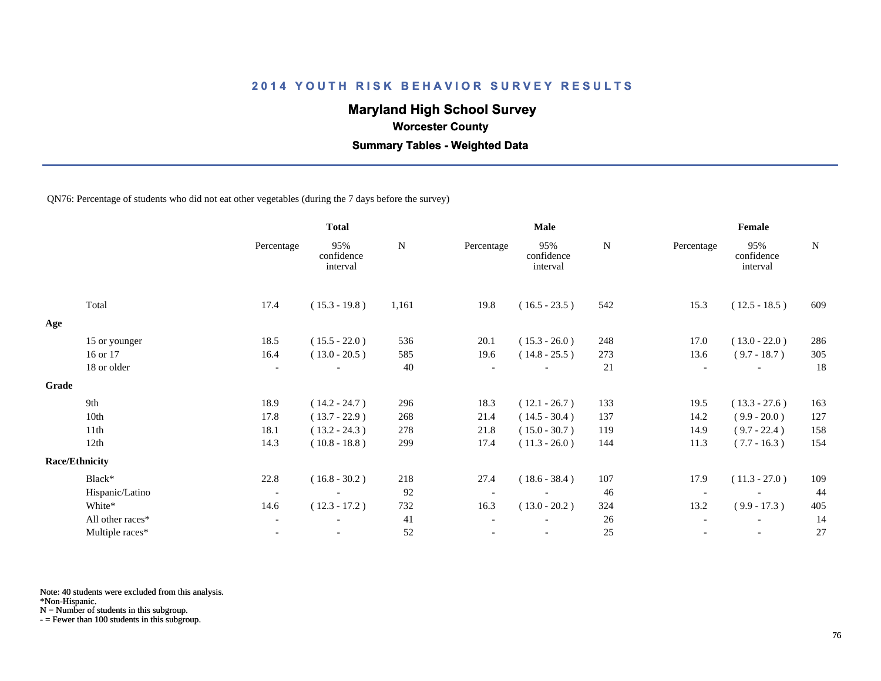# **Maryland High School Survey**

 **Worcester County**

 **Summary Tables - Weighted Data**

QN76: Percentage of students who did not eat other vegetables (during the 7 days before the survey)

|                  |                          | <b>Total</b>                  |           |            | <b>Male</b>                   |           | Female                   |                               |             |  |
|------------------|--------------------------|-------------------------------|-----------|------------|-------------------------------|-----------|--------------------------|-------------------------------|-------------|--|
|                  | Percentage               | 95%<br>confidence<br>interval | ${\bf N}$ | Percentage | 95%<br>confidence<br>interval | ${\bf N}$ | Percentage               | 95%<br>confidence<br>interval | $\mathbf N$ |  |
|                  | 17.4                     | $(15.3 - 19.8)$               | 1,161     | 19.8       | $(16.5 - 23.5)$               | 542       | 15.3                     | $(12.5 - 18.5)$               | 609         |  |
|                  |                          |                               |           |            |                               |           |                          |                               |             |  |
|                  | 18.5                     | $(15.5 - 22.0)$               | 536       | 20.1       | $(15.3 - 26.0)$               | 248       | 17.0                     | $(13.0 - 22.0)$               | 286         |  |
|                  | 16.4                     | $(13.0 - 20.5)$               | 585       | 19.6       | $(14.8 - 25.5)$               | 273       | 13.6                     | $(9.7 - 18.7)$                | 305         |  |
| 18 or older      | $\overline{\phantom{a}}$ |                               | 40        |            |                               | 21        | $\overline{\phantom{a}}$ |                               | 18          |  |
|                  |                          |                               |           |            |                               |           |                          |                               |             |  |
|                  | 18.9                     | $(14.2 - 24.7)$               | 296       | 18.3       | $(12.1 - 26.7)$               | 133       | 19.5                     | $(13.3 - 27.6)$               | 163         |  |
|                  | 17.8                     | $(13.7 - 22.9)$               | 268       | 21.4       | $(14.5 - 30.4)$               | 137       | 14.2                     | $(9.9 - 20.0)$                | 127         |  |
|                  | 18.1                     | $(13.2 - 24.3)$               | 278       | 21.8       | $(15.0 - 30.7)$               | 119       | 14.9                     | $(9.7 - 22.4)$                | 158         |  |
|                  | 14.3                     | $(10.8 - 18.8)$               | 299       | 17.4       | $(11.3 - 26.0)$               | 144       | 11.3                     | $(7.7 - 16.3)$                | 154         |  |
|                  |                          |                               |           |            |                               |           |                          |                               |             |  |
|                  | 22.8                     | $(16.8 - 30.2)$               | 218       | 27.4       | $(18.6 - 38.4)$               | 107       | 17.9                     | $(11.3 - 27.0)$               | 109         |  |
| Hispanic/Latino  | $\overline{\phantom{a}}$ | $\overline{\phantom{a}}$      | 92        |            |                               | 46        | $\overline{\phantom{a}}$ |                               | 44          |  |
|                  | 14.6                     | $(12.3 - 17.2)$               | 732       | 16.3       | $(13.0 - 20.2)$               | 324       | 13.2                     | $(9.9 - 17.3)$                | 405         |  |
| All other races* | $\overline{\phantom{a}}$ | $\overline{\phantom{0}}$      | 41        |            | $\overline{\phantom{a}}$      | 26        |                          | $\overline{\phantom{a}}$      | 14          |  |
| Multiple races*  |                          |                               | 52        |            |                               | 25        |                          |                               | 27          |  |
|                  | 15 or younger            |                               |           |            |                               |           |                          |                               |             |  |

Note: 40 students were excluded from this analysis.

\*Non-Hispanic.

N = Number of students in this subgroup.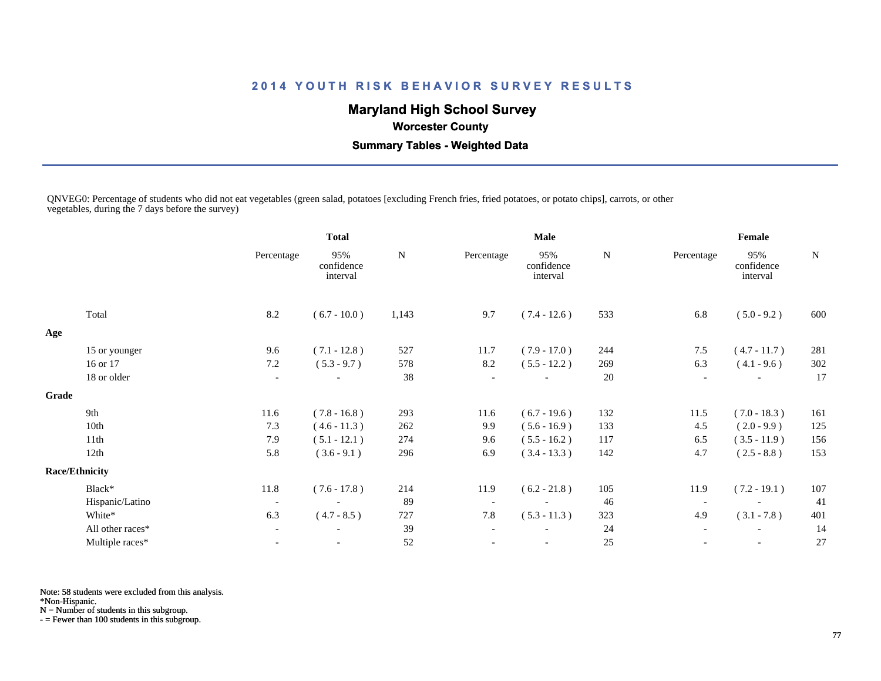# **Maryland High School Survey**

 **Worcester County**

 **Summary Tables - Weighted Data**

QNVEG0: Percentage of students who did not eat vegetables (green salad, potatoes [excluding French fries, fried potatoes, or potato chips], carrots, or other vegetables, during the 7 days before the survey)

|       |                       |                          | <b>Total</b>                  |       |                          | <b>Male</b>                   |     | Female                   |                               |     |  |
|-------|-----------------------|--------------------------|-------------------------------|-------|--------------------------|-------------------------------|-----|--------------------------|-------------------------------|-----|--|
|       |                       | Percentage               | 95%<br>confidence<br>interval | N     | Percentage               | 95%<br>confidence<br>interval | N   | Percentage               | 95%<br>confidence<br>interval | N   |  |
|       | Total                 | 8.2                      | $(6.7 - 10.0)$                | 1,143 | 9.7                      | $(7.4 - 12.6)$                | 533 | 6.8                      | $(5.0 - 9.2)$                 | 600 |  |
| Age   |                       |                          |                               |       |                          |                               |     |                          |                               |     |  |
|       | 15 or younger         | 9.6                      | $(7.1 - 12.8)$                | 527   | 11.7                     | $(7.9 - 17.0)$                | 244 | 7.5                      | $(4.7 - 11.7)$                | 281 |  |
|       | 16 or 17              | 7.2                      | $(5.3 - 9.7)$                 | 578   | 8.2                      | $(5.5 - 12.2)$                | 269 | 6.3                      | $(4.1 - 9.6)$                 | 302 |  |
|       | 18 or older           | $\overline{\phantom{a}}$ |                               | 38    |                          |                               | 20  | $\overline{\phantom{a}}$ |                               | 17  |  |
| Grade |                       |                          |                               |       |                          |                               |     |                          |                               |     |  |
|       | 9th                   | 11.6                     | $(7.8 - 16.8)$                | 293   | 11.6                     | $(6.7 - 19.6)$                | 132 | 11.5                     | $(7.0 - 18.3)$                | 161 |  |
|       | 10th                  | 7.3                      | $(4.6 - 11.3)$                | 262   | 9.9                      | $(5.6 - 16.9)$                | 133 | 4.5                      | $(2.0 - 9.9)$                 | 125 |  |
|       | 11th                  | 7.9                      | $(5.1 - 12.1)$                | 274   | 9.6                      | $(5.5 - 16.2)$                | 117 | 6.5                      | $(3.5 - 11.9)$                | 156 |  |
|       | 12th                  | 5.8                      | $(3.6 - 9.1)$                 | 296   | 6.9                      | $(3.4 - 13.3)$                | 142 | 4.7                      | $(2.5 - 8.8)$                 | 153 |  |
|       | <b>Race/Ethnicity</b> |                          |                               |       |                          |                               |     |                          |                               |     |  |
|       | Black*                | 11.8                     | $(7.6 - 17.8)$                | 214   | 11.9                     | $(6.2 - 21.8)$                | 105 | 11.9                     | $(7.2 - 19.1)$                | 107 |  |
|       | Hispanic/Latino       | $\overline{\phantom{a}}$ | $\overline{\phantom{a}}$      | 89    | $\overline{\phantom{a}}$ |                               | 46  | $\overline{\phantom{a}}$ |                               | 41  |  |
|       | White*                | 6.3                      | $(4.7 - 8.5)$                 | 727   | 7.8                      | $(5.3 - 11.3)$                | 323 | 4.9                      | $(3.1 - 7.8)$                 | 401 |  |
|       | All other races*      | $\overline{\phantom{a}}$ | $\overline{\phantom{a}}$      | 39    | $\overline{\phantom{a}}$ |                               | 24  | $\overline{\phantom{a}}$ | $\overline{\phantom{a}}$      | 14  |  |
|       | Multiple races*       | $\overline{\phantom{a}}$ |                               | 52    |                          |                               | 25  |                          | $\overline{\phantom{a}}$      | 27  |  |

Note: 58 students were excluded from this analysis.

\*Non-Hispanic.

N = Number of students in this subgroup.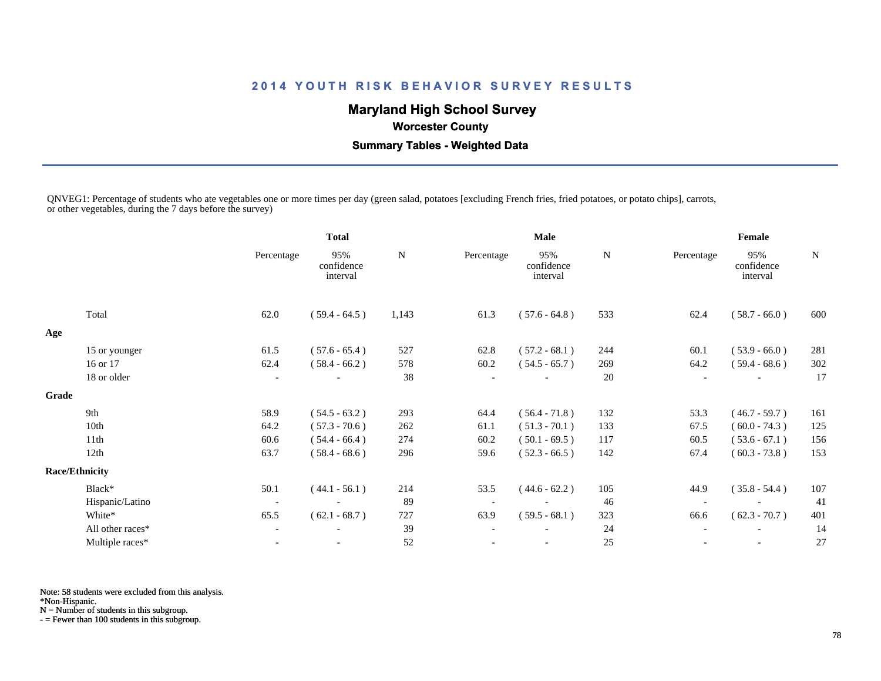# **Maryland High School Survey**

 **Worcester County**

 **Summary Tables - Weighted Data**

QNVEG1: Percentage of students who ate vegetables one or more times per day (green salad, potatoes [excluding French fries, fried potatoes, or potato chips], carrots, or other vegetables, during the 7 days before the survey)

|       |                       |                          | <b>Total</b>                  |           |            | <b>Male</b>                   |     | Female                   |                               |             |
|-------|-----------------------|--------------------------|-------------------------------|-----------|------------|-------------------------------|-----|--------------------------|-------------------------------|-------------|
|       |                       | Percentage               | 95%<br>confidence<br>interval | ${\bf N}$ | Percentage | 95%<br>confidence<br>interval | N   | Percentage               | 95%<br>confidence<br>interval | $\mathbf N$ |
|       | Total                 | 62.0                     | $(59.4 - 64.5)$               | 1,143     | 61.3       | $(57.6 - 64.8)$               | 533 | 62.4                     | $(58.7 - 66.0)$               | 600         |
| Age   |                       |                          |                               |           |            |                               |     |                          |                               |             |
|       | 15 or younger         | 61.5                     | $(57.6 - 65.4)$               | 527       | 62.8       | $(57.2 - 68.1)$               | 244 | 60.1                     | $(53.9 - 66.0)$               | 281         |
|       | 16 or 17              | 62.4                     | $(58.4 - 66.2)$               | 578       | 60.2       | $(54.5 - 65.7)$               | 269 | 64.2                     | $(59.4 - 68.6)$               | 302         |
|       | 18 or older           | $\overline{\phantom{a}}$ |                               | 38        |            |                               | 20  |                          |                               | 17          |
| Grade |                       |                          |                               |           |            |                               |     |                          |                               |             |
|       | 9th                   | 58.9                     | $(54.5 - 63.2)$               | 293       | 64.4       | $(56.4 - 71.8)$               | 132 | 53.3                     | $(46.7 - 59.7)$               | 161         |
|       | 10th                  | 64.2                     | $(57.3 - 70.6)$               | 262       | 61.1       | $(51.3 - 70.1)$               | 133 | 67.5                     | $(60.0 - 74.3)$               | 125         |
|       | 11th                  | 60.6                     | $(54.4 - 66.4)$               | 274       | 60.2       | $(50.1 - 69.5)$               | 117 | 60.5                     | $(53.6 - 67.1)$               | 156         |
|       | 12th                  | 63.7                     | $(58.4 - 68.6)$               | 296       | 59.6       | $(52.3 - 66.5)$               | 142 | 67.4                     | $(60.3 - 73.8)$               | 153         |
|       | <b>Race/Ethnicity</b> |                          |                               |           |            |                               |     |                          |                               |             |
|       | Black*                | 50.1                     | $(44.1 - 56.1)$               | 214       | 53.5       | $(44.6 - 62.2)$               | 105 | 44.9                     | $(35.8 - 54.4)$               | 107         |
|       | Hispanic/Latino       | $\overline{\phantom{a}}$ | $\overline{\phantom{a}}$      | 89        |            |                               | 46  | $\overline{\phantom{a}}$ |                               | 41          |
|       | White*                | 65.5                     | $(62.1 - 68.7)$               | 727       | 63.9       | $(59.5 - 68.1)$               | 323 | 66.6                     | $(62.3 - 70.7)$               | 401         |
|       | All other races*      | $\overline{\phantom{a}}$ |                               | 39        |            |                               | 24  |                          |                               | 14          |
|       | Multiple races*       |                          |                               | 52        |            |                               | 25  |                          | $\overline{\phantom{a}}$      | 27          |

Note: 58 students were excluded from this analysis.

\*Non-Hispanic.

N = Number of students in this subgroup.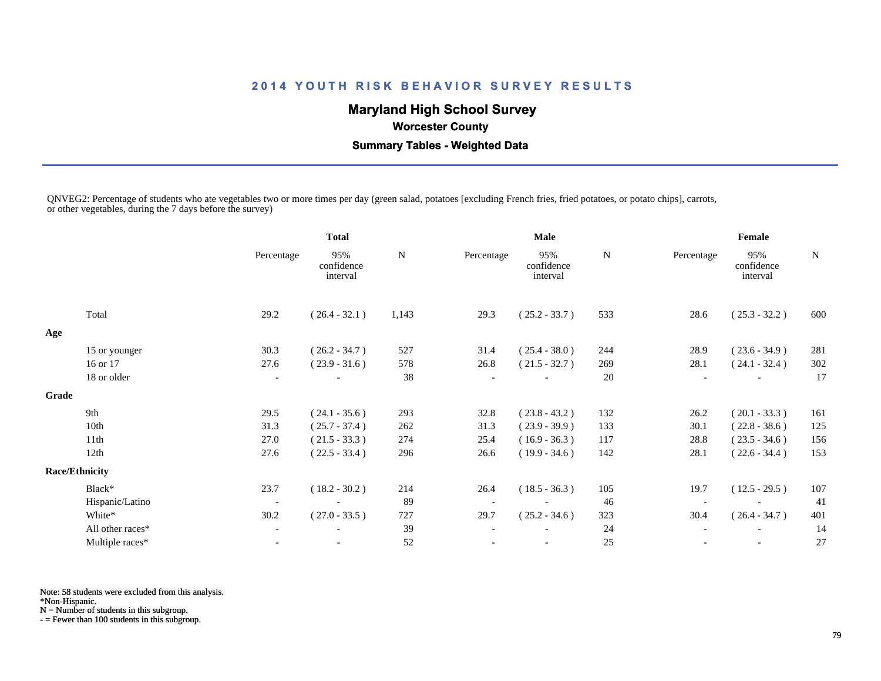# **Maryland High School Survey**

 **Worcester County**

 **Summary Tables - Weighted Data**

QNVEG2: Percentage of students who ate vegetables two or more times per day (green salad, potatoes [excluding French fries, fried potatoes, or potato chips], carrots, or other vegetables, during the 7 days before the survey)

|       |                       |                          | <b>Total</b>                  |           |                          | Male                          |     | Female                   |                               |        |  |
|-------|-----------------------|--------------------------|-------------------------------|-----------|--------------------------|-------------------------------|-----|--------------------------|-------------------------------|--------|--|
|       |                       | Percentage               | 95%<br>confidence<br>interval | ${\bf N}$ | Percentage               | 95%<br>confidence<br>interval | N   | Percentage               | 95%<br>confidence<br>interval | $\,$ N |  |
|       | Total                 | 29.2                     | $(26.4 - 32.1)$               | 1,143     | 29.3                     | $(25.2 - 33.7)$               | 533 | 28.6                     | $(25.3 - 32.2)$               | 600    |  |
| Age   |                       |                          |                               |           |                          |                               |     |                          |                               |        |  |
|       | 15 or younger         | 30.3                     | $(26.2 - 34.7)$               | 527       | 31.4                     | $(25.4 - 38.0)$               | 244 | 28.9                     | $(23.6 - 34.9)$               | 281    |  |
|       | 16 or 17              | 27.6                     | $(23.9 - 31.6)$               | 578       | 26.8                     | $(21.5 - 32.7)$               | 269 | 28.1                     | $(24.1 - 32.4)$               | 302    |  |
|       | 18 or older           | $\overline{\phantom{a}}$ |                               | 38        |                          |                               | 20  | $\overline{\phantom{a}}$ |                               | 17     |  |
| Grade |                       |                          |                               |           |                          |                               |     |                          |                               |        |  |
|       | 9th                   | 29.5                     | $(24.1 - 35.6)$               | 293       | 32.8                     | $(23.8 - 43.2)$               | 132 | 26.2                     | $(20.1 - 33.3)$               | 161    |  |
|       | 10th                  | 31.3                     | $(25.7 - 37.4)$               | 262       | 31.3                     | $(23.9 - 39.9)$               | 133 | 30.1                     | $(22.8 - 38.6)$               | 125    |  |
|       | 11th                  | 27.0                     | $(21.5 - 33.3)$               | 274       | 25.4                     | $(16.9 - 36.3)$               | 117 | 28.8                     | $(23.5 - 34.6)$               | 156    |  |
|       | 12th                  | 27.6                     | $(22.5 - 33.4)$               | 296       | 26.6                     | $(19.9 - 34.6)$               | 142 | 28.1                     | $(22.6 - 34.4)$               | 153    |  |
|       | <b>Race/Ethnicity</b> |                          |                               |           |                          |                               |     |                          |                               |        |  |
|       | Black*                | 23.7                     | $(18.2 - 30.2)$               | 214       | 26.4                     | $(18.5 - 36.3)$               | 105 | 19.7                     | $(12.5 - 29.5)$               | 107    |  |
|       | Hispanic/Latino       | $\overline{\phantom{a}}$ | $\overline{\phantom{a}}$      | 89        | $\overline{\phantom{a}}$ |                               | 46  | $\overline{\phantom{a}}$ |                               | 41     |  |
|       | White*                | 30.2                     | $(27.0 - 33.5)$               | 727       | 29.7                     | $(25.2 - 34.6)$               | 323 | 30.4                     | $(26.4 - 34.7)$               | 401    |  |
|       | All other races*      |                          |                               | 39        |                          |                               | 24  | $\overline{\phantom{a}}$ |                               | 14     |  |
|       | Multiple races*       |                          | $\overline{\phantom{a}}$      | 52        |                          |                               | 25  |                          |                               | 27     |  |

Note: 58 students were excluded from this analysis.

\*Non-Hispanic.

N = Number of students in this subgroup.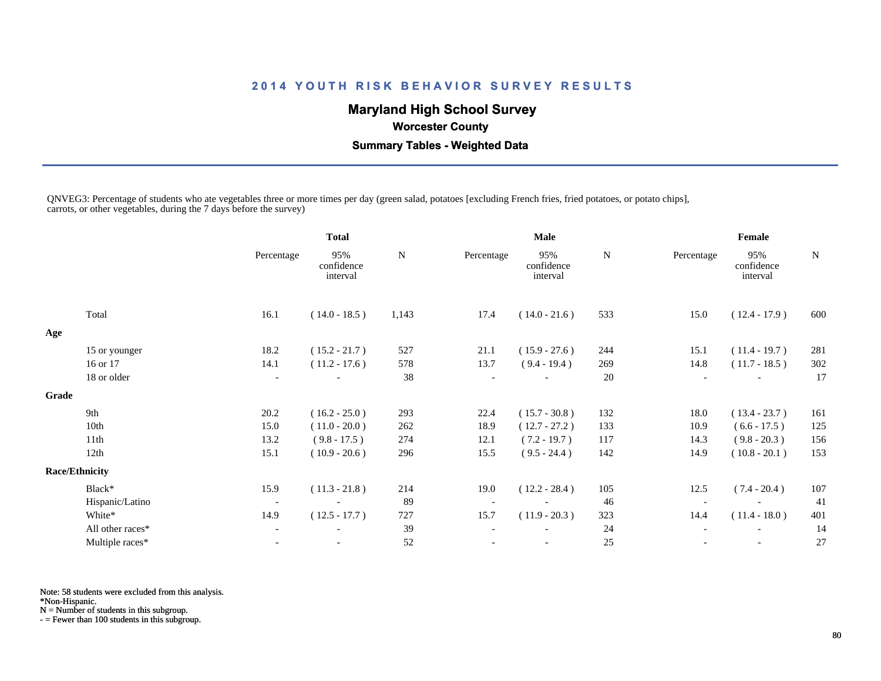# **Maryland High School Survey**

 **Worcester County**

 **Summary Tables - Weighted Data**

QNVEG3: Percentage of students who ate vegetables three or more times per day (green salad, potatoes [excluding French fries, fried potatoes, or potato chips], carrots, or other vegetables, during the 7 days before the survey)

|                  |                                                   | <b>Total</b>                  |           | <b>Male</b> |                               |     | Female                   |                               |     |
|------------------|---------------------------------------------------|-------------------------------|-----------|-------------|-------------------------------|-----|--------------------------|-------------------------------|-----|
|                  | Percentage                                        | 95%<br>confidence<br>interval | ${\bf N}$ | Percentage  | 95%<br>confidence<br>interval | N   | Percentage               | 95%<br>confidence<br>interval | N   |
| Total            | 16.1                                              | $(14.0 - 18.5)$               | 1,143     | 17.4        | $(14.0 - 21.6)$               | 533 | 15.0                     | $(12.4 - 17.9)$               | 600 |
|                  |                                                   |                               |           |             |                               |     |                          |                               |     |
| 15 or younger    | 18.2                                              | $(15.2 - 21.7)$               | 527       | 21.1        | $(15.9 - 27.6)$               | 244 | 15.1                     | $(11.4 - 19.7)$               | 281 |
| 16 or 17         | 14.1                                              | $(11.2 - 17.6)$               | 578       | 13.7        | $(9.4 - 19.4)$                | 269 | 14.8                     | $(11.7 - 18.5)$               | 302 |
| 18 or older      | $\overline{\phantom{a}}$                          |                               | 38        |             |                               | 20  | $\overline{\phantom{a}}$ |                               | 17  |
|                  |                                                   |                               |           |             |                               |     |                          |                               |     |
| 9th              | 20.2                                              | $(16.2 - 25.0)$               | 293       | 22.4        | $(15.7 - 30.8)$               | 132 | 18.0                     | $(13.4 - 23.7)$               | 161 |
| 10th             | 15.0                                              | $(11.0 - 20.0)$               | 262       | 18.9        | $(12.7 - 27.2)$               | 133 | 10.9                     | $(6.6 - 17.5)$                | 125 |
| 11th             | 13.2                                              | $(9.8 - 17.5)$                | 274       | 12.1        | $(7.2 - 19.7)$                | 117 | 14.3                     | $(9.8 - 20.3)$                | 156 |
| 12th             | 15.1                                              | $(10.9 - 20.6)$               | 296       | 15.5        | $(9.5 - 24.4)$                | 142 | 14.9                     | $(10.8 - 20.1)$               | 153 |
|                  |                                                   |                               |           |             |                               |     |                          |                               |     |
| Black*           | 15.9                                              | $(11.3 - 21.8)$               | 214       | 19.0        | $(12.2 - 28.4)$               | 105 | 12.5                     | $(7.4 - 20.4)$                | 107 |
|                  | $\overline{\phantom{a}}$                          |                               | 89        |             |                               | 46  |                          |                               | 41  |
| White*           | 14.9                                              | $(12.5 - 17.7)$               | 727       | 15.7        | $(11.9 - 20.3)$               | 323 | 14.4                     | $(11.4 - 18.0)$               | 401 |
| All other races* |                                                   |                               | 39        |             |                               | 24  |                          |                               | 14  |
| Multiple races*  |                                                   |                               | 52        |             | $\overline{\phantom{a}}$      | 25  |                          | $\overline{\phantom{a}}$      | 27  |
|                  | Grade<br><b>Race/Ethnicity</b><br>Hispanic/Latino |                               |           |             |                               |     |                          |                               |     |

Note: 58 students were excluded from this analysis.

\*Non-Hispanic.

N = Number of students in this subgroup.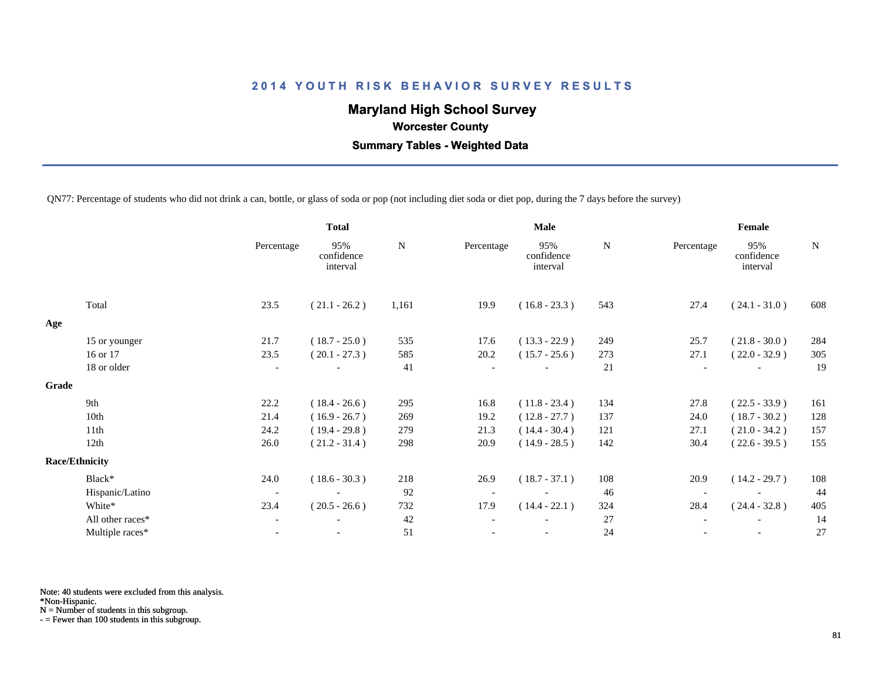# **Maryland High School Survey**

 **Worcester County**

 **Summary Tables - Weighted Data**

QN77: Percentage of students who did not drink a can, bottle, or glass of soda or pop (not including diet soda or diet pop, during the 7 days before the survey)

|       |                       | <b>Total</b>             |                               |       |            | <b>Male</b>                   |             | Female                   |                               |     |  |
|-------|-----------------------|--------------------------|-------------------------------|-------|------------|-------------------------------|-------------|--------------------------|-------------------------------|-----|--|
|       |                       | Percentage               | 95%<br>confidence<br>interval | N     | Percentage | 95%<br>confidence<br>interval | $\mathbf N$ | Percentage               | 95%<br>confidence<br>interval | N   |  |
|       | Total                 | 23.5                     | $(21.1 - 26.2)$               | 1,161 | 19.9       | $(16.8 - 23.3)$               | 543         | 27.4                     | $(24.1 - 31.0)$               | 608 |  |
| Age   |                       |                          |                               |       |            |                               |             |                          |                               |     |  |
|       | 15 or younger         | 21.7                     | $(18.7 - 25.0)$               | 535   | 17.6       | $(13.3 - 22.9)$               | 249         | 25.7                     | $(21.8 - 30.0)$               | 284 |  |
|       | 16 or 17              | 23.5                     | $(20.1 - 27.3)$               | 585   | 20.2       | $(15.7 - 25.6)$               | 273         | 27.1                     | $(22.0 - 32.9)$               | 305 |  |
|       | 18 or older           | $\overline{\phantom{a}}$ |                               | 41    |            |                               | 21          | $\overline{\phantom{a}}$ |                               | 19  |  |
| Grade |                       |                          |                               |       |            |                               |             |                          |                               |     |  |
|       | 9th                   | 22.2                     | $(18.4 - 26.6)$               | 295   | 16.8       | $(11.8 - 23.4)$               | 134         | 27.8                     | $(22.5 - 33.9)$               | 161 |  |
|       | 10th                  | 21.4                     | $(16.9 - 26.7)$               | 269   | 19.2       | $(12.8 - 27.7)$               | 137         | 24.0                     | $(18.7 - 30.2)$               | 128 |  |
|       | 11th                  | 24.2                     | $(19.4 - 29.8)$               | 279   | 21.3       | $(14.4 - 30.4)$               | 121         | 27.1                     | $(21.0 - 34.2)$               | 157 |  |
|       | 12th                  | 26.0                     | $(21.2 - 31.4)$               | 298   | 20.9       | $(14.9 - 28.5)$               | 142         | 30.4                     | $(22.6 - 39.5)$               | 155 |  |
|       | <b>Race/Ethnicity</b> |                          |                               |       |            |                               |             |                          |                               |     |  |
|       | Black*                | 24.0                     | $(18.6 - 30.3)$               | 218   | 26.9       | $(18.7 - 37.1)$               | 108         | 20.9                     | $(14.2 - 29.7)$               | 108 |  |
|       | Hispanic/Latino       | $\overline{\phantom{a}}$ |                               | 92    |            |                               | 46          |                          |                               | 44  |  |
|       | White*                | 23.4                     | $(20.5 - 26.6)$               | 732   | 17.9       | $(14.4 - 22.1)$               | 324         | 28.4                     | $(24.4 - 32.8)$               | 405 |  |
|       | All other races*      | $\overline{\phantom{a}}$ |                               | 42    |            |                               | 27          |                          |                               | 14  |  |
|       | Multiple races*       | $\overline{\phantom{a}}$ |                               | 51    |            | $\overline{\phantom{a}}$      | 24          |                          | $\overline{\phantom{a}}$      | 27  |  |
|       |                       |                          |                               |       |            |                               |             |                          |                               |     |  |

Note: 40 students were excluded from this analysis.

\*Non-Hispanic.

N = Number of students in this subgroup.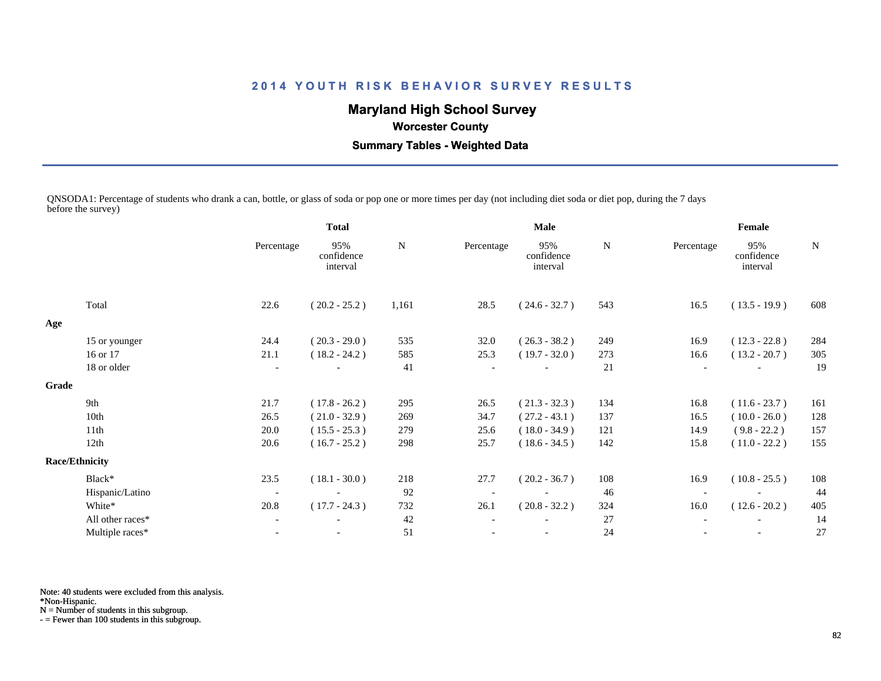# **Maryland High School Survey**

 **Worcester County**

 **Summary Tables - Weighted Data**

QNSODA1: Percentage of students who drank a can, bottle, or glass of soda or pop one or more times per day (not including diet soda or diet pop, during the 7 days before the survey)

|       |                       | <b>Total</b>             |                               |       |            | Male                          |     | Female     |                               |             |  |
|-------|-----------------------|--------------------------|-------------------------------|-------|------------|-------------------------------|-----|------------|-------------------------------|-------------|--|
|       |                       | Percentage               | 95%<br>confidence<br>interval | N     | Percentage | 95%<br>confidence<br>interval | N   | Percentage | 95%<br>confidence<br>interval | $\mathbf N$ |  |
|       | Total                 | 22.6                     | $(20.2 - 25.2)$               | 1,161 | 28.5       | $(24.6 - 32.7)$               | 543 | 16.5       | $(13.5 - 19.9)$               | 608         |  |
| Age   |                       |                          |                               |       |            |                               |     |            |                               |             |  |
|       | 15 or younger         | 24.4                     | $(20.3 - 29.0)$               | 535   | 32.0       | $(26.3 - 38.2)$               | 249 | 16.9       | $(12.3 - 22.8)$               | 284         |  |
|       | 16 or 17              | 21.1                     | $(18.2 - 24.2)$               | 585   | 25.3       | $(19.7 - 32.0)$               | 273 | 16.6       | $(13.2 - 20.7)$               | 305         |  |
|       | 18 or older           |                          |                               | 41    |            |                               | 21  |            |                               | 19          |  |
| Grade |                       |                          |                               |       |            |                               |     |            |                               |             |  |
|       | 9th                   | 21.7                     | $(17.8 - 26.2)$               | 295   | 26.5       | $(21.3 - 32.3)$               | 134 | 16.8       | $(11.6 - 23.7)$               | 161         |  |
|       | 10th                  | 26.5                     | $(21.0 - 32.9)$               | 269   | 34.7       | $(27.2 - 43.1)$               | 137 | 16.5       | $(10.0 - 26.0)$               | 128         |  |
|       | 11th                  | 20.0                     | $(15.5 - 25.3)$               | 279   | 25.6       | $(18.0 - 34.9)$               | 121 | 14.9       | $(9.8 - 22.2)$                | 157         |  |
|       | 12th                  | 20.6                     | $(16.7 - 25.2)$               | 298   | 25.7       | $(18.6 - 34.5)$               | 142 | 15.8       | $(11.0 - 22.2)$               | 155         |  |
|       | <b>Race/Ethnicity</b> |                          |                               |       |            |                               |     |            |                               |             |  |
|       | Black*                | 23.5                     | $(18.1 - 30.0)$               | 218   | 27.7       | $(20.2 - 36.7)$               | 108 | 16.9       | $(10.8 - 25.5)$               | 108         |  |
|       | Hispanic/Latino       | $\overline{\phantom{a}}$ |                               | 92    |            |                               | 46  |            |                               | 44          |  |
|       | White*                | 20.8                     | $(17.7 - 24.3)$               | 732   | 26.1       | $(20.8 - 32.2)$               | 324 | 16.0       | $(12.6 - 20.2)$               | 405         |  |
|       | All other races*      | $\overline{\phantom{a}}$ |                               | 42    |            |                               | 27  |            |                               | 14          |  |
|       | Multiple races*       | $\overline{\phantom{a}}$ | $\overline{\phantom{a}}$      | 51    |            | $\overline{\phantom{a}}$      | 24  |            | $\overline{\phantom{a}}$      | 27          |  |
|       |                       |                          |                               |       |            |                               |     |            |                               |             |  |

Note: 40 students were excluded from this analysis.

\*Non-Hispanic.

N = Number of students in this subgroup.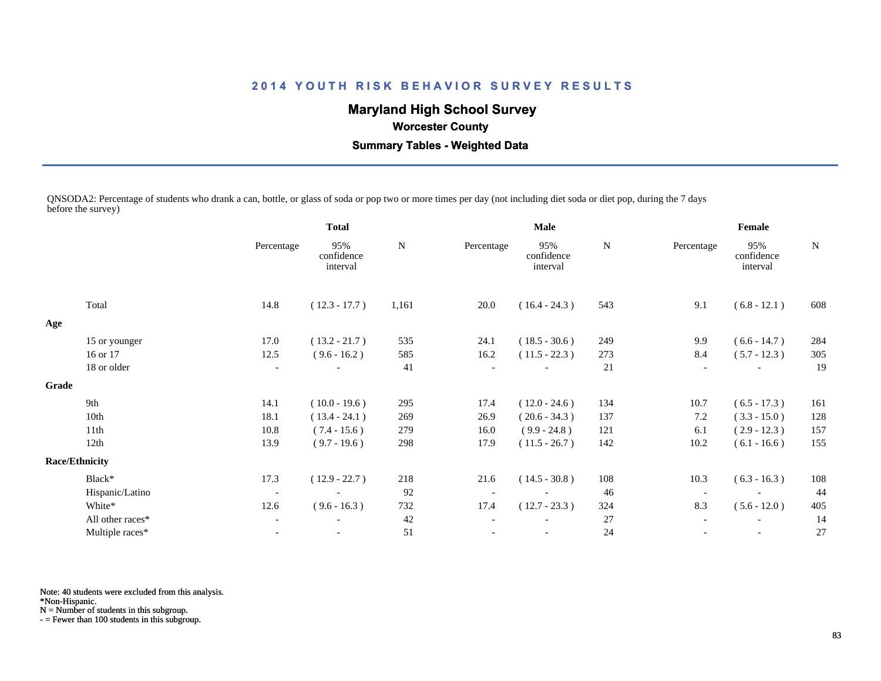# **Maryland High School Survey**

 **Worcester County**

 **Summary Tables - Weighted Data**

QNSODA2: Percentage of students who drank a can, bottle, or glass of soda or pop two or more times per day (not including diet soda or diet pop, during the 7 days before the survey)

|       |                       | <b>Total</b>             |                               | Male  |            |                               | Female |                          |                               |             |
|-------|-----------------------|--------------------------|-------------------------------|-------|------------|-------------------------------|--------|--------------------------|-------------------------------|-------------|
|       |                       | Percentage               | 95%<br>confidence<br>interval | N     | Percentage | 95%<br>confidence<br>interval | N      | Percentage               | 95%<br>confidence<br>interval | $\mathbf N$ |
|       | Total                 | 14.8                     | $(12.3 - 17.7)$               | 1,161 | 20.0       | $(16.4 - 24.3)$               | 543    | 9.1                      | $(6.8 - 12.1)$                | 608         |
| Age   |                       |                          |                               |       |            |                               |        |                          |                               |             |
|       | 15 or younger         | 17.0                     | $(13.2 - 21.7)$               | 535   | 24.1       | $(18.5 - 30.6)$               | 249    | 9.9                      | $(6.6 - 14.7)$                | 284         |
|       | 16 or 17              | 12.5                     | $(9.6 - 16.2)$                | 585   | 16.2       | $(11.5 - 22.3)$               | 273    | 8.4                      | $(5.7 - 12.3)$                | 305         |
|       | 18 or older           | $\overline{\phantom{a}}$ |                               | 41    |            |                               | 21     |                          |                               | 19          |
| Grade |                       |                          |                               |       |            |                               |        |                          |                               |             |
|       | 9th                   | 14.1                     | $(10.0 - 19.6)$               | 295   | 17.4       | $(12.0 - 24.6)$               | 134    | 10.7                     | $(6.5 - 17.3)$                | 161         |
|       | 10th                  | 18.1                     | $(13.4 - 24.1)$               | 269   | 26.9       | $(20.6 - 34.3)$               | 137    | 7.2                      | $(3.3 - 15.0)$                | 128         |
|       | 11th                  | 10.8                     | $(7.4 - 15.6)$                | 279   | 16.0       | $(9.9 - 24.8)$                | 121    | 6.1                      | $(2.9 - 12.3)$                | 157         |
|       | 12th                  | 13.9                     | $(9.7 - 19.6)$                | 298   | 17.9       | $(11.5 - 26.7)$               | 142    | 10.2                     | $(6.1 - 16.6)$                | 155         |
|       | <b>Race/Ethnicity</b> |                          |                               |       |            |                               |        |                          |                               |             |
|       | Black*                | 17.3                     | $(12.9 - 22.7)$               | 218   | 21.6       | $(14.5 - 30.8)$               | 108    | 10.3                     | $(6.3 - 16.3)$                | 108         |
|       | Hispanic/Latino       | $\overline{\phantom{a}}$ |                               | 92    |            |                               | 46     |                          |                               | 44          |
|       | White*                | 12.6                     | $(9.6 - 16.3)$                | 732   | 17.4       | $(12.7 - 23.3)$               | 324    | 8.3                      | $(5.6 - 12.0)$                | 405         |
|       | All other races*      | $\blacksquare$           | $\overline{\phantom{a}}$      | 42    |            |                               | 27     | $\overline{\phantom{a}}$ | $\overline{\phantom{a}}$      | 14          |
|       | Multiple races*       |                          |                               | 51    |            |                               | 24     |                          |                               | 27          |
|       |                       |                          |                               |       |            |                               |        |                          |                               |             |

Note: 40 students were excluded from this analysis.

\*Non-Hispanic.

N = Number of students in this subgroup.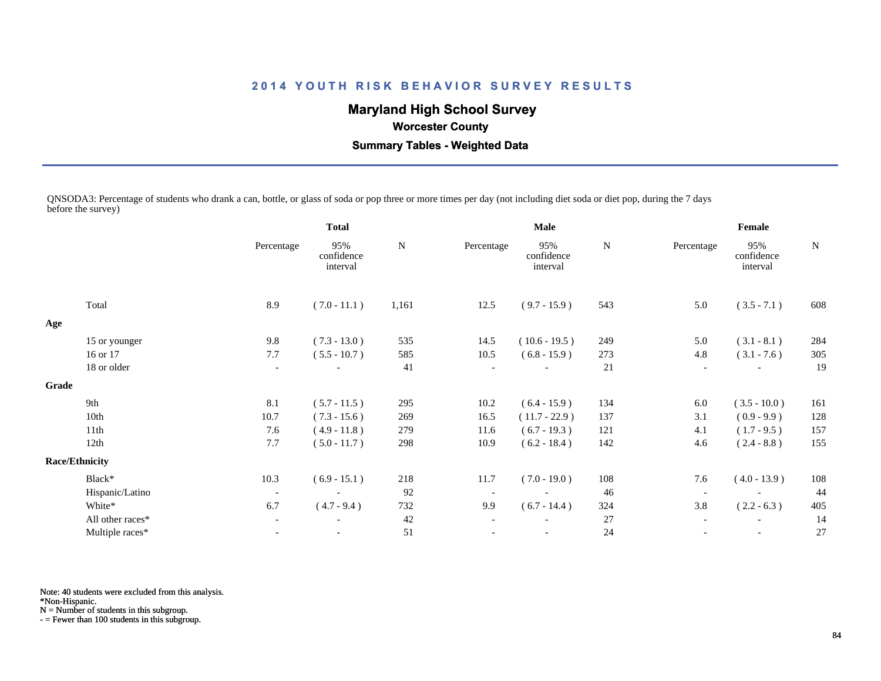# **Maryland High School Survey**

 **Worcester County**

 **Summary Tables - Weighted Data**

QNSODA3: Percentage of students who drank a can, bottle, or glass of soda or pop three or more times per day (not including diet soda or diet pop, during the 7 days before the survey)

|       |                       | <b>Total</b>             |                               | <b>Male</b> |            |                               | Female |                          |                               |             |
|-------|-----------------------|--------------------------|-------------------------------|-------------|------------|-------------------------------|--------|--------------------------|-------------------------------|-------------|
|       |                       | Percentage               | 95%<br>confidence<br>interval | ${\bf N}$   | Percentage | 95%<br>confidence<br>interval | N      | Percentage               | 95%<br>confidence<br>interval | $\mathbf N$ |
|       | Total                 | 8.9                      | $(7.0 - 11.1)$                | 1,161       | 12.5       | $(9.7 - 15.9)$                | 543    | 5.0                      | $(3.5 - 7.1)$                 | 608         |
| Age   |                       |                          |                               |             |            |                               |        |                          |                               |             |
|       | 15 or younger         | 9.8                      | $(7.3 - 13.0)$                | 535         | 14.5       | $(10.6 - 19.5)$               | 249    | 5.0                      | $(3.1 - 8.1)$                 | 284         |
|       | 16 or 17              | 7.7                      | $(5.5 - 10.7)$                | 585         | 10.5       | $(6.8 - 15.9)$                | 273    | 4.8                      | $(3.1 - 7.6)$                 | 305         |
|       | 18 or older           | $\overline{\phantom{a}}$ | $\overline{\phantom{a}}$      | 41          |            | $\overline{\phantom{a}}$      | 21     |                          |                               | 19          |
| Grade |                       |                          |                               |             |            |                               |        |                          |                               |             |
|       | 9th                   | 8.1                      | $(5.7 - 11.5)$                | 295         | 10.2       | $(6.4 - 15.9)$                | 134    | 6.0                      | $(3.5 - 10.0)$                | 161         |
|       | 10th                  | 10.7                     | $(7.3 - 15.6)$                | 269         | 16.5       | $(11.7 - 22.9)$               | 137    | 3.1                      | $(0.9 - 9.9)$                 | 128         |
|       | 11th                  | 7.6                      | $(4.9 - 11.8)$                | 279         | 11.6       | $(6.7 - 19.3)$                | 121    | 4.1                      | $(1.7 - 9.5)$                 | 157         |
|       | 12th                  | 7.7                      | $(5.0 - 11.7)$                | 298         | 10.9       | $(6.2 - 18.4)$                | 142    | 4.6                      | $(2.4 - 8.8)$                 | 155         |
|       | <b>Race/Ethnicity</b> |                          |                               |             |            |                               |        |                          |                               |             |
|       | Black*                | 10.3                     | $(6.9 - 15.1)$                | 218         | 11.7       | $(7.0 - 19.0)$                | 108    | 7.6                      | $(4.0 - 13.9)$                | 108         |
|       | Hispanic/Latino       | $\overline{\phantom{a}}$ | $\overline{\phantom{a}}$      | 92          |            |                               | 46     | $\overline{\phantom{a}}$ |                               | 44          |
|       | White*                | 6.7                      | $(4.7 - 9.4)$                 | 732         | 9.9        | $(6.7 - 14.4)$                | 324    | 3.8                      | $(2.2 - 6.3)$                 | 405         |
|       | All other races*      | $\overline{\phantom{a}}$ |                               | 42          |            |                               | 27     |                          | $\overline{\phantom{a}}$      | 14          |
|       | Multiple races*       | $\overline{\phantom{a}}$ | $\overline{\phantom{a}}$      | 51          |            | $\overline{\phantom{a}}$      | 24     |                          | $\overline{\phantom{a}}$      | 27          |
|       |                       |                          |                               |             |            |                               |        |                          |                               |             |

Note: 40 students were excluded from this analysis.

\*Non-Hispanic.

N = Number of students in this subgroup.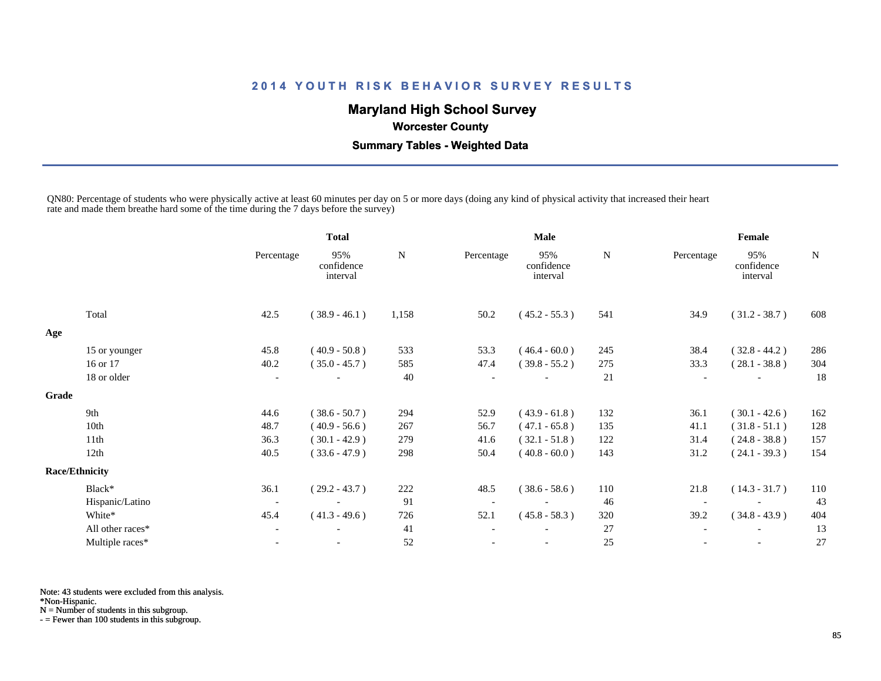# **Maryland High School Survey**

 **Worcester County**

 **Summary Tables - Weighted Data**

QN80: Percentage of students who were physically active at least 60 minutes per day on 5 or more days (doing any kind of physical activity that increased their heart rate and made them breathe hard some of the time during the 7 days before the survey)

|       |                       |                          | <b>Total</b>                  |       | Male       |                               |     | Female                   |                               |     |  |
|-------|-----------------------|--------------------------|-------------------------------|-------|------------|-------------------------------|-----|--------------------------|-------------------------------|-----|--|
|       |                       | Percentage               | 95%<br>confidence<br>interval | N     | Percentage | 95%<br>confidence<br>interval | N   | Percentage               | 95%<br>confidence<br>interval | N   |  |
|       | Total                 | 42.5                     | $(38.9 - 46.1)$               | 1,158 | 50.2       | $(45.2 - 55.3)$               | 541 | 34.9                     | $(31.2 - 38.7)$               | 608 |  |
| Age   |                       |                          |                               |       |            |                               |     |                          |                               |     |  |
|       | 15 or younger         | 45.8                     | $(40.9 - 50.8)$               | 533   | 53.3       | $(46.4 - 60.0)$               | 245 | 38.4                     | $(32.8 - 44.2)$               | 286 |  |
|       | 16 or 17              | 40.2                     | $(35.0 - 45.7)$               | 585   | 47.4       | $(39.8 - 55.2)$               | 275 | 33.3                     | $(28.1 - 38.8)$               | 304 |  |
|       | 18 or older           | $\overline{\phantom{a}}$ |                               | 40    |            |                               | 21  | $\overline{\phantom{a}}$ |                               | 18  |  |
| Grade |                       |                          |                               |       |            |                               |     |                          |                               |     |  |
|       | 9th                   | 44.6                     | $(38.6 - 50.7)$               | 294   | 52.9       | $(43.9 - 61.8)$               | 132 | 36.1                     | $(30.1 - 42.6)$               | 162 |  |
|       | 10th                  | 48.7                     | $(40.9 - 56.6)$               | 267   | 56.7       | $(47.1 - 65.8)$               | 135 | 41.1                     | $(31.8 - 51.1)$               | 128 |  |
|       | 11 <sup>th</sup>      | 36.3                     | $(30.1 - 42.9)$               | 279   | 41.6       | $(32.1 - 51.8)$               | 122 | 31.4                     | $(24.8 - 38.8)$               | 157 |  |
|       | 12th                  | 40.5                     | $(33.6 - 47.9)$               | 298   | 50.4       | $(40.8 - 60.0)$               | 143 | 31.2                     | $(24.1 - 39.3)$               | 154 |  |
|       | <b>Race/Ethnicity</b> |                          |                               |       |            |                               |     |                          |                               |     |  |
|       | Black*                | 36.1                     | $(29.2 - 43.7)$               | 222   | 48.5       | $(38.6 - 58.6)$               | 110 | 21.8                     | $(14.3 - 31.7)$               | 110 |  |
|       | Hispanic/Latino       | $\overline{\phantom{a}}$ | $\overline{\phantom{a}}$      | 91    |            |                               | 46  | $\overline{\phantom{a}}$ |                               | 43  |  |
|       | White*                | 45.4                     | $(41.3 - 49.6)$               | 726   | 52.1       | $(45.8 - 58.3)$               | 320 | 39.2                     | $(34.8 - 43.9)$               | 404 |  |
|       | All other races*      | $\overline{\phantom{a}}$ |                               | 41    |            |                               | 27  | $\overline{\phantom{a}}$ |                               | 13  |  |
|       | Multiple races*       |                          |                               | 52    |            |                               | 25  |                          | $\overline{\phantom{a}}$      | 27  |  |

Note: 43 students were excluded from this analysis.

\*Non-Hispanic.

N = Number of students in this subgroup.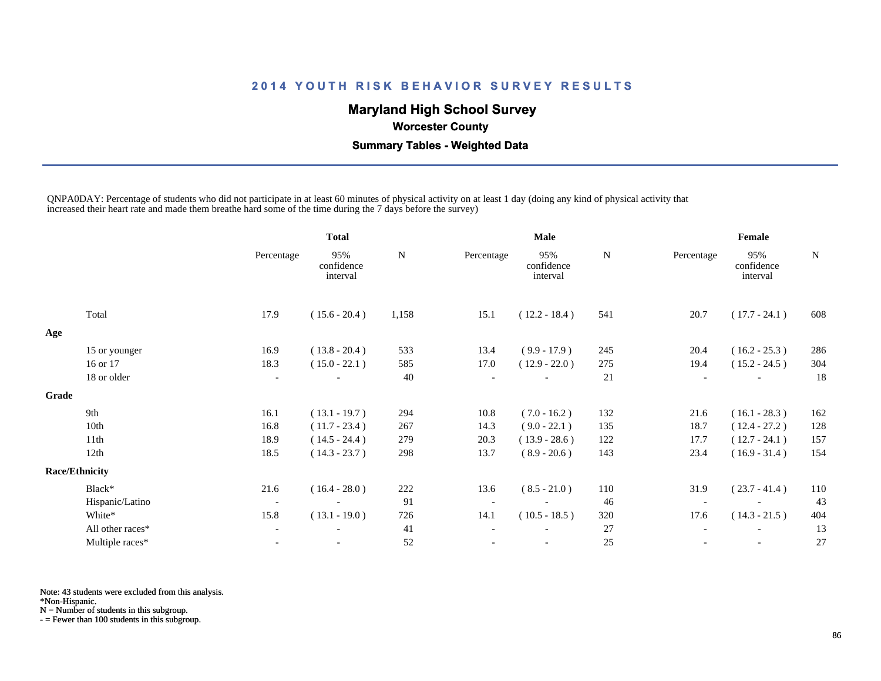# **Maryland High School Survey**

 **Worcester County**

 **Summary Tables - Weighted Data**

QNPA0DAY: Percentage of students who did not participate in at least 60 minutes of physical activity on at least 1 day (doing any kind of physical activity that increased their heart rate and made them breathe hard some of the time during the 7 days before the survey)

|       |                       |                          | <b>Total</b>                  |       | Male       |                               |     | Female                   |                               |     |  |
|-------|-----------------------|--------------------------|-------------------------------|-------|------------|-------------------------------|-----|--------------------------|-------------------------------|-----|--|
|       |                       | Percentage               | 95%<br>confidence<br>interval | N     | Percentage | 95%<br>confidence<br>interval | N   | Percentage               | 95%<br>confidence<br>interval | N   |  |
|       | Total                 | 17.9                     | $(15.6 - 20.4)$               | 1,158 | 15.1       | $(12.2 - 18.4)$               | 541 | 20.7                     | $(17.7 - 24.1)$               | 608 |  |
| Age   |                       |                          |                               |       |            |                               |     |                          |                               |     |  |
|       | 15 or younger         | 16.9                     | $(13.8 - 20.4)$               | 533   | 13.4       | $(9.9 - 17.9)$                | 245 | 20.4                     | $(16.2 - 25.3)$               | 286 |  |
|       | 16 or 17              | 18.3                     | $(15.0 - 22.1)$               | 585   | 17.0       | $(12.9 - 22.0)$               | 275 | 19.4                     | $(15.2 - 24.5)$               | 304 |  |
|       | 18 or older           | $\overline{\phantom{a}}$ |                               | 40    |            |                               | 21  | $\overline{\phantom{a}}$ |                               | 18  |  |
| Grade |                       |                          |                               |       |            |                               |     |                          |                               |     |  |
|       | 9th                   | 16.1                     | $(13.1 - 19.7)$               | 294   | 10.8       | $(7.0 - 16.2)$                | 132 | 21.6                     | $(16.1 - 28.3)$               | 162 |  |
|       | 10th                  | 16.8                     | $(11.7 - 23.4)$               | 267   | 14.3       | $(9.0 - 22.1)$                | 135 | 18.7                     | $(12.4 - 27.2)$               | 128 |  |
|       | 11 <sup>th</sup>      | 18.9                     | $(14.5 - 24.4)$               | 279   | 20.3       | $(13.9 - 28.6)$               | 122 | 17.7                     | $(12.7 - 24.1)$               | 157 |  |
|       | 12th                  | 18.5                     | $(14.3 - 23.7)$               | 298   | 13.7       | $(8.9 - 20.6)$                | 143 | 23.4                     | $(16.9 - 31.4)$               | 154 |  |
|       | <b>Race/Ethnicity</b> |                          |                               |       |            |                               |     |                          |                               |     |  |
|       | Black*                | 21.6                     | $(16.4 - 28.0)$               | 222   | 13.6       | $(8.5 - 21.0)$                | 110 | 31.9                     | $(23.7 - 41.4)$               | 110 |  |
|       | Hispanic/Latino       | $\overline{\phantom{a}}$ | $\overline{\phantom{a}}$      | 91    |            |                               | 46  | $\overline{\phantom{a}}$ |                               | 43  |  |
|       | White*                | 15.8                     | $(13.1 - 19.0)$               | 726   | 14.1       | $(10.5 - 18.5)$               | 320 | 17.6                     | $(14.3 - 21.5)$               | 404 |  |
|       | All other races*      | $\overline{\phantom{a}}$ |                               | 41    |            |                               | 27  | $\overline{\phantom{a}}$ |                               | 13  |  |
|       | Multiple races*       |                          |                               | 52    |            |                               | 25  |                          | $\overline{\phantom{a}}$      | 27  |  |

Note: 43 students were excluded from this analysis.

\*Non-Hispanic.

N = Number of students in this subgroup.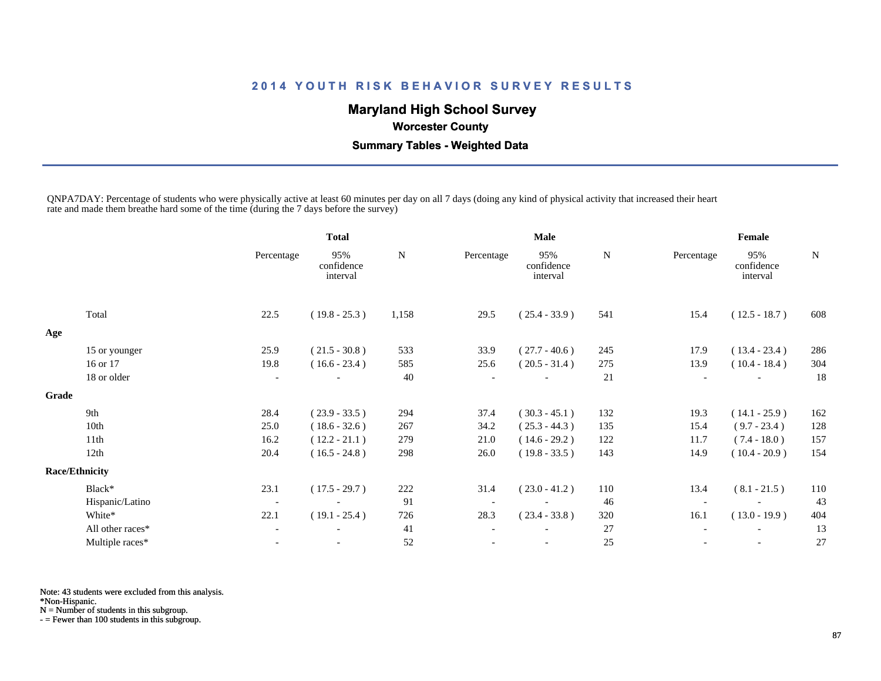# **Maryland High School Survey**

 **Worcester County**

 **Summary Tables - Weighted Data**

QNPA7DAY: Percentage of students who were physically active at least 60 minutes per day on all 7 days (doing any kind of physical activity that increased their heart rate and made them breathe hard some of the time (during the 7 days before the survey)

|       |                       | <b>Total</b>             |                               |       | Male       |                               |     | Female                   |                               |     |  |
|-------|-----------------------|--------------------------|-------------------------------|-------|------------|-------------------------------|-----|--------------------------|-------------------------------|-----|--|
|       |                       | Percentage               | 95%<br>confidence<br>interval | N     | Percentage | 95%<br>confidence<br>interval | N   | Percentage               | 95%<br>confidence<br>interval | N   |  |
|       | Total                 | 22.5                     | $(19.8 - 25.3)$               | 1,158 | 29.5       | $(25.4 - 33.9)$               | 541 | 15.4                     | $(12.5 - 18.7)$               | 608 |  |
| Age   |                       |                          |                               |       |            |                               |     |                          |                               |     |  |
|       | 15 or younger         | 25.9                     | $(21.5 - 30.8)$               | 533   | 33.9       | $(27.7 - 40.6)$               | 245 | 17.9                     | $(13.4 - 23.4)$               | 286 |  |
|       | 16 or 17              | 19.8                     | $(16.6 - 23.4)$               | 585   | 25.6       | $(20.5 - 31.4)$               | 275 | 13.9                     | $(10.4 - 18.4)$               | 304 |  |
|       | 18 or older           |                          |                               | 40    |            |                               | 21  | $\overline{\phantom{a}}$ |                               | 18  |  |
| Grade |                       |                          |                               |       |            |                               |     |                          |                               |     |  |
|       | 9th                   | 28.4                     | $(23.9 - 33.5)$               | 294   | 37.4       | $(30.3 - 45.1)$               | 132 | 19.3                     | $(14.1 - 25.9)$               | 162 |  |
|       | 10th                  | 25.0                     | $(18.6 - 32.6)$               | 267   | 34.2       | $(25.3 - 44.3)$               | 135 | 15.4                     | $(9.7 - 23.4)$                | 128 |  |
|       | 11th                  | 16.2                     | $(12.2 - 21.1)$               | 279   | 21.0       | $(14.6 - 29.2)$               | 122 | 11.7                     | $(7.4 - 18.0)$                | 157 |  |
|       | 12th                  | 20.4                     | $(16.5 - 24.8)$               | 298   | 26.0       | $(19.8 - 33.5)$               | 143 | 14.9                     | $(10.4 - 20.9)$               | 154 |  |
|       | <b>Race/Ethnicity</b> |                          |                               |       |            |                               |     |                          |                               |     |  |
|       | Black*                | 23.1                     | $(17.5 - 29.7)$               | 222   | 31.4       | $(23.0 - 41.2)$               | 110 | 13.4                     | $(8.1 - 21.5)$                | 110 |  |
|       | Hispanic/Latino       | $\overline{\phantom{a}}$ | $\overline{\phantom{a}}$      | 91    |            | $\overline{\phantom{a}}$      | 46  | $\overline{\phantom{a}}$ |                               | 43  |  |
|       | White*                | 22.1                     | $(19.1 - 25.4)$               | 726   | 28.3       | $(23.4 - 33.8)$               | 320 | 16.1                     | $(13.0 - 19.9)$               | 404 |  |
|       | All other races*      |                          |                               | 41    |            |                               | 27  |                          |                               | 13  |  |
|       | Multiple races*       |                          | $\overline{\phantom{a}}$      | 52    |            |                               | 25  | $\overline{\phantom{a}}$ | $\overline{\phantom{a}}$      | 27  |  |
|       |                       |                          |                               |       |            |                               |     |                          |                               |     |  |

Note: 43 students were excluded from this analysis.

\*Non-Hispanic.

N = Number of students in this subgroup.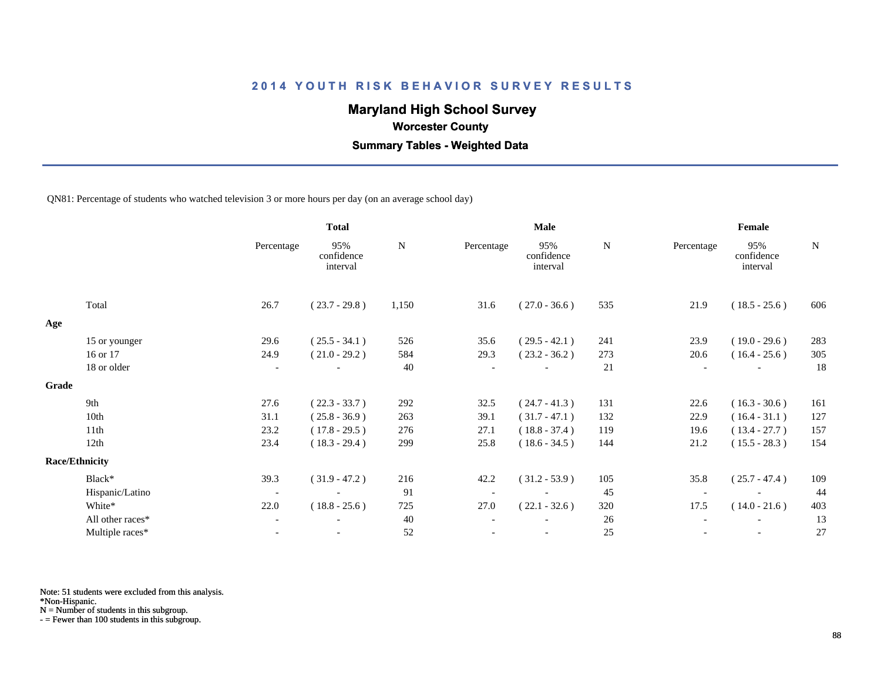# **Maryland High School Survey**

 **Worcester County**

 **Summary Tables - Weighted Data**

QN81: Percentage of students who watched television 3 or more hours per day (on an average school day)

|       |                       |                          | <b>Total</b>                  |       | <b>Male</b> |                               |        | Female     |                               |             |  |
|-------|-----------------------|--------------------------|-------------------------------|-------|-------------|-------------------------------|--------|------------|-------------------------------|-------------|--|
|       |                       | Percentage               | 95%<br>confidence<br>interval | N     | Percentage  | 95%<br>confidence<br>interval | N      | Percentage | 95%<br>confidence<br>interval | $\mathbf N$ |  |
|       | Total                 | 26.7                     | $(23.7 - 29.8)$               | 1,150 | 31.6        | $(27.0 - 36.6)$               | 535    | 21.9       | $(18.5 - 25.6)$               | 606         |  |
| Age   |                       |                          |                               |       |             |                               |        |            |                               |             |  |
|       | 15 or younger         | 29.6                     | $(25.5 - 34.1)$               | 526   | 35.6        | $(29.5 - 42.1)$               | 241    | 23.9       | $(19.0 - 29.6)$               | 283         |  |
|       | 16 or 17              | 24.9                     | $(21.0 - 29.2)$               | 584   | 29.3        | $(23.2 - 36.2)$               | 273    | 20.6       | $(16.4 - 25.6)$               | 305         |  |
|       | 18 or older           | $\overline{\phantom{a}}$ |                               | 40    |             |                               | 21     |            |                               | 18          |  |
| Grade |                       |                          |                               |       |             |                               |        |            |                               |             |  |
|       | 9th                   | 27.6                     | $(22.3 - 33.7)$               | 292   | 32.5        | $(24.7 - 41.3)$               | 131    | 22.6       | $(16.3 - 30.6)$               | 161         |  |
|       | 10th                  | 31.1                     | $(25.8 - 36.9)$               | 263   | 39.1        | $(31.7 - 47.1)$               | 132    | 22.9       | $(16.4 - 31.1)$               | 127         |  |
|       | 11th                  | 23.2                     | $(17.8 - 29.5)$               | 276   | 27.1        | $(18.8 - 37.4)$               | 119    | 19.6       | $(13.4 - 27.7)$               | 157         |  |
|       | 12th                  | 23.4                     | $(18.3 - 29.4)$               | 299   | 25.8        | $(18.6 - 34.5)$               | 144    | 21.2       | $(15.5 - 28.3)$               | 154         |  |
|       | <b>Race/Ethnicity</b> |                          |                               |       |             |                               |        |            |                               |             |  |
|       | Black*                | 39.3                     | $(31.9 - 47.2)$               | 216   | 42.2        | $(31.2 - 53.9)$               | 105    | 35.8       | $(25.7 - 47.4)$               | 109         |  |
|       | Hispanic/Latino       | $\overline{\phantom{a}}$ |                               | 91    |             | $\overline{\phantom{a}}$      | 45     |            |                               | 44          |  |
|       | White*                | 22.0                     | $(18.8 - 25.6)$               | 725   | 27.0        | $(22.1 - 32.6)$               | 320    | 17.5       | $(14.0 - 21.6)$               | 403         |  |
|       | All other races*      | $\overline{\phantom{a}}$ |                               | 40    |             |                               | 26     |            |                               | 13          |  |
|       | Multiple races*       | $\overline{\phantom{a}}$ | $\overline{\phantom{a}}$      | 52    |             | $\overline{\phantom{a}}$      | $25\,$ |            | $\overline{\phantom{a}}$      | 27          |  |

Note: 51 students were excluded from this analysis.

\*Non-Hispanic.

N = Number of students in this subgroup.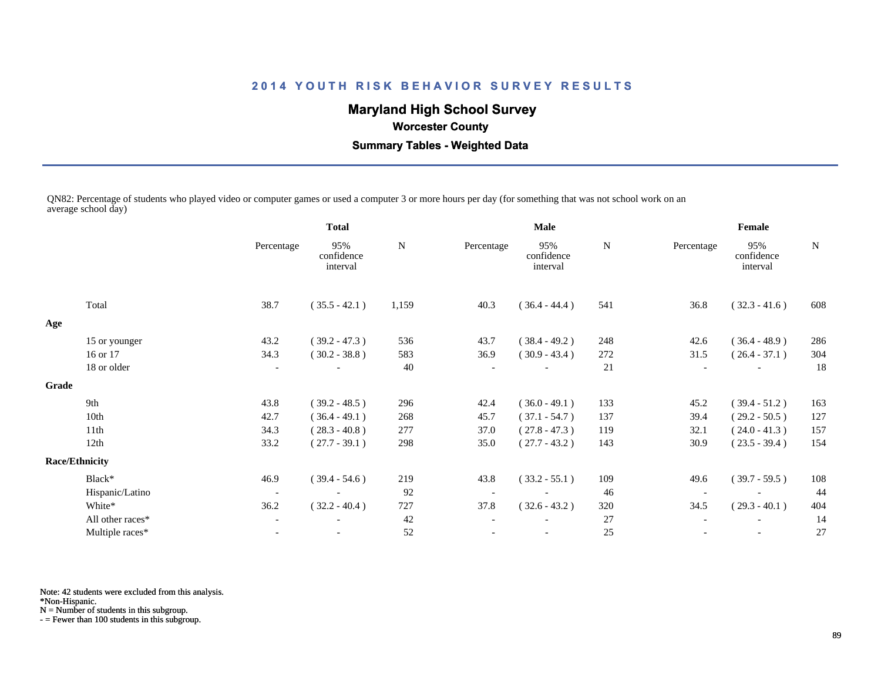# **Maryland High School Survey**

 **Worcester County**

 **Summary Tables - Weighted Data**

QN82: Percentage of students who played video or computer games or used a computer 3 or more hours per day (for something that was not school work on an average school day)

|       |                       | <b>Total</b>             |                               | Male  |            |                               | Female |                          |                               |             |
|-------|-----------------------|--------------------------|-------------------------------|-------|------------|-------------------------------|--------|--------------------------|-------------------------------|-------------|
|       |                       | Percentage               | 95%<br>confidence<br>interval | N     | Percentage | 95%<br>confidence<br>interval | N      | Percentage               | 95%<br>confidence<br>interval | $\mathbf N$ |
|       | Total                 | 38.7                     | $(35.5 - 42.1)$               | 1,159 | 40.3       | $(36.4 - 44.4)$               | 541    | 36.8                     | $(32.3 - 41.6)$               | 608         |
| Age   |                       |                          |                               |       |            |                               |        |                          |                               |             |
|       | 15 or younger         | 43.2                     | $(39.2 - 47.3)$               | 536   | 43.7       | $(38.4 - 49.2)$               | 248    | 42.6                     | $(36.4 - 48.9)$               | 286         |
|       | 16 or 17              | 34.3                     | $(30.2 - 38.8)$               | 583   | 36.9       | $(30.9 - 43.4)$               | 272    | 31.5                     | $(26.4 - 37.1)$               | 304         |
|       | 18 or older           | $\overline{\phantom{a}}$ |                               | 40    |            |                               | 21     |                          |                               | 18          |
| Grade |                       |                          |                               |       |            |                               |        |                          |                               |             |
|       | 9th                   | 43.8                     | $(39.2 - 48.5)$               | 296   | 42.4       | $(36.0 - 49.1)$               | 133    | 45.2                     | $(39.4 - 51.2)$               | 163         |
|       | 10th                  | 42.7                     | $(36.4 - 49.1)$               | 268   | 45.7       | $(37.1 - 54.7)$               | 137    | 39.4                     | $(29.2 - 50.5)$               | 127         |
|       | 11th                  | 34.3                     | $(28.3 - 40.8)$               | 277   | 37.0       | $(27.8 - 47.3)$               | 119    | 32.1                     | $(24.0 - 41.3)$               | 157         |
|       | 12th                  | 33.2                     | $(27.7 - 39.1)$               | 298   | 35.0       | $(27.7 - 43.2)$               | 143    | 30.9                     | $(23.5 - 39.4)$               | 154         |
|       | <b>Race/Ethnicity</b> |                          |                               |       |            |                               |        |                          |                               |             |
|       | Black*                | 46.9                     | $(39.4 - 54.6)$               | 219   | 43.8       | $(33.2 - 55.1)$               | 109    | 49.6                     | $(39.7 - 59.5)$               | 108         |
|       | Hispanic/Latino       | $\overline{\phantom{a}}$ |                               | 92    |            |                               | 46     | $\overline{\phantom{a}}$ |                               | 44          |
|       | White*                | 36.2                     | $(32.2 - 40.4)$               | 727   | 37.8       | $(32.6 - 43.2)$               | 320    | 34.5                     | $(29.3 - 40.1)$               | 404         |
|       | All other races*      | $\overline{\phantom{a}}$ |                               | 42    |            |                               | 27     |                          |                               | 14          |
|       | Multiple races*       | $\overline{\phantom{a}}$ | $\overline{\phantom{a}}$      | 52    |            | $\overline{\phantom{a}}$      | 25     |                          | $\overline{\phantom{a}}$      | 27          |
|       |                       |                          |                               |       |            |                               |        |                          |                               |             |

Note: 42 students were excluded from this analysis.

\*Non-Hispanic.

N = Number of students in this subgroup.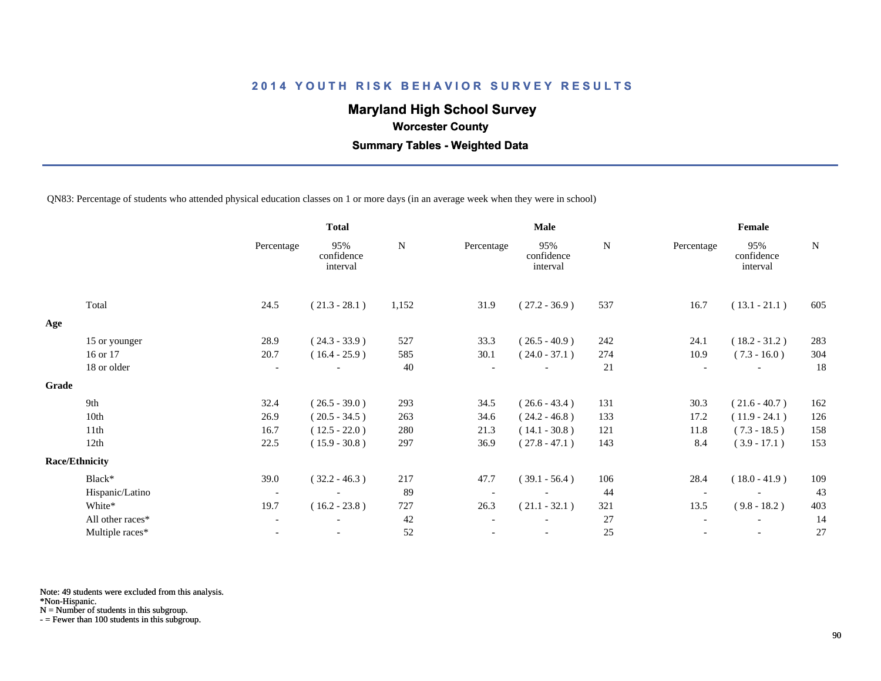# **Maryland High School Survey**

 **Worcester County**

 **Summary Tables - Weighted Data**

QN83: Percentage of students who attended physical education classes on 1 or more days (in an average week when they were in school)

|       |                       | <b>Total</b>             |                               |           | Male       |                               |     | Female     |                               |     |  |
|-------|-----------------------|--------------------------|-------------------------------|-----------|------------|-------------------------------|-----|------------|-------------------------------|-----|--|
|       |                       | Percentage               | 95%<br>confidence<br>interval | ${\bf N}$ | Percentage | 95%<br>confidence<br>interval | N   | Percentage | 95%<br>confidence<br>interval | N   |  |
|       | Total                 | 24.5                     | $(21.3 - 28.1)$               | 1,152     | 31.9       | $(27.2 - 36.9)$               | 537 | 16.7       | $(13.1 - 21.1)$               | 605 |  |
| Age   |                       |                          |                               |           |            |                               |     |            |                               |     |  |
|       | 15 or younger         | 28.9                     | $(24.3 - 33.9)$               | 527       | 33.3       | $(26.5 - 40.9)$               | 242 | 24.1       | $(18.2 - 31.2)$               | 283 |  |
|       | 16 or 17              | 20.7                     | $(16.4 - 25.9)$               | 585       | 30.1       | $(24.0 - 37.1)$               | 274 | 10.9       | $(7.3 - 16.0)$                | 304 |  |
|       | 18 or older           | $\overline{\phantom{a}}$ |                               | 40        |            |                               | 21  |            |                               | 18  |  |
| Grade |                       |                          |                               |           |            |                               |     |            |                               |     |  |
|       | 9th                   | 32.4                     | $(26.5 - 39.0)$               | 293       | 34.5       | $(26.6 - 43.4)$               | 131 | 30.3       | $(21.6 - 40.7)$               | 162 |  |
|       | 10th                  | 26.9                     | $(20.5 - 34.5)$               | 263       | 34.6       | $(24.2 - 46.8)$               | 133 | 17.2       | $(11.9 - 24.1)$               | 126 |  |
|       | 11th                  | 16.7                     | $(12.5 - 22.0)$               | 280       | 21.3       | $(14.1 - 30.8)$               | 121 | 11.8       | $(7.3 - 18.5)$                | 158 |  |
|       | 12th                  | 22.5                     | $(15.9 - 30.8)$               | 297       | 36.9       | $(27.8 - 47.1)$               | 143 | 8.4        | $(3.9 - 17.1)$                | 153 |  |
|       | <b>Race/Ethnicity</b> |                          |                               |           |            |                               |     |            |                               |     |  |
|       | Black*                | 39.0                     | $(32.2 - 46.3)$               | 217       | 47.7       | $(39.1 - 56.4)$               | 106 | 28.4       | $(18.0 - 41.9)$               | 109 |  |
|       | Hispanic/Latino       | $\overline{\phantom{a}}$ |                               | 89        |            |                               | 44  |            |                               | 43  |  |
|       | White*                | 19.7                     | $(16.2 - 23.8)$               | 727       | 26.3       | $(21.1 - 32.1)$               | 321 | 13.5       | $(9.8 - 18.2)$                | 403 |  |
|       | All other races*      | $\overline{\phantom{a}}$ |                               | 42        |            |                               | 27  |            |                               | 14  |  |
|       | Multiple races*       | $\blacksquare$           | $\overline{\phantom{a}}$      | $52\,$    |            | $\overline{\phantom{a}}$      | 25  |            | $\overline{\phantom{a}}$      | 27  |  |
|       |                       |                          |                               |           |            |                               |     |            |                               |     |  |

Note: 49 students were excluded from this analysis.

\*Non-Hispanic.

N = Number of students in this subgroup.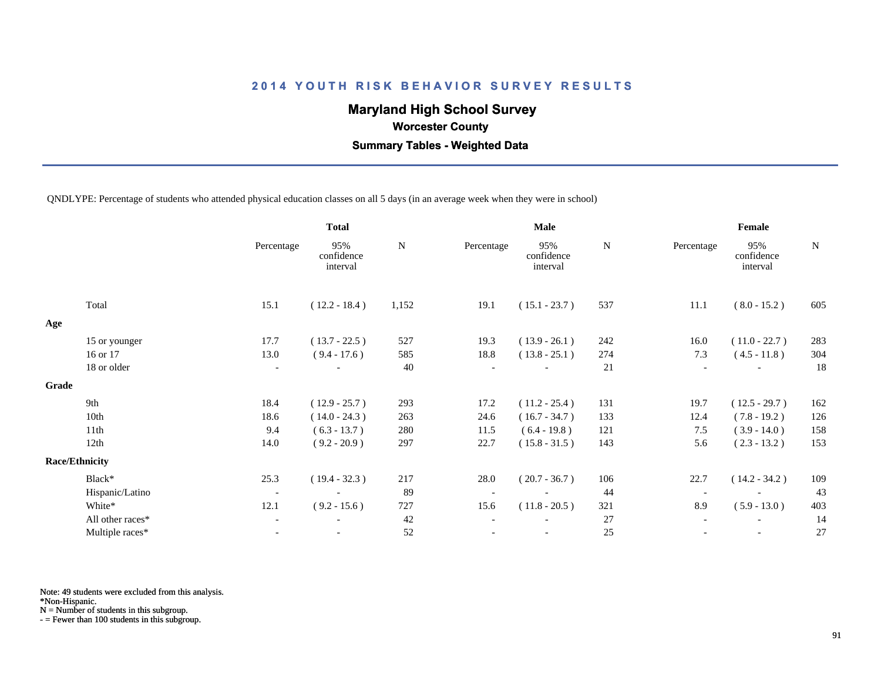# **Maryland High School Survey**

 **Worcester County**

 **Summary Tables - Weighted Data**

QNDLYPE: Percentage of students who attended physical education classes on all 5 days (in an average week when they were in school)

|       |                       | <b>Total</b>             |                               |       |            | <b>Male</b>                   |     | Female                   |                               |           |  |
|-------|-----------------------|--------------------------|-------------------------------|-------|------------|-------------------------------|-----|--------------------------|-------------------------------|-----------|--|
|       |                       | Percentage               | 95%<br>confidence<br>interval | N     | Percentage | 95%<br>confidence<br>interval | N   | Percentage               | 95%<br>confidence<br>interval | ${\bf N}$ |  |
|       | Total                 | 15.1                     | $(12.2 - 18.4)$               | 1,152 | 19.1       | $(15.1 - 23.7)$               | 537 | 11.1                     | $(8.0 - 15.2)$                | 605       |  |
| Age   |                       |                          |                               |       |            |                               |     |                          |                               |           |  |
|       | 15 or younger         | 17.7                     | $(13.7 - 22.5)$               | 527   | 19.3       | $(13.9 - 26.1)$               | 242 | 16.0                     | $(11.0 - 22.7)$               | 283       |  |
|       | 16 or 17              | 13.0                     | $(9.4 - 17.6)$                | 585   | 18.8       | $(13.8 - 25.1)$               | 274 | 7.3                      | $(4.5 - 11.8)$                | 304       |  |
|       | 18 or older           | $\overline{\phantom{a}}$ |                               | 40    |            |                               | 21  | $\overline{\phantom{a}}$ |                               | 18        |  |
| Grade |                       |                          |                               |       |            |                               |     |                          |                               |           |  |
|       | 9th                   | 18.4                     | $(12.9 - 25.7)$               | 293   | 17.2       | $(11.2 - 25.4)$               | 131 | 19.7                     | $(12.5 - 29.7)$               | 162       |  |
|       | 10th                  | 18.6                     | $(14.0 - 24.3)$               | 263   | 24.6       | $(16.7 - 34.7)$               | 133 | 12.4                     | $(7.8 - 19.2)$                | 126       |  |
|       | 11th                  | 9.4                      | $(6.3 - 13.7)$                | 280   | 11.5       | $(6.4 - 19.8)$                | 121 | 7.5                      | $(3.9 - 14.0)$                | 158       |  |
|       | 12th                  | 14.0                     | $(9.2 - 20.9)$                | 297   | 22.7       | $(15.8 - 31.5)$               | 143 | 5.6                      | $(2.3 - 13.2)$                | 153       |  |
|       | <b>Race/Ethnicity</b> |                          |                               |       |            |                               |     |                          |                               |           |  |
|       | Black*                | 25.3                     | $(19.4 - 32.3)$               | 217   | 28.0       | $(20.7 - 36.7)$               | 106 | 22.7                     | $(14.2 - 34.2)$               | 109       |  |
|       | Hispanic/Latino       | $\overline{\phantom{a}}$ |                               | 89    |            |                               | 44  | $\overline{\phantom{a}}$ |                               | 43        |  |
|       | White*                | 12.1                     | $(9.2 - 15.6)$                | 727   | 15.6       | $(11.8 - 20.5)$               | 321 | 8.9                      | $(5.9 - 13.0)$                | 403       |  |
|       | All other races*      | $\overline{\phantom{a}}$ |                               | 42    |            |                               | 27  |                          |                               | 14        |  |
|       | Multiple races*       | $\overline{\phantom{a}}$ |                               | 52    |            |                               | 25  |                          |                               | 27        |  |
|       |                       |                          |                               |       |            |                               |     |                          |                               |           |  |

Note: 49 students were excluded from this analysis.

\*Non-Hispanic.

N = Number of students in this subgroup.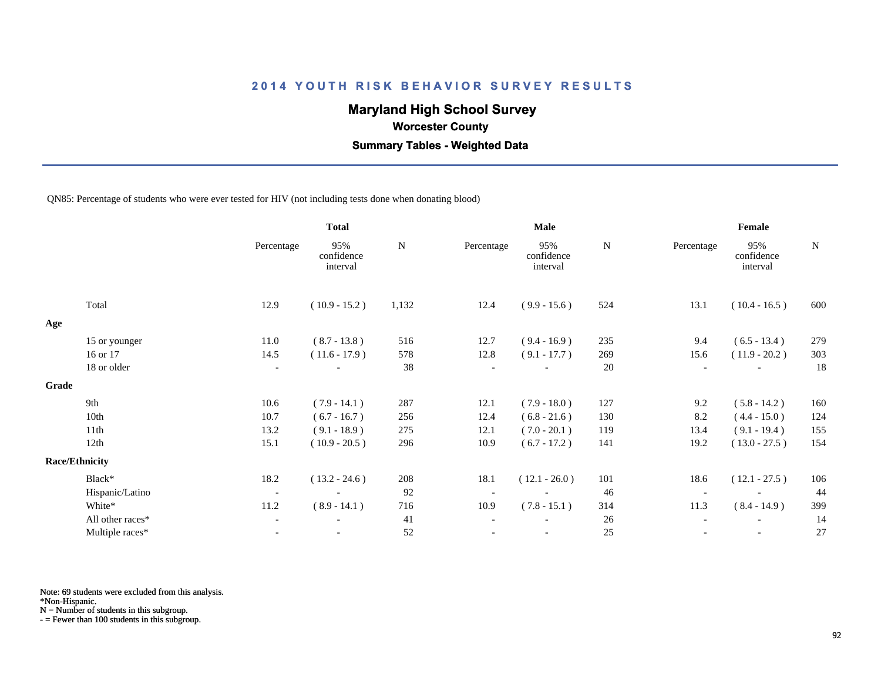# **Maryland High School Survey**

 **Worcester County**

 **Summary Tables - Weighted Data**

#### QN85: Percentage of students who were ever tested for HIV (not including tests done when donating blood)

|       |                       | <b>Total</b>             |                               |           |            | <b>Male</b>                   |           | Female                   |                               |             |  |
|-------|-----------------------|--------------------------|-------------------------------|-----------|------------|-------------------------------|-----------|--------------------------|-------------------------------|-------------|--|
|       |                       | Percentage               | 95%<br>confidence<br>interval | ${\bf N}$ | Percentage | 95%<br>confidence<br>interval | ${\bf N}$ | Percentage               | 95%<br>confidence<br>interval | $\mathbf N$ |  |
|       | Total                 | 12.9                     | $(10.9 - 15.2)$               | 1,132     | 12.4       | $(9.9 - 15.6)$                | 524       | 13.1                     | $(10.4 - 16.5)$               | 600         |  |
| Age   |                       |                          |                               |           |            |                               |           |                          |                               |             |  |
|       | 15 or younger         | 11.0                     | $(8.7 - 13.8)$                | 516       | 12.7       | $(9.4 - 16.9)$                | 235       | 9.4                      | $(6.5 - 13.4)$                | 279         |  |
|       | 16 or 17              | 14.5                     | $(11.6 - 17.9)$               | 578       | 12.8       | $(9.1 - 17.7)$                | 269       | 15.6                     | $(11.9 - 20.2)$               | 303         |  |
|       | 18 or older           | $\overline{\phantom{a}}$ |                               | 38        |            |                               | 20        | $\overline{\phantom{a}}$ | $\overline{\phantom{a}}$      | 18          |  |
| Grade |                       |                          |                               |           |            |                               |           |                          |                               |             |  |
|       | 9th                   | 10.6                     | $(7.9 - 14.1)$                | 287       | 12.1       | $(7.9 - 18.0)$                | 127       | 9.2                      | $(5.8 - 14.2)$                | 160         |  |
|       | 10th                  | 10.7                     | $(6.7 - 16.7)$                | 256       | 12.4       | $(6.8 - 21.6)$                | 130       | 8.2                      | $(4.4 - 15.0)$                | 124         |  |
|       | 11th                  | 13.2                     | $(9.1 - 18.9)$                | 275       | 12.1       | $(7.0 - 20.1)$                | 119       | 13.4                     | $(9.1 - 19.4)$                | 155         |  |
|       | 12th                  | 15.1                     | $(10.9 - 20.5)$               | 296       | 10.9       | $(6.7 - 17.2)$                | 141       | 19.2                     | $(13.0 - 27.5)$               | 154         |  |
|       | <b>Race/Ethnicity</b> |                          |                               |           |            |                               |           |                          |                               |             |  |
|       | Black*                | 18.2                     | $(13.2 - 24.6)$               | 208       | 18.1       | $(12.1 - 26.0)$               | 101       | 18.6                     | $(12.1 - 27.5)$               | 106         |  |
|       | Hispanic/Latino       | $\overline{\phantom{a}}$ | $\overline{\phantom{a}}$      | 92        |            | $\overline{\phantom{a}}$      | 46        | $\overline{\phantom{a}}$ |                               | 44          |  |
|       | White*                | 11.2                     | $(8.9 - 14.1)$                | 716       | 10.9       | $(7.8 - 15.1)$                | 314       | 11.3                     | $(8.4 - 14.9)$                | 399         |  |
|       | All other races*      | $\overline{\phantom{a}}$ | $\overline{\phantom{a}}$      | 41        |            |                               | 26        |                          | $\overline{\phantom{a}}$      | 14          |  |
|       | Multiple races*       |                          |                               | 52        |            |                               | 25        |                          |                               | 27          |  |
|       |                       |                          |                               |           |            |                               |           |                          |                               |             |  |

Note: 69 students were excluded from this analysis.

\*Non-Hispanic.

N = Number of students in this subgroup.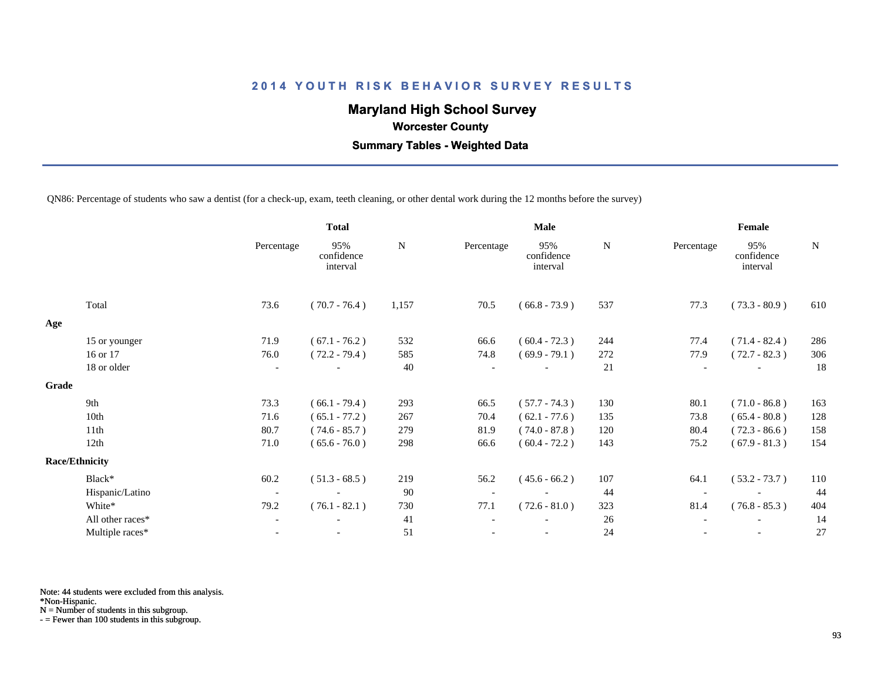# **Maryland High School Survey**

 **Worcester County**

 **Summary Tables - Weighted Data**

QN86: Percentage of students who saw a dentist (for a check-up, exam, teeth cleaning, or other dental work during the 12 months before the survey)

|       |                       | <b>Total</b>             |                               |           | <b>Male</b> |                               |             | Female     |                               |             |  |
|-------|-----------------------|--------------------------|-------------------------------|-----------|-------------|-------------------------------|-------------|------------|-------------------------------|-------------|--|
|       |                       | Percentage               | 95%<br>confidence<br>interval | ${\bf N}$ | Percentage  | 95%<br>confidence<br>interval | $\mathbf N$ | Percentage | 95%<br>confidence<br>interval | $\mathbf N$ |  |
|       | Total                 | 73.6                     | $(70.7 - 76.4)$               | 1,157     | 70.5        | $(66.8 - 73.9)$               | 537         | 77.3       | $(73.3 - 80.9)$               | 610         |  |
| Age   |                       |                          |                               |           |             |                               |             |            |                               |             |  |
|       | 15 or younger         | 71.9                     | $(67.1 - 76.2)$               | 532       | 66.6        | $(60.4 - 72.3)$               | 244         | 77.4       | $(71.4 - 82.4)$               | 286         |  |
|       | 16 or 17              | 76.0                     | $(72.2 - 79.4)$               | 585       | 74.8        | $(69.9 - 79.1)$               | 272         | 77.9       | $(72.7 - 82.3)$               | 306         |  |
|       | 18 or older           | $\overline{\phantom{a}}$ |                               | 40        |             |                               | 21          |            |                               | 18          |  |
| Grade |                       |                          |                               |           |             |                               |             |            |                               |             |  |
|       | 9th                   | 73.3                     | $(66.1 - 79.4)$               | 293       | 66.5        | $(57.7 - 74.3)$               | 130         | 80.1       | $(71.0 - 86.8)$               | 163         |  |
|       | 10th                  | 71.6                     | $(65.1 - 77.2)$               | 267       | 70.4        | $(62.1 - 77.6)$               | 135         | 73.8       | $(65.4 - 80.8)$               | 128         |  |
|       | 11th                  | 80.7                     | $(74.6 - 85.7)$               | 279       | 81.9        | $(74.0 - 87.8)$               | 120         | 80.4       | $(72.3 - 86.6)$               | 158         |  |
|       | 12th                  | 71.0                     | $(65.6 - 76.0)$               | 298       | 66.6        | $(60.4 - 72.2)$               | 143         | 75.2       | $(67.9 - 81.3)$               | 154         |  |
|       | <b>Race/Ethnicity</b> |                          |                               |           |             |                               |             |            |                               |             |  |
|       | Black*                | 60.2                     | $(51.3 - 68.5)$               | 219       | 56.2        | $(45.6 - 66.2)$               | 107         | 64.1       | $(53.2 - 73.7)$               | 110         |  |
|       | Hispanic/Latino       | $\overline{\phantom{a}}$ |                               | 90        |             |                               | 44          |            |                               | 44          |  |
|       | White*                | 79.2                     | $(76.1 - 82.1)$               | 730       | 77.1        | $(72.6 - 81.0)$               | 323         | 81.4       | $(76.8 - 85.3)$               | 404         |  |
|       | All other races*      | $\overline{\phantom{a}}$ |                               | 41        |             |                               | 26          |            |                               | 14          |  |
|       | Multiple races*       | $\overline{\phantom{a}}$ |                               | 51        |             | $\overline{\phantom{a}}$      | 24          |            | $\overline{\phantom{a}}$      | 27          |  |
|       |                       |                          |                               |           |             |                               |             |            |                               |             |  |

Note: 44 students were excluded from this analysis.

\*Non-Hispanic.

N = Number of students in this subgroup.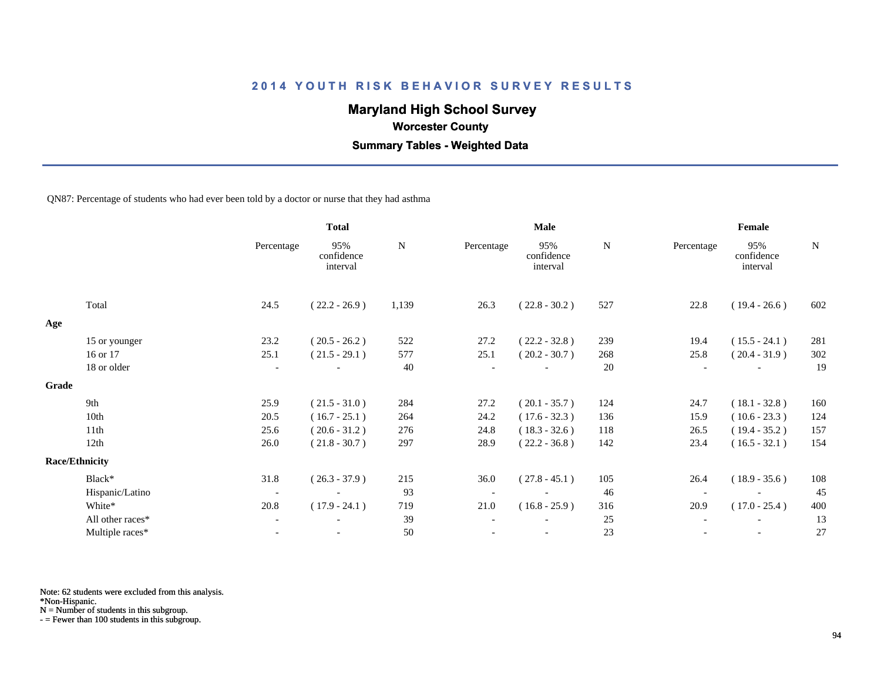# **Maryland High School Survey**

 **Worcester County**

 **Summary Tables - Weighted Data**

QN87: Percentage of students who had ever been told by a doctor or nurse that they had asthma

|       |                       |                          | <b>Total</b>                  |       |                          | Male                          |     | Female     |                               |             |  |
|-------|-----------------------|--------------------------|-------------------------------|-------|--------------------------|-------------------------------|-----|------------|-------------------------------|-------------|--|
|       |                       | Percentage               | 95%<br>confidence<br>interval | N     | Percentage               | 95%<br>confidence<br>interval | N   | Percentage | 95%<br>confidence<br>interval | $\mathbf N$ |  |
|       | Total                 | 24.5                     | $(22.2 - 26.9)$               | 1,139 | 26.3                     | $(22.8 - 30.2)$               | 527 | 22.8       | $(19.4 - 26.6)$               | 602         |  |
| Age   |                       |                          |                               |       |                          |                               |     |            |                               |             |  |
|       | 15 or younger         | 23.2                     | $(20.5 - 26.2)$               | 522   | 27.2                     | $(22.2 - 32.8)$               | 239 | 19.4       | $(15.5 - 24.1)$               | 281         |  |
|       | 16 or 17              | 25.1                     | $(21.5 - 29.1)$               | 577   | 25.1                     | $(20.2 - 30.7)$               | 268 | 25.8       | $(20.4 - 31.9)$               | 302         |  |
|       | 18 or older           | $\overline{\phantom{a}}$ |                               | 40    |                          |                               | 20  |            |                               | 19          |  |
| Grade |                       |                          |                               |       |                          |                               |     |            |                               |             |  |
|       | 9th                   | 25.9                     | $(21.5 - 31.0)$               | 284   | 27.2                     | $(20.1 - 35.7)$               | 124 | 24.7       | $(18.1 - 32.8)$               | 160         |  |
|       | 10th                  | 20.5                     | $(16.7 - 25.1)$               | 264   | 24.2                     | $(17.6 - 32.3)$               | 136 | 15.9       | $(10.6 - 23.3)$               | 124         |  |
|       | 11th                  | 25.6                     | $(20.6 - 31.2)$               | 276   | 24.8                     | $(18.3 - 32.6)$               | 118 | 26.5       | $(19.4 - 35.2)$               | 157         |  |
|       | 12th                  | 26.0                     | $(21.8 - 30.7)$               | 297   | 28.9                     | $(22.2 - 36.8)$               | 142 | 23.4       | $(16.5 - 32.1)$               | 154         |  |
|       | <b>Race/Ethnicity</b> |                          |                               |       |                          |                               |     |            |                               |             |  |
|       | Black*                | 31.8                     | $(26.3 - 37.9)$               | 215   | 36.0                     | $(27.8 - 45.1)$               | 105 | 26.4       | $(18.9 - 35.6)$               | 108         |  |
|       | Hispanic/Latino       | $\overline{\phantom{a}}$ |                               | 93    | $\overline{\phantom{a}}$ |                               | 46  |            |                               | 45          |  |
|       | White*                | 20.8                     | $(17.9 - 24.1)$               | 719   | 21.0                     | $(16.8 - 25.9)$               | 316 | 20.9       | $(17.0 - 25.4)$               | 400         |  |
|       | All other races*      | $\overline{\phantom{a}}$ |                               | 39    |                          |                               | 25  |            |                               | 13          |  |
|       | Multiple races*       | $\overline{\phantom{a}}$ | $\overline{\phantom{a}}$      | 50    |                          | $\overline{\phantom{a}}$      | 23  |            | $\overline{\phantom{a}}$      | 27          |  |

Note: 62 students were excluded from this analysis.

\*Non-Hispanic.

N = Number of students in this subgroup.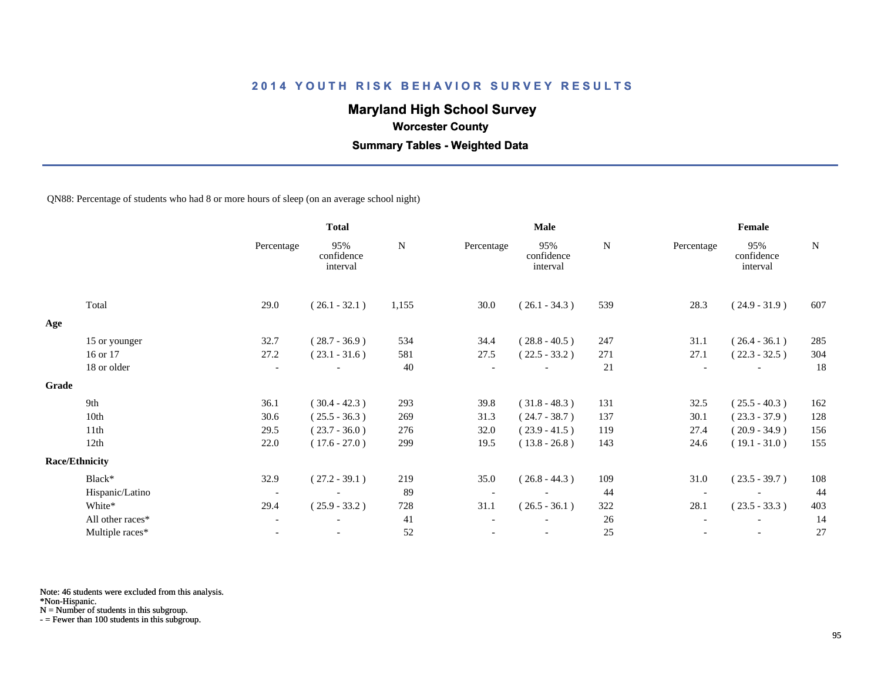# **Maryland High School Survey**

 **Worcester County**

 **Summary Tables - Weighted Data**

QN88: Percentage of students who had 8 or more hours of sleep (on an average school night)

|       |                       |                          | <b>Total</b>                  |           | <b>Male</b>              |                               |           | Female     |                               |             |
|-------|-----------------------|--------------------------|-------------------------------|-----------|--------------------------|-------------------------------|-----------|------------|-------------------------------|-------------|
|       |                       | Percentage               | 95%<br>confidence<br>interval | ${\bf N}$ | Percentage               | 95%<br>confidence<br>interval | ${\bf N}$ | Percentage | 95%<br>confidence<br>interval | $\mathbf N$ |
|       | Total                 | 29.0                     | $(26.1 - 32.1)$               | 1,155     | 30.0                     | $(26.1 - 34.3)$               | 539       | 28.3       | $(24.9 - 31.9)$               | 607         |
| Age   |                       |                          |                               |           |                          |                               |           |            |                               |             |
|       | 15 or younger         | 32.7                     | $(28.7 - 36.9)$               | 534       | 34.4                     | $(28.8 - 40.5)$               | 247       | 31.1       | $(26.4 - 36.1)$               | 285         |
|       | 16 or 17              | 27.2                     | $(23.1 - 31.6)$               | 581       | 27.5                     | $(22.5 - 33.2)$               | 271       | 27.1       | $(22.3 - 32.5)$               | 304         |
|       | 18 or older           | $\overline{\phantom{a}}$ |                               | 40        |                          |                               | 21        |            | $\overline{\phantom{a}}$      | 18          |
| Grade |                       |                          |                               |           |                          |                               |           |            |                               |             |
|       | 9th                   | 36.1                     | $(30.4 - 42.3)$               | 293       | 39.8                     | $(31.8 - 48.3)$               | 131       | 32.5       | $(25.5 - 40.3)$               | 162         |
|       | 10th                  | 30.6                     | $(25.5 - 36.3)$               | 269       | 31.3                     | $(24.7 - 38.7)$               | 137       | 30.1       | $(23.3 - 37.9)$               | 128         |
|       | 11th                  | 29.5                     | $(23.7 - 36.0)$               | 276       | 32.0                     | $(23.9 - 41.5)$               | 119       | 27.4       | $(20.9 - 34.9)$               | 156         |
|       | 12th                  | 22.0                     | $(17.6 - 27.0)$               | 299       | 19.5                     | $(13.8 - 26.8)$               | 143       | 24.6       | $(19.1 - 31.0)$               | 155         |
|       | <b>Race/Ethnicity</b> |                          |                               |           |                          |                               |           |            |                               |             |
|       | Black*                | 32.9                     | $(27.2 - 39.1)$               | 219       | 35.0                     | $(26.8 - 44.3)$               | 109       | 31.0       | $(23.5 - 39.7)$               | 108         |
|       | Hispanic/Latino       | $\overline{\phantom{a}}$ | $\overline{\phantom{a}}$      | 89        | $\overline{\phantom{a}}$ | $\overline{\phantom{a}}$      | 44        |            |                               | 44          |
|       | White*                | 29.4                     | $(25.9 - 33.2)$               | 728       | 31.1                     | $(26.5 - 36.1)$               | 322       | 28.1       | $(23.5 - 33.3)$               | 403         |
|       | All other races*      | $\overline{\phantom{a}}$ |                               | 41        |                          |                               | 26        |            |                               | 14          |
|       | Multiple races*       | $\blacksquare$           | $\overline{\phantom{a}}$      | 52        |                          | $\overline{\phantom{a}}$      | 25        |            | $\overline{\phantom{a}}$      | 27          |

Note: 46 students were excluded from this analysis.

\*Non-Hispanic.

N = Number of students in this subgroup.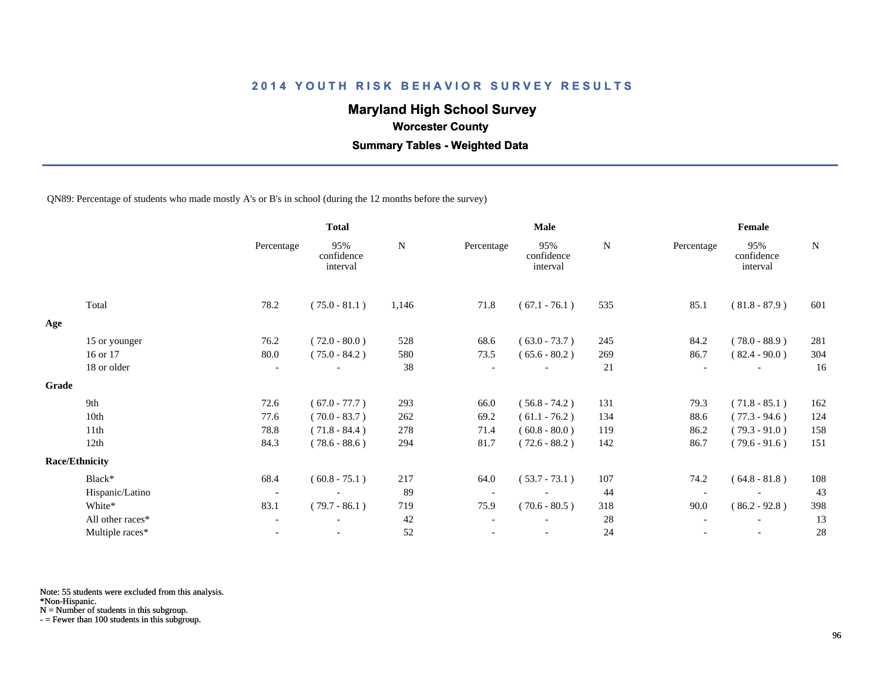# **Maryland High School Survey**

 **Worcester County**

 **Summary Tables - Weighted Data**

QN89: Percentage of students who made mostly A's or B's in school (during the 12 months before the survey)

|                  |                          | <b>Total</b>                  |       | Male       |                               |     | Female     |                               |             |  |
|------------------|--------------------------|-------------------------------|-------|------------|-------------------------------|-----|------------|-------------------------------|-------------|--|
|                  | Percentage               | 95%<br>confidence<br>interval | N     | Percentage | 95%<br>confidence<br>interval | N   | Percentage | 95%<br>confidence<br>interval | $\mathbf N$ |  |
| Total            | 78.2                     | $(75.0 - 81.1)$               | 1,146 | 71.8       | $(67.1 - 76.1)$               | 535 | 85.1       | $(81.8 - 87.9)$               | 601         |  |
|                  |                          |                               |       |            |                               |     |            |                               |             |  |
| 15 or younger    | 76.2                     | $(72.0 - 80.0)$               | 528   | 68.6       | $(63.0 - 73.7)$               | 245 | 84.2       | $(78.0 - 88.9)$               | 281         |  |
| 16 or 17         | 80.0                     | $(75.0 - 84.2)$               | 580   | 73.5       | $(65.6 - 80.2)$               | 269 | 86.7       | $(82.4 - 90.0)$               | 304         |  |
| 18 or older      | $\overline{\phantom{a}}$ |                               | 38    |            | $\overline{\phantom{0}}$      | 21  |            | $\overline{\phantom{a}}$      | 16          |  |
|                  |                          |                               |       |            |                               |     |            |                               |             |  |
| 9th              | 72.6                     | $(67.0 - 77.7)$               | 293   | 66.0       | $(56.8 - 74.2)$               | 131 | 79.3       | $(71.8 - 85.1)$               | 162         |  |
| 10th             | 77.6                     | $(70.0 - 83.7)$               | 262   | 69.2       | $(61.1 - 76.2)$               | 134 | 88.6       | $(77.3 - 94.6)$               | 124         |  |
| 11th             | 78.8                     | $(71.8 - 84.4)$               | 278   | 71.4       | $(60.8 - 80.0)$               | 119 | 86.2       | $(79.3 - 91.0)$               | 158         |  |
| 12th             | 84.3                     | $(78.6 - 88.6)$               | 294   | 81.7       | $(72.6 - 88.2)$               | 142 | 86.7       | $(79.6 - 91.6)$               | 151         |  |
|                  |                          |                               |       |            |                               |     |            |                               |             |  |
| Black*           | 68.4                     | $(60.8 - 75.1)$               | 217   | 64.0       | $(53.7 - 73.1)$               | 107 | 74.2       | $(64.8 - 81.8)$               | 108         |  |
| Hispanic/Latino  | $\overline{\phantom{a}}$ |                               | 89    |            |                               | 44  |            |                               | 43          |  |
| White*           | 83.1                     | $(79.7 - 86.1)$               | 719   | 75.9       | $(70.6 - 80.5)$               | 318 | 90.0       | $(86.2 - 92.8)$               | 398         |  |
| All other races* | $\overline{\phantom{a}}$ |                               | 42    |            |                               | 28  |            | $\overline{\phantom{a}}$      | 13          |  |
| Multiple races*  |                          |                               | 52    |            |                               | 24  |            |                               | 28          |  |
| Grade            | <b>Race/Ethnicity</b>    |                               |       |            |                               |     |            |                               |             |  |

Note: 55 students were excluded from this analysis.

\*Non-Hispanic.

N = Number of students in this subgroup.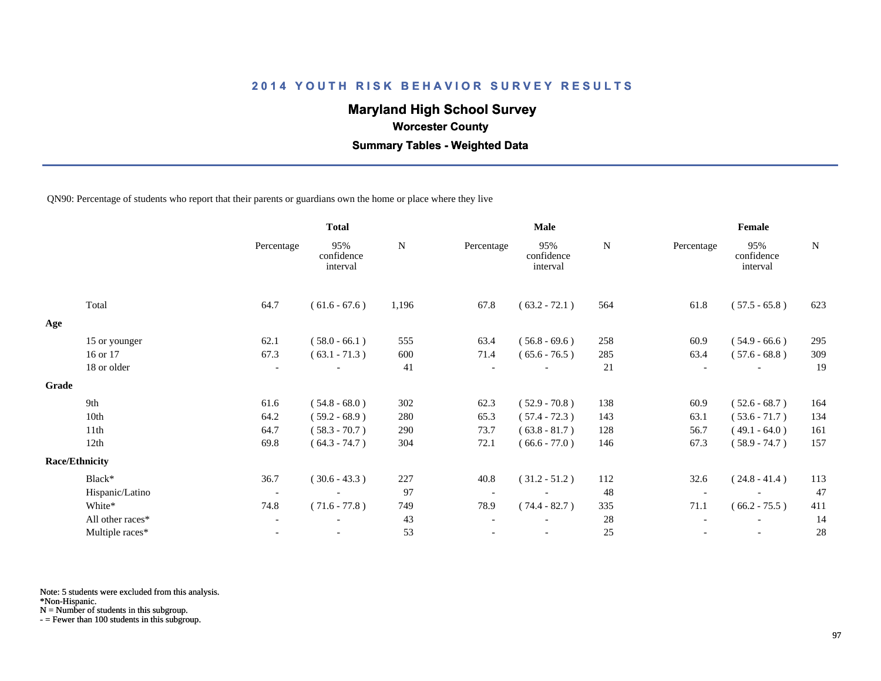# **Maryland High School Survey**

 **Worcester County**

 **Summary Tables - Weighted Data**

QN90: Percentage of students who report that their parents or guardians own the home or place where they live

|                          | <b>Total</b>                  |           |            | <b>Male</b>                   |           | Female     |                               |             |
|--------------------------|-------------------------------|-----------|------------|-------------------------------|-----------|------------|-------------------------------|-------------|
| Percentage               | 95%<br>confidence<br>interval | ${\bf N}$ | Percentage | 95%<br>confidence<br>interval | ${\bf N}$ | Percentage | 95%<br>confidence<br>interval | $\mathbf N$ |
| 64.7                     | $(61.6 - 67.6)$               | 1,196     | 67.8       | $(63.2 - 72.1)$               | 564       | 61.8       | $(57.5 - 65.8)$               | 623         |
|                          |                               |           |            |                               |           |            |                               |             |
| 62.1                     | $(58.0 - 66.1)$               | 555       | 63.4       | $(56.8 - 69.6)$               | 258       | 60.9       | $(54.9 - 66.6)$               | 295         |
| 67.3                     | $(63.1 - 71.3)$               | 600       | 71.4       | $(65.6 - 76.5)$               | 285       | 63.4       | $(57.6 - 68.8)$               | 309         |
| $\overline{\phantom{a}}$ |                               | 41        |            |                               | 21        |            |                               | 19          |
|                          |                               |           |            |                               |           |            |                               |             |
| 61.6                     | $(54.8 - 68.0)$               | 302       | 62.3       | $(52.9 - 70.8)$               | 138       | 60.9       | $(52.6 - 68.7)$               | 164         |
| 64.2                     | $(59.2 - 68.9)$               | 280       | 65.3       | $(57.4 - 72.3)$               | 143       | 63.1       | $(53.6 - 71.7)$               | 134         |
| 64.7                     | $(58.3 - 70.7)$               | 290       | 73.7       | $(63.8 - 81.7)$               | 128       | 56.7       | $(49.1 - 64.0)$               | 161         |
| 69.8                     | $(64.3 - 74.7)$               | 304       | 72.1       | $(66.6 - 77.0)$               | 146       | 67.3       | $(58.9 - 74.7)$               | 157         |
|                          |                               |           |            |                               |           |            |                               |             |
| 36.7                     | $(30.6 - 43.3)$               | 227       | 40.8       | $(31.2 - 51.2)$               | 112       | 32.6       | $(24.8 - 41.4)$               | 113         |
| $\overline{\phantom{a}}$ |                               | 97        |            |                               | 48        |            |                               | 47          |
| 74.8                     | $(71.6 - 77.8)$               | 749       | 78.9       | $(74.4 - 82.7)$               | 335       | 71.1       | $(66.2 - 75.5)$               | 411         |
| $\overline{\phantom{a}}$ |                               | 43        |            |                               | 28        |            |                               | 14          |
| $\blacksquare$           |                               | 53        |            | $\overline{\phantom{a}}$      | 25        |            | $\overline{\phantom{a}}$      | 28          |
|                          |                               |           |            |                               |           |            |                               |             |

Note: 5 students were excluded from this analysis.

\*Non-Hispanic.

N = Number of students in this subgroup.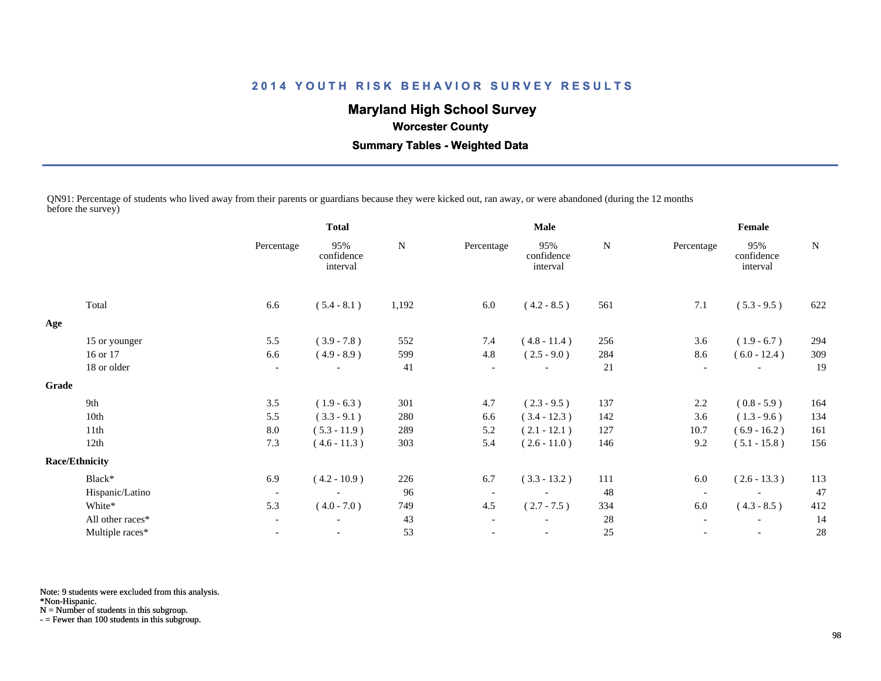# **Maryland High School Survey**

### **Worcester County**

 **Summary Tables - Weighted Data**

QN91: Percentage of students who lived away from their parents or guardians because they were kicked out, ran away, or were abandoned (during the 12 months before the survey)

|       |                       |                          | <b>Total</b>                  |       |                          | <b>Male</b>                   |             | Female                   |                               |     |
|-------|-----------------------|--------------------------|-------------------------------|-------|--------------------------|-------------------------------|-------------|--------------------------|-------------------------------|-----|
|       |                       | Percentage               | 95%<br>confidence<br>interval | N     | Percentage               | 95%<br>confidence<br>interval | $\mathbf N$ | Percentage               | 95%<br>confidence<br>interval | N   |
|       | Total                 | 6.6                      | $(5.4 - 8.1)$                 | 1,192 | 6.0                      | $(4.2 - 8.5)$                 | 561         | 7.1                      | $(5.3 - 9.5)$                 | 622 |
| Age   |                       |                          |                               |       |                          |                               |             |                          |                               |     |
|       | 15 or younger         | 5.5                      | $(3.9 - 7.8)$                 | 552   | 7.4                      | $(4.8 - 11.4)$                | 256         | 3.6                      | $(1.9 - 6.7)$                 | 294 |
|       | 16 or 17              | 6.6                      | $(4.9 - 8.9)$                 | 599   | 4.8                      | $(2.5 - 9.0)$                 | 284         | 8.6                      | $(6.0 - 12.4)$                | 309 |
|       | 18 or older           | $\overline{\phantom{a}}$ |                               | 41    | $\overline{\phantom{a}}$ |                               | 21          | $\overline{\phantom{a}}$ |                               | 19  |
| Grade |                       |                          |                               |       |                          |                               |             |                          |                               |     |
|       | 9th                   | 3.5                      | $(1.9 - 6.3)$                 | 301   | 4.7                      | $(2.3 - 9.5)$                 | 137         | 2.2                      | $(0.8 - 5.9)$                 | 164 |
|       | 10th                  | 5.5                      | $(3.3 - 9.1)$                 | 280   | 6.6                      | $(3.4 - 12.3)$                | 142         | 3.6                      | $(1.3 - 9.6)$                 | 134 |
|       | 11th                  | 8.0                      | $(5.3 - 11.9)$                | 289   | 5.2                      | $(2.1 - 12.1)$                | 127         | 10.7                     | $(6.9 - 16.2)$                | 161 |
|       | 12th                  | 7.3                      | $(4.6 - 11.3)$                | 303   | 5.4                      | $(2.6 - 11.0)$                | 146         | 9.2                      | $(5.1 - 15.8)$                | 156 |
|       | <b>Race/Ethnicity</b> |                          |                               |       |                          |                               |             |                          |                               |     |
|       | Black*                | 6.9                      | $(4.2 - 10.9)$                | 226   | 6.7                      | $(3.3 - 13.2)$                | 111         | 6.0                      | $(2.6 - 13.3)$                | 113 |
|       | Hispanic/Latino       | $\overline{\phantom{a}}$ |                               | 96    | $\overline{\phantom{a}}$ | $\overline{\phantom{a}}$      | 48          | $\overline{\phantom{a}}$ |                               | 47  |
|       | White*                | 5.3                      | $(4.0 - 7.0)$                 | 749   | 4.5                      | $(2.7 - 7.5)$                 | 334         | 6.0                      | $(4.3 - 8.5)$                 | 412 |
|       | All other races*      | $\overline{\phantom{a}}$ | $\overline{\phantom{a}}$      | 43    | $\overline{\phantom{a}}$ |                               | 28          | $\overline{\phantom{a}}$ | $\overline{\phantom{a}}$      | 14  |
|       | Multiple races*       |                          |                               | 53    |                          |                               | 25          |                          |                               | 28  |
|       |                       |                          |                               |       |                          |                               |             |                          |                               |     |

Note: 9 students were excluded from this analysis.

\*Non-Hispanic.

N = Number of students in this subgroup.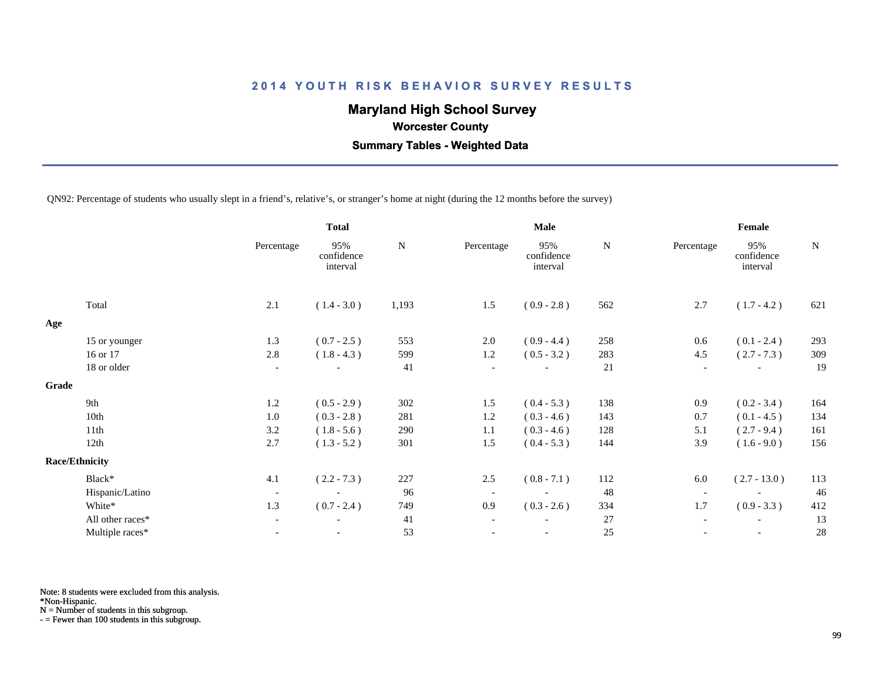# **Maryland High School Survey**

 **Worcester County**

 **Summary Tables - Weighted Data**

QN92: Percentage of students who usually slept in a friend's, relative's, or stranger's home at night (during the 12 months before the survey)

|       |                       |                          | <b>Total</b>                  |       |                          | <b>Male</b>                   |     | Female                   |                               |             |
|-------|-----------------------|--------------------------|-------------------------------|-------|--------------------------|-------------------------------|-----|--------------------------|-------------------------------|-------------|
|       |                       | Percentage               | 95%<br>confidence<br>interval | N     | Percentage               | 95%<br>confidence<br>interval | N   | Percentage               | 95%<br>confidence<br>interval | $\mathbf N$ |
|       | Total                 | 2.1                      | $(1.4 - 3.0)$                 | 1,193 | 1.5                      | $(0.9 - 2.8)$                 | 562 | 2.7                      | $(1.7 - 4.2)$                 | 621         |
| Age   |                       |                          |                               |       |                          |                               |     |                          |                               |             |
|       | 15 or younger         | 1.3                      | $(0.7 - 2.5)$                 | 553   | $2.0\,$                  | $(0.9 - 4.4)$                 | 258 | 0.6                      | $(0.1 - 2.4)$                 | 293         |
|       | 16 or 17              | 2.8                      | $(1.8 - 4.3)$                 | 599   | $1.2\,$                  | $(0.5 - 3.2)$                 | 283 | 4.5                      | $(2.7 - 7.3)$                 | 309         |
|       | 18 or older           | $\overline{\phantom{a}}$ |                               | 41    | $\overline{\phantom{a}}$ |                               | 21  | $\overline{\phantom{a}}$ |                               | 19          |
| Grade |                       |                          |                               |       |                          |                               |     |                          |                               |             |
|       | 9th                   | 1.2                      | $(0.5 - 2.9)$                 | 302   | 1.5                      | $(0.4 - 5.3)$                 | 138 | 0.9                      | $(0.2 - 3.4)$                 | 164         |
|       | 10th                  | $1.0\,$                  | $(0.3 - 2.8)$                 | 281   | 1.2                      | $(0.3 - 4.6)$                 | 143 | 0.7                      | $(0.1 - 4.5)$                 | 134         |
|       | 11th                  | 3.2                      | $(1.8 - 5.6)$                 | 290   | 1.1                      | $(0.3 - 4.6)$                 | 128 | 5.1                      | $(2.7 - 9.4)$                 | 161         |
|       | 12th                  | 2.7                      | $(1.3 - 5.2)$                 | 301   | 1.5                      | $(0.4 - 5.3)$                 | 144 | 3.9                      | $(1.6 - 9.0)$                 | 156         |
|       | <b>Race/Ethnicity</b> |                          |                               |       |                          |                               |     |                          |                               |             |
|       | Black*                | 4.1                      | $(2.2 - 7.3)$                 | 227   | 2.5                      | $(0.8 - 7.1)$                 | 112 | 6.0                      | $(2.7 - 13.0)$                | 113         |
|       | Hispanic/Latino       | $\overline{\phantom{a}}$ |                               | 96    | $\overline{\phantom{a}}$ |                               | 48  | $\overline{\phantom{a}}$ |                               | 46          |
|       | White*                | 1.3                      | $(0.7 - 2.4)$                 | 749   | 0.9                      | $(0.3 - 2.6)$                 | 334 | 1.7                      | $(0.9 - 3.3)$                 | 412         |
|       | All other races*      | $\blacksquare$           | $\overline{\phantom{a}}$      | 41    | $\overline{\phantom{a}}$ |                               | 27  | $\overline{\phantom{a}}$ | $\overline{\phantom{a}}$      | 13          |
|       | Multiple races*       |                          |                               | 53    |                          |                               | 25  |                          |                               | 28          |

Note: 8 students were excluded from this analysis.

\*Non-Hispanic.

N = Number of students in this subgroup.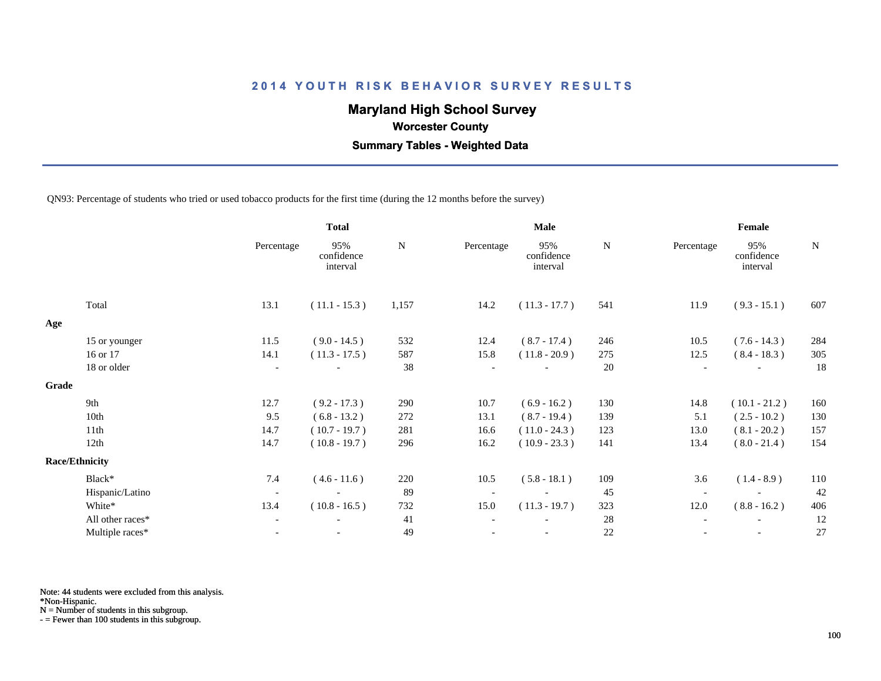# **Maryland High School Survey**

 **Worcester County**

 **Summary Tables - Weighted Data**

QN93: Percentage of students who tried or used tobacco products for the first time (during the 12 months before the survey)

|       |                       |                          | <b>Total</b>                  |           |            | <b>Male</b>                   |           | Female                   |                               |             |  |
|-------|-----------------------|--------------------------|-------------------------------|-----------|------------|-------------------------------|-----------|--------------------------|-------------------------------|-------------|--|
|       |                       | Percentage               | 95%<br>confidence<br>interval | ${\bf N}$ | Percentage | 95%<br>confidence<br>interval | ${\bf N}$ | Percentage               | 95%<br>confidence<br>interval | $\mathbf N$ |  |
|       | Total                 | 13.1                     | $(11.1 - 15.3)$               | 1,157     | 14.2       | $(11.3 - 17.7)$               | 541       | 11.9                     | $(9.3 - 15.1)$                | 607         |  |
| Age   |                       |                          |                               |           |            |                               |           |                          |                               |             |  |
|       | 15 or younger         | 11.5                     | $(9.0 - 14.5)$                | 532       | 12.4       | $(8.7 - 17.4)$                | 246       | 10.5                     | $(7.6 - 14.3)$                | 284         |  |
|       | 16 or 17              | 14.1                     | $(11.3 - 17.5)$               | 587       | 15.8       | $(11.8 - 20.9)$               | 275       | 12.5                     | $(8.4 - 18.3)$                | 305         |  |
|       | 18 or older           | $\overline{\phantom{a}}$ |                               | 38        |            |                               | 20        | $\overline{\phantom{a}}$ |                               | 18          |  |
| Grade |                       |                          |                               |           |            |                               |           |                          |                               |             |  |
|       | 9th                   | 12.7                     | $(9.2 - 17.3)$                | 290       | 10.7       | $(6.9 - 16.2)$                | 130       | 14.8                     | $(10.1 - 21.2)$               | 160         |  |
|       | 10th                  | 9.5                      | $(6.8 - 13.2)$                | 272       | 13.1       | $(8.7 - 19.4)$                | 139       | 5.1                      | $(2.5 - 10.2)$                | 130         |  |
|       | 11th                  | 14.7                     | $(10.7 - 19.7)$               | 281       | 16.6       | $(11.0 - 24.3)$               | 123       | 13.0                     | $(8.1 - 20.2)$                | 157         |  |
|       | 12th                  | 14.7                     | $(10.8 - 19.7)$               | 296       | 16.2       | $(10.9 - 23.3)$               | 141       | 13.4                     | $(8.0 - 21.4)$                | 154         |  |
|       | <b>Race/Ethnicity</b> |                          |                               |           |            |                               |           |                          |                               |             |  |
|       | Black*                | 7.4                      | $(4.6 - 11.6)$                | 220       | 10.5       | $(5.8 - 18.1)$                | 109       | 3.6                      | $(1.4 - 8.9)$                 | 110         |  |
|       | Hispanic/Latino       | $\overline{\phantom{a}}$ | $\overline{\phantom{a}}$      | 89        |            | $\overline{\phantom{a}}$      | 45        | $\overline{\phantom{a}}$ |                               | 42          |  |
|       | White*                | 13.4                     | $(10.8 - 16.5)$               | 732       | 15.0       | $(11.3 - 19.7)$               | 323       | 12.0                     | $(8.8 - 16.2)$                | 406         |  |
|       | All other races*      | $\overline{\phantom{a}}$ |                               | 41        |            |                               | 28        |                          |                               | 12          |  |
|       | Multiple races*       | $\overline{\phantom{a}}$ |                               | 49        |            | $\overline{\phantom{a}}$      | 22        |                          | $\overline{\phantom{a}}$      | 27          |  |

Note: 44 students were excluded from this analysis.

\*Non-Hispanic.

N = Number of students in this subgroup.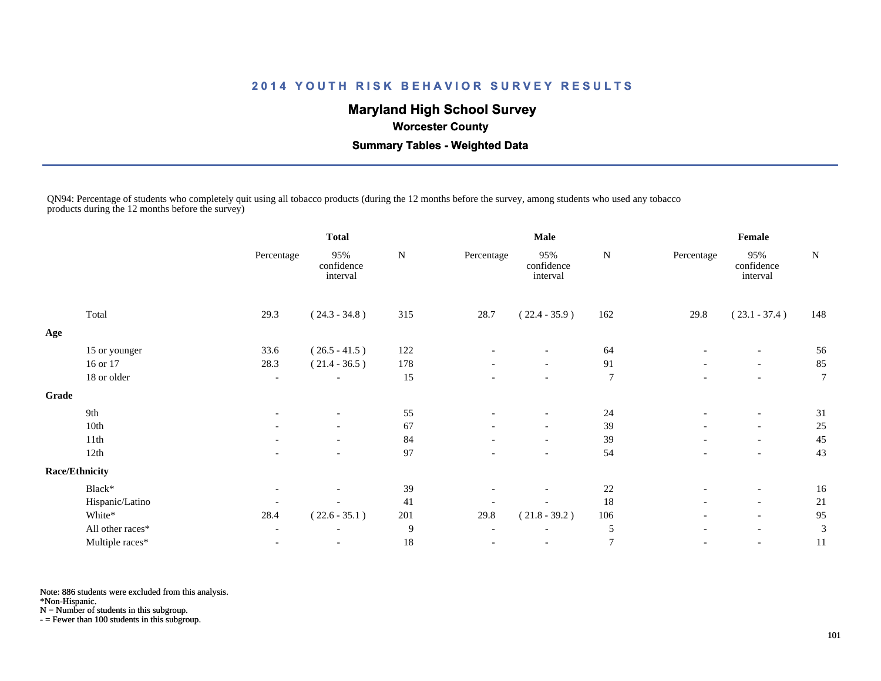# **Maryland High School Survey**

 **Worcester County**

 **Summary Tables - Weighted Data**

QN94: Percentage of students who completely quit using all tobacco products (during the 12 months before the survey, among students who used any tobacco products during the 12 months before the survey)

|       |                       |                          | <b>Total</b>                  |        |                          | <b>Male</b>                   |                | Female                   |                               |           |
|-------|-----------------------|--------------------------|-------------------------------|--------|--------------------------|-------------------------------|----------------|--------------------------|-------------------------------|-----------|
|       |                       | Percentage               | 95%<br>confidence<br>interval | N      | Percentage               | 95%<br>confidence<br>interval | N              | Percentage               | 95%<br>confidence<br>interval | ${\bf N}$ |
|       | Total                 | 29.3                     | $(24.3 - 34.8)$               | 315    | 28.7                     | $(22.4 - 35.9)$               | 162            | 29.8                     | $(23.1 - 37.4)$               | 148       |
| Age   |                       |                          |                               |        |                          |                               |                |                          |                               |           |
|       | 15 or younger         | 33.6                     | $(26.5 - 41.5)$               | 122    |                          |                               | 64             |                          |                               | 56        |
|       | 16 or 17              | 28.3                     | $(21.4 - 36.5)$               | 178    | $\overline{\phantom{a}}$ | $\overline{\phantom{a}}$      | 91             | $\overline{\phantom{a}}$ | $-$                           | 85        |
|       | 18 or older           | $\overline{\phantom{a}}$ |                               | 15     |                          | $\overline{\phantom{a}}$      | $\overline{7}$ |                          | $\overline{\phantom{a}}$      | 7         |
| Grade |                       |                          |                               |        |                          |                               |                |                          |                               |           |
|       | 9th                   | $\overline{\phantom{a}}$ | $\overline{\phantom{a}}$      | 55     | $\overline{\phantom{a}}$ | $\overline{\phantom{a}}$      | 24             | $\overline{\phantom{a}}$ | $\overline{\phantom{a}}$      | 31        |
|       | 10th                  |                          | $\overline{\phantom{a}}$      | 67     |                          | $\overline{\phantom{a}}$      | 39             |                          | $\overline{\phantom{a}}$      | 25        |
|       | 11th                  |                          | $\overline{\phantom{a}}$      | 84     |                          | $\overline{\phantom{a}}$      | 39             | $\overline{\phantom{a}}$ | $\overline{\phantom{a}}$      | 45        |
|       | 12th                  |                          |                               | 97     |                          | $\overline{\phantom{a}}$      | 54             |                          | $\overline{\phantom{a}}$      | 43        |
|       | <b>Race/Ethnicity</b> |                          |                               |        |                          |                               |                |                          |                               |           |
|       | Black*                | $\overline{\phantom{a}}$ | $\overline{\phantom{a}}$      | 39     |                          | $\overline{\phantom{a}}$      | 22             | $\overline{\phantom{a}}$ | $\overline{\phantom{a}}$      | 16        |
|       | Hispanic/Latino       |                          |                               | 41     |                          | $\overline{\phantom{a}}$      | 18             | $\overline{\phantom{a}}$ | $\overline{\phantom{a}}$      | 21        |
|       | White*                | 28.4                     | $(22.6 - 35.1)$               | 201    | 29.8                     | $(21.8 - 39.2)$               | 106            | $\overline{\phantom{a}}$ | $-$                           | 95        |
|       | All other races*      |                          | $\overline{\phantom{a}}$      | 9      |                          |                               | 5              |                          |                               | 3         |
|       | Multiple races*       |                          | $\overline{\phantom{a}}$      | $18\,$ |                          | $\overline{\phantom{a}}$      | $\overline{7}$ | $\overline{\phantom{a}}$ | $\overline{\phantom{a}}$      | 11        |

Note: 886 students were excluded from this analysis.

\*Non-Hispanic.

N = Number of students in this subgroup.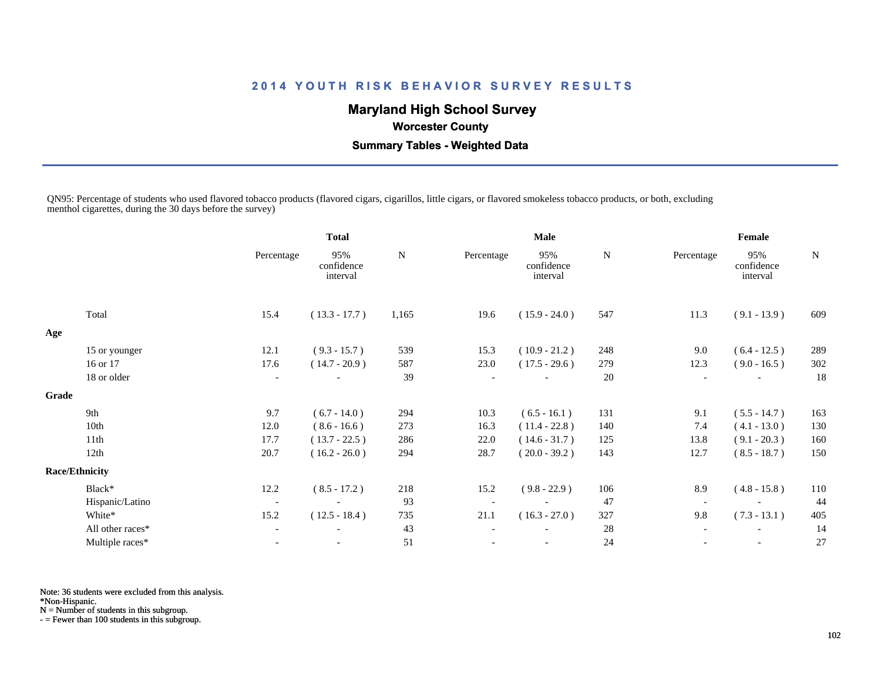# **Maryland High School Survey**

 **Worcester County**

 **Summary Tables - Weighted Data**

QN95: Percentage of students who used flavored tobacco products (flavored cigars, cigarillos, little cigars, or flavored smokeless tobacco products, or both, excluding menthol cigarettes, during the 30 days before the survey)

|                  |                                | <b>Total</b>                  |           |            | <b>Male</b>                   |     | Female                   |                               |     |
|------------------|--------------------------------|-------------------------------|-----------|------------|-------------------------------|-----|--------------------------|-------------------------------|-----|
|                  | Percentage                     | 95%<br>confidence<br>interval | ${\bf N}$ | Percentage | 95%<br>confidence<br>interval | N   | Percentage               | 95%<br>confidence<br>interval | N   |
| Total            | 15.4                           | $(13.3 - 17.7)$               | 1,165     | 19.6       | $(15.9 - 24.0)$               | 547 | 11.3                     | $(9.1 - 13.9)$                | 609 |
|                  |                                |                               |           |            |                               |     |                          |                               |     |
| 15 or younger    | 12.1                           | $(9.3 - 15.7)$                | 539       | 15.3       | $(10.9 - 21.2)$               | 248 | 9.0                      | $(6.4 - 12.5)$                | 289 |
| 16 or 17         | 17.6                           | $(14.7 - 20.9)$               | 587       | 23.0       | $(17.5 - 29.6)$               | 279 | 12.3                     | $(9.0 - 16.5)$                | 302 |
| 18 or older      | $\overline{\phantom{a}}$       |                               | 39        |            |                               | 20  | $\overline{\phantom{a}}$ |                               | 18  |
|                  |                                |                               |           |            |                               |     |                          |                               |     |
| 9th              | 9.7                            | $(6.7 - 14.0)$                | 294       | 10.3       | $(6.5 - 16.1)$                | 131 | 9.1                      | $(5.5 - 14.7)$                | 163 |
| 10th             | 12.0                           | $(8.6 - 16.6)$                | 273       | 16.3       | $(11.4 - 22.8)$               | 140 | 7.4                      | $(4.1 - 13.0)$                | 130 |
| 11th             | 17.7                           | $(13.7 - 22.5)$               | 286       | 22.0       | $(14.6 - 31.7)$               | 125 | 13.8                     | $(9.1 - 20.3)$                | 160 |
| 12th             | 20.7                           | $(16.2 - 26.0)$               | 294       | 28.7       | $(20.0 - 39.2)$               | 143 | 12.7                     | $(8.5 - 18.7)$                | 150 |
|                  |                                |                               |           |            |                               |     |                          |                               |     |
| Black*           | 12.2                           | $(8.5 - 17.2)$                | 218       | 15.2       | $(9.8 - 22.9)$                | 106 | 8.9                      | $(4.8 - 15.8)$                | 110 |
| Hispanic/Latino  | $\overline{\phantom{a}}$       | $\overline{\phantom{a}}$      | 93        |            |                               | 47  | $\overline{\phantom{a}}$ |                               | 44  |
| White*           | 15.2                           | $(12.5 - 18.4)$               | 735       | 21.1       | $(16.3 - 27.0)$               | 327 | 9.8                      | $(7.3 - 13.1)$                | 405 |
| All other races* |                                |                               | 43        |            |                               | 28  |                          |                               | 14  |
| Multiple races*  |                                |                               | 51        |            | $\overline{\phantom{a}}$      | 24  |                          | $\overline{\phantom{a}}$      | 27  |
|                  | Grade<br><b>Race/Ethnicity</b> |                               |           |            |                               |     |                          |                               |     |

Note: 36 students were excluded from this analysis.

\*Non-Hispanic.

N = Number of students in this subgroup.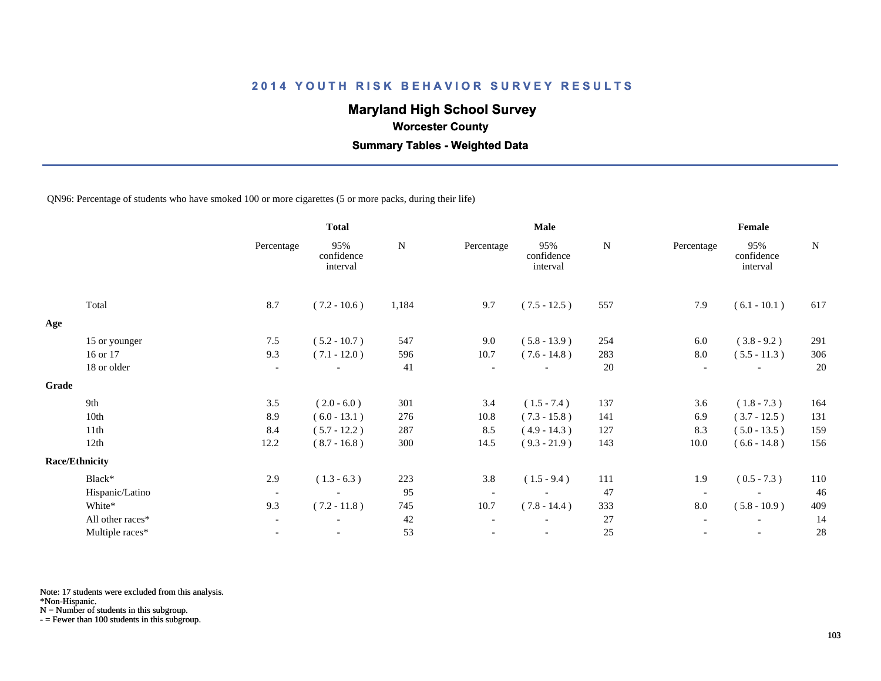# **Maryland High School Survey**

 **Worcester County**

 **Summary Tables - Weighted Data**

QN96: Percentage of students who have smoked 100 or more cigarettes (5 or more packs, during their life)

|       |                       |                          | <b>Total</b>                  |           |                          | <b>Male</b>                   |           | Female                   |                               |             |
|-------|-----------------------|--------------------------|-------------------------------|-----------|--------------------------|-------------------------------|-----------|--------------------------|-------------------------------|-------------|
|       |                       | Percentage               | 95%<br>confidence<br>interval | ${\bf N}$ | Percentage               | 95%<br>confidence<br>interval | ${\bf N}$ | Percentage               | 95%<br>confidence<br>interval | $\mathbf N$ |
|       | Total                 | 8.7                      | $(7.2 - 10.6)$                | 1,184     | 9.7                      | $(7.5 - 12.5)$                | 557       | 7.9                      | $(6.1 - 10.1)$                | 617         |
| Age   |                       |                          |                               |           |                          |                               |           |                          |                               |             |
|       | 15 or younger         | 7.5                      | $(5.2 - 10.7)$                | 547       | 9.0                      | $(5.8 - 13.9)$                | 254       | 6.0                      | $(3.8 - 9.2)$                 | 291         |
|       | 16 or 17              | 9.3                      | $(7.1 - 12.0)$                | 596       | 10.7                     | $(7.6 - 14.8)$                | 283       | 8.0                      | $(5.5 - 11.3)$                | 306         |
|       | 18 or older           | $\overline{\phantom{a}}$ |                               | 41        | $\overline{\phantom{a}}$ |                               | 20        | $\overline{\phantom{a}}$ |                               | 20          |
| Grade |                       |                          |                               |           |                          |                               |           |                          |                               |             |
|       | 9th                   | 3.5                      | $(2.0 - 6.0)$                 | 301       | 3.4                      | $(1.5 - 7.4)$                 | 137       | 3.6                      | $(1.8 - 7.3)$                 | 164         |
|       | 10th                  | 8.9                      | $(6.0 - 13.1)$                | 276       | 10.8                     | $(7.3 - 15.8)$                | 141       | 6.9                      | $(3.7 - 12.5)$                | 131         |
|       | 11th                  | 8.4                      | $(5.7 - 12.2)$                | 287       | 8.5                      | $(4.9 - 14.3)$                | 127       | 8.3                      | $(5.0 - 13.5)$                | 159         |
|       | 12th                  | 12.2                     | $(8.7 - 16.8)$                | 300       | 14.5                     | $(9.3 - 21.9)$                | 143       | 10.0                     | $(6.6 - 14.8)$                | 156         |
|       | <b>Race/Ethnicity</b> |                          |                               |           |                          |                               |           |                          |                               |             |
|       | Black*                | 2.9                      | $(1.3 - 6.3)$                 | 223       | 3.8                      | $(1.5 - 9.4)$                 | 111       | 1.9                      | $(0.5 - 7.3)$                 | 110         |
|       | Hispanic/Latino       | $\overline{\phantom{a}}$ | $\overline{\phantom{a}}$      | 95        | $\overline{\phantom{a}}$ | $\overline{\phantom{a}}$      | 47        | $\overline{\phantom{a}}$ | $\overline{\phantom{a}}$      | 46          |
|       | White*                | 9.3                      | $(7.2 - 11.8)$                | 745       | 10.7                     | $(7.8 - 14.4)$                | 333       | 8.0                      | $(5.8 - 10.9)$                | 409         |
|       | All other races*      | $\overline{\phantom{a}}$ |                               | 42        |                          |                               | 27        |                          |                               | 14          |
|       | Multiple races*       | $\overline{\phantom{a}}$ | $\overline{\phantom{a}}$      | 53        |                          | $\overline{\phantom{a}}$      | 25        |                          | $\overline{\phantom{a}}$      | 28          |

Note: 17 students were excluded from this analysis.

\*Non-Hispanic.

N = Number of students in this subgroup.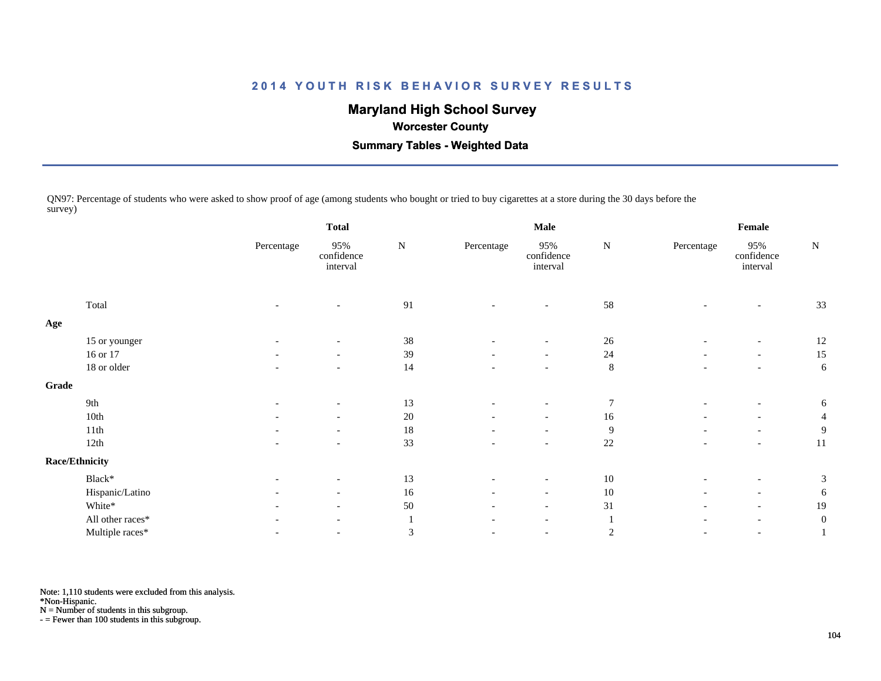# **Maryland High School Survey**

 **Worcester County**

 **Summary Tables - Weighted Data**

QN97: Percentage of students who were asked to show proof of age (among students who bought or tried to buy cigarettes at a store during the 30 days before the survey)

|       |                  | <b>Total</b>             |                               |           |                          | Male                          |                | Female                   |                               |                  |
|-------|------------------|--------------------------|-------------------------------|-----------|--------------------------|-------------------------------|----------------|--------------------------|-------------------------------|------------------|
|       |                  | Percentage               | 95%<br>confidence<br>interval | ${\bf N}$ | Percentage               | 95%<br>confidence<br>interval | ${\bf N}$      | Percentage               | 95%<br>confidence<br>interval | ${\bf N}$        |
|       | Total            |                          |                               | 91        |                          |                               | 58             |                          |                               | 33               |
| Age   |                  |                          |                               |           |                          |                               |                |                          |                               |                  |
|       | 15 or younger    |                          |                               | 38        |                          |                               | 26             |                          |                               | 12               |
|       | 16 or 17         | $\overline{\phantom{a}}$ | $\overline{\phantom{a}}$      | 39        | $\overline{\phantom{a}}$ | $-$                           | 24             | $\overline{\phantom{a}}$ | $\overline{\phantom{a}}$      | 15               |
|       | 18 or older      | $\overline{\phantom{a}}$ | $\overline{\phantom{a}}$      | 14        | $\overline{\phantom{a}}$ | $\overline{\phantom{a}}$      | $\,8\,$        | $\overline{\phantom{0}}$ | $\overline{\phantom{a}}$      | 6                |
| Grade |                  |                          |                               |           |                          |                               |                |                          |                               |                  |
|       | 9th              | $\overline{\phantom{a}}$ | $\overline{\phantom{a}}$      | 13        |                          | $\overline{\phantom{a}}$      | 7              |                          | $\overline{\phantom{a}}$      | 6                |
|       | 10th             | $\overline{\phantom{a}}$ | $\overline{\phantom{a}}$      | $20\,$    | $\overline{\phantom{a}}$ | $\overline{\phantom{a}}$      | $16\,$         | $\overline{a}$           | $\overline{\phantom{a}}$      | $\overline{4}$   |
|       | 11th             |                          | $\overline{\phantom{a}}$      | $18\,$    |                          | $\overline{\phantom{a}}$      | 9              |                          | $\overline{\phantom{a}}$      | 9                |
|       | 12th             |                          |                               | 33        |                          | $\overline{\phantom{a}}$      | 22             |                          | $\overline{\phantom{a}}$      | 11               |
|       | Race/Ethnicity   |                          |                               |           |                          |                               |                |                          |                               |                  |
|       | Black*           | $\overline{\phantom{a}}$ | $\overline{\phantom{a}}$      | 13        | $\overline{\phantom{a}}$ | $\overline{\phantom{a}}$      | 10             |                          | $\overline{\phantom{a}}$      | 3                |
|       | Hispanic/Latino  | $\overline{\phantom{a}}$ | $\overline{\phantom{a}}$      | 16        | $\overline{\phantom{a}}$ | $\overline{\phantom{a}}$      | 10             | $\overline{\phantom{0}}$ | $\overline{\phantom{a}}$      | 6                |
|       | White*           |                          | $\overline{\phantom{a}}$      | 50        | $\overline{\phantom{a}}$ | $\overline{\phantom{a}}$      | 31             | $\overline{\phantom{a}}$ | $\overline{\phantom{a}}$      | 19               |
|       | All other races* |                          | $\overline{\phantom{a}}$      |           | $\overline{\phantom{a}}$ | $\overline{\phantom{0}}$      |                | $\overline{\phantom{0}}$ | $\overline{\phantom{a}}$      | $\boldsymbol{0}$ |
|       | Multiple races*  |                          |                               | 3         |                          | $\overline{\phantom{a}}$      | $\overline{2}$ |                          |                               | 1                |
|       |                  |                          |                               |           |                          |                               |                |                          |                               |                  |

Note: 1,110 students were excluded from this analysis.

\*Non-Hispanic.

N = Number of students in this subgroup.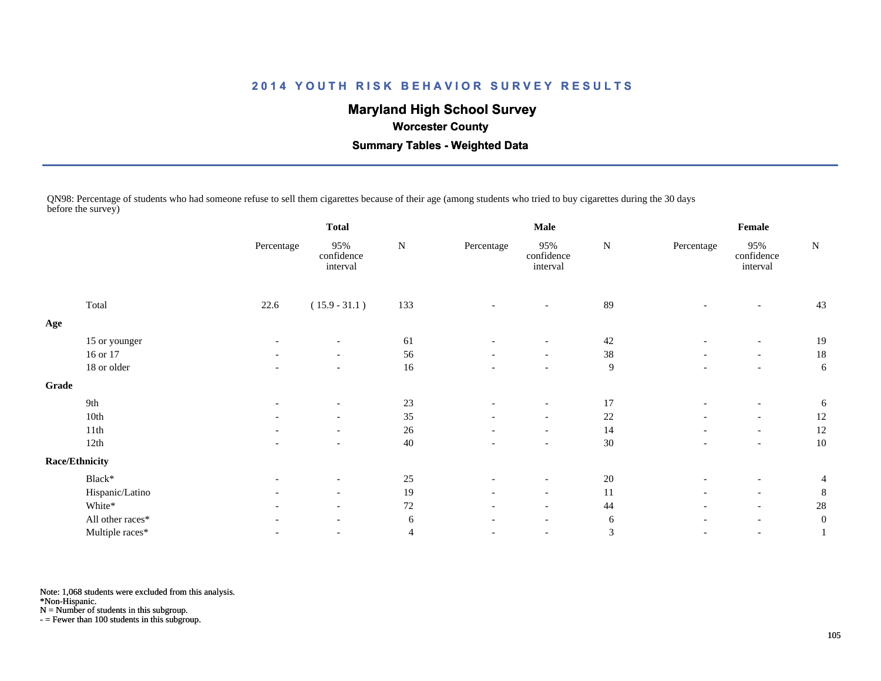# **Maryland High School Survey**

### **Worcester County**

 **Summary Tables - Weighted Data**

QN98: Percentage of students who had someone refuse to sell them cigarettes because of their age (among students who tried to buy cigarettes during the 30 days before the survey)

|                       |                                  | <b>Total</b>                  |           |                          | Male                          |                  |                          |                               |                  |
|-----------------------|----------------------------------|-------------------------------|-----------|--------------------------|-------------------------------|------------------|--------------------------|-------------------------------|------------------|
|                       | Percentage                       | 95%<br>confidence<br>interval | ${\bf N}$ | Percentage               | 95%<br>confidence<br>interval | ${\bf N}$        | Percentage               | 95%<br>confidence<br>interval | ${\bf N}$        |
| Total                 | 22.6                             | $(15.9 - 31.1)$               | 133       | $\overline{\phantom{a}}$ | $\overline{\phantom{a}}$      | 89               |                          |                               | 43               |
|                       |                                  |                               |           |                          |                               |                  |                          |                               |                  |
|                       | $\overline{\phantom{a}}$         | $\overline{\phantom{a}}$      | 61        |                          |                               | 42               |                          | $\overline{\phantom{a}}$      | 19               |
| 16 or 17              |                                  | $\overline{\phantom{a}}$      | 56        | $\overline{\phantom{a}}$ | $\overline{\phantom{a}}$      | $38\,$           |                          | $\overline{\phantom{a}}$      | 18               |
| 18 or older           | $\overline{\phantom{a}}$         | $\overline{\phantom{a}}$      | 16        | $\overline{\phantom{a}}$ | $-$                           | $\boldsymbol{9}$ | $\qquad \qquad$          | $\overline{\phantom{a}}$      | 6                |
| Grade                 |                                  |                               |           |                          |                               |                  |                          |                               |                  |
| 9th                   | $\overline{\phantom{a}}$         | $\overline{\phantom{a}}$      | $23\,$    | $\overline{\phantom{a}}$ | $\overline{\phantom{a}}$      | 17               | $\overline{\phantom{a}}$ | $\overline{\phantom{a}}$      | 6                |
| 10th                  | $\overline{\phantom{0}}$         | $\overline{\phantom{a}}$      | 35        |                          | $\overline{\phantom{a}}$      | 22               |                          | $\overline{\phantom{a}}$      | 12               |
| 11th                  | $\overline{\phantom{a}}$         | $\overline{\phantom{a}}$      | 26        | $\overline{\phantom{a}}$ | $\overline{\phantom{a}}$      | 14               | $\overline{\phantom{a}}$ | $\overline{\phantom{a}}$      | 12               |
| 12th                  |                                  |                               | 40        |                          | $\overline{\phantom{a}}$      | 30               |                          |                               | 10               |
| <b>Race/Ethnicity</b> |                                  |                               |           |                          |                               |                  |                          |                               |                  |
| Black*                | $\overline{\phantom{a}}$         | $\overline{\phantom{a}}$      | 25        | $\overline{\phantom{a}}$ | $\overline{\phantom{a}}$      | 20               |                          | $\overline{\phantom{a}}$      | $\overline{4}$   |
|                       | $\overline{\phantom{a}}$         | $\overline{\phantom{a}}$      | 19        | $\overline{\phantom{a}}$ | $\overline{\phantom{0}}$      | 11               |                          | $\overline{\phantom{a}}$      | 8                |
| White*                | $\overline{\phantom{0}}$         | $\overline{\phantom{a}}$      | $72\,$    | $\overline{\phantom{a}}$ | $\overline{\phantom{a}}$      | 44               | $\overline{\phantom{a}}$ | $\overline{\phantom{a}}$      | 28               |
| All other races*      |                                  | $\overline{\phantom{a}}$      | 6         | $\overline{\phantom{a}}$ | $\overline{\phantom{a}}$      | 6                |                          | $\overline{\phantom{a}}$      | $\boldsymbol{0}$ |
| Multiple races*       | $\overline{\phantom{0}}$         | $\overline{\phantom{a}}$      | 4         |                          | $\overline{\phantom{a}}$      | 3                | $\overline{\phantom{a}}$ | $\overline{\phantom{a}}$      |                  |
|                       | 15 or younger<br>Hispanic/Latino |                               |           |                          |                               |                  |                          |                               | Female           |

Note: 1,068 students were excluded from this analysis.

\*Non-Hispanic.

N = Number of students in this subgroup.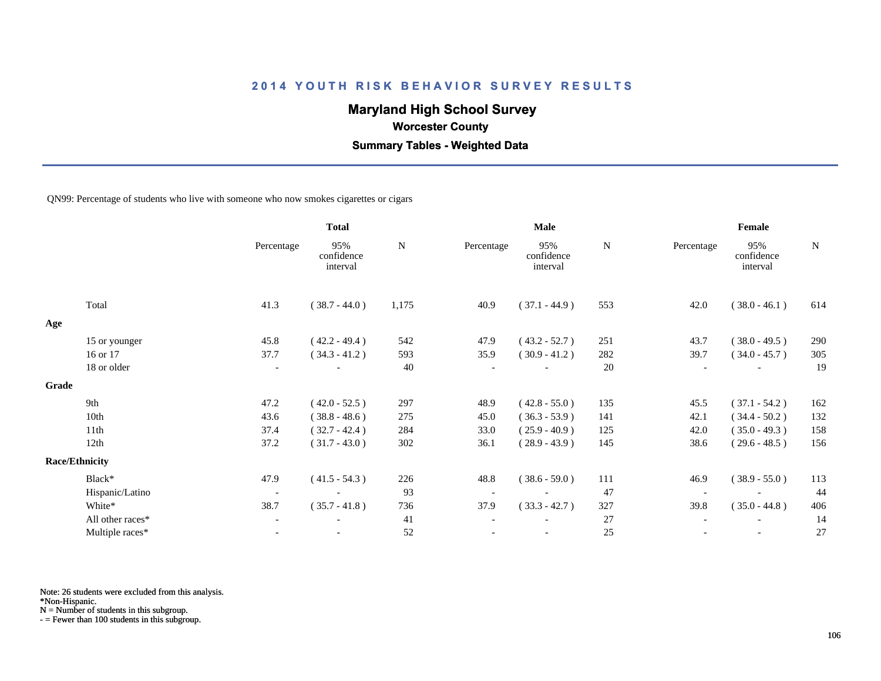# **Maryland High School Survey**

 **Worcester County**

 **Summary Tables - Weighted Data**

QN99: Percentage of students who live with someone who now smokes cigarettes or cigars

|       |                       |                          | <b>Total</b>                  |           |                          | <b>Male</b>                   |           | Female                   |                               |             |
|-------|-----------------------|--------------------------|-------------------------------|-----------|--------------------------|-------------------------------|-----------|--------------------------|-------------------------------|-------------|
|       |                       | Percentage               | 95%<br>confidence<br>interval | ${\bf N}$ | Percentage               | 95%<br>confidence<br>interval | ${\bf N}$ | Percentage               | 95%<br>confidence<br>interval | $\mathbf N$ |
|       | Total                 | 41.3                     | $(38.7 - 44.0)$               | 1,175     | 40.9                     | $(37.1 - 44.9)$               | 553       | 42.0                     | $(38.0 - 46.1)$               | 614         |
| Age   |                       |                          |                               |           |                          |                               |           |                          |                               |             |
|       | 15 or younger         | 45.8                     | $(42.2 - 49.4)$               | 542       | 47.9                     | $(43.2 - 52.7)$               | 251       | 43.7                     | $(38.0 - 49.5)$               | 290         |
|       | 16 or 17              | 37.7                     | $(34.3 - 41.2)$               | 593       | 35.9                     | $(30.9 - 41.2)$               | 282       | 39.7                     | $(34.0 - 45.7)$               | 305         |
|       | 18 or older           | $\blacksquare$           |                               | 40        |                          |                               | 20        |                          |                               | 19          |
| Grade |                       |                          |                               |           |                          |                               |           |                          |                               |             |
|       | 9th                   | 47.2                     | $(42.0 - 52.5)$               | 297       | 48.9                     | $(42.8 - 55.0)$               | 135       | 45.5                     | $(37.1 - 54.2)$               | 162         |
|       | 10th                  | 43.6                     | $(38.8 - 48.6)$               | 275       | 45.0                     | $(36.3 - 53.9)$               | 141       | 42.1                     | $(34.4 - 50.2)$               | 132         |
|       | 11th                  | 37.4                     | $(32.7 - 42.4)$               | 284       | 33.0                     | $(25.9 - 40.9)$               | 125       | 42.0                     | $(35.0 - 49.3)$               | 158         |
|       | 12th                  | 37.2                     | $(31.7 - 43.0)$               | 302       | 36.1                     | $(28.9 - 43.9)$               | 145       | 38.6                     | $(29.6 - 48.5)$               | 156         |
|       | <b>Race/Ethnicity</b> |                          |                               |           |                          |                               |           |                          |                               |             |
|       | Black*                | 47.9                     | $(41.5 - 54.3)$               | 226       | 48.8                     | $(38.6 - 59.0)$               | 111       | 46.9                     | $(38.9 - 55.0)$               | 113         |
|       | Hispanic/Latino       | $\overline{\phantom{a}}$ | $\overline{\phantom{a}}$      | 93        | $\overline{\phantom{a}}$ | $\overline{\phantom{a}}$      | 47        | $\overline{\phantom{a}}$ | $\overline{\phantom{a}}$      | 44          |
|       | White*                | 38.7                     | $(35.7 - 41.8)$               | 736       | 37.9                     | $(33.3 - 42.7)$               | 327       | 39.8                     | $(35.0 - 44.8)$               | 406         |
|       | All other races*      | $\overline{\phantom{a}}$ |                               | 41        | $\overline{\phantom{a}}$ |                               | $27\,$    |                          |                               | 14          |
|       | Multiple races*       | $\blacksquare$           | $\blacksquare$                | 52        |                          | $\overline{\phantom{a}}$      | $25\,$    |                          | $\blacksquare$                | 27          |

Note: 26 students were excluded from this analysis.

\*Non-Hispanic.

N = Number of students in this subgroup.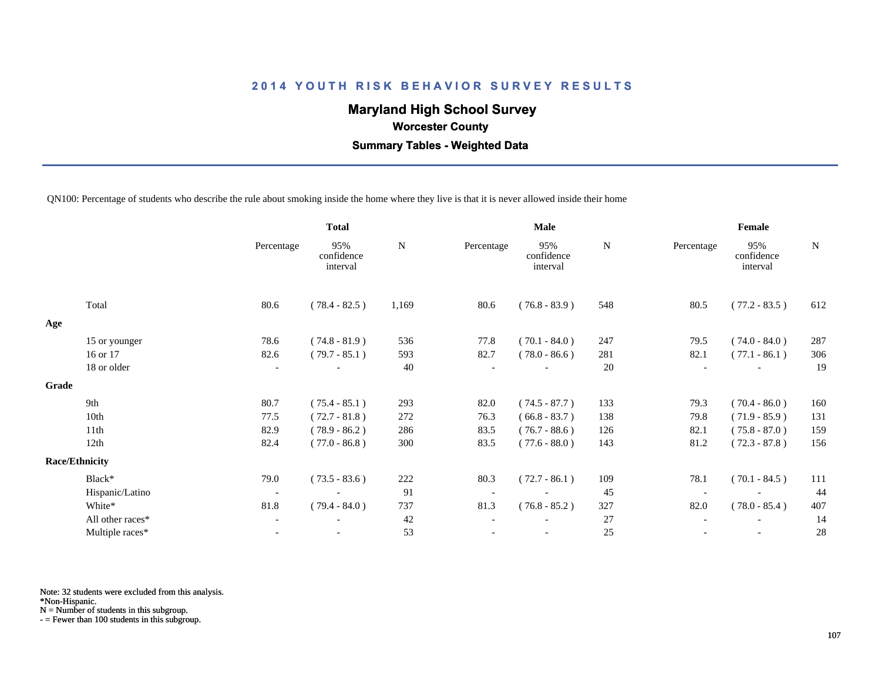# **Maryland High School Survey**

 **Worcester County**

 **Summary Tables - Weighted Data**

QN100: Percentage of students who describe the rule about smoking inside the home where they live is that it is never allowed inside their home

|       |                       | <b>Total</b>             |                               |       |            | Male                          |     | Female     |                               |     |
|-------|-----------------------|--------------------------|-------------------------------|-------|------------|-------------------------------|-----|------------|-------------------------------|-----|
|       |                       | Percentage               | 95%<br>confidence<br>interval | N     | Percentage | 95%<br>confidence<br>interval | N   | Percentage | 95%<br>confidence<br>interval | N   |
|       | Total                 | 80.6                     | $(78.4 - 82.5)$               | 1,169 | 80.6       | $(76.8 - 83.9)$               | 548 | 80.5       | $(77.2 - 83.5)$               | 612 |
| Age   |                       |                          |                               |       |            |                               |     |            |                               |     |
|       | 15 or younger         | 78.6                     | $(74.8 - 81.9)$               | 536   | 77.8       | $(70.1 - 84.0)$               | 247 | 79.5       | $(74.0 - 84.0)$               | 287 |
|       | 16 or 17              | 82.6                     | $(79.7 - 85.1)$               | 593   | 82.7       | $(78.0 - 86.6)$               | 281 | 82.1       | $(77.1 - 86.1)$               | 306 |
|       | 18 or older           | $\overline{\phantom{a}}$ |                               | 40    |            |                               | 20  |            |                               | 19  |
| Grade |                       |                          |                               |       |            |                               |     |            |                               |     |
|       | 9th                   | 80.7                     | $(75.4 - 85.1)$               | 293   | 82.0       | $(74.5 - 87.7)$               | 133 | 79.3       | $(70.4 - 86.0)$               | 160 |
|       | 10th                  | 77.5                     | $(72.7 - 81.8)$               | 272   | 76.3       | $(66.8 - 83.7)$               | 138 | 79.8       | $(71.9 - 85.9)$               | 131 |
|       | 11th                  | 82.9                     | $(78.9 - 86.2)$               | 286   | 83.5       | $(76.7 - 88.6)$               | 126 | 82.1       | $(75.8 - 87.0)$               | 159 |
|       | 12th                  | 82.4                     | $(77.0 - 86.8)$               | 300   | 83.5       | $(77.6 - 88.0)$               | 143 | 81.2       | $(72.3 - 87.8)$               | 156 |
|       | <b>Race/Ethnicity</b> |                          |                               |       |            |                               |     |            |                               |     |
|       | Black*                | 79.0                     | $(73.5 - 83.6)$               | 222   | 80.3       | $(72.7 - 86.1)$               | 109 | 78.1       | $(70.1 - 84.5)$               | 111 |
|       | Hispanic/Latino       | $\overline{\phantom{a}}$ |                               | 91    |            |                               | 45  |            |                               | 44  |
|       | White*                | 81.8                     | $(79.4 - 84.0)$               | 737   | 81.3       | $(76.8 - 85.2)$               | 327 | 82.0       | $(78.0 - 85.4)$               | 407 |
|       | All other races*      | $\overline{\phantom{a}}$ |                               | 42    |            |                               | 27  |            |                               | 14  |
|       | Multiple races*       | $\overline{\phantom{a}}$ |                               | 53    |            | $\overline{\phantom{a}}$      | 25  |            | $\overline{\phantom{a}}$      | 28  |
|       |                       |                          |                               |       |            |                               |     |            |                               |     |

Note: 32 students were excluded from this analysis.

\*Non-Hispanic.

N = Number of students in this subgroup.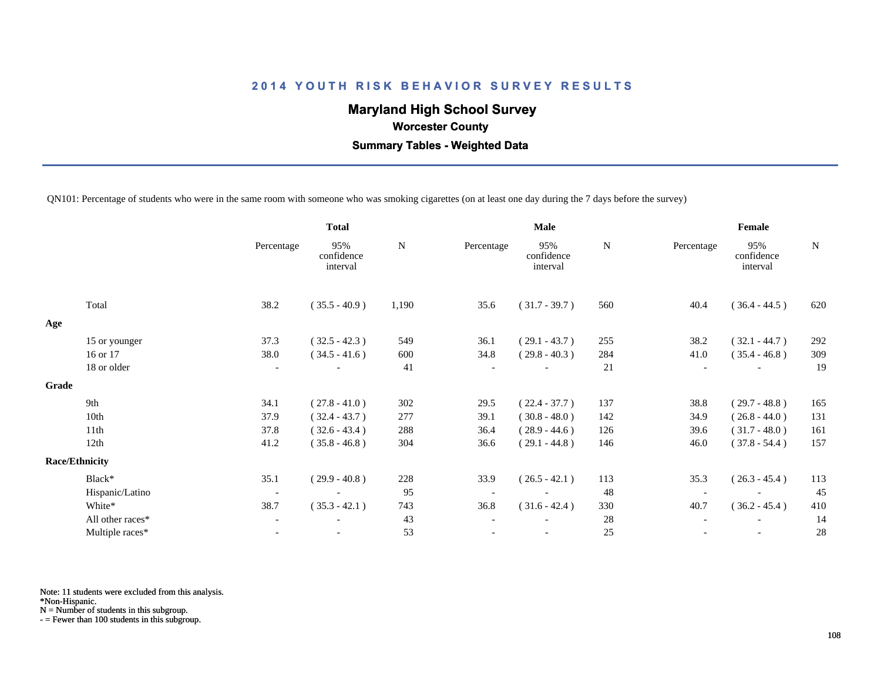# **Maryland High School Survey**

 **Worcester County**

 **Summary Tables - Weighted Data**

QN101: Percentage of students who were in the same room with someone who was smoking cigarettes (on at least one day during the 7 days before the survey)

|       |                       | <b>Total</b>             |                               |           |                          | <b>Male</b>                   |           | Female     |                               |           |
|-------|-----------------------|--------------------------|-------------------------------|-----------|--------------------------|-------------------------------|-----------|------------|-------------------------------|-----------|
|       |                       | Percentage               | 95%<br>confidence<br>interval | ${\bf N}$ | Percentage               | 95%<br>confidence<br>interval | ${\bf N}$ | Percentage | 95%<br>confidence<br>interval | ${\bf N}$ |
|       | Total                 | 38.2                     | $(35.5 - 40.9)$               | 1,190     | 35.6                     | $(31.7 - 39.7)$               | 560       | 40.4       | $(36.4 - 44.5)$               | 620       |
| Age   |                       |                          |                               |           |                          |                               |           |            |                               |           |
|       | 15 or younger         | 37.3                     | $(32.5 - 42.3)$               | 549       | 36.1                     | $(29.1 - 43.7)$               | 255       | 38.2       | $(32.1 - 44.7)$               | 292       |
|       | 16 or 17              | 38.0                     | $(34.5 - 41.6)$               | 600       | 34.8                     | $(29.8 - 40.3)$               | 284       | 41.0       | $(35.4 - 46.8)$               | 309       |
|       | 18 or older           | $\overline{\phantom{a}}$ |                               | 41        | $\overline{\phantom{a}}$ |                               | 21        |            |                               | 19        |
| Grade |                       |                          |                               |           |                          |                               |           |            |                               |           |
|       | 9th                   | 34.1                     | $(27.8 - 41.0)$               | 302       | 29.5                     | $(22.4 - 37.7)$               | 137       | 38.8       | $(29.7 - 48.8)$               | 165       |
|       | 10th                  | 37.9                     | $(32.4 - 43.7)$               | 277       | 39.1                     | $(30.8 - 48.0)$               | 142       | 34.9       | $(26.8 - 44.0)$               | 131       |
|       | 11th                  | 37.8                     | $(32.6 - 43.4)$               | 288       | 36.4                     | $(28.9 - 44.6)$               | 126       | 39.6       | $(31.7 - 48.0)$               | 161       |
|       | 12th                  | 41.2                     | $(35.8 - 46.8)$               | 304       | 36.6                     | $(29.1 - 44.8)$               | 146       | 46.0       | $(37.8 - 54.4)$               | 157       |
|       | <b>Race/Ethnicity</b> |                          |                               |           |                          |                               |           |            |                               |           |
|       | Black*                | 35.1                     | $(29.9 - 40.8)$               | 228       | 33.9                     | $(26.5 - 42.1)$               | 113       | 35.3       | $(26.3 - 45.4)$               | 113       |
|       | Hispanic/Latino       | $\overline{\phantom{a}}$ |                               | 95        | $\overline{\phantom{a}}$ |                               | 48        |            |                               | 45        |
|       | White*                | 38.7                     | $(35.3 - 42.1)$               | 743       | 36.8                     | $(31.6 - 42.4)$               | 330       | 40.7       | $(36.2 - 45.4)$               | 410       |
|       | All other races*      | $\overline{\phantom{a}}$ |                               | 43        | $\overline{\phantom{a}}$ |                               | 28        |            |                               | 14        |
|       | Multiple races*       | $\overline{\phantom{a}}$ |                               | 53        |                          |                               | $25\,$    |            | $\overline{\phantom{a}}$      | 28        |
|       |                       |                          |                               |           |                          |                               |           |            |                               |           |

Note: 11 students were excluded from this analysis.

\*Non-Hispanic.

N = Number of students in this subgroup.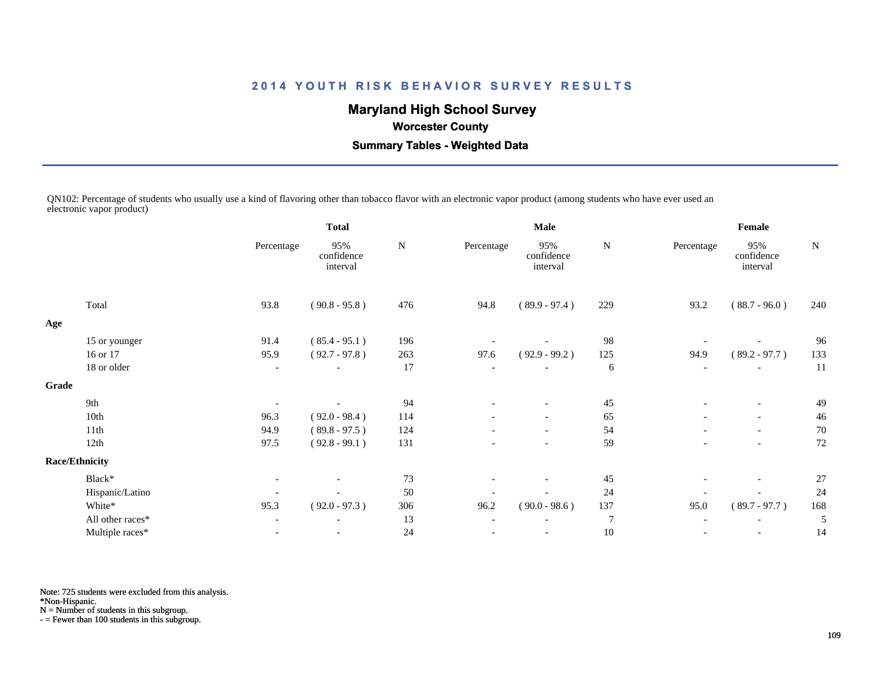# **Maryland High School Survey**

 **Worcester County**

 **Summary Tables - Weighted Data**

QN102: Percentage of students who usually use a kind of flavoring other than tobacco flavor with an electronic vapor product (among students who have ever used an electronic vapor product)

|       |                       | <b>Total</b>             |                               | <b>Male</b> |                          |                               | Female         |                          |                               |     |
|-------|-----------------------|--------------------------|-------------------------------|-------------|--------------------------|-------------------------------|----------------|--------------------------|-------------------------------|-----|
|       |                       | Percentage               | 95%<br>confidence<br>interval | N           | Percentage               | 95%<br>confidence<br>interval | N              | Percentage               | 95%<br>confidence<br>interval | N   |
|       | Total                 | 93.8                     | $(90.8 - 95.8)$               | 476         | 94.8                     | $(89.9 - 97.4)$               | 229            | 93.2                     | $(88.7 - 96.0)$               | 240 |
| Age   |                       |                          |                               |             |                          |                               |                |                          |                               |     |
|       | 15 or younger         | 91.4                     | $(85.4 - 95.1)$               | 196         |                          |                               | 98             |                          |                               | 96  |
|       | 16 or 17              | 95.9                     | $(92.7 - 97.8)$               | 263         | 97.6                     | $(92.9 - 99.2)$               | 125            | 94.9                     | $(89.2 - 97.7)$               | 133 |
|       | 18 or older           | $\overline{\phantom{a}}$ |                               | 17          |                          |                               | 6              | $\overline{\phantom{a}}$ |                               | 11  |
| Grade |                       |                          |                               |             |                          |                               |                |                          |                               |     |
|       | 9th                   | $\overline{\phantom{a}}$ |                               | 94          | $\overline{\phantom{a}}$ | $\overline{\phantom{0}}$      | 45             | $\overline{\phantom{a}}$ | $-$                           | 49  |
|       | 10th                  | 96.3                     | $(92.0 - 98.4)$               | 114         |                          | $\overline{\phantom{a}}$      | 65             |                          | $\overline{\phantom{a}}$      | 46  |
|       | 11th                  | 94.9                     | $(89.8 - 97.5)$               | 124         |                          | $\overline{\phantom{a}}$      | 54             | $\overline{\phantom{a}}$ | $\overline{\phantom{a}}$      | 70  |
|       | 12th                  | 97.5                     | $(92.8 - 99.1)$               | 131         |                          |                               | 59             |                          |                               | 72  |
|       | <b>Race/Ethnicity</b> |                          |                               |             |                          |                               |                |                          |                               |     |
|       | Black*                | $\overline{\phantom{a}}$ |                               | 73          |                          |                               | 45             |                          | $\overline{\phantom{a}}$      | 27  |
|       | Hispanic/Latino       |                          |                               | 50          |                          |                               | 24             |                          |                               | 24  |
|       | White*                | 95.3                     | $(92.0 - 97.3)$               | 306         | 96.2                     | $(90.0 - 98.6)$               | 137            | 95.0                     | $(89.7 - 97.7)$               | 168 |
|       | All other races*      | $\overline{\phantom{a}}$ |                               | 13          | $\overline{\phantom{0}}$ |                               | $\overline{7}$ |                          |                               | 5   |
|       | Multiple races*       | $\qquad \qquad -$        |                               | 24          |                          |                               | $10\,$         |                          |                               | 14  |
|       |                       |                          |                               |             |                          |                               |                |                          |                               |     |

Note: 725 students were excluded from this analysis.

\*Non-Hispanic.

N = Number of students in this subgroup.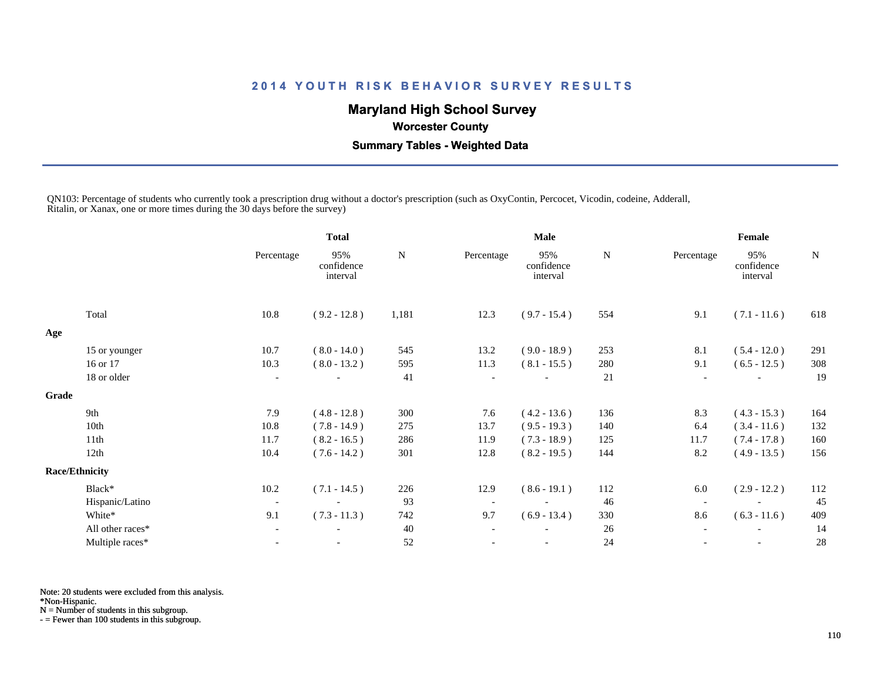# **Maryland High School Survey**

 **Worcester County**

 **Summary Tables - Weighted Data**

QN103: Percentage of students who currently took a prescription drug without a doctor's prescription (such as OxyContin, Percocet, Vicodin, codeine, Adderall, Ritalin, or Xanax, one or more times during the 30 days before the survey)

|       |                       |                          | <b>Total</b>                  |       |                          | <b>Male</b>                   |     |                          | Female                        |     |  |
|-------|-----------------------|--------------------------|-------------------------------|-------|--------------------------|-------------------------------|-----|--------------------------|-------------------------------|-----|--|
|       |                       | Percentage               | 95%<br>confidence<br>interval | N     | Percentage               | 95%<br>confidence<br>interval | N   | Percentage               | 95%<br>confidence<br>interval | N   |  |
|       | Total                 | 10.8                     | $(9.2 - 12.8)$                | 1,181 | 12.3                     | $(9.7 - 15.4)$                | 554 | 9.1                      | $(7.1 - 11.6)$                | 618 |  |
| Age   |                       |                          |                               |       |                          |                               |     |                          |                               |     |  |
|       | 15 or younger         | 10.7                     | $(8.0 - 14.0)$                | 545   | 13.2                     | $(9.0 - 18.9)$                | 253 | 8.1                      | $(5.4 - 12.0)$                | 291 |  |
|       | 16 or 17              | 10.3                     | $(8.0 - 13.2)$                | 595   | 11.3                     | $(8.1 - 15.5)$                | 280 | 9.1                      | $(6.5 - 12.5)$                | 308 |  |
|       | 18 or older           | $\overline{\phantom{a}}$ |                               | 41    | $\overline{\phantom{a}}$ |                               | 21  |                          |                               | 19  |  |
| Grade |                       |                          |                               |       |                          |                               |     |                          |                               |     |  |
|       | 9th                   | 7.9                      | $(4.8 - 12.8)$                | 300   | 7.6                      | $(4.2 - 13.6)$                | 136 | 8.3                      | $(4.3 - 15.3)$                | 164 |  |
|       | 10th                  | 10.8                     | $(7.8 - 14.9)$                | 275   | 13.7                     | $(9.5 - 19.3)$                | 140 | 6.4                      | $(3.4 - 11.6)$                | 132 |  |
|       | 11th                  | 11.7                     | $(8.2 - 16.5)$                | 286   | 11.9                     | $(7.3 - 18.9)$                | 125 | 11.7                     | $(7.4 - 17.8)$                | 160 |  |
|       | 12th                  | 10.4                     | $(7.6 - 14.2)$                | 301   | 12.8                     | $(8.2 - 19.5)$                | 144 | 8.2                      | $(4.9 - 13.5)$                | 156 |  |
|       | <b>Race/Ethnicity</b> |                          |                               |       |                          |                               |     |                          |                               |     |  |
|       | Black*                | $10.2\,$                 | $(7.1 - 14.5)$                | 226   | 12.9                     | $(8.6 - 19.1)$                | 112 | 6.0                      | $(2.9 - 12.2)$                | 112 |  |
|       | Hispanic/Latino       | $\overline{\phantom{a}}$ |                               | 93    | $\overline{\phantom{a}}$ |                               | 46  | $\overline{\phantom{a}}$ |                               | 45  |  |
|       | White*                | 9.1                      | $(7.3 - 11.3)$                | 742   | 9.7                      | $(6.9 - 13.4)$                | 330 | 8.6                      | $(6.3 - 11.6)$                | 409 |  |
|       | All other races*      | $\overline{\phantom{a}}$ |                               | 40    |                          |                               | 26  | $\overline{\phantom{a}}$ |                               | 14  |  |
|       | Multiple races*       | $\overline{\phantom{a}}$ |                               | 52    |                          | $\overline{\phantom{a}}$      | 24  |                          | $\overline{\phantom{a}}$      | 28  |  |

Note: 20 students were excluded from this analysis.

\*Non-Hispanic.

N = Number of students in this subgroup.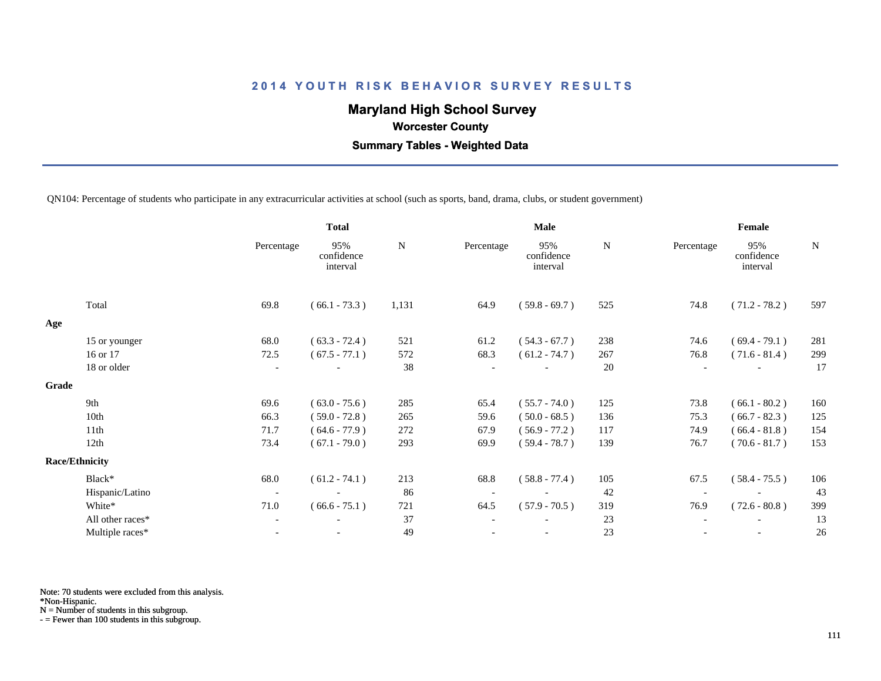# **Maryland High School Survey**

 **Worcester County**

 **Summary Tables - Weighted Data**

QN104: Percentage of students who participate in any extracurricular activities at school (such as sports, band, drama, clubs, or student government)

|       |                       | <b>Total</b>             |                               |           | <b>Male</b> |                               |             | Female     |                               |             |
|-------|-----------------------|--------------------------|-------------------------------|-----------|-------------|-------------------------------|-------------|------------|-------------------------------|-------------|
|       |                       | Percentage               | 95%<br>confidence<br>interval | ${\bf N}$ | Percentage  | 95%<br>confidence<br>interval | $\mathbf N$ | Percentage | 95%<br>confidence<br>interval | $\mathbf N$ |
|       | Total                 | 69.8                     | $(66.1 - 73.3)$               | 1,131     | 64.9        | $(59.8 - 69.7)$               | 525         | 74.8       | $(71.2 - 78.2)$               | 597         |
| Age   |                       |                          |                               |           |             |                               |             |            |                               |             |
|       | 15 or younger         | 68.0                     | $(63.3 - 72.4)$               | 521       | 61.2        | $(54.3 - 67.7)$               | 238         | 74.6       | $(69.4 - 79.1)$               | 281         |
|       | 16 or 17              | 72.5                     | $(67.5 - 77.1)$               | 572       | 68.3        | $(61.2 - 74.7)$               | 267         | 76.8       | $(71.6 - 81.4)$               | 299         |
|       | 18 or older           | $\overline{\phantom{a}}$ |                               | 38        |             |                               | 20          |            |                               | 17          |
| Grade |                       |                          |                               |           |             |                               |             |            |                               |             |
|       | 9th                   | 69.6                     | $(63.0 - 75.6)$               | 285       | 65.4        | $(55.7 - 74.0)$               | 125         | 73.8       | $(66.1 - 80.2)$               | 160         |
|       | 10th                  | 66.3                     | $(59.0 - 72.8)$               | 265       | 59.6        | $(50.0 - 68.5)$               | 136         | 75.3       | $(66.7 - 82.3)$               | 125         |
|       | 11th                  | 71.7                     | $(64.6 - 77.9)$               | 272       | 67.9        | $(56.9 - 77.2)$               | 117         | 74.9       | $(66.4 - 81.8)$               | 154         |
|       | 12th                  | 73.4                     | $(67.1 - 79.0)$               | 293       | 69.9        | $(59.4 - 78.7)$               | 139         | 76.7       | $(70.6 - 81.7)$               | 153         |
|       | <b>Race/Ethnicity</b> |                          |                               |           |             |                               |             |            |                               |             |
|       | Black*                | 68.0                     | $(61.2 - 74.1)$               | 213       | 68.8        | $(58.8 - 77.4)$               | 105         | 67.5       | $(58.4 - 75.5)$               | 106         |
|       | Hispanic/Latino       | $\overline{\phantom{a}}$ |                               | -86       |             |                               | 42          |            |                               | 43          |
|       | White*                | 71.0                     | $(66.6 - 75.1)$               | 721       | 64.5        | $(57.9 - 70.5)$               | 319         | 76.9       | $(72.6 - 80.8)$               | 399         |
|       | All other races*      | $\overline{\phantom{a}}$ |                               | 37        |             |                               | 23          |            |                               | 13          |
|       | Multiple races*       | $\overline{\phantom{a}}$ |                               | 49        |             | $\overline{\phantom{a}}$      | 23          |            | $\overline{\phantom{a}}$      | 26          |
|       |                       |                          |                               |           |             |                               |             |            |                               |             |

Note: 70 students were excluded from this analysis.

\*Non-Hispanic.

N = Number of students in this subgroup.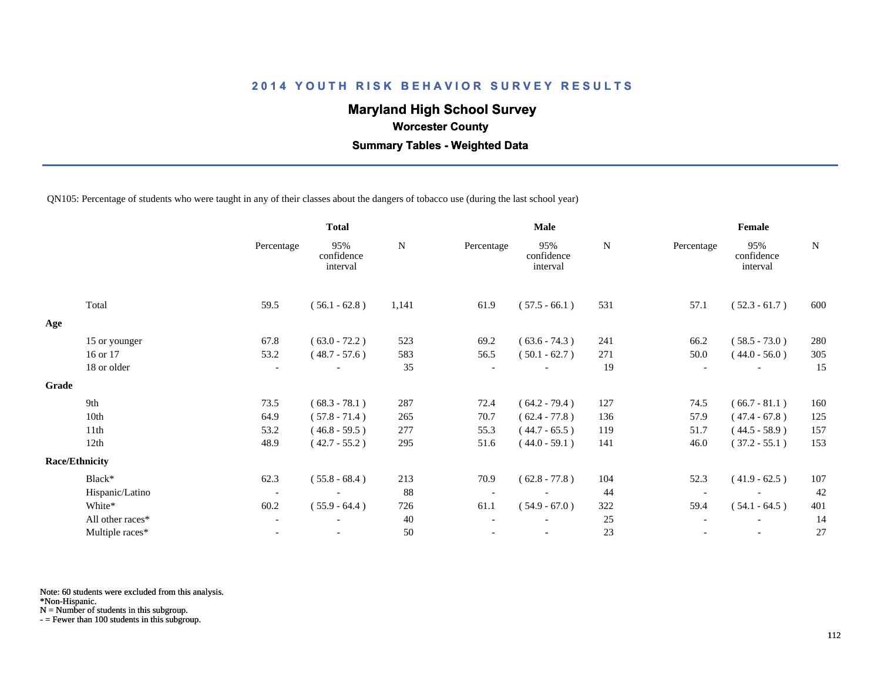# **Maryland High School Survey**

 **Worcester County**

 **Summary Tables - Weighted Data**

QN105: Percentage of students who were taught in any of their classes about the dangers of tobacco use (during the last school year)

|       |                       |                          | <b>Total</b>                  |       | Male       |                               |     | Female                   |                               |     |
|-------|-----------------------|--------------------------|-------------------------------|-------|------------|-------------------------------|-----|--------------------------|-------------------------------|-----|
|       |                       | Percentage               | 95%<br>confidence<br>interval | N     | Percentage | 95%<br>confidence<br>interval | N   | Percentage               | 95%<br>confidence<br>interval | N   |
|       | Total                 | 59.5                     | $(56.1 - 62.8)$               | 1,141 | 61.9       | $(57.5 - 66.1)$               | 531 | 57.1                     | $(52.3 - 61.7)$               | 600 |
| Age   |                       |                          |                               |       |            |                               |     |                          |                               |     |
|       | 15 or younger         | 67.8                     | $(63.0 - 72.2)$               | 523   | 69.2       | $(63.6 - 74.3)$               | 241 | 66.2                     | $(58.5 - 73.0)$               | 280 |
|       | 16 or 17              | 53.2                     | $(48.7 - 57.6)$               | 583   | 56.5       | $(50.1 - 62.7)$               | 271 | 50.0                     | $(44.0 - 56.0)$               | 305 |
|       | 18 or older           | $\overline{\phantom{a}}$ |                               | 35    |            |                               | 19  |                          |                               | 15  |
| Grade |                       |                          |                               |       |            |                               |     |                          |                               |     |
|       | 9th                   | 73.5                     | $(68.3 - 78.1)$               | 287   | 72.4       | $(64.2 - 79.4)$               | 127 | 74.5                     | $(66.7 - 81.1)$               | 160 |
|       | 10th                  | 64.9                     | $(57.8 - 71.4)$               | 265   | 70.7       | $(62.4 - 77.8)$               | 136 | 57.9                     | $(47.4 - 67.8)$               | 125 |
|       | 11th                  | 53.2                     | $(46.8 - 59.5)$               | 277   | 55.3       | $(44.7 - 65.5)$               | 119 | 51.7                     | $(44.5 - 58.9)$               | 157 |
|       | 12th                  | 48.9                     | $(42.7 - 55.2)$               | 295   | 51.6       | $(44.0 - 59.1)$               | 141 | 46.0                     | $(37.2 - 55.1)$               | 153 |
|       | <b>Race/Ethnicity</b> |                          |                               |       |            |                               |     |                          |                               |     |
|       | Black*                | 62.3                     | $(55.8 - 68.4)$               | 213   | 70.9       | $(62.8 - 77.8)$               | 104 | 52.3                     | $(41.9 - 62.5)$               | 107 |
|       | Hispanic/Latino       | $\overline{\phantom{a}}$ |                               | 88    |            |                               | 44  | $\overline{\phantom{a}}$ |                               | 42  |
|       | White*                | 60.2                     | $(55.9 - 64.4)$               | 726   | 61.1       | $(54.9 - 67.0)$               | 322 | 59.4                     | $(54.1 - 64.5)$               | 401 |
|       | All other races*      | $\overline{\phantom{a}}$ |                               | 40    |            |                               | 25  |                          |                               | 14  |
|       | Multiple races*       | $\blacksquare$           |                               | 50    |            | $\overline{\phantom{a}}$      | 23  |                          |                               | 27  |

Note: 60 students were excluded from this analysis.

\*Non-Hispanic.

N = Number of students in this subgroup.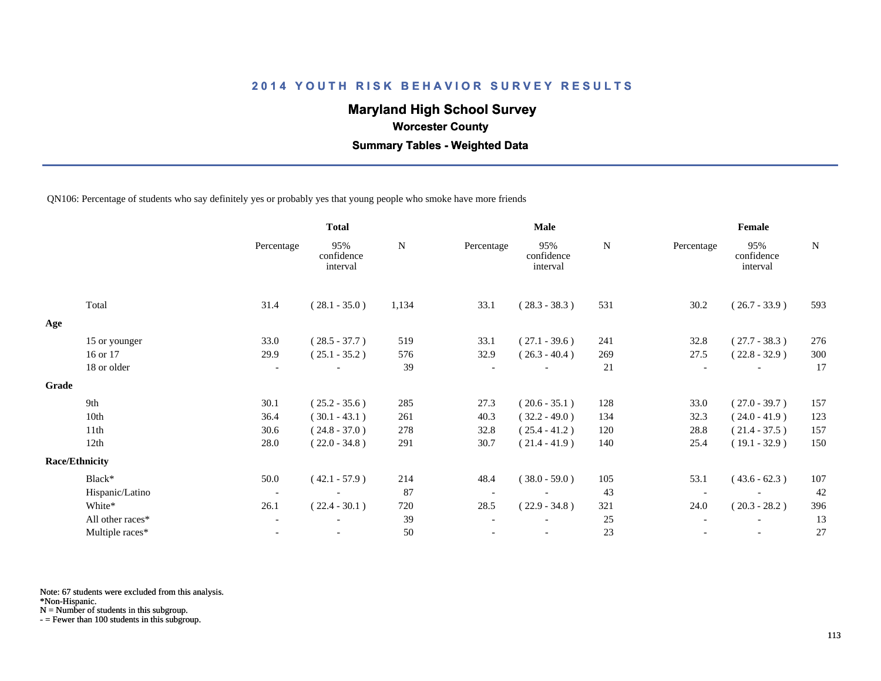# **Maryland High School Survey**

 **Worcester County**

 **Summary Tables - Weighted Data**

QN106: Percentage of students who say definitely yes or probably yes that young people who smoke have more friends

|       |                       | <b>Total</b>             |                               |       |            | Male                          |     | Female                   |                               |     |  |
|-------|-----------------------|--------------------------|-------------------------------|-------|------------|-------------------------------|-----|--------------------------|-------------------------------|-----|--|
|       |                       | Percentage               | 95%<br>confidence<br>interval | N     | Percentage | 95%<br>confidence<br>interval | N   | Percentage               | 95%<br>confidence<br>interval | N   |  |
|       | Total                 | 31.4                     | $(28.1 - 35.0)$               | 1,134 | 33.1       | $(28.3 - 38.3)$               | 531 | 30.2                     | $(26.7 - 33.9)$               | 593 |  |
| Age   |                       |                          |                               |       |            |                               |     |                          |                               |     |  |
|       | 15 or younger         | 33.0                     | $(28.5 - 37.7)$               | 519   | 33.1       | $(27.1 - 39.6)$               | 241 | 32.8                     | $(27.7 - 38.3)$               | 276 |  |
|       | 16 or 17              | 29.9                     | $(25.1 - 35.2)$               | 576   | 32.9       | $(26.3 - 40.4)$               | 269 | 27.5                     | $(22.8 - 32.9)$               | 300 |  |
|       | 18 or older           | $\overline{\phantom{a}}$ |                               | 39    |            |                               | 21  | $\overline{\phantom{a}}$ |                               | 17  |  |
| Grade |                       |                          |                               |       |            |                               |     |                          |                               |     |  |
|       | 9th                   | 30.1                     | $(25.2 - 35.6)$               | 285   | 27.3       | $(20.6 - 35.1)$               | 128 | 33.0                     | $(27.0 - 39.7)$               | 157 |  |
|       | 10th                  | 36.4                     | $(30.1 - 43.1)$               | 261   | 40.3       | $(32.2 - 49.0)$               | 134 | 32.3                     | $(24.0 - 41.9)$               | 123 |  |
|       | 11th                  | 30.6                     | $(24.8 - 37.0)$               | 278   | 32.8       | $(25.4 - 41.2)$               | 120 | 28.8                     | $(21.4 - 37.5)$               | 157 |  |
|       | 12th                  | 28.0                     | $(22.0 - 34.8)$               | 291   | 30.7       | $(21.4 - 41.9)$               | 140 | 25.4                     | $(19.1 - 32.9)$               | 150 |  |
|       | <b>Race/Ethnicity</b> |                          |                               |       |            |                               |     |                          |                               |     |  |
|       | Black*                | 50.0                     | $(42.1 - 57.9)$               | 214   | 48.4       | $(38.0 - 59.0)$               | 105 | 53.1                     | $(43.6 - 62.3)$               | 107 |  |
|       | Hispanic/Latino       | $\overline{\phantom{a}}$ | $\blacksquare$                | 87    |            | $\blacksquare$                | 43  |                          |                               | 42  |  |
|       | White*                | 26.1                     | $(22.4 - 30.1)$               | 720   | 28.5       | $(22.9 - 34.8)$               | 321 | 24.0                     | $(20.3 - 28.2)$               | 396 |  |
|       | All other races*      | $\overline{\phantom{a}}$ |                               | 39    |            | $\overline{\phantom{a}}$      | 25  |                          | $\overline{\phantom{a}}$      | 13  |  |
|       | Multiple races*       |                          |                               | 50    |            |                               | 23  |                          |                               | 27  |  |
|       |                       |                          |                               |       |            |                               |     |                          |                               |     |  |

Note: 67 students were excluded from this analysis.

\*Non-Hispanic.

N = Number of students in this subgroup.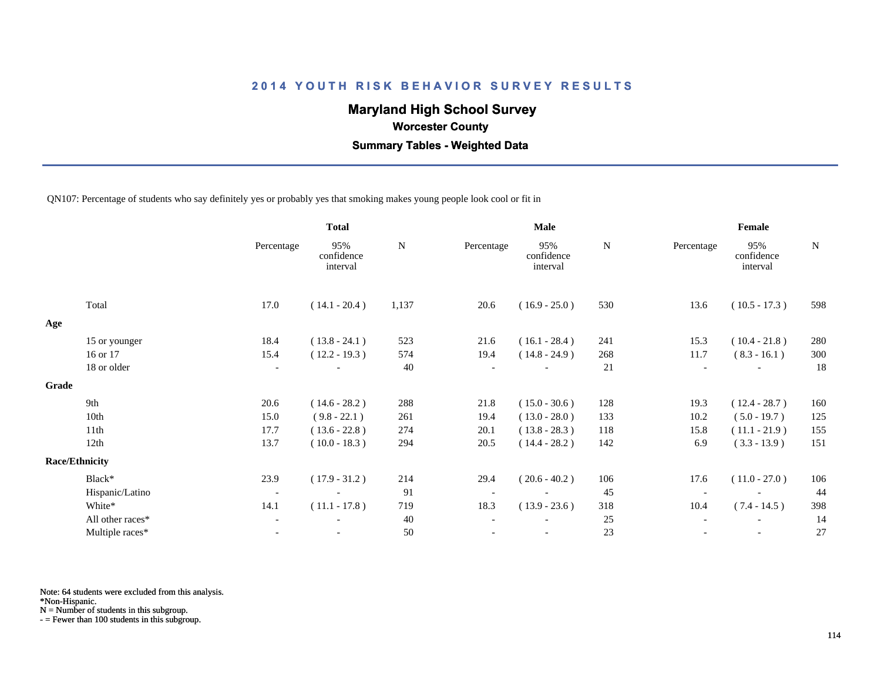# **Maryland High School Survey**

 **Worcester County**

 **Summary Tables - Weighted Data**

QN107: Percentage of students who say definitely yes or probably yes that smoking makes young people look cool or fit in

|       |                       | <b>Total</b>             |                               |           | <b>Male</b> |                               |           | Female     |                               |             |  |
|-------|-----------------------|--------------------------|-------------------------------|-----------|-------------|-------------------------------|-----------|------------|-------------------------------|-------------|--|
|       |                       | Percentage               | 95%<br>confidence<br>interval | ${\bf N}$ | Percentage  | 95%<br>confidence<br>interval | ${\bf N}$ | Percentage | 95%<br>confidence<br>interval | $\mathbf N$ |  |
|       | Total                 | 17.0                     | $(14.1 - 20.4)$               | 1,137     | 20.6        | $(16.9 - 25.0)$               | 530       | 13.6       | $(10.5 - 17.3)$               | 598         |  |
| Age   |                       |                          |                               |           |             |                               |           |            |                               |             |  |
|       | 15 or younger         | 18.4                     | $(13.8 - 24.1)$               | 523       | 21.6        | $(16.1 - 28.4)$               | 241       | 15.3       | $(10.4 - 21.8)$               | 280         |  |
|       | 16 or 17              | 15.4                     | $(12.2 - 19.3)$               | 574       | 19.4        | $(14.8 - 24.9)$               | 268       | 11.7       | $(8.3 - 16.1)$                | 300         |  |
|       | 18 or older           | $\overline{\phantom{a}}$ |                               | 40        |             |                               | 21        |            |                               | 18          |  |
| Grade |                       |                          |                               |           |             |                               |           |            |                               |             |  |
|       | 9th                   | 20.6                     | $(14.6 - 28.2)$               | 288       | 21.8        | $(15.0 - 30.6)$               | 128       | 19.3       | $(12.4 - 28.7)$               | 160         |  |
|       | 10th                  | 15.0                     | $(9.8 - 22.1)$                | 261       | 19.4        | $(13.0 - 28.0)$               | 133       | 10.2       | $(5.0 - 19.7)$                | 125         |  |
|       | 11th                  | 17.7                     | $(13.6 - 22.8)$               | 274       | 20.1        | $(13.8 - 28.3)$               | 118       | 15.8       | $(11.1 - 21.9)$               | 155         |  |
|       | 12th                  | 13.7                     | $(10.0 - 18.3)$               | 294       | 20.5        | $(14.4 - 28.2)$               | 142       | 6.9        | $(3.3 - 13.9)$                | 151         |  |
|       | <b>Race/Ethnicity</b> |                          |                               |           |             |                               |           |            |                               |             |  |
|       | Black*                | 23.9                     | $(17.9 - 31.2)$               | 214       | 29.4        | $(20.6 - 40.2)$               | 106       | 17.6       | $(11.0 - 27.0)$               | 106         |  |
|       | Hispanic/Latino       | $\overline{\phantom{a}}$ |                               | 91        |             |                               | 45        |            |                               | 44          |  |
|       | White*                | 14.1                     | $(11.1 - 17.8)$               | 719       | 18.3        | $(13.9 - 23.6)$               | 318       | 10.4       | $(7.4 - 14.5)$                | 398         |  |
|       | All other races*      | $\overline{\phantom{a}}$ |                               | 40        |             |                               | 25        |            |                               | 14          |  |
|       | Multiple races*       | $\overline{\phantom{a}}$ |                               | 50        |             | $\overline{\phantom{a}}$      | 23        |            | $\overline{\phantom{a}}$      | 27          |  |
|       |                       |                          |                               |           |             |                               |           |            |                               |             |  |

Note: 64 students were excluded from this analysis.

\*Non-Hispanic.

N = Number of students in this subgroup.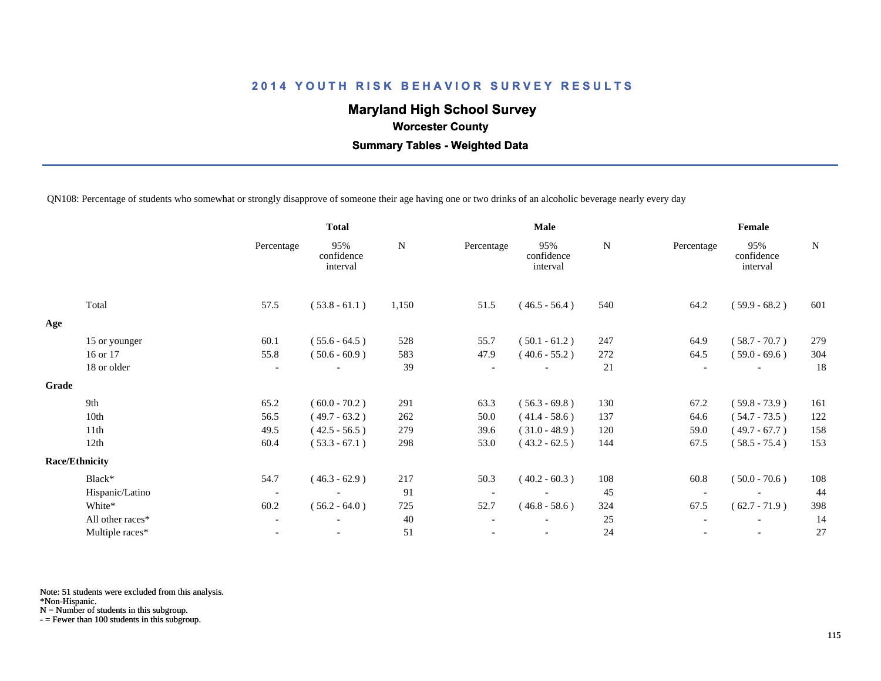# **Maryland High School Survey**

 **Worcester County**

 **Summary Tables - Weighted Data**

QN108: Percentage of students who somewhat or strongly disapprove of someone their age having one or two drinks of an alcoholic beverage nearly every day

|       |                       | <b>Total</b>             |                               |       |            | <b>Male</b>                   |             | Female     |                               |     |  |
|-------|-----------------------|--------------------------|-------------------------------|-------|------------|-------------------------------|-------------|------------|-------------------------------|-----|--|
|       |                       | Percentage               | 95%<br>confidence<br>interval | N     | Percentage | 95%<br>confidence<br>interval | $\mathbf N$ | Percentage | 95%<br>confidence<br>interval | N   |  |
|       | Total                 | 57.5                     | $(53.8 - 61.1)$               | 1,150 | 51.5       | $(46.5 - 56.4)$               | 540         | 64.2       | $(59.9 - 68.2)$               | 601 |  |
| Age   |                       |                          |                               |       |            |                               |             |            |                               |     |  |
|       | 15 or younger         | 60.1                     | $(55.6 - 64.5)$               | 528   | 55.7       | $(50.1 - 61.2)$               | 247         | 64.9       | $(58.7 - 70.7)$               | 279 |  |
|       | 16 or 17              | 55.8                     | $(50.6 - 60.9)$               | 583   | 47.9       | $(40.6 - 55.2)$               | 272         | 64.5       | $(59.0 - 69.6)$               | 304 |  |
|       | 18 or older           | $\overline{\phantom{a}}$ |                               | 39    |            |                               | 21          |            |                               | 18  |  |
| Grade |                       |                          |                               |       |            |                               |             |            |                               |     |  |
|       | 9th                   | 65.2                     | $(60.0 - 70.2)$               | 291   | 63.3       | $(56.3 - 69.8)$               | 130         | 67.2       | $(59.8 - 73.9)$               | 161 |  |
|       | 10th                  | 56.5                     | $(49.7 - 63.2)$               | 262   | 50.0       | $(41.4 - 58.6)$               | 137         | 64.6       | $(54.7 - 73.5)$               | 122 |  |
|       | 11th                  | 49.5                     | $(42.5 - 56.5)$               | 279   | 39.6       | $(31.0 - 48.9)$               | 120         | 59.0       | $(49.7 - 67.7)$               | 158 |  |
|       | 12th                  | 60.4                     | $(53.3 - 67.1)$               | 298   | 53.0       | $(43.2 - 62.5)$               | 144         | 67.5       | $(58.5 - 75.4)$               | 153 |  |
|       | <b>Race/Ethnicity</b> |                          |                               |       |            |                               |             |            |                               |     |  |
|       | Black*                | 54.7                     | $(46.3 - 62.9)$               | 217   | 50.3       | $(40.2 - 60.3)$               | 108         | 60.8       | $(50.0 - 70.6)$               | 108 |  |
|       | Hispanic/Latino       | $\overline{\phantom{a}}$ |                               | 91    |            |                               | 45          |            |                               | 44  |  |
|       | White*                | 60.2                     | $(56.2 - 64.0)$               | 725   | 52.7       | $(46.8 - 58.6)$               | 324         | 67.5       | $(62.7 - 71.9)$               | 398 |  |
|       | All other races*      | $\overline{\phantom{a}}$ |                               | 40    |            |                               | 25          |            |                               | 14  |  |
|       | Multiple races*       | $\overline{\phantom{a}}$ |                               | 51    |            | $\overline{\phantom{a}}$      | 24          |            | $\overline{\phantom{a}}$      | 27  |  |
|       |                       |                          |                               |       |            |                               |             |            |                               |     |  |

Note: 51 students were excluded from this analysis.

\*Non-Hispanic.

N = Number of students in this subgroup.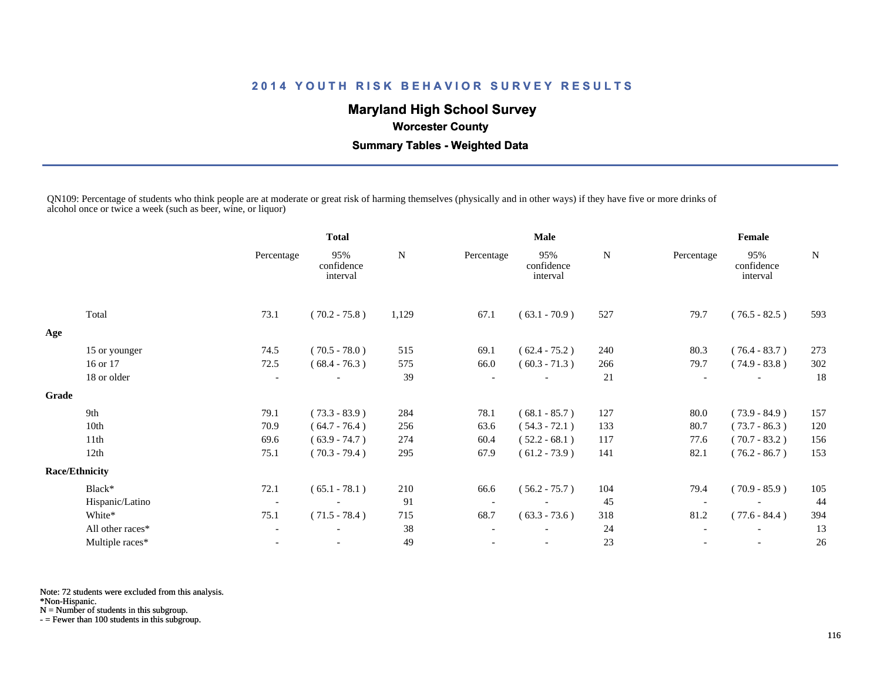# **Maryland High School Survey**

 **Worcester County**

 **Summary Tables - Weighted Data**

QN109: Percentage of students who think people are at moderate or great risk of harming themselves (physically and in other ways) if they have five or more drinks of alcohol once or twice a week (such as beer, wine, or liquor)

|       |                       | <b>Total</b>             |                               | Male  |            |                               | Female |                          |                               |     |
|-------|-----------------------|--------------------------|-------------------------------|-------|------------|-------------------------------|--------|--------------------------|-------------------------------|-----|
|       |                       | Percentage               | 95%<br>confidence<br>interval | N     | Percentage | 95%<br>confidence<br>interval | N      | Percentage               | 95%<br>confidence<br>interval | N   |
|       | Total                 | 73.1                     | $(70.2 - 75.8)$               | 1,129 | 67.1       | $(63.1 - 70.9)$               | 527    | 79.7                     | $(76.5 - 82.5)$               | 593 |
| Age   |                       |                          |                               |       |            |                               |        |                          |                               |     |
|       | 15 or younger         | 74.5                     | $(70.5 - 78.0)$               | 515   | 69.1       | $(62.4 - 75.2)$               | 240    | 80.3                     | $(76.4 - 83.7)$               | 273 |
|       | 16 or 17              | 72.5                     | $(68.4 - 76.3)$               | 575   | 66.0       | $(60.3 - 71.3)$               | 266    | 79.7                     | $(74.9 - 83.8)$               | 302 |
|       | 18 or older           | $\overline{\phantom{a}}$ |                               | 39    |            |                               | 21     | $\overline{\phantom{a}}$ | $\overline{\phantom{a}}$      | 18  |
| Grade |                       |                          |                               |       |            |                               |        |                          |                               |     |
|       | 9th                   | 79.1                     | $(73.3 - 83.9)$               | 284   | 78.1       | $(68.1 - 85.7)$               | 127    | 80.0                     | $(73.9 - 84.9)$               | 157 |
|       | 10th                  | 70.9                     | $(64.7 - 76.4)$               | 256   | 63.6       | $(54.3 - 72.1)$               | 133    | 80.7                     | $(73.7 - 86.3)$               | 120 |
|       | 11th                  | 69.6                     | $(63.9 - 74.7)$               | 274   | 60.4       | $(52.2 - 68.1)$               | 117    | 77.6                     | $(70.7 - 83.2)$               | 156 |
|       | 12th                  | 75.1                     | $(70.3 - 79.4)$               | 295   | 67.9       | $(61.2 - 73.9)$               | 141    | 82.1                     | $(76.2 - 86.7)$               | 153 |
|       | <b>Race/Ethnicity</b> |                          |                               |       |            |                               |        |                          |                               |     |
|       | Black*                | 72.1                     | $(65.1 - 78.1)$               | 210   | 66.6       | $(56.2 - 75.7)$               | 104    | 79.4                     | $(70.9 - 85.9)$               | 105 |
|       | Hispanic/Latino       | $\overline{\phantom{a}}$ |                               | 91    |            |                               | 45     |                          |                               | 44  |
|       | White*                | 75.1                     | $(71.5 - 78.4)$               | 715   | 68.7       | $(63.3 - 73.6)$               | 318    | 81.2                     | $(77.6 - 84.4)$               | 394 |
|       | All other races*      |                          |                               | 38    |            |                               | 24     |                          |                               | 13  |
|       | Multiple races*       |                          |                               | 49    |            |                               | 23     |                          | $\overline{\phantom{a}}$      | 26  |
|       |                       |                          |                               |       |            |                               |        |                          |                               |     |

Note: 72 students were excluded from this analysis.

\*Non-Hispanic.

N = Number of students in this subgroup.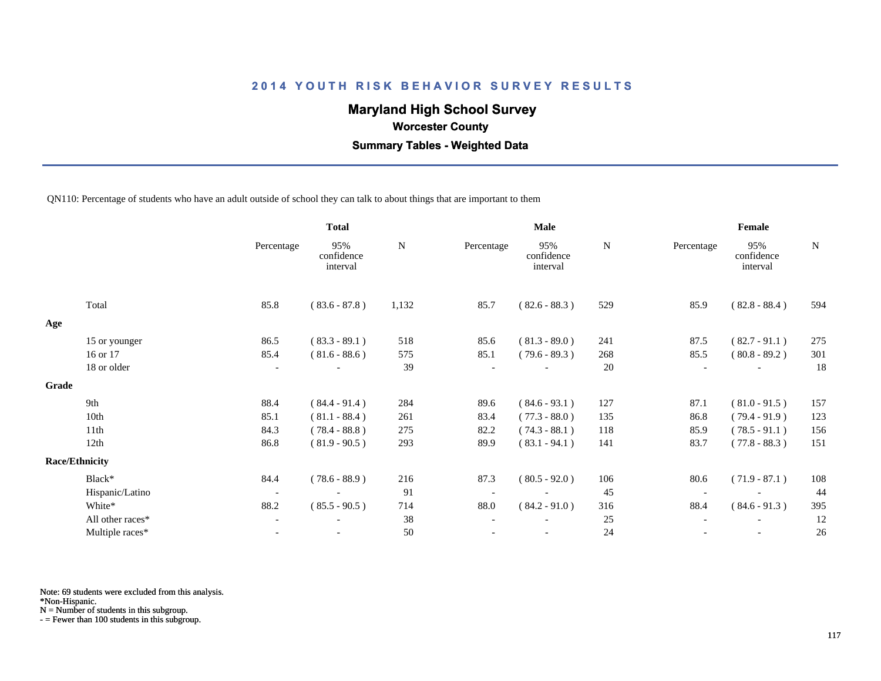# **Maryland High School Survey**

 **Worcester County**

 **Summary Tables - Weighted Data**

QN110: Percentage of students who have an adult outside of school they can talk to about things that are important to them

|                  |                                                 | <b>Total</b>                  |           |            | <b>Male</b>                   |           |            | Female                        |             |  |
|------------------|-------------------------------------------------|-------------------------------|-----------|------------|-------------------------------|-----------|------------|-------------------------------|-------------|--|
|                  | Percentage                                      | 95%<br>confidence<br>interval | ${\bf N}$ | Percentage | 95%<br>confidence<br>interval | ${\bf N}$ | Percentage | 95%<br>confidence<br>interval | $\mathbf N$ |  |
| Total            | 85.8                                            | $(83.6 - 87.8)$               | 1,132     | 85.7       | $(82.6 - 88.3)$               | 529       | 85.9       | $(82.8 - 88.4)$               | 594         |  |
|                  |                                                 |                               |           |            |                               |           |            |                               |             |  |
|                  | 86.5                                            | $(83.3 - 89.1)$               | 518       | 85.6       | $(81.3 - 89.0)$               | 241       | 87.5       | $(82.7 - 91.1)$               | 275         |  |
| 16 or 17         | 85.4                                            | $(81.6 - 88.6)$               | 575       | 85.1       | $(79.6 - 89.3)$               | 268       | 85.5       | $(80.8 - 89.2)$               | 301         |  |
| 18 or older      | $\overline{\phantom{a}}$                        |                               | 39        |            |                               | 20        |            |                               | 18          |  |
|                  |                                                 |                               |           |            |                               |           |            |                               |             |  |
| 9th              | 88.4                                            | $(84.4 - 91.4)$               | 284       | 89.6       | $(84.6 - 93.1)$               | 127       | 87.1       | $(81.0 - 91.5)$               | 157         |  |
| 10th             | 85.1                                            | $(81.1 - 88.4)$               | 261       | 83.4       | $(77.3 - 88.0)$               | 135       | 86.8       | $(79.4 - 91.9)$               | 123         |  |
| 11th             | 84.3                                            | $(78.4 - 88.8)$               | 275       | 82.2       | $(74.3 - 88.1)$               | 118       | 85.9       | $(78.5 - 91.1)$               | 156         |  |
| 12th             | 86.8                                            | $(81.9 - 90.5)$               | 293       | 89.9       | $(83.1 - 94.1)$               | 141       | 83.7       | $(77.8 - 88.3)$               | 151         |  |
|                  |                                                 |                               |           |            |                               |           |            |                               |             |  |
| Black*           | 84.4                                            | $(78.6 - 88.9)$               | 216       | 87.3       | $(80.5 - 92.0)$               | 106       | 80.6       | $(71.9 - 87.1)$               | 108         |  |
| Hispanic/Latino  | $\overline{\phantom{a}}$                        |                               | 91        |            |                               | 45        |            |                               | 44          |  |
| White*           | 88.2                                            | $(85.5 - 90.5)$               | 714       | 88.0       | $(84.2 - 91.0)$               | 316       | 88.4       | $(84.6 - 91.3)$               | 395         |  |
| All other races* | $\overline{\phantom{a}}$                        |                               | 38        |            |                               | 25        |            | $\overline{\phantom{a}}$      | 12          |  |
| Multiple races*  |                                                 |                               | 50        |            |                               | 24        |            |                               | 26          |  |
|                  | 15 or younger<br>Grade<br><b>Race/Ethnicity</b> |                               |           |            |                               |           |            |                               |             |  |

Note: 69 students were excluded from this analysis.

\*Non-Hispanic.

N = Number of students in this subgroup.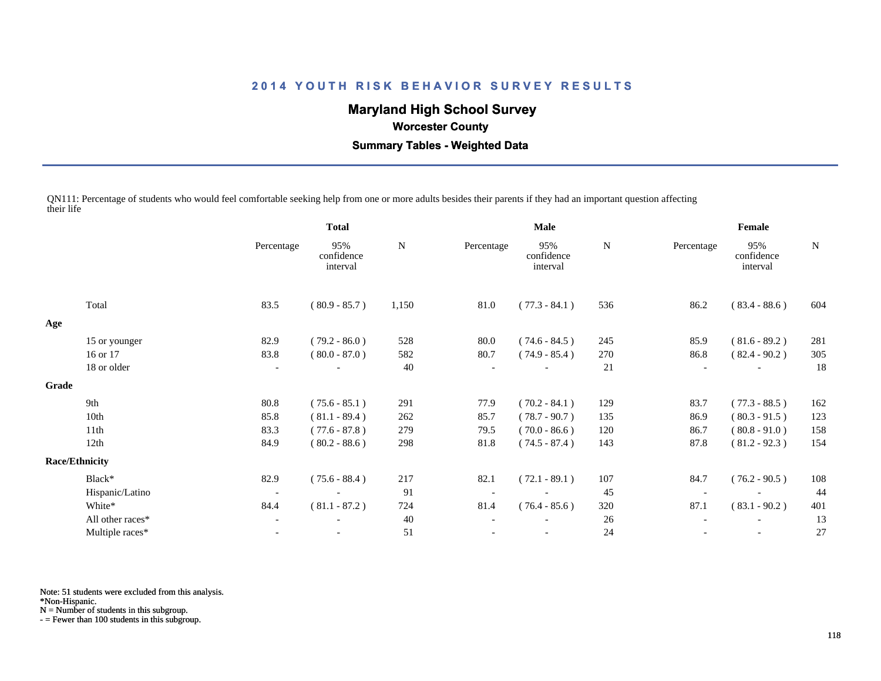# **Maryland High School Survey**

 **Worcester County**

 **Summary Tables - Weighted Data**

QN111: Percentage of students who would feel comfortable seeking help from one or more adults besides their parents if they had an important question affecting their life

|                  |                          | <b>Total</b>                  |       | Male       |                               |     | Female     |                               |             |  |
|------------------|--------------------------|-------------------------------|-------|------------|-------------------------------|-----|------------|-------------------------------|-------------|--|
|                  | Percentage               | 95%<br>confidence<br>interval | N     | Percentage | 95%<br>confidence<br>interval | N   | Percentage | 95%<br>confidence<br>interval | $\mathbf N$ |  |
| Total            | 83.5                     | $(80.9 - 85.7)$               | 1,150 | 81.0       | $(77.3 - 84.1)$               | 536 | 86.2       | $(83.4 - 88.6)$               | 604         |  |
|                  |                          |                               |       |            |                               |     |            |                               |             |  |
| 15 or younger    | 82.9                     | $(79.2 - 86.0)$               | 528   | 80.0       | $(74.6 - 84.5)$               | 245 | 85.9       | $(81.6 - 89.2)$               | 281         |  |
| 16 or 17         | 83.8                     | $(80.0 - 87.0)$               | 582   | 80.7       | $(74.9 - 85.4)$               | 270 | 86.8       | $(82.4 - 90.2)$               | 305         |  |
| 18 or older      | $\overline{\phantom{a}}$ |                               | 40    |            |                               | 21  |            |                               | 18          |  |
|                  |                          |                               |       |            |                               |     |            |                               |             |  |
| 9th              | 80.8                     | $(75.6 - 85.1)$               | 291   | 77.9       | $(70.2 - 84.1)$               | 129 | 83.7       | $(77.3 - 88.5)$               | 162         |  |
| 10th             | 85.8                     | $(81.1 - 89.4)$               | 262   | 85.7       | $(78.7 - 90.7)$               | 135 | 86.9       | $(80.3 - 91.5)$               | 123         |  |
| 11th             | 83.3                     | $(77.6 - 87.8)$               | 279   | 79.5       | $(70.0 - 86.6)$               | 120 | 86.7       | $(80.8 - 91.0)$               | 158         |  |
| 12th             | 84.9                     | $(80.2 - 88.6)$               | 298   | 81.8       | $(74.5 - 87.4)$               | 143 | 87.8       | $(81.2 - 92.3)$               | 154         |  |
|                  |                          |                               |       |            |                               |     |            |                               |             |  |
| Black*           | 82.9                     | $(75.6 - 88.4)$               | 217   | 82.1       | $(72.1 - 89.1)$               | 107 | 84.7       | $(76.2 - 90.5)$               | 108         |  |
| Hispanic/Latino  | $\overline{\phantom{a}}$ |                               | 91    |            |                               | 45  |            |                               | 44          |  |
| White*           | 84.4                     | $(81.1 - 87.2)$               | 724   | 81.4       | $(76.4 - 85.6)$               | 320 | 87.1       | $(83.1 - 90.2)$               | 401         |  |
| All other races* | $\overline{\phantom{a}}$ |                               | 40    |            |                               | 26  |            |                               | 13          |  |
| Multiple races*  |                          |                               | 51    |            |                               | 24  |            | $\overline{\phantom{a}}$      | 27          |  |
| Grade            | <b>Race/Ethnicity</b>    |                               |       |            |                               |     |            |                               |             |  |

Note: 51 students were excluded from this analysis.

\*Non-Hispanic.

N = Number of students in this subgroup.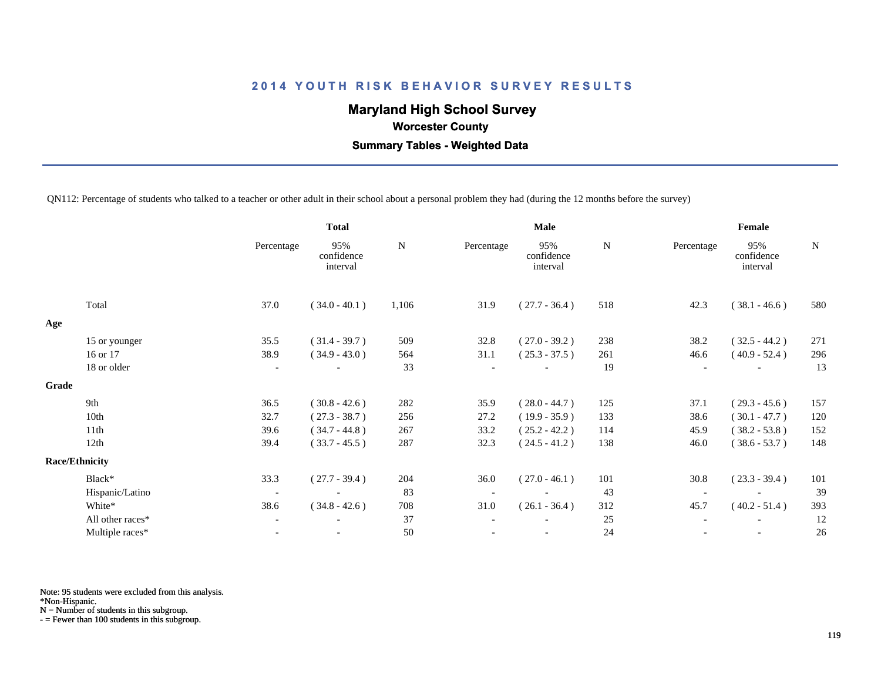# **Maryland High School Survey**

 **Worcester County**

 **Summary Tables - Weighted Data**

QN112: Percentage of students who talked to a teacher or other adult in their school about a personal problem they had (during the 12 months before the survey)

|       |                       | <b>Total</b>             |                               |           |            | <b>Male</b>                   |           | Female                   |                               |             |  |
|-------|-----------------------|--------------------------|-------------------------------|-----------|------------|-------------------------------|-----------|--------------------------|-------------------------------|-------------|--|
|       |                       | Percentage               | 95%<br>confidence<br>interval | ${\bf N}$ | Percentage | 95%<br>confidence<br>interval | ${\bf N}$ | Percentage               | 95%<br>confidence<br>interval | $\mathbf N$ |  |
|       | Total                 | 37.0                     | $(34.0 - 40.1)$               | 1,106     | 31.9       | $(27.7 - 36.4)$               | 518       | 42.3                     | $(38.1 - 46.6)$               | 580         |  |
| Age   |                       |                          |                               |           |            |                               |           |                          |                               |             |  |
|       | 15 or younger         | 35.5                     | $(31.4 - 39.7)$               | 509       | 32.8       | $(27.0 - 39.2)$               | 238       | 38.2                     | $(32.5 - 44.2)$               | 271         |  |
|       | 16 or 17              | 38.9                     | $(34.9 - 43.0)$               | 564       | 31.1       | $(25.3 - 37.5)$               | 261       | 46.6                     | $(40.9 - 52.4)$               | 296         |  |
|       | 18 or older           | $\overline{\phantom{a}}$ |                               | 33        |            |                               | 19        | $\overline{\phantom{a}}$ |                               | 13          |  |
| Grade |                       |                          |                               |           |            |                               |           |                          |                               |             |  |
|       | 9th                   | 36.5                     | $(30.8 - 42.6)$               | 282       | 35.9       | $(28.0 - 44.7)$               | 125       | 37.1                     | $(29.3 - 45.6)$               | 157         |  |
|       | 10th                  | 32.7                     | $(27.3 - 38.7)$               | 256       | 27.2       | $(19.9 - 35.9)$               | 133       | 38.6                     | $(30.1 - 47.7)$               | 120         |  |
|       | 11th                  | 39.6                     | $(34.7 - 44.8)$               | 267       | 33.2       | $(25.2 - 42.2)$               | 114       | 45.9                     | $(38.2 - 53.8)$               | 152         |  |
|       | 12th                  | 39.4                     | $(33.7 - 45.5)$               | 287       | 32.3       | $(24.5 - 41.2)$               | 138       | 46.0                     | $(38.6 - 53.7)$               | 148         |  |
|       | <b>Race/Ethnicity</b> |                          |                               |           |            |                               |           |                          |                               |             |  |
|       | Black*                | 33.3                     | $(27.7 - 39.4)$               | 204       | 36.0       | $(27.0 - 46.1)$               | 101       | 30.8                     | $(23.3 - 39.4)$               | 101         |  |
|       | Hispanic/Latino       | $\overline{\phantom{a}}$ |                               | 83        |            |                               | 43        |                          |                               | 39          |  |
|       | White*                | 38.6                     | $(34.8 - 42.6)$               | 708       | 31.0       | $(26.1 - 36.4)$               | 312       | 45.7                     | $(40.2 - 51.4)$               | 393         |  |
|       | All other races*      | $\overline{\phantom{a}}$ |                               | 37        |            |                               | 25        |                          |                               | 12          |  |
|       | Multiple races*       | $\overline{\phantom{a}}$ |                               | 50        |            | $\overline{\phantom{a}}$      | 24        |                          | $\overline{\phantom{a}}$      | 26          |  |
|       |                       |                          |                               |           |            |                               |           |                          |                               |             |  |

Note: 95 students were excluded from this analysis.

\*Non-Hispanic.

N = Number of students in this subgroup.